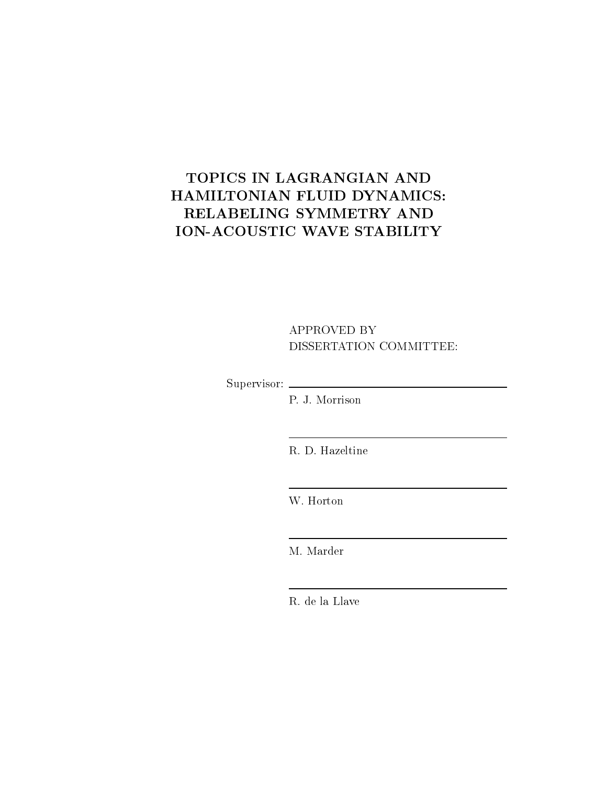# TOPICS IN LAGRANGIAN AND HAMILTONIAN FLUID DYNAMICS: RELABELING SYMMETRY AND ION-ACOUSTIC WAVE STABILITY

### APPROVED BY DISSERTATION COMMITTEE:

Supervisor:

P. J. Morrison

R. D. Hazeltine

W. Horton

M. Marder

R. de la Llave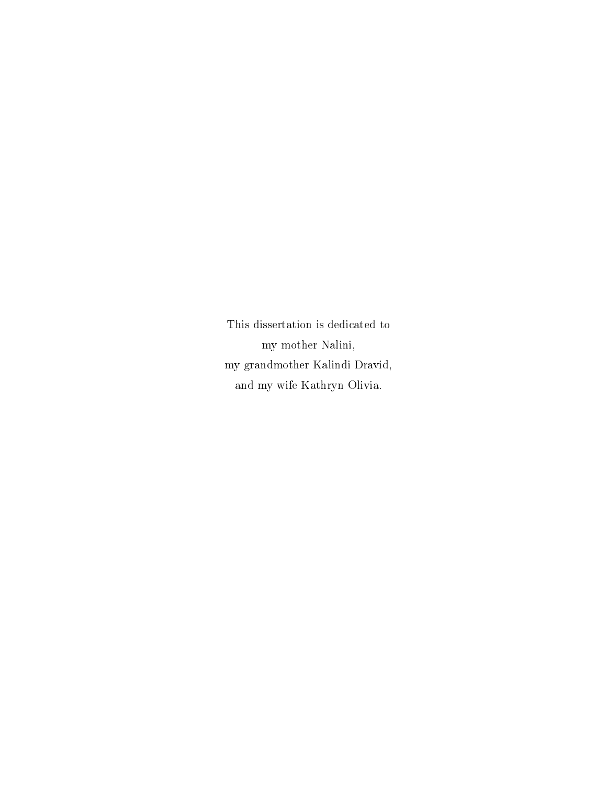This dissertation is dedicated to my mother Nalini, my grandmother Kalindi Dravid, and my wife Kathryn Olivia.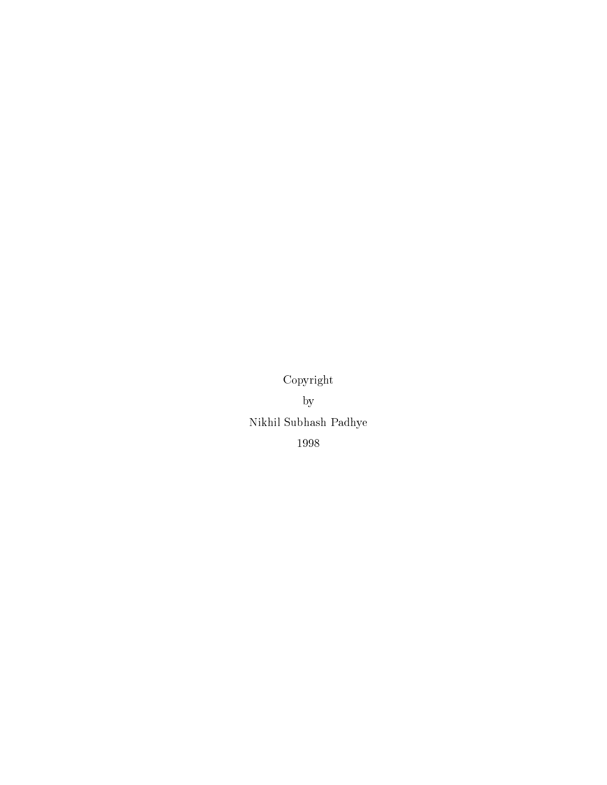Copyright by Nikhil Subhash Padhye 1998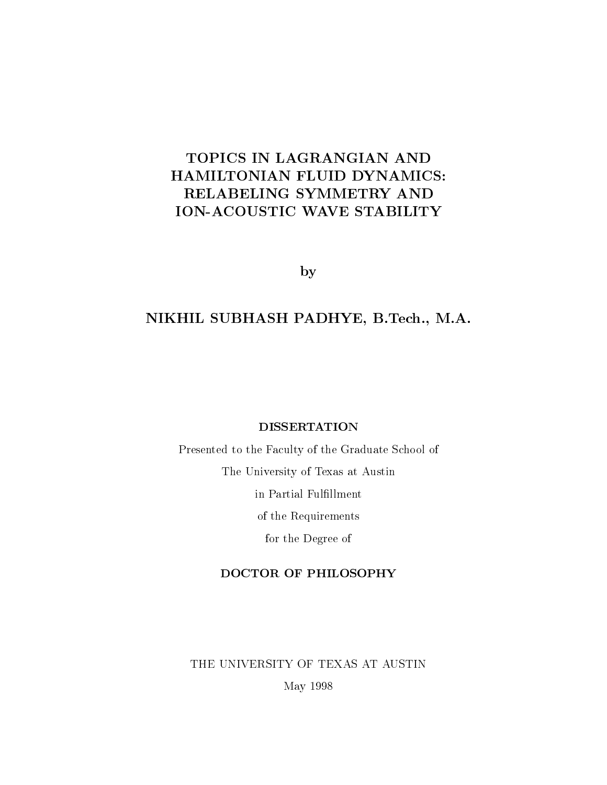## TOPICS IN LAGRANGIAN AND HAMILTONIAN FLUID DYNAMICS: RELABELING SYMMETRY AND ION-ACOUSTIC WAVE STABILITY

by

### NIKHIL SUBHASH PADHYE, B.Tech., M.A.

#### DISSERTATION

Presented to the Faculty of the Graduate School of The University of Texas at Austin in Partial Fulfillment of the Requirements for the Degree of

### DOCTOR OF PHILOSOPHY

THE UNIVERSITY OF TEXAS AT AUSTIN May 1998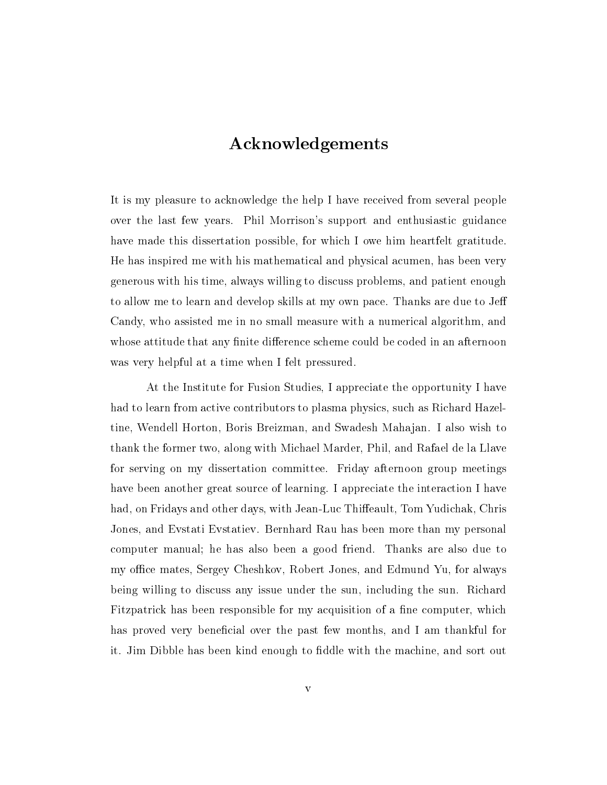# Acknowledgements

It is my pleasure to acknowledge the help I have received from several people over the last few years. Phil Morrison's support and enthusiastic guidance have made this dissertation possible, for which I owe him heartfelt gratitude. He has inspired me with his mathematical and physical acumen, has been very generous with his time, always willing to discuss problems, and patient enough to allow me to learn and develop skills at my own pace. Thanks are due to Je Candy, who assisted me in no small measure with a numerical algorithm, and whose attitude that any finite difference scheme could be coded in an afternoon was very helpful at a time when I felt pressured.

At the Institute for Fusion Studies, I appreciate the opportunity I have had to learn from active contributors to plasma physics, such as Richard Hazeltine, Wendell Horton, Boris Breizman, and Swadesh Mahajan. I also wish to thank the former two, along with Michael Marder, Phil, and Rafael de la Llave for serving on my dissertation committee. Friday afternoon group meetings have been another great source of learning. I appreciate the interaction I have had, on Fridays and other days, with Jean-Luc Thiffeault, Tom Yudichak, Chris Jones, and Evstati Evstatiev. Bernhard Rau has been more than my personal computer manual; he has also been a good friend. Thanks are also due to my office mates, Sergey Cheshkov, Robert Jones, and Edmund Yu, for always being willing to discuss any issue under the sun, including the sun. Richard Fitzpatrick has been responsible for my acquisition of a fine computer, which has proved very beneficial over the past few months, and I am thankful for it. Jim Dibble has been kind enough to fiddle with the machine, and sort out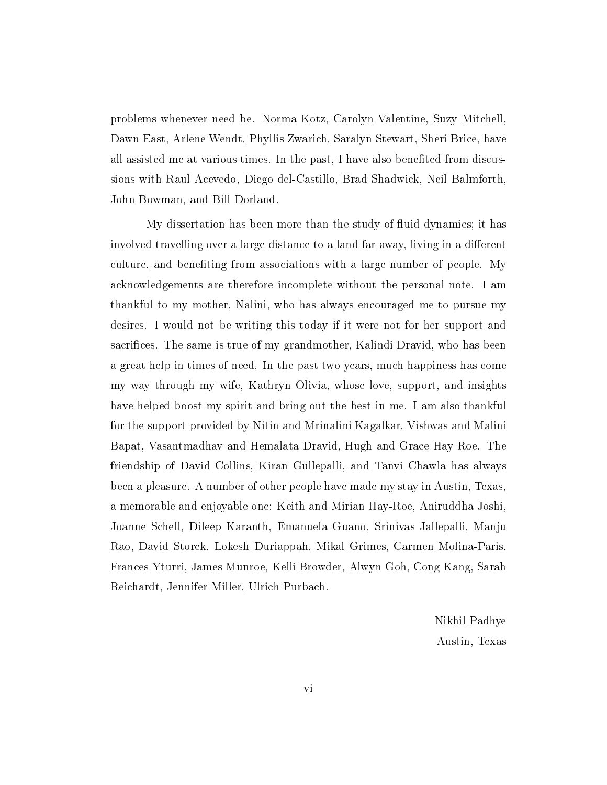problems whenever need be. Norma Kotz, Carolyn Valentine, Suzy Mitchell, Dawn East, Arlene Wendt, Phyllis Zwarich, Saralyn Stewart, Sheri Brice, have all assisted me at various times. In the past, I have also beneted from discussions with Raul Acevedo, Diego del-Castillo, Brad Shadwick, Neil Balmforth, John Bowman, and Bill Dorland.

My dissertation has been more than the study of 
uid dynamics; it has involved travelling over a large distance to a land far away, living in a different culture, and beneting from associations with a large number of people. My acknowledgements are therefore incomplete without the personal note. I am thankful to my mother, Nalini, who has always encouraged me to pursue my desires. I would not be writing this today if it were not for her support and sacrifices. The same is true of my grandmother, Kalindi Dravid, who has been a great help in times of need. In the past two years, much happiness has come my way through my wife, Kathryn Olivia, whose love, support, and insights have helped boost my spirit and bring out the best in me. I am also thankful for the support provided by Nitin and Mrinalini Kagalkar, Vishwas and Malini Bapat, Vasantmadhav and Hemalata Dravid, Hugh and Grace Hay-Roe. The friendship of David Collins, Kiran Gullepalli, and Tanvi Chawla has always been a pleasure. A number of other people have made my stay in Austin, Texas, a memorable and enjoyable one: Keith and Mirian Hay-Roe, Aniruddha Joshi, Joanne Schell, Dileep Karanth, Emanuela Guano, Srinivas Jallepalli, Manju Rao, David Storek, Lokesh Duriappah, Mikal Grimes, Carmen Molina-Paris, Frances Yturri, James Munroe, Kelli Browder, Alwyn Goh, Cong Kang, Sarah Reichardt, Jennifer Miller, Ulrich Purbach.

> Nikhil Padhye Austin, Texas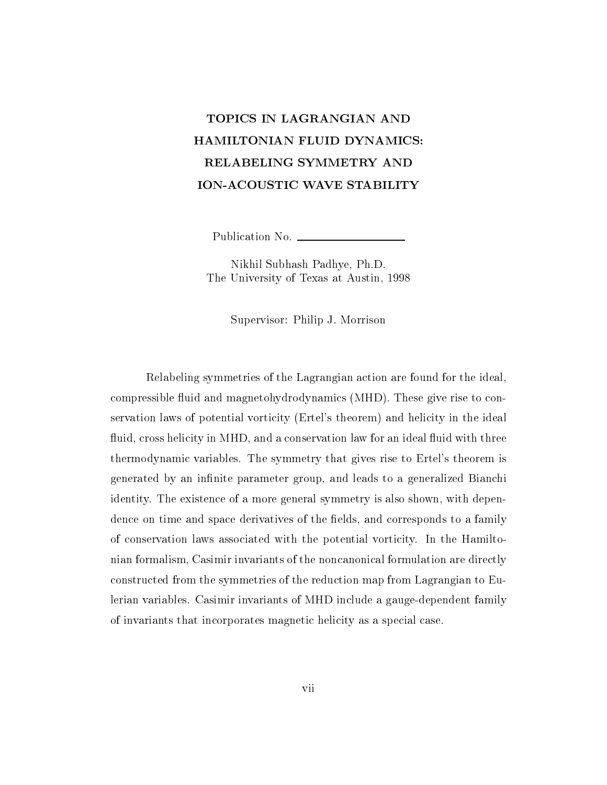# TOPICS IN LAGRANGIAN AND HAMILTONIAN FLUID DYNAMICS: RELABELING SYMMETRY AND ION-ACOUSTIC WAVE STABILITY

Publication No.

Nikhil Subhash Padhye, Ph.D. The University of Texas at Austin, 1998

Supervisor: Philip J. Morrison

Relabeling symmetries of the Lagrangian action are found for the ideal, compressible fluid and magnetohydrodynamics (MHD). These give rise to conservation laws of potential vorticity (Ertel's theorem) and helicity in the ideal fluid, cross helicity in MHD, and a conservation law for an ideal fluid with three thermodynamic variables. The symmetry that gives rise to Ertel's theorem is generated by an infinite parameter group, and leads to a generalized Bianchi identity. The existence of a more general symmetry is also shown, with dependence on time and space derivatives of the fields, and corresponds to a family of conservation laws associated with the potential vorticity. In the Hamiltonian formalism, Casimir invariants of the noncanonical formulation are directly constructed from the symmetries of the reduction map from Lagrangian to Eulerian variables. Casimir invariants of MHD include a gauge-dependent family of invariants that incorporates magnetic helicity as a special case.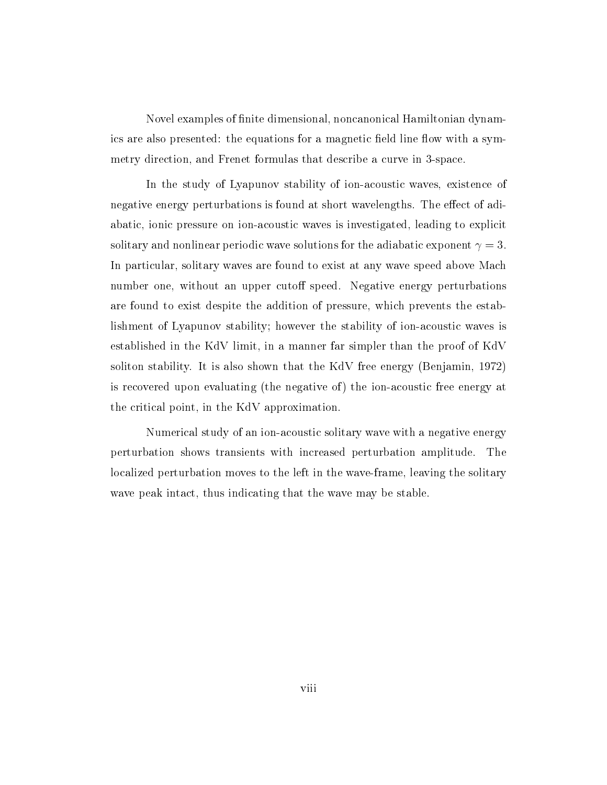Novel examples of finite dimensional, noncanonical Hamiltonian dynamics are also presented: the equations for a magnetic field line flow with a symmetry direction, and Frenet formulas that describe a curve in 3-space.

In the study of Lyapunov stability of ion-acoustic waves, existence of negative energy perturbations is found at short wavelengths. The effect of adiabatic, ionic pressure on ion-acoustic waves is investigated, leading to explicit solitary and nonlinear periodic wave solutions for the adiabatic exponent  $\gamma = 3$ . In particular, solitary waves are found to exist at any wave speed above Mach number one, without an upper cutoff speed. Negative energy perturbations are found to exist despite the addition of pressure, which prevents the establishment of Lyapunov stability; however the stability of ion-acoustic waves is established in the KdV limit, in a manner far simpler than the proof of KdV soliton stability. It is also shown that the KdV free energy (Benjamin, 1972) is recovered upon evaluating (the negative of) the ion-acoustic free energy at the critical point, in the KdV approximation.

Numerical study of an ion-acoustic solitary wave with a negative energy perturbation shows transients with increased perturbation amplitude. The localized perturbation moves to the left in the wave-frame, leaving the solitary wave peak intact, thus indicating that the wave may be stable.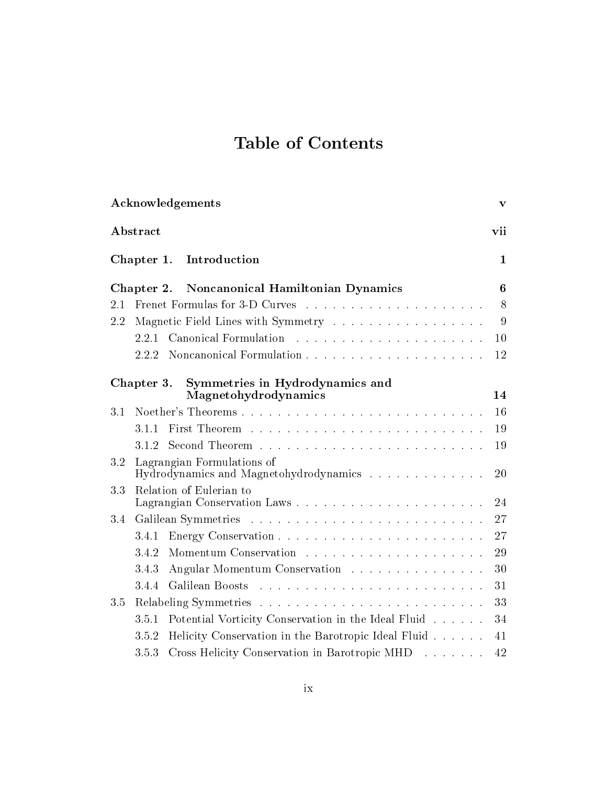# Table of Contents

| Acknowledgements                                                            | $\mathbf{v}$ |
|-----------------------------------------------------------------------------|--------------|
| Abstract                                                                    | vii          |
| Introduction<br>Chapter 1.                                                  | $\mathbf{1}$ |
| Noncanonical Hamiltonian Dynamics<br>Chapter 2.                             | 6            |
| 2.1                                                                         | 8            |
| Magnetic Field Lines with Symmetry<br>2.2                                   | 9            |
| Canonical Formulation<br>2.2.1                                              | 10           |
| Noncanonical Formulation<br>2.2.2                                           | 12           |
| Symmetries in Hydrodynamics and<br>Chapter 3.<br>Magnetohydrodynamics       | 14           |
| 3.1                                                                         | 16           |
| 3.1.1                                                                       | 19           |
| 3.1.2                                                                       | 19           |
| 3.2<br>Lagrangian Formulations of<br>Hydrodynamics and Magnetohydrodynamics | 20           |
| Relation of Eulerian to<br>3.3                                              |              |
|                                                                             | 24           |
| 3.4                                                                         | 27           |
| 3.4.1                                                                       | 27           |
| 3.4.2                                                                       | 29           |
| Angular Momentum Conservation<br>3.4.3                                      | 30           |
| 3.4.4<br>Galilean Boosts                                                    | 31           |
| 3.5                                                                         | 33           |
| Potential Vorticity Conservation in the Ideal Fluid<br>3.5.1                | 34           |
| Helicity Conservation in the Barotropic Ideal Fluid<br>3.5.2                | 41           |
| 3.5.3<br>Cross Helicity Conservation in Barotropic MHD                      | 42           |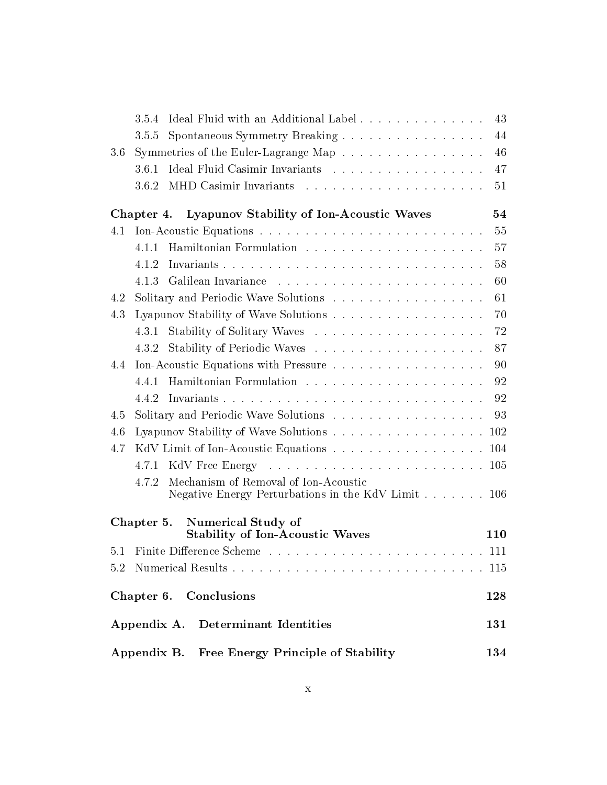|     | Ideal Fluid with an Additional Label<br>3.5.4                                                       | 43  |
|-----|-----------------------------------------------------------------------------------------------------|-----|
|     | Spontaneous Symmetry Breaking<br>3.5.5                                                              | 44  |
| 3.6 | Symmetries of the Euler-Lagrange Map                                                                | 46  |
|     | Ideal Fluid Casimir Invariants<br>3.6.1                                                             | 47  |
|     | 3.6.2                                                                                               | 51  |
|     | Chapter 4. Lyapunov Stability of Ion-Acoustic Waves                                                 | 54  |
| 4.1 |                                                                                                     | 55  |
|     | 4.1.1                                                                                               | 57  |
|     | 4.1.2                                                                                               | 58  |
|     | 4.1.3                                                                                               | 60  |
| 4.2 | Solitary and Periodic Wave Solutions                                                                | 61  |
| 4.3 |                                                                                                     | 70  |
|     | 4.3.1                                                                                               | 72  |
|     | 4.3.2                                                                                               | 87  |
| 4.4 | Ion-Acoustic Equations with Pressure                                                                | 90  |
|     | 4.4.1                                                                                               | 92  |
|     | 4.4.2                                                                                               | 92  |
| 4.5 | Solitary and Periodic Wave Solutions                                                                | 93  |
| 4.6 | Lyapunov Stability of Wave Solutions 102                                                            |     |
| 4.7 | KdV Limit of Ion-Acoustic Equations 104                                                             |     |
|     |                                                                                                     |     |
|     | Mechanism of Removal of Ion-Acoustic<br>4.7.2<br>Negative Energy Perturbations in the KdV Limit 106 |     |
|     | <b>Numerical Study of</b><br>Chapter 5.<br><b>Stability of Ion-Acoustic Waves</b>                   | 110 |
|     |                                                                                                     |     |
|     |                                                                                                     |     |
|     |                                                                                                     |     |
|     | Chapter 6. Conclusions                                                                              | 128 |
|     | Determinant Identities<br>Appendix A.                                                               | 131 |
|     | Appendix B. Free Energy Principle of Stability                                                      | 134 |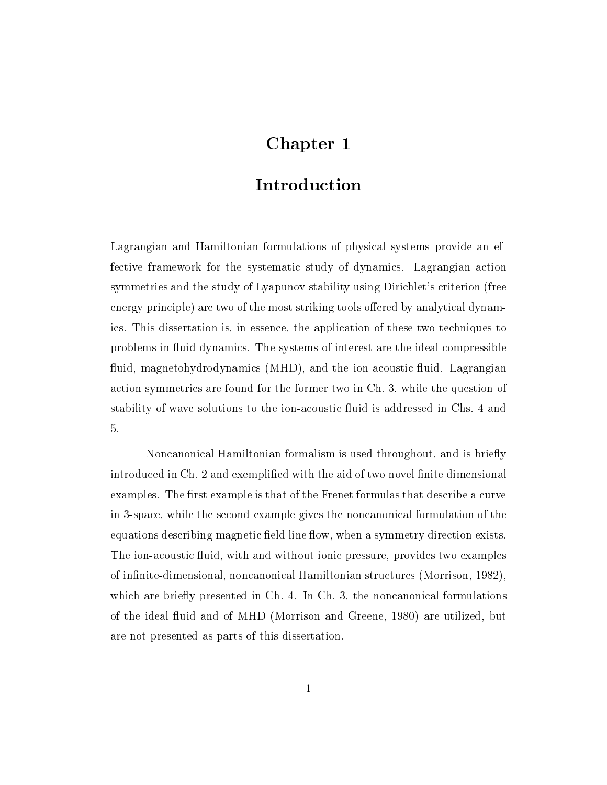# Chapter 1

### Introduction

Lagrangian and Hamiltonian formulations of physical systems provide an effective framework for the systematic study of dynamics. Lagrangian action symmetries and the study of Lyapunov stability using Dirichlet's criterion (free energy principle) are two of the most striking tools offered by analytical dynamics. This dissertation is, in essence, the application of these two techniques to problems in 
uid dynamics. The systems of interest are the ideal compressible fluid, magnetohydrodynamics (MHD), and the ion-acoustic fluid. Lagrangian action symmetries are found for the former two in Ch. 3, while the question of stability of wave solutions to the ion-acoustic fluid is addressed in Chs. 4 and 5.

Noncanonical Hamiltonian formalism is used throughout, and is briefly introduced in Ch. 2 and exemplified with the aid of two novel finite dimensional examples. The first example is that of the Frenet formulas that describe a curve in 3-space, while the second example gives the noncanonical formulation of the equations describing magnetic field line flow, when a symmetry direction exists. The ion-acoustic fluid, with and without ionic pressure, provides two examples of infinite-dimensional, noncanonical Hamiltonian structures (Morrison, 1982). which are briefly presented in  $Ch. 4$ . In  $Ch. 3$ , the noncanonical formulations of the ideal fluid and of MHD (Morrison and Greene, 1980) are utilized, but are not presented as parts of this dissertation.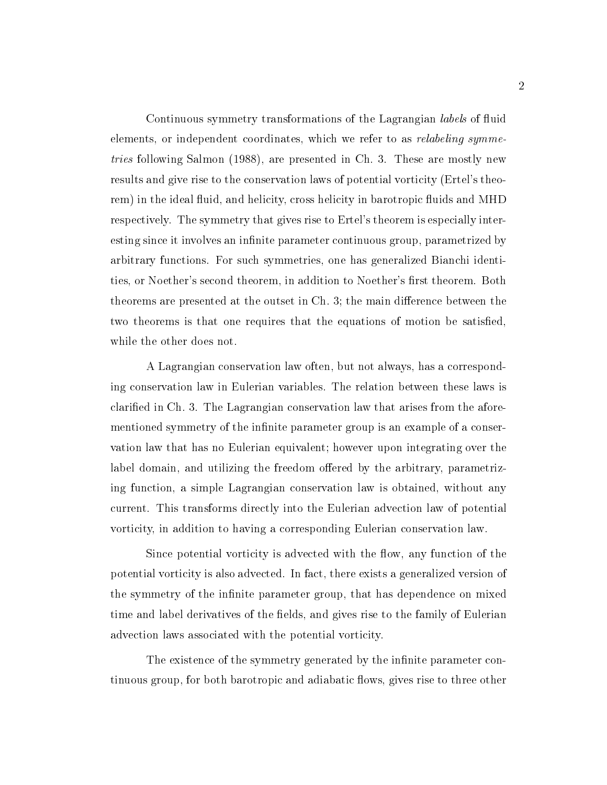Continuous symmetry transformations of the Lagrangian *labels* of fluid elements, or independent coordinates, which we refer to as *relabeling symme*tries following Salmon (1988), are presented in Ch. 3. These are mostly new results and give rise to the conservation laws of potential vorticity (Ertel's theorem) in the ideal fluid, and helicity, cross helicity in barotropic fluids and MHD respectively. The symmetry that gives rise to Ertel's theorem is especially interesting since it involves an infinite parameter continuous group, parametrized by arbitrary functions. For such symmetries, one has generalized Bianchi identities, or Noether's second theorem, in addition to Noether's first theorem. Both theorems are presented at the outset in Ch. 3; the main difference between the two theorems is that one requires that the equations of motion be satisfied, while the other does not.

A Lagrangian conservation law often, but not always, has a corresponding conservation law in Eulerian variables. The relation between these laws is claried in Ch. 3. The Lagrangian conservation law that arises from the aforementioned symmetry of the infinite parameter group is an example of a conservation law that has no Eulerian equivalent; however upon integrating over the label domain, and utilizing the freedom offered by the arbitrary, parametrizing function, a simple Lagrangian conservation law is obtained, without any current. This transforms directly into the Eulerian advection law of potential vorticity, in addition to having a corresponding Eulerian conservation law.

Since potential vorticity is advected with the flow, any function of the potential vorticity is also advected. In fact, there exists a generalized version of the symmetry of the infinite parameter group, that has dependence on mixed time and label derivatives of the fields, and gives rise to the family of Eulerian advection laws associated with the potential vorticity.

The existence of the symmetry generated by the infinite parameter continuous group, for both barotropic and adiabatic flows, gives rise to three other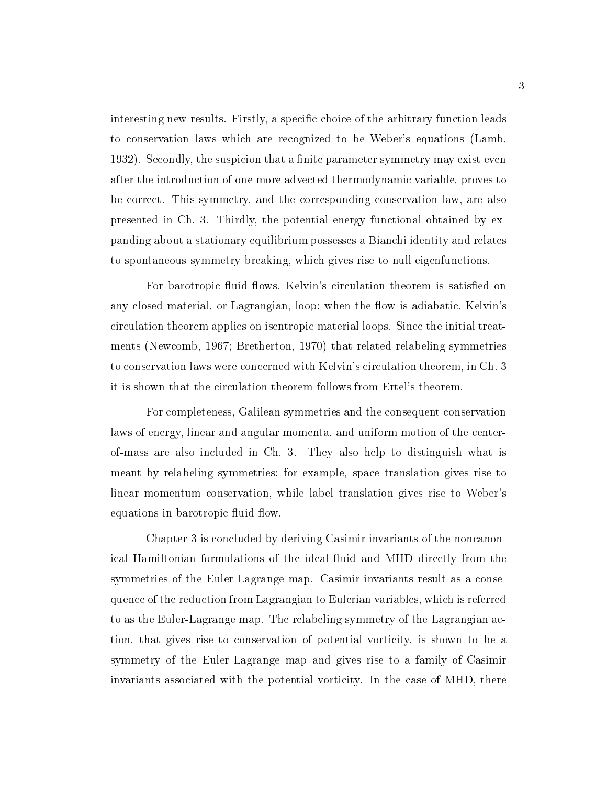interesting new results. Firstly, a specific choice of the arbitrary function leads to conservation laws which are recognized to be Weber's equations (Lamb, 1932). Secondly, the suspicion that a finite parameter symmetry may exist even after the introduction of one more advected thermodynamic variable, proves to be correct. This symmetry, and the corresponding conservation law, are also presented in Ch. 3. Thirdly, the potential energy functional obtained by expanding about a stationary equilibrium possesses a Bianchi identity and relates to spontaneous symmetry breaking, which gives rise to null eigenfunctions.

For barotropic fluid flows, Kelvin's circulation theorem is satisfied on any closed material, or Lagrangian, loop; when the flow is adiabatic, Kelvin's circulation theorem applies on isentropic material loops. Since the initial treatments (Newcomb, 1967; Bretherton, 1970) that related relabeling symmetries to conservation laws were concerned with Kelvin's circulation theorem, in Ch. 3 it is shown that the circulation theorem follows from Ertel's theorem.

For completeness, Galilean symmetries and the consequent conservation laws of energy, linear and angular momenta, and uniform motion of the centerof-mass are also included in Ch.3. They also help to distinguish what is meant by relabeling symmetries; for example, space translation gives rise to linear momentum conservation, while label translation gives rise to Weber's equations in barotropic fluid flow.

Chapter 3 is concluded by deriving Casimir invariants of the noncanonical Hamiltonian formulations of the ideal fluid and MHD directly from the symmetries of the Euler-Lagrange map. Casimir invariants result as a consequence of the reduction from Lagrangian to Eulerian variables, which is referred to as the Euler-Lagrange map. The relabeling symmetry of the Lagrangian action, that gives rise to conservation of potential vorticity, is shown to be a symmetry of the Euler-Lagrange map and gives rise to a family of Casimir invariants associated with the potential vorticity. In the case of MHD, there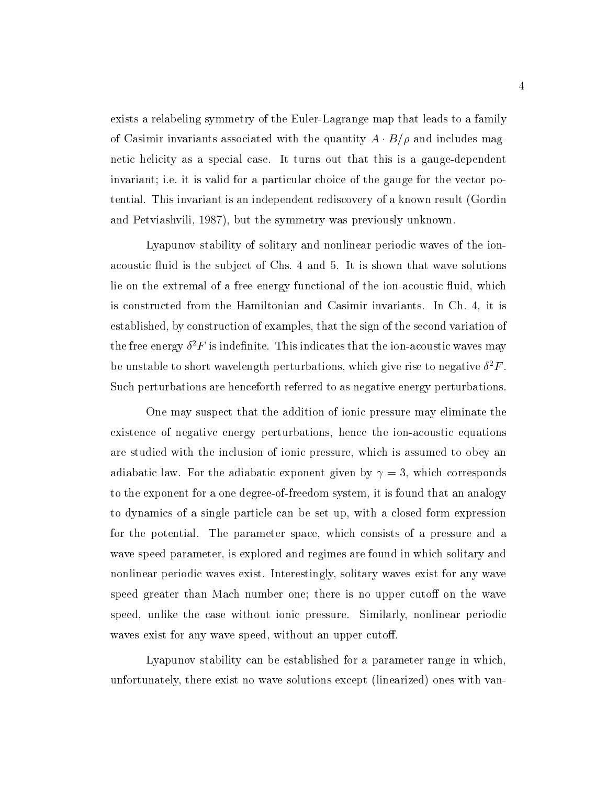exists a relabeling symmetry of the Euler-Lagrange map that leads to a family of Casimir invariants associated with the quantity  $A \cdot B/\rho$  and includes magnetic helicity as a special case. It turns out that this is a gauge-dependent invariant; i.e. it is valid for a particular choice of the gauge for the vector potential. This invariant is an independent rediscovery of a known result (Gordin and Petviashvili, 1987), but the symmetry was previously unknown.

Lyapunov stability of solitary and nonlinear periodic waves of the ionacoustic fluid is the subject of Chs. 4 and 5. It is shown that wave solutions lie on the extremal of a free energy functional of the ion-acoustic fluid, which is constructed from the Hamiltonian and Casimir invariants. In Ch.4, it is established, by construction of examples, that the sign of the second variation of the free energy  $\sigma$   $\bm{\Gamma}$  is indefinite. This indicates that the ion-acoustic waves may be unstable to short wavelength perturbations, which give rise to negative  $\sigma^*r$  . Such perturbations are henceforth referred to as negative energy perturbations.

One may suspect that the addition of ionic pressure may eliminate the existence of negative energy perturbations, hence the ion-acoustic equations are studied with the inclusion of ionic pressure, which is assumed to obey an adiabatic law. For the adiabatic exponent given by  $\gamma = 3$ , which corresponds to the exponent for a one degree-of-freedom system, it is found that an analogy to dynamics of a single particle can be set up, with a closed form expression for the potential. The parameter space, which consists of a pressure and a wave speed parameter, is explored and regimes are found in which solitary and nonlinear periodic waves exist. Interestingly, solitary waves exist for any wave speed greater than Mach number one; there is no upper cutoff on the wave speed, unlike the case without ionic pressure. Similarly, nonlinear periodic waves exist for any wave speed, without an upper cutoff.

Lyapunov stability can be established for a parameter range in which, unfortunately, there exist no wave solutions except (linearized) ones with van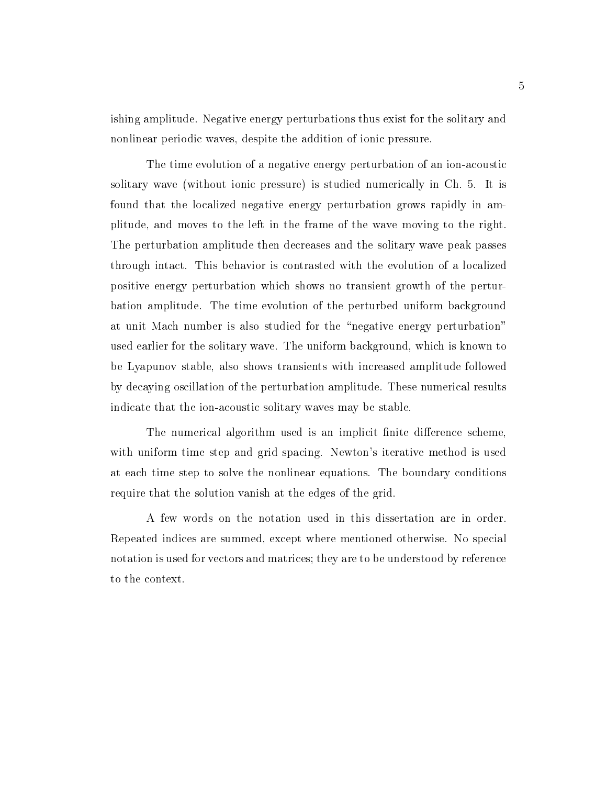ishing amplitude. Negative energy perturbations thus exist for the solitary and nonlinear periodic waves, despite the addition of ionic pressure.

The time evolution of a negative energy perturbation of an ion-acoustic solitary wave (without ionic pressure) is studied numerically in Ch. 5. It is found that the localized negative energy perturbation grows rapidly in amplitude, and moves to the left in the frame of the wave moving to the right. The perturbation amplitude then decreases and the solitary wave peak passes through intact. This behavior is contrasted with the evolution of a localized positive energy perturbation which shows no transient growth of the perturbation amplitude. The time evolution of the perturbed uniform background at unit Mach number is also studied for the "negative energy perturbation" used earlier for the solitary wave. The uniform background, which is known to be Lyapunov stable, also shows transients with increased amplitude followed by decaying oscillation of the perturbation amplitude. These numerical results indicate that the ion-acoustic solitary waves may be stable.

The numerical algorithm used is an implicit finite difference scheme, with uniform time step and grid spacing. Newton's iterative method is used at each time step to solve the nonlinear equations. The boundary conditions require that the solution vanish at the edges of the grid.

A few words on the notation used in this dissertation are in order. Repeated indices are summed, except where mentioned otherwise. No special notation is used for vectors and matrices; they are to be understood by reference to the context.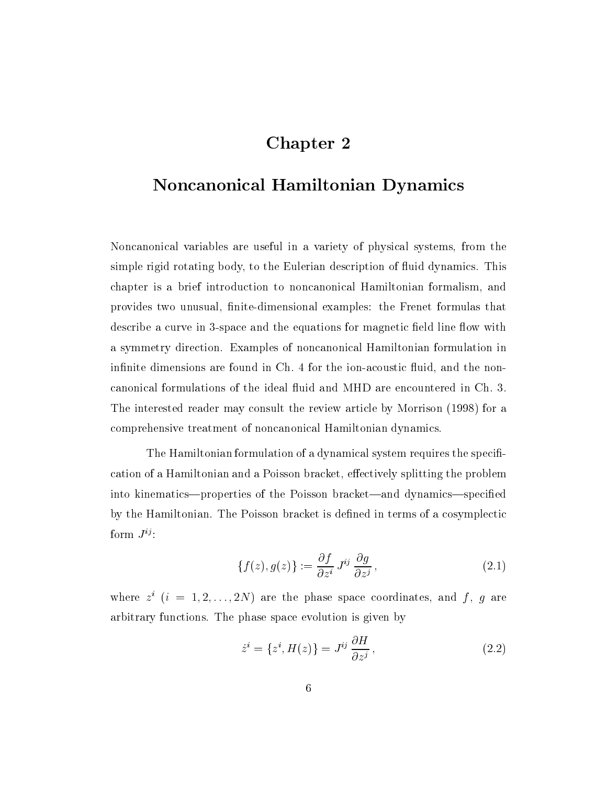### Chapter 2

# Noncanonical Hamiltonian Dynamics

Noncanonical variables are useful in a variety of physical systems, from the simple rigid rotating body, to the Eulerian description of fluid dynamics. This chapter is a brief introduction to noncanonical Hamiltonian formalism, and provides two unusual, finite-dimensional examples: the Frenet formulas that describe a curve in 3-space and the equations for magnetic field line flow with a symmetry direction. Examples of noncanonical Hamiltonian formulation in infinite dimensions are found in Ch. 4 for the ion-acoustic fluid, and the noncanonical formulations of the ideal uid and MHD are encountered in Ch. 3. The interested reader may consult the review article by Morrison (1998) for a comprehensive treatment of noncanonical Hamiltonian dynamics.

The Hamiltonian formulation of a dynamical system requires the specification of a Hamiltonian and a Poisson bracket, effectively splitting the problem into kinematics—properties of the Poisson bracket—and dynamics—specified by the Hamiltonian. The Poisson bracket is defined in terms of a cosymplectic form  $J^{ij}$ :

$$
\{f(z), g(z)\} := \frac{\partial f}{\partial z^i} J^{ij} \frac{\partial g}{\partial z^j},\tag{2.1}
$$

where  $z^+(i) = 1, 2, \ldots, 2N$  are the phase space coordinates, and f, q are arbitrary functions. The phase space evolution is given by

$$
\dot{z}^i = \{z^i, H(z)\} = J^{ij} \frac{\partial H}{\partial z^j},\tag{2.2}
$$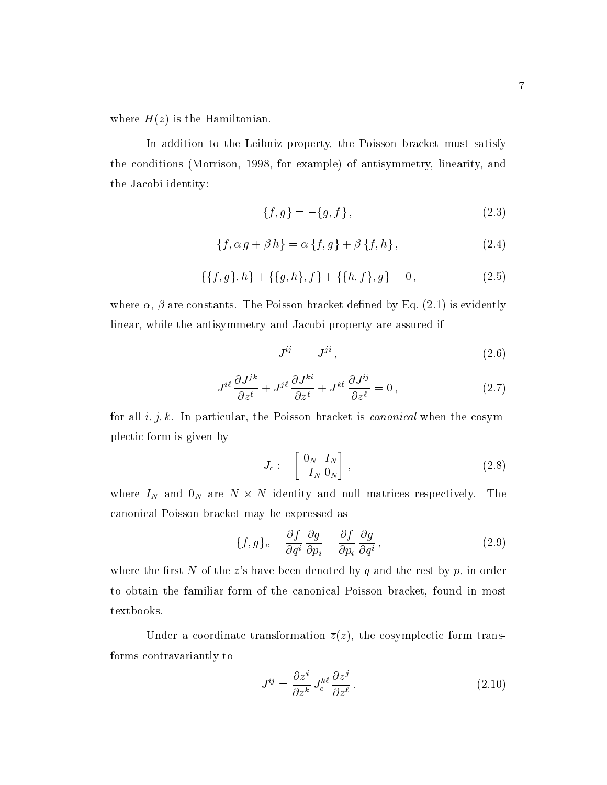where  $H(z)$  is the Hamiltonian.

In addition to the Leibniz property, the Poisson bracket must satisfy the conditions (Morrison, 1998, for example) of antisymmetry, linearity, and the Jacobi identity:

$$
\{f,g\} = -\{g,f\}\,,\tag{2.3}
$$

$$
\{f, \alpha g + \beta h\} = \alpha \{f, g\} + \beta \{f, h\},\tag{2.4}
$$

$$
\{\{f,g\},h\} + \{\{g,h\},f\} + \{\{h,f\},g\} = 0, \tag{2.5}
$$

where  $\alpha$ ,  $\beta$  are constants. The Poisson bracket defined by Eq. (2.1) is evidently linear, while the antisymmetry and Jacobi property are assured if

$$
J^{ij} = -J^{ji},\tag{2.6}
$$

$$
J^{i\ell} \frac{\partial J^{j k}}{\partial z^{\ell}} + J^{j\ell} \frac{\partial J^{k i}}{\partial z^{\ell}} + J^{k \ell} \frac{\partial J^{i j}}{\partial z^{\ell}} = 0 , \qquad (2.7)
$$

for all  $i, j, k$ . In particular, the Poisson bracket is *canonical* when the cosymplectic form is given by

$$
J_c := \begin{bmatrix} 0_N & I_N \\ -I_N & 0_N \end{bmatrix}, \qquad (2.8)
$$

where  $I_N$  and  $0_N$  are  $N \times N$  identity and null matrices respectively. The canonical Poisson bracket may be expressed as

$$
\{f,g\}_c = \frac{\partial f}{\partial q^i} \frac{\partial g}{\partial p_i} - \frac{\partial f}{\partial p_i} \frac{\partial g}{\partial q^i},\tag{2.9}
$$

where the first N of the z's have been denoted by q and the rest by  $p$ , in order to obtain the familiar form of the canonical Poisson bracket, found in most textbooks.

Under a coordinate transformation  $\overline{z}(z)$ , the cosymplectic form transforms contravariantly to

$$
J^{ij} = \frac{\partial \overline{z}^i}{\partial z^k} J_c^{k\ell} \frac{\partial \overline{z}^j}{\partial z^\ell}.
$$
 (2.10)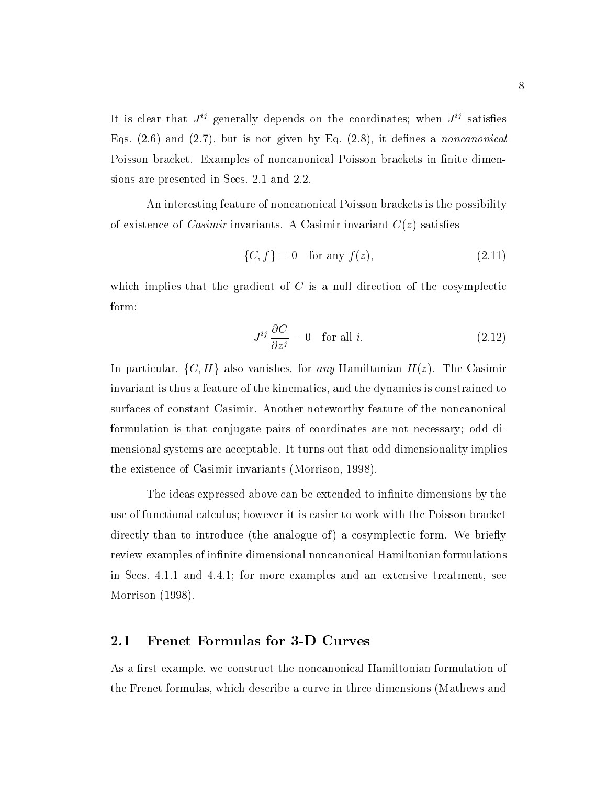It is clear that  $J^{ij}$  generally depends on the coordinates; when  $J^{ij}$  satisfies Eqs.  $(2.6)$  and  $(2.7)$ , but is not given by Eq.  $(2.8)$ , it defines a noncanonical Poisson bracket. Examples of noncanonical Poisson brackets in finite dimensions are presented in Secs. 2.1 and 2.2.

An interesting feature of noncanonical Poisson brackets is the possibility of existence of *Casimir* invariants. A Casimir invariant  $C(z)$  satisfies

$$
\{C, f\} = 0 \quad \text{for any } f(z), \tag{2.11}
$$

which implies that the gradient of  $C$  is a null direction of the cosymplectic form:

$$
J^{ij}\frac{\partial C}{\partial z^j} = 0 \quad \text{for all } i. \tag{2.12}
$$

In particular,  $\{C, H\}$  also vanishes, for any Hamiltonian  $H(z)$ . The Casimir invariant is thus a feature of the kinematics, and the dynamics is constrained to surfaces of constant Casimir. Another noteworthy feature of the noncanonical formulation is that conjugate pairs of coordinates are not necessary; odd dimensional systems are acceptable. It turns out that odd dimensionality implies the existence of Casimir invariants (Morrison, 1998).

The ideas expressed above can be extended to infinite dimensions by the use of functional calculus; however it is easier to work with the Poisson bracket directly than to introduce (the analogue of) a cosymplectic form. We briefly review examples of infinite dimensional noncanonical Hamiltonian formulations in Secs. 4.1.1 and 4.4.1; for more examples and an extensive treatment, see Morrison (1998).

#### 2.1 Frenet Formulas for 3-D Curves

As a first example, we construct the noncanonical Hamiltonian formulation of the Frenet formulas, which describe a curve in three dimensions (Mathews and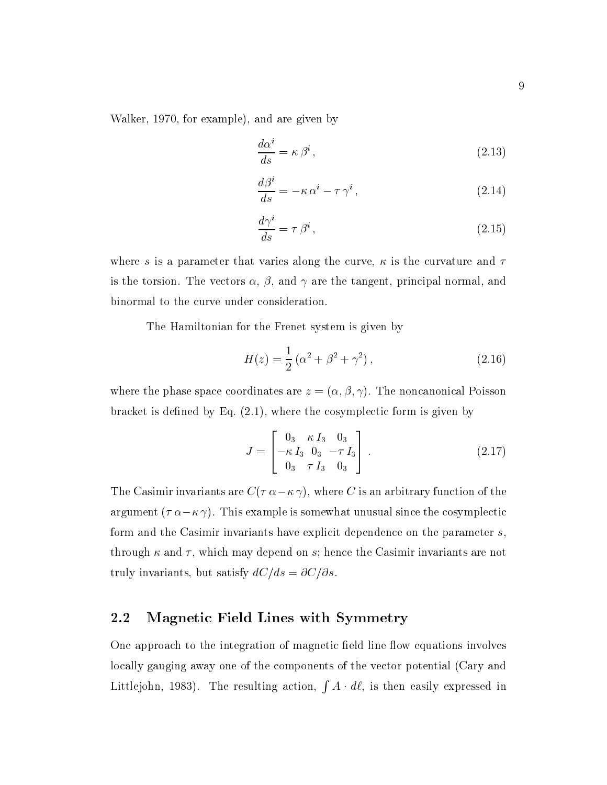Walker, 1970, for example), and are given by

$$
\frac{d\alpha^i}{ds} = \kappa \beta^i \,,\tag{2.13}
$$

$$
\frac{d\beta^i}{ds} = -\kappa \,\alpha^i - \tau \,\gamma^i \,,\tag{2.14}
$$

$$
\frac{d\gamma^i}{ds} = \tau \,\beta^i \,,\tag{2.15}
$$

where s is a parameter that varies along the curve,  $\kappa$  is the curvature and  $\tau$ is the torsion. The vectors  $\alpha$ ,  $\beta$ , and  $\gamma$  are the tangent, principal normal, and binormal to the curve under consideration.

The Hamiltonian for the Frenet system is given by

$$
H(z) = \frac{1}{2} (\alpha^2 + \beta^2 + \gamma^2), \qquad (2.16)
$$

where the phase space coordinates are  $z = (\alpha, \beta, \gamma)$ . The noncanonical Poisson bracket is defined by Eq.  $(2.1)$ , where the cosymplectic form is given by

$$
J = \begin{bmatrix} 0_3 & \kappa I_3 & 0_3 \\ -\kappa I_3 & 0_3 & -\tau I_3 \\ 0_3 & \tau I_3 & 0_3 \end{bmatrix} .
$$
 (2.17)

The Casimir invariants are  $C(\tau \alpha - \kappa \gamma)$ , where C is an arbitrary function of the argument  $(\tau \alpha - \kappa \gamma)$ . This example is somewhat unusual since the cosymplectic form and the Casimir invariants have explicit dependence on the parameter s, through  $\kappa$  and  $\tau$ , which may depend on s; hence the Casimir invariants are not truly invariants, but satisfy  $dC/ds = \partial C/\partial s$ .

#### 2.2 Magnetic Field Lines with Symmetry

One approach to the integration of magnetic field line flow equations involves locally gauging away one of the components of the vector potential (Cary and Littlejohn, 1983). The resulting action,  $\int A \cdot d\ell$ , is then easily expressed in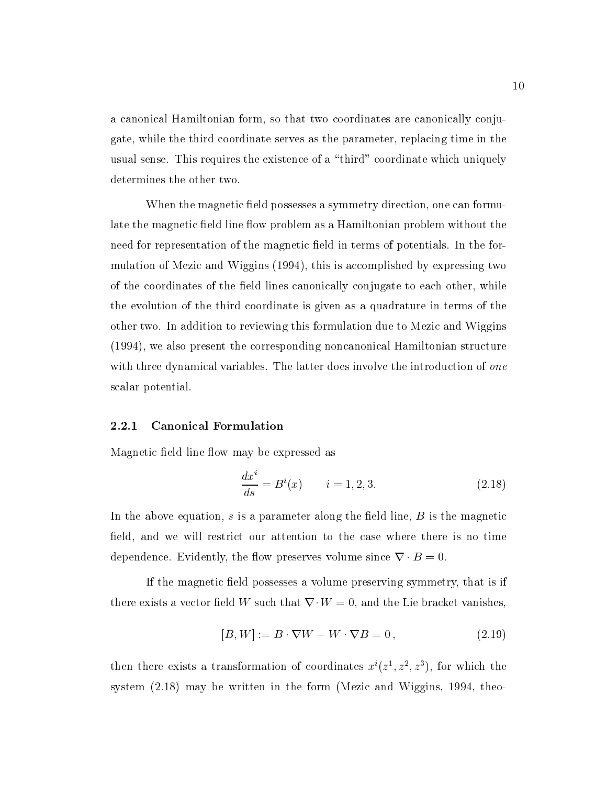a canonical Hamiltonian form, so that two coordinates are canonically conjugate, while the third coordinate serves as the parameter, replacing time in the usual sense. This requires the existence of a "third" coordinate which uniquely determines the other two.

When the magnetic field possesses a symmetry direction, one can formulate the magnetic field line flow problem as a Hamiltonian problem without the need for representation of the magnetic field in terms of potentials. In the formulation of Mezic and Wiggins (1994), this is accomplished by expressing two of the coordinates of the field lines canonically conjugate to each other, while the evolution of the third coordinate is given asa quadrature in terms of the other two. In addition to reviewing this formulation due to Mezic and Wiggins (1994), we also present the corresponding noncanonical Hamiltonian structure with three dynamical variables. The latter does involve the introduction of one scalar potential.

#### 2.2.1 Canonical Formulation

Magnetic field line flow may be expressed as

$$
\frac{dx^{i}}{ds} = B^{i}(x) \qquad i = 1, 2, 3.
$$
 (2.18)

In the above equation, s is a parameter along the field line,  $B$  is the magnetic field, and we will restrict our attention to the case where there is no time dependence. Evidently, the flow preserves volume since  $\nabla \cdot B = 0$ .

If the magnetic field possesses a volume preserving symmetry, that is if there exists a vector field W such that  $\nabla \cdot W = 0$ , and the Lie bracket vanishes,

$$
[B,W] := B \cdot \nabla W - W \cdot \nabla B = 0, \qquad (2.19)
$$

then there exists a transformation of coordinates  $x(z^*, z^*, z^*)$ , for which the system (2.18) may be written in the form (Mezic and Wiggins, 1994, theo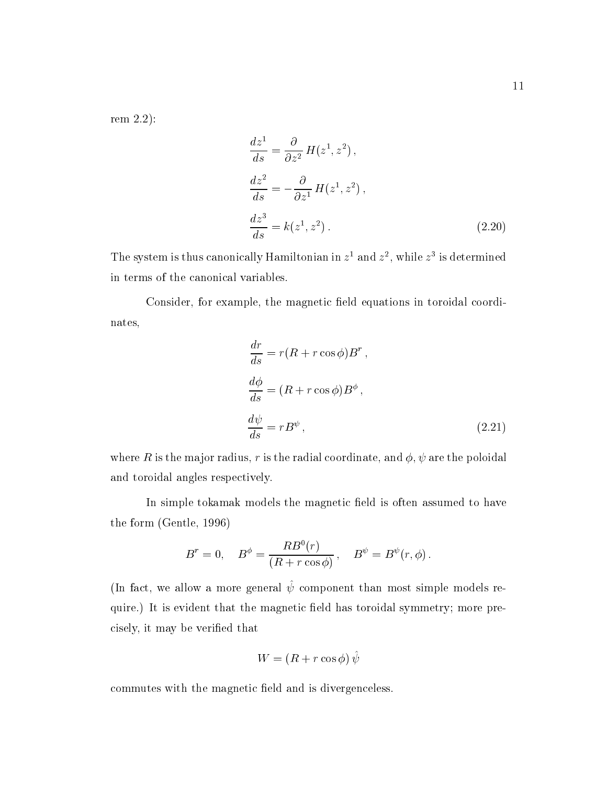rem 2.2):

$$
\frac{dz^1}{ds} = \frac{\partial}{\partial z^2} H(z^1, z^2),
$$
  
\n
$$
\frac{dz^2}{ds} = -\frac{\partial}{\partial z^1} H(z^1, z^2),
$$
  
\n
$$
\frac{dz^3}{ds} = k(z^1, z^2).
$$
\n(2.20)

The system is thus canonically Hamiltonian in  $z$  and  $z$  , while  $z$  is determined in terms of the canonical variables.

Consider, for example, the magnetic field equations in toroidal coordinates,

$$
\frac{dr}{ds} = r(R + r\cos\phi)B^r,
$$
  
\n
$$
\frac{d\phi}{ds} = (R + r\cos\phi)B^\phi,
$$
  
\n
$$
\frac{d\psi}{ds} = rB^\psi,
$$
\n(2.21)

where R is the major radius, r is the radial coordinate, and  $\phi$ ,  $\psi$  are the poloidal and toroidal angles respectively.

In simple tokamak models the magnetic field is often assumed to have the form (Gentle, 1996)

$$
B^r=0,\quad B^\phi=\frac{RB^0(r)}{(R+r\cos\phi)}\,,\quad B^\psi=B^\psi(r,\phi)\,.
$$

 $\mu$  act, we allow a more general  $\psi$  component than most simple models require.) It is evident that the magnetic field has toroidal symmetry; more precisely, it may be veried that

$$
W = (R + r \cos \phi) \hat{\psi}
$$

commutes with the magnetic field and is divergenceless.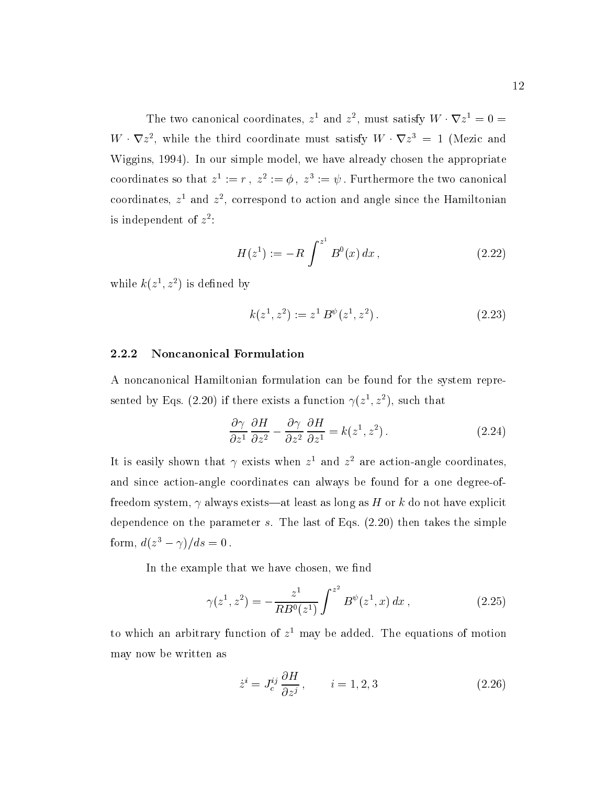The two canonical coordinates,  $z^1$  and  $z^2$ , must satisfy  $W \cdot \nabla z^1 = 0$  $W \cdot \nabla z^2$ , while the third coordinate must satisfy  $W \cdot \nabla z^3 = 1$  (Mezic and Wiggins, 1994). In our simple model, we have already chosen the appropriate coordinates so that  $z := r$ ,  $z := \varphi$ ,  $z := \psi$ . Furthermore the two canonical coordinates,  $z^{\perp}$  and  $z^{\perp}$ , correspond to action and angle since the Hamiltonian is independent of z 2 :

$$
H(z1) := -R \int^{z^{1}} B^{0}(x) dx , \qquad (2.22)
$$

while  $\kappa(z^*, z^-)$  is defined by

$$
k(z^1, z^2) := z^1 B^{\psi}(z^1, z^2).
$$
 (2.23)

#### 2.2.2 Noncanonical Formulation

A noncanonical Hamiltonian formulation can be found for the system represented by Eqs. (2.20) if there exists a function  $\gamma(z^*,z^*)$ , such that

$$
\frac{\partial \gamma}{\partial z^1} \frac{\partial H}{\partial z^2} - \frac{\partial \gamma}{\partial z^2} \frac{\partial H}{\partial z^1} = k(z^1, z^2).
$$
 (2.24)

It is easily shown that  $\gamma$  exists when  $z$  -and  $z$  -are action-angle coordinates, and since action-angle coordinates can always be found for a one degree-offreedom system,  $\gamma$  always exists—at least as long as H or k do not have explicit dependence on the parameter s. The last of Eqs. (2.20) then takes the simple form,  $a(z - \gamma)/as = 0$ .

In the example that we have chosen, we find

$$
\gamma(z^1, z^2) = -\frac{z^1}{RB^0(z^1)} \int^{z^2} B^\psi(z^1, x) \, dx \,, \tag{2.25}
$$

to which an arbitrary function of z 1 may be added. The equations of motion may now be written as

$$
\dot{z}^i = J_c^{ij} \frac{\partial H}{\partial z^j}, \qquad i = 1, 2, 3 \tag{2.26}
$$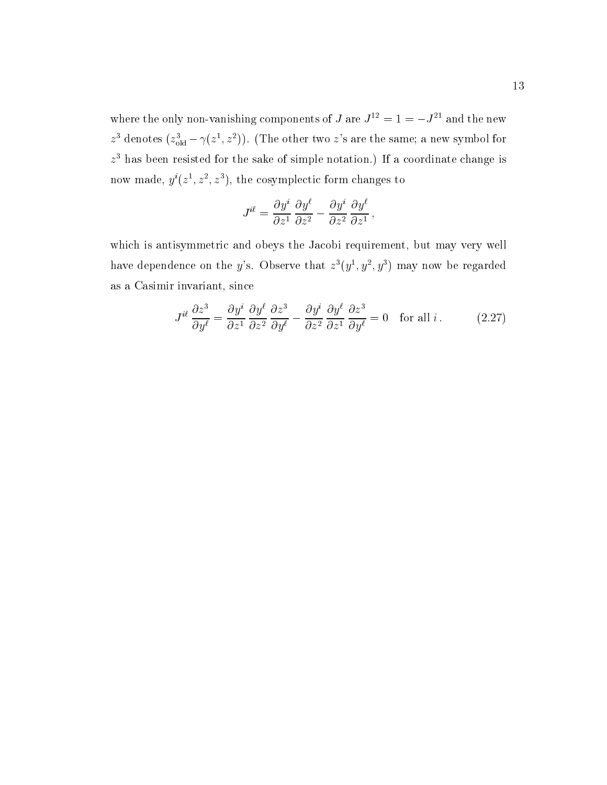where the only non-vanishing components of J are  $J^{12} = 1 = -J^{21}$  and the new  $z^3$  denotes  $(z^3_{old} - \gamma(z^1, z^2))$ . (The other two  $z$ 's are the same; a new symbol for z 3 has been resisted for the sake of simple notation.) If a coordinate change is how made,  $y$  ( $z$  ,  $z$  ,  $z$  ), the cosymplectic form changes to

$$
J^{i\ell}=\frac{\partial y^i}{\partial z^1}\frac{\partial y^\ell}{\partial z^2}-\frac{\partial y^i}{\partial z^2}\frac{\partial y^\ell}{\partial z^1}\,,
$$

which is antisymmetric and obeys the Jacobi requirement, but may very well have dependence on the y's. Observe that  $z^{3}(y^{1}, y^{2}, y^{3})$  may now be regarded as a Casimir invariant, since

$$
J^{i\ell} \frac{\partial z^3}{\partial y^{\ell}} = \frac{\partial y^i}{\partial z^1} \frac{\partial y^{\ell}}{\partial z^2} \frac{\partial z^3}{\partial y^{\ell}} - \frac{\partial y^i}{\partial z^2} \frac{\partial y^{\ell}}{\partial z^1} \frac{\partial z^3}{\partial y^{\ell}} = 0 \quad \text{for all } i. \tag{2.27}
$$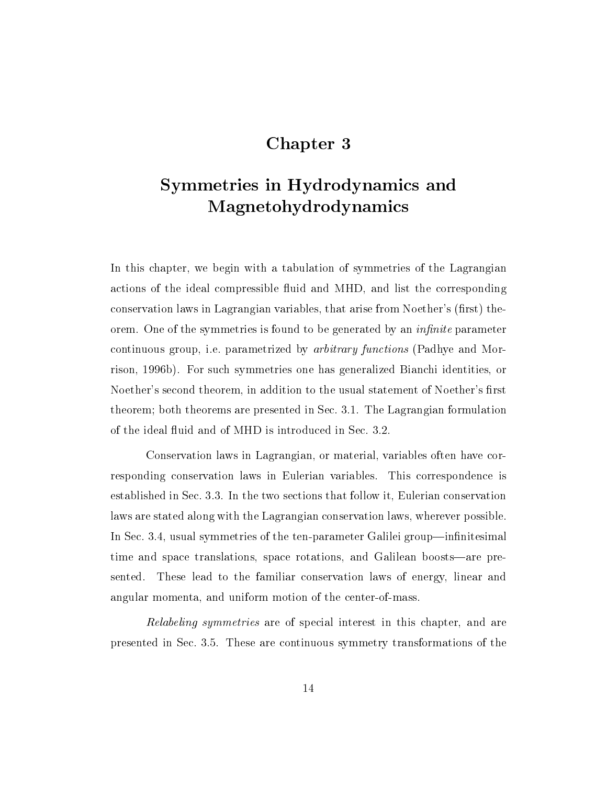### Chapter 3

# Symmetries in Hydrodynamics and Magnetohydrodynamics

In this chapter, we begin with a tabulation of symmetries of the Lagrangian actions of the ideal compressible fluid and MHD, and list the corresponding conservation laws in Lagrangian variables, that arise from Noether's (first) theorem. One of the symmetries is found to be generated by an *infinite* parameter continuous group, i.e. parametrized by arbitrary functions (Padhye and Morrison, 1996b). For such symmetries one has generalized Bianchi identities, or Noether's second theorem, in addition to the usual statement of Noether's first theorem; both theorems are presented in Sec. 3.1. The Lagrangian formulation of the ideal fluid and of MHD is introduced in Sec. 3.2.

Conservation laws in Lagrangian, or material, variables often have corresponding conservation laws in Eulerian variables. This correspondence is established in Sec. 3.3. In the two sections that follow it, Eulerian conservation laws are stated along with the Lagrangian conservation laws, wherever possible. In Sec. 3.4, usual symmetries of the ten-parameter Galilei group—infinitesimal time and space translations, space rotations, and Galilean boosts—are presented. These lead to the familiar conservation laws of energy, linear and angular momenta, and uniform motion of the center-of-mass.

Relabeling symmetries are of special interest in this chapter, and are presented in Sec.3.5. These are continuous symmetry transformations of the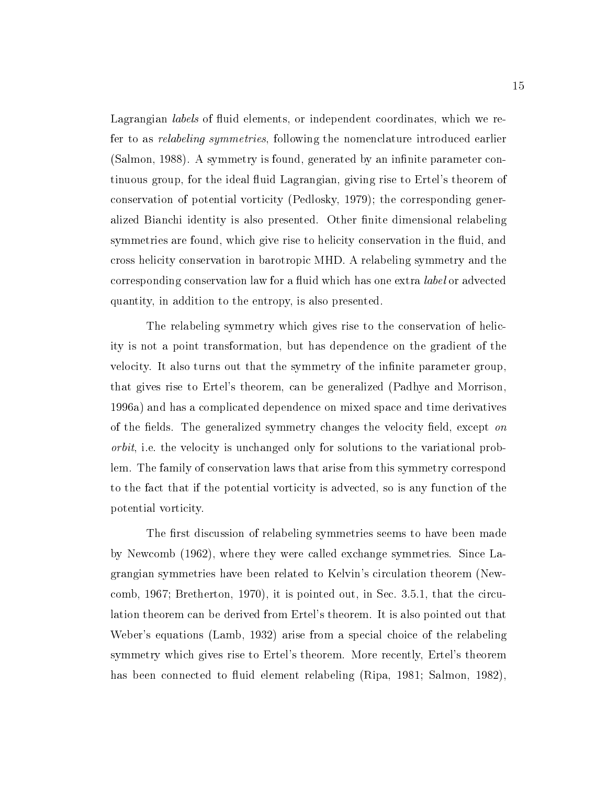Lagrangian *labels* of fluid elements, or independent coordinates, which we refer to as relabeling symmetries, following the nomenclature introduced earlier  $(Salmon, 1988)$ . A symmetry is found, generated by an infinite parameter continuous group, for the ideal fluid Lagrangian, giving rise to Ertel's theorem of conservation of potential vorticity (Pedlosky, 1979); the corresponding generalized Bianchi identity is also presented. Other finite dimensional relabeling symmetries are found, which give rise to helicity conservation in the fluid, and cross helicity conservation in barotropic MHD. A relabeling symmetry and the corresponding conservation law for a fluid which has one extra *label* or advected quantity, in addition to the entropy, is also presented.

The relabeling symmetry which gives rise to the conservation of helicity is not a point transformation, but has dependence on the gradient of the velocity. It also turns out that the symmetry of the infinite parameter group. that gives rise to Ertel's theorem, can be generalized (Padhye and Morrison, 1996a) and has a complicated dependence on mixed space and time derivatives of the fields. The generalized symmetry changes the velocity field, except on orbit, i.e. the velocity is unchanged only for solutions to the variational problem. The family of conservation laws that arise from this symmetry correspond to the fact that if the potential vorticity isadvected, so is any function of the potential vorticity.

The first discussion of relabeling symmetries seems to have been made by Newcomb (1962), where they were called exchange symmetries. Since Lagrangian symmetries have been related to Kelvin's circulation theorem (Newcomb, 1967; Bretherton, 1970), it is pointed out,in Sec.3.5.1, that the circulation theorem can be derived from Ertel's theorem. It is also pointed out that Weber's equations (Lamb, 1932) arise from a special choice of the relabeling symmetry which gives rise to Ertel's theorem. More recently, Ertel's theorem has been connected to fluid element relabeling (Ripa, 1981; Salmon, 1982).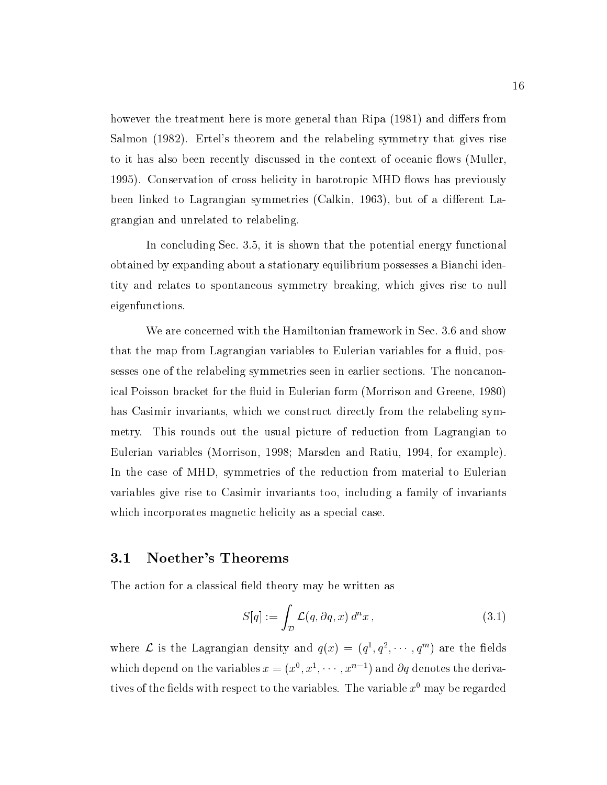however the treatment here is more general than Ripa (1981) and differs from Salmon (1982). Ertel's theorem and the relabeling symmetry that gives rise to it has also been recently discussed in the context of oceanic flows (Muller. 1995). Conservation of cross helicity in barotropic MHD flows has previously been linked to Lagrangian symmetries (Calkin, 1963), but of a different Lagrangian and unrelated to relabeling.

In concluding Sec. 3.5, it is shown that the potential energy functional obtained by expanding about a stationary equilibrium possesses a Bianchi identity and relates to spontaneous symmetry breaking, which gives rise to null eigenfunctions.

We are concerned with the Hamiltonian framework in Sec. 3.6 and show that the map from Lagrangian variables to Eulerian variables for a fluid, possesses one of the relabeling symmetries seen in earlier sections. The noncanonical Poisson bracket for the fluid in Eulerian form (Morrison and Greene, 1980) has Casimir invariants, which we construct directly from the relabeling symmetry. This rounds out the usual picture of reduction from Lagrangian to Eulerian variables (Morrison, 1998; Marsden and Ratiu, 1994, for example). In the case of MHD, symmetries of the reduction from material to Eulerian variables give rise to Casimir invariants too, including a family of invariants which incorporates magnetic helicity as a special case.

#### 3.1 Noether's Theorems

The action for a classical field theory may be written as

$$
S[q] := \int_{\mathcal{D}} \mathcal{L}(q, \partial q, x) d^n x, \qquad (3.1)
$$

where L is the Lagrangian density and  $q(x) = (q^1, q^2, \dots, q^m)$  are the fields which depend on the variables  $x = (x^1, x^2, \cdots, x^{n-1})$  and  $\partial q$  denotes the derivatives of the fields with respect to the variables. The variable  $x^0$  may be regarded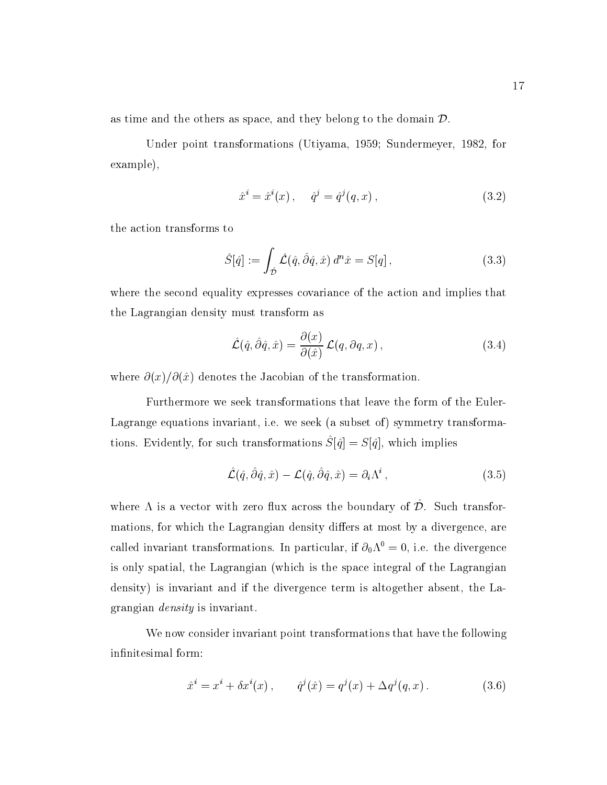as time and the others as space, and they belong to the domain  $\mathcal{D}$ .

Under point transformations (Utiyama, 1959; Sundermeyer, 1982, for example),

$$
\hat{x}^i = \hat{x}^i(x), \quad \hat{q}^j = \hat{q}^j(q, x), \tag{3.2}
$$

the action transforms to

$$
\hat{S}[\hat{q}] := \int_{\hat{\mathcal{D}}} \hat{\mathcal{L}}(\hat{q}, \hat{\partial}\hat{q}, \hat{x}) d^n \hat{x} = S[q], \qquad (3.3)
$$

where the second equality expresses covariance of the action and implies that the Lagrangian density must transform as

$$
\hat{\mathcal{L}}(\hat{q}, \hat{\partial}\hat{q}, \hat{x}) = \frac{\partial(x)}{\partial(\hat{x})} \mathcal{L}(q, \partial q, x), \qquad (3.4)
$$

where  $\partial(x)/\partial(\hat{x})$  denotes the Jacobian of the transformation.

Furthermore we seek transformations that leave the form of the Euler-Lagrange equations invariant, i.e. we seek (a subset of) symmetry transforma- $\sigma$  tions. Evidently, for such transformations  $\mathcal{Q}(q) = \mathcal{Q}(q)$ , which implies

$$
\hat{\mathcal{L}}(\hat{q}, \hat{\partial}\hat{q}, \hat{x}) - \mathcal{L}(\hat{q}, \hat{\partial}\hat{q}, \hat{x}) = \partial_i \Lambda^i , \qquad (3.5)
$$

where  $\Lambda$  is a vector with zero flux across the boundary of  $\mathcal{D}$ . Such transformations, for which the Lagrangian density differs at most by a divergence, are called invariant transformations. In particular, if  $\partial_0 \Lambda^0 = 0$ , i.e. the divergence is only spatial, the Lagrangian (which is the space integral of the Lagrangian density) is invariant and if the divergence term is altogether absent, the Lagrangian density is invariant.

We now consider invariant point transformations that have the following infinitesimal form:

$$
\hat{x}^{i} = x^{i} + \delta x^{i}(x), \qquad \hat{q}^{j}(\hat{x}) = q^{j}(x) + \Delta q^{j}(q, x). \qquad (3.6)
$$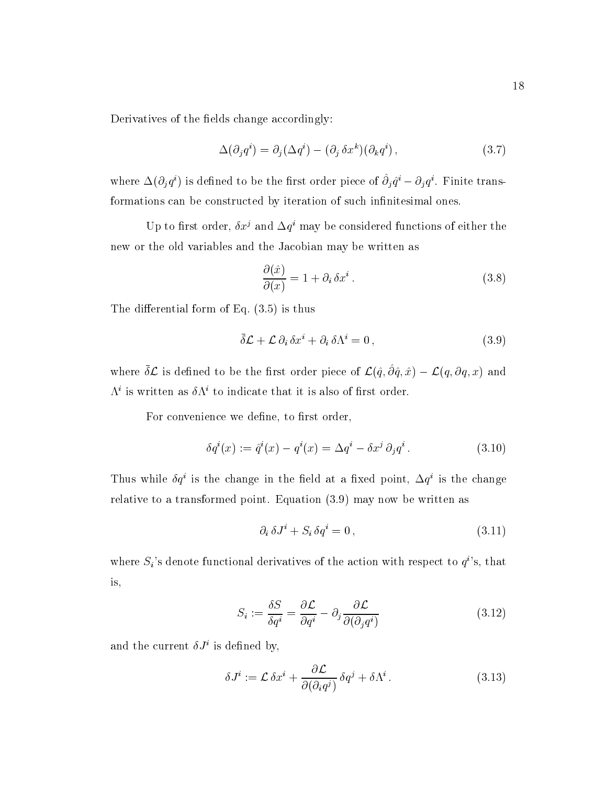Derivatives of the fields change accordingly:

$$
\Delta(\partial_j q^i) = \partial_j(\Delta q^i) - (\partial_j \delta x^k)(\partial_k q^i) , \qquad (3.7)
$$

where  $\Delta(\overline{O}_j q^r)$  is defined to be the first order piece of  $O_j q^r = O_j q^r$ . Finite transformations can be constructed by iteration of such infinitesimal ones.

Up to first order,  $\sigma x$  and  $\Delta q$  may be considered functions of either the new or the old variables and the Jacobian may be written as

$$
\frac{\partial(\hat{x})}{\partial(x)} = 1 + \partial_i \,\delta x^i \,. \tag{3.8}
$$

The differential form of Eq.  $(3.5)$  is thus

$$
\bar{\delta}\mathcal{L} + \mathcal{L}\,\partial_i\,\delta x^i + \partial_i\,\delta\Lambda^i = 0\,,\tag{3.9}
$$

where  $\delta {\cal L}$  is defined to be the first order piece of  ${\cal L}(\hat{q}, \partial \hat{q}, \hat{x}) - {\cal L}(q, \partial q, x)$  and  $\Lambda^i$  is written as  $\delta \Lambda^i$  to indicate that it is also of first order.

For convenience we define, to first order,

$$
\delta q^{i}(x) := \hat{q}^{i}(x) - q^{i}(x) = \Delta q^{i} - \delta x^{j} \partial_{j} q^{i}. \qquad (3.10)
$$

Thus while  $q\bar{q}$  is the change in the field at a fixed point,  $\Delta q$  is the change relative to a transformed point. Equation (3.9) may now be written as

$$
\partial_i \,\delta J^i + S_i \,\delta q^i = 0\,,\tag{3.11}
$$

where  $S_i$ 's denote functional derivatives of the action with respect to  $q^i$ 's, that is,

$$
S_i := \frac{\delta S}{\delta q^i} = \frac{\partial \mathcal{L}}{\partial q^i} - \partial_j \frac{\partial \mathcal{L}}{\partial (\partial_j q^i)}
$$
(3.12)

and the current  $\delta J^i$  is defined by,

$$
\delta J^i := \mathcal{L} \, \delta x^i + \frac{\partial \mathcal{L}}{\partial (\partial_i q^j)} \, \delta q^j + \delta \Lambda^i \,. \tag{3.13}
$$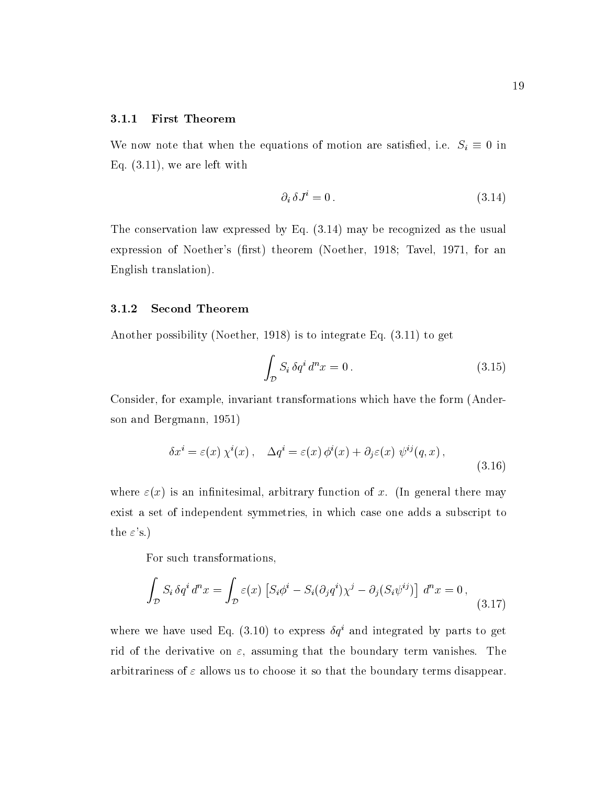#### 3.1.1 First Theorem

We now note that when the equations of motion are satisfied, i.e.  $S_i \equiv 0$  in Eq. (3.11), we are left with

$$
\partial_i \,\delta J^i = 0\,. \tag{3.14}
$$

The conservation law expressed by Eq.  $(3.14)$  may be recognized as the usual expression of Noether's (first) theorem (Noether, 1918; Tavel, 1971, for an English translation).

#### 3.1.2 Second Theorem

Another possibility (Noether, 1918) is to integrate Eq. (3.11) to get

$$
\int_{\mathcal{D}} S_i \, \delta q^i \, d^n x = 0 \,. \tag{3.15}
$$

Consider, for example, invariant transformations which have the form (Anderson and Bergmann, 1951)

$$
\delta x^{i} = \varepsilon(x) \chi^{i}(x), \quad \Delta q^{i} = \varepsilon(x) \phi^{i}(x) + \partial_{j} \varepsilon(x) \psi^{ij}(q, x), \tag{3.16}
$$

where  $\varepsilon(x)$  is an infinitesimal, arbitrary function of x. (In general there may exist a set of independent symmetries, in which case one adds a subscript to the  $\varepsilon$ 's.)

For such transformations,

$$
\int_{\mathcal{D}} S_i \,\delta q^i \,d^n x = \int_{\mathcal{D}} \varepsilon(x) \left[ S_i \phi^i - S_i (\partial_j q^i) \chi^j - \partial_j (S_i \psi^{ij}) \right] \,d^n x = 0 \,, \tag{3.17}
$$

where we have used Eq. (3.10) to express  $\delta q^i$  and integrated by parts to get rid of the derivative on  $\varepsilon$ , assuming that the boundary term vanishes. The arbitrariness of  $\varepsilon$  allows us to choose it so that the boundary terms disappear.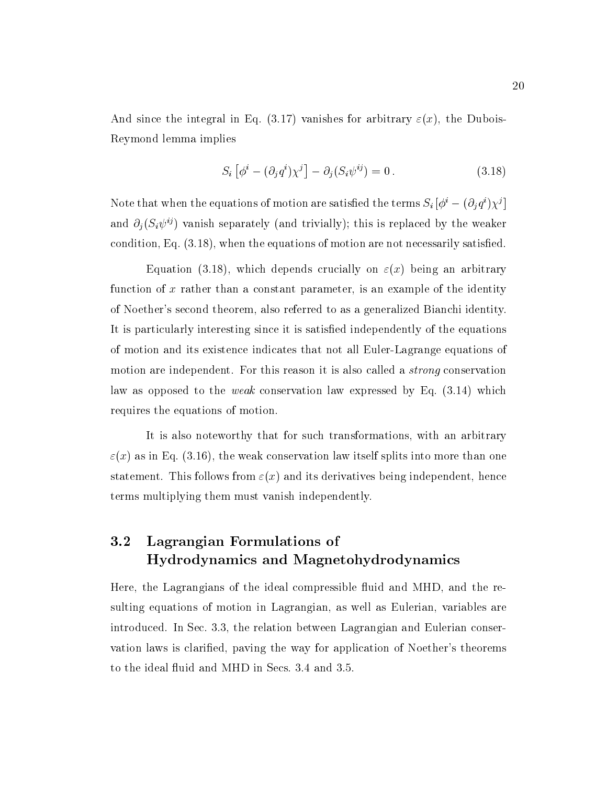And since the integral in Eq. (3.17) vanishes for arbitrary  $\varepsilon(x)$ , the Dubois-Reymond lemma implies

$$
S_i \left[ \phi^i - (\partial_j q^i) \chi^j \right] - \partial_j (S_i \psi^{ij}) = 0.
$$
 (3.18)

Note that when the equations of motion are satisfied the terms  $S_i$   $|\varphi\rangle = (O_i q^i) \chi^j$  | and the contract of the contract of the contract of the contract of the contract of and  $\partial_i (S_i \psi^{ij})$  vanish separately (and trivially); this is replaced by the weaker condition, Eq. (3.18), when the equations of motion are not necessarily satised.

Equation (3.18), which depends crucially on  $\varepsilon(x)$  being an arbitrary function of x rather than a constant parameter, is an example of the identity of Noether's second theorem, also referred to as a generalized Bianchi identity. It is particularly interesting since it is satisfied independently of the equations of motion and its existence indicates that not all Euler-Lagrange equations of motion are independent. For this reason it is also called a strong conservation law as opposed to the weak conservation law expressed by Eq. (3.14) which requires the equations of motion.

It is also noteworthy that for such transformations, with an arbitrary  $\varepsilon(x)$  as in Eq. (3.16), the weak conservation law itself splits into more than one statement. This follows from  $\varepsilon(x)$  and its derivatives being independent, hence terms multiplying them must vanish independently.

### 3.2 Lagrangian Formulations of Hydrodynamics and Magnetohydrodynamics

Here, the Lagrangians of the ideal compressible fluid and MHD, and the resulting equations of motion in Lagrangian, as well as Eulerian, variables are introduced. In Sec.3.3, the relation between Lagrangian and Eulerian conservation laws is claried, paving the way for application of Noether's theorems to the ideal fluid and MHD in Secs. 3.4 and 3.5.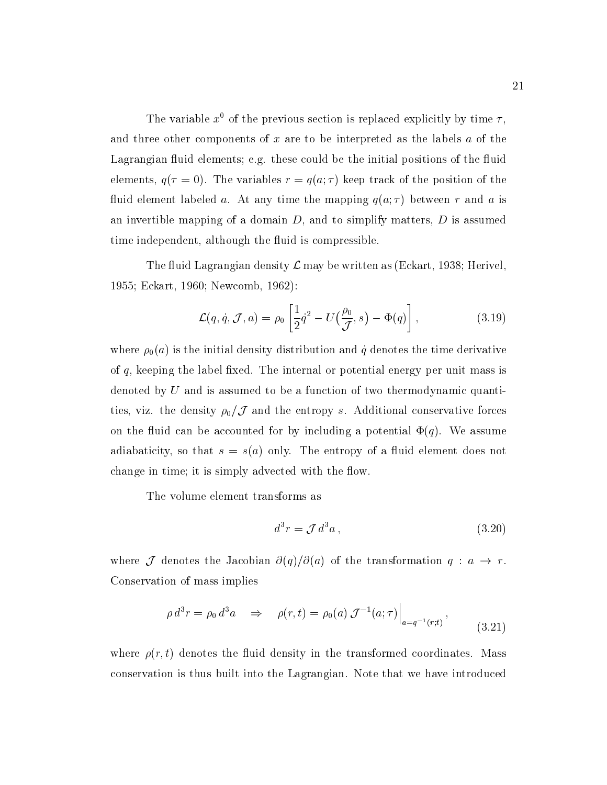The variable  $x^0$  of the previous section is replaced explicitly by time  $\tau$ , and three other components of  $x$  are to be interpreted as the labels  $a$  of the Lagrangian fluid elements; e.g. these could be the initial positions of the fluid elements,  $q(\tau = 0)$ . The variables  $r = q(a; \tau)$  keep track of the position of the fluid element labeled a. At any time the mapping  $q(a; \tau)$  between r and a is an invertible mapping of a domain  $D$ , and to simplify matters,  $D$  is assumed time independent, although the fluid is compressible.

The fluid Lagrangian density  $\mathcal L$  may be written as (Eckart, 1938; Herivel, 1955; Eckart, 1960; Newcomb, 1962):

$$
\mathcal{L}(q, \dot{q}, \mathcal{J}, a) = \rho_0 \left[ \frac{1}{2} \dot{q}^2 - U \left( \frac{\rho_0}{\mathcal{J}}, s \right) - \Phi(q) \right], \tag{3.19}
$$

where  $\rho_0(a)$  is the initial density distribution and  $\dot{q}$  denotes the time derivative of  $q$ , keeping the label fixed. The internal or potential energy per unit mass is denoted by U and is assumed to be a function of two thermodynamic quantities, viz. the density  $\rho_0/\mathcal{J}$  and the entropy s. Additional conservative forces on the fluid can be accounted for by including a potential  $\Phi(q)$ . We assume adiabaticity, so that  $s = s(a)$  only. The entropy of a fluid element does not change in time; it is simply advected with the flow.

The volume element transforms as

$$
d^3r = \mathcal{J} d^3a \,,\tag{3.20}
$$

the contract of the contract of the contract of the contract of the contract of

where  $\mathcal J$  denotes the Jacobian  $\partial(q)/\partial(a)$  of the transformation  $q : a \to r$ . Conservation of mass implies

$$
\rho d^3 r = \rho_0 d^3 a \quad \Rightarrow \quad \rho(r, t) = \rho_0(a) \mathcal{J}^{-1}(a; \tau) \Big|_{a = q^{-1}(r; t)}, \tag{3.21}
$$

where  $\rho(r, t)$  denotes the fluid density in the transformed coordinates. Mass conservation is thus built into the Lagrangian. Note that we have introduced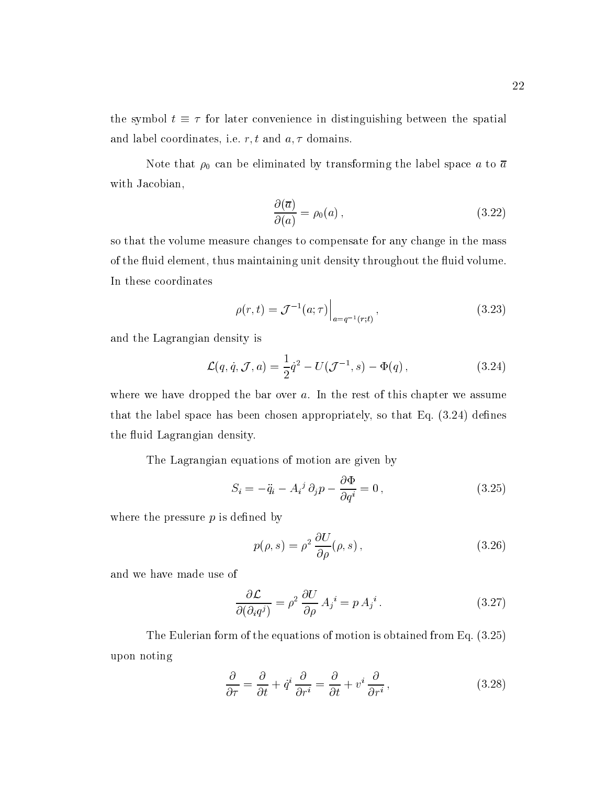the symbol  $t \equiv \tau$  for later convenience in distinguishing between the spatial and label coordinates, i.e.  $r, t$  and  $a, \tau$  domains.

Note that  $\rho_0$  can be eliminated by transforming the label space a to  $\bar{a}$ with Jacobian,

$$
\frac{\partial(\overline{a})}{\partial(a)} = \rho_0(a) , \qquad (3.22)
$$

so that the volume measure changes to compensate for any change in the mass of the fluid element, thus maintaining unit density throughout the fluid volume. In these coordinates

$$
\rho(r,t) = \mathcal{J}^{-1}(a;\tau)\Big|_{a=q^{-1}(r;t)},\tag{3.23}
$$

and the Lagrangian density is

$$
\mathcal{L}(q, \dot{q}, \mathcal{J}, a) = \frac{1}{2}\dot{q}^2 - U(\mathcal{J}^{-1}, s) - \Phi(q) ,
$$
 (3.24)

where we have dropped the bar over  $a$ . In the rest of this chapter we assume that the label space has been chosen appropriately, so that Eq.  $(3.24)$  defines the fluid Lagrangian density.

The Lagrangian equations of motion are given by

$$
S_i = -\ddot{q}_i - A_i^j \partial_j p - \frac{\partial \Phi}{\partial q^i} = 0, \qquad (3.25)
$$

where the pressure  $p$  is defined by

$$
p(\rho, s) = \rho^2 \frac{\partial U}{\partial \rho}(\rho, s), \qquad (3.26)
$$

and we have made use of

$$
\frac{\partial \mathcal{L}}{\partial(\partial_i q^j)} = \rho^2 \frac{\partial U}{\partial \rho} A_j^i = p A_j^i.
$$
 (3.27)

The Eulerian form of the equations of motion is obtained from Eq. (3.25) upon noting

$$
\frac{\partial}{\partial \tau} = \frac{\partial}{\partial t} + \dot{q}^i \frac{\partial}{\partial r^i} = \frac{\partial}{\partial t} + v^i \frac{\partial}{\partial r^i},\tag{3.28}
$$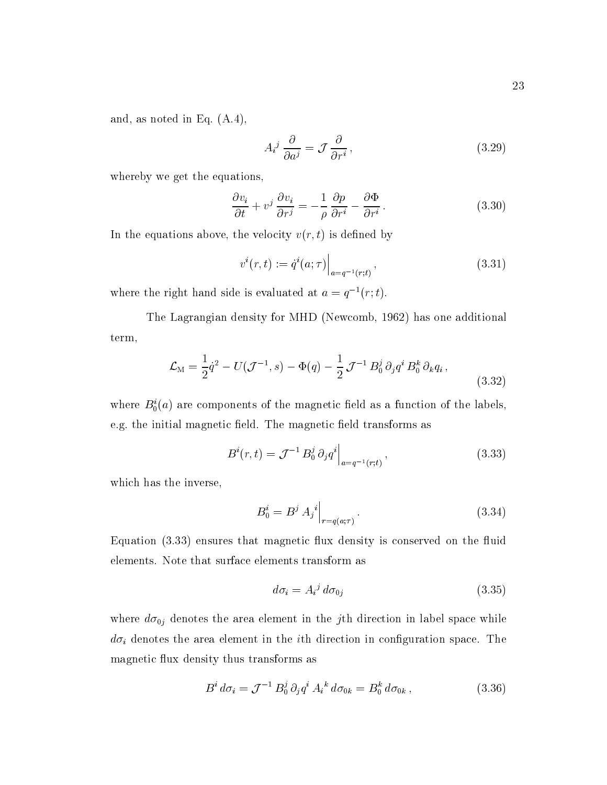and, as noted in Eq. (A.4),

$$
A_i^j \frac{\partial}{\partial a^j} = \mathcal{J} \frac{\partial}{\partial r^i},\tag{3.29}
$$

whereby we get the equations,

$$
\frac{\partial v_i}{\partial t} + v^j \frac{\partial v_i}{\partial r^j} = -\frac{1}{\rho} \frac{\partial p}{\partial r^i} - \frac{\partial \Phi}{\partial r^i}.
$$
 (3.30)

In the equations above, the velocity  $v(r, t)$  is defined by

$$
v^{i}(r,t) := \dot{q}^{i}(a;\tau)\Big|_{a=q^{-1}(r;t)},
$$
\n(3.31)

where the right hand side is evaluated at  $a = q^{-1}(r; t)$ .

The Lagrangian density for MHD (Newcomb, 1962) has one additional term,

$$
\mathcal{L}_{\rm M} = \frac{1}{2} \dot{q}^2 - U(\mathcal{J}^{-1}, s) - \Phi(q) - \frac{1}{2} \mathcal{J}^{-1} B_0^j \partial_j q^i B_0^k \partial_k q_i ,
$$
\n(3.32)

where  $B_0(a)$  are components of the magnetic field as a function of the labels, e.g. the initial magnetic field. The magnetic field transforms as

$$
B^{i}(r,t) = \mathcal{J}^{-1} B_{0}^{j} \partial_{j} q^{i} \Big|_{a=q^{-1}(r,t)}, \qquad (3.33)
$$

which has the inverse,

$$
B_0^i = B^j \, A_j^i \big|_{r = q(a; \tau)} \,. \tag{3.34}
$$

Equation  $(3.33)$  ensures that magnetic flux density is conserved on the fluid elements. Note that surface elements transform as

$$
d\sigma_i = A_i^j \, d\sigma_{0j} \tag{3.35}
$$

where  $d\sigma_{0j}$  denotes the area element in the jth direction in label space while  $d\sigma_i$  denotes the area element in the *i*th direction in configuration space. The magnetic flux density thus transforms as

$$
B^{i} d\sigma_{i} = \mathcal{J}^{-1} B_{0}^{j} \partial_{j} q^{i} A_{i}{}^{k} d\sigma_{0k} = B_{0}^{k} d\sigma_{0k} , \qquad (3.36)
$$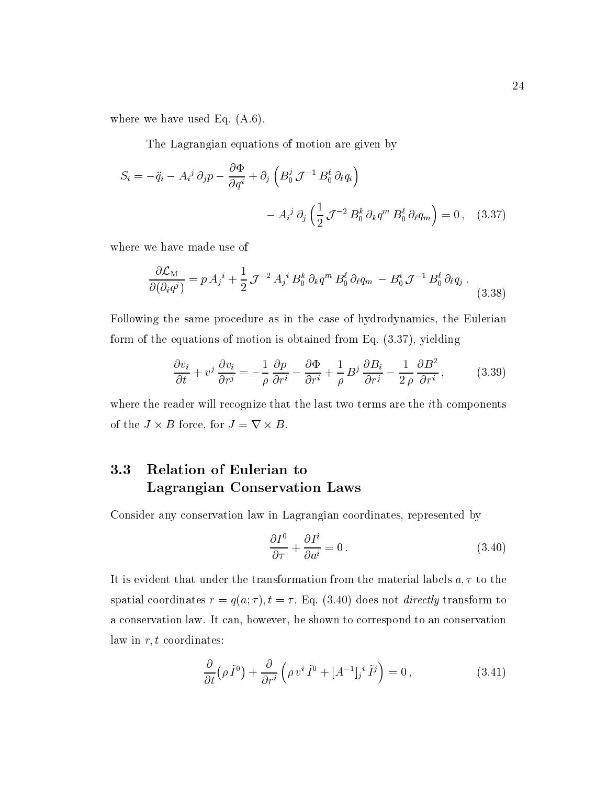where we have used Eq. (A.6).

The Lagrangian equations of motion are given by

$$
S_i = -\ddot{q}_i - A_i^j \partial_j p - \frac{\partial \Phi}{\partial q^i} + \partial_j \left( B_0^j \mathcal{J}^{-1} B_0^\ell \partial_\ell q_i \right) - A_i^j \partial_j \left( \frac{1}{2} \mathcal{J}^{-2} B_0^k \partial_k q^m B_0^\ell \partial_\ell q_m \right) = 0 , \quad (3.37)
$$

where we have made use of

$$
\frac{\partial \mathcal{L}_M}{\partial (\partial_i q^j)} = p A_j{}^i + \frac{1}{2} \mathcal{J}^{-2} A_j{}^i B_0^k \partial_k q^m B_0^\ell \partial_\ell q_m - B_0^i \mathcal{J}^{-1} B_0^\ell \partial_\ell q_j \,. \tag{3.38}
$$

Following the same procedure as in the case of hydrodynamics, the Eulerian form of the equations of motion is obtained from Eq. (3.37), yielding

$$
\frac{\partial v_i}{\partial t} + v^j \frac{\partial v_i}{\partial r^j} = -\frac{1}{\rho} \frac{\partial p}{\partial r^i} - \frac{\partial \Phi}{\partial r^i} + \frac{1}{\rho} B^j \frac{\partial B_i}{\partial r^j} - \frac{1}{2\rho} \frac{\partial B^2}{\partial r^i},
$$
(3.39)

where the reader will recognize that the last two terms are the *i*th components of the  $J \times B$  force, for  $J = \nabla \times B$ .

#### 3.3 3.3 Relation of Eulerian to Lagrangian Conservation Laws

Consider any conservation law in Lagrangian coordinates, represented by

$$
\frac{\partial I^0}{\partial \tau} + \frac{\partial I^i}{\partial a^i} = 0.
$$
\n(3.40)

It is evident that under the transformation from the material labels  $a, \tau$  to the spatial coordinates  $r = q(a; \tau)$ ,  $t = \tau$ , Eq. (3.40) does not *directly* transform to a conservation law. It can, however, be shown to correspond to an conservation law in  $r, t$  coordinates:

$$
\frac{\partial}{\partial t} \left( \rho \, \tilde{I}^0 \right) + \frac{\partial}{\partial r^i} \left( \rho \, v^i \, \tilde{I}^0 + [A^{-1}]_j{}^i \, \tilde{I}^j \right) = 0 \,, \tag{3.41}
$$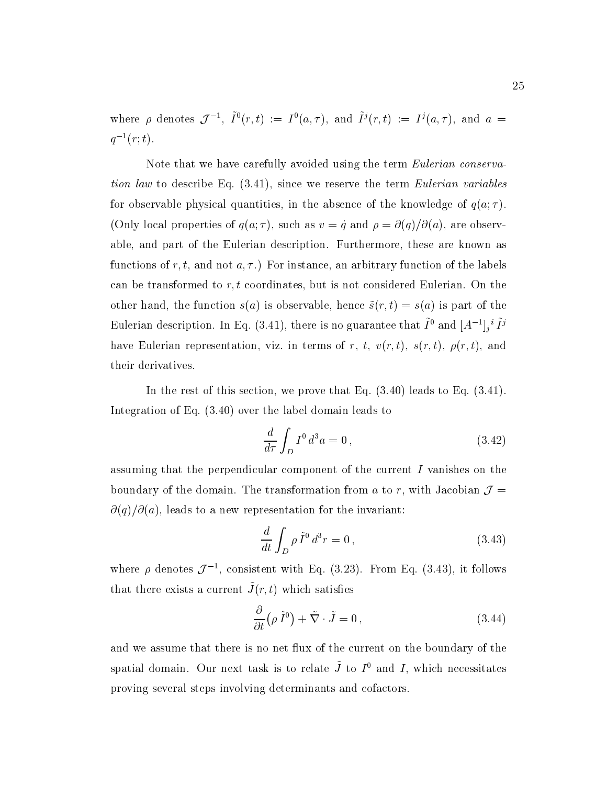where  $\rho$  denotes  $\mathcal{J}^{-1}$ ,  $I^0(r,t) := I^0(a,\tau)$ , and  $I^j(r,t) := I^j(a,\tau)$ , and  $a =$  $q^{-1}(r; t)$ .

Note that we have carefully avoided using the term *Eulerian conserva*tion law to describe Eq.  $(3.41)$ , since we reserve the term *Eulerian variables* for observable physical quantities, in the absence of the knowledge of  $q(a; \tau)$ . (Only local properties of  $q(a; \tau)$ , such as  $v = \dot{q}$  and  $\rho = \partial(q)/\partial(a)$ , are observable, and part of the Eulerian description. Furthermore, these are known as functions of r, t, and not  $a, \tau$ .) For instance, an arbitrary function of the labels can be transformed to  $r, t$  coordinates, but is not considered Eulerian. On the other hand, the function  $s(a)$  is observable, hence  $\tilde{s}(r, t) = s(a)$  is part of the Eulerian description. In Eq. (5.41), there is no guarantee that  $I$  and  $|A|$   $|i$   $I'$ have Eulerian representation, viz. in terms of r, t,  $v(r, t)$ ,  $s(r, t)$ ,  $\rho(r, t)$ , and their derivatives.

In the rest of this section, we prove that Eq.  $(3.40)$  leads to Eq.  $(3.41)$ . Integration of Eq. (3.40) over the label domain leads to

$$
\frac{d}{d\tau} \int_D I^0 d^3a = 0 , \qquad (3.42)
$$

assuming that the perpendicular component of the current I vanishes on the boundary of the domain. The transformation from a to r, with Jacobian  $\mathcal{J} =$  $\partial(q)/\partial(a)$ , leads to a new representation for the invariant:

$$
\frac{d}{dt} \int_D \rho \, \tilde{I}^0 \, d^3r = 0 \,, \tag{3.43}
$$

where  $\rho$  denotes  $\mathcal{J}^{-1}$ , consistent with Eq. (3.23). From Eq. (3.43), it follows  $\alpha$  that there exists a current  $J(t, t)$  which satisfies

$$
\frac{\partial}{\partial t} \left( \rho \, \tilde{I}^0 \right) + \tilde{\nabla} \cdot \tilde{J} = 0 \,, \tag{3.44}
$$

and we assume that there is no net flux of the current on the boundary of the spatial domain. Our next task is to relate  $J$  to  $I^+$  and  $I$ , which necessitates proving several steps involving determinants and cofactors.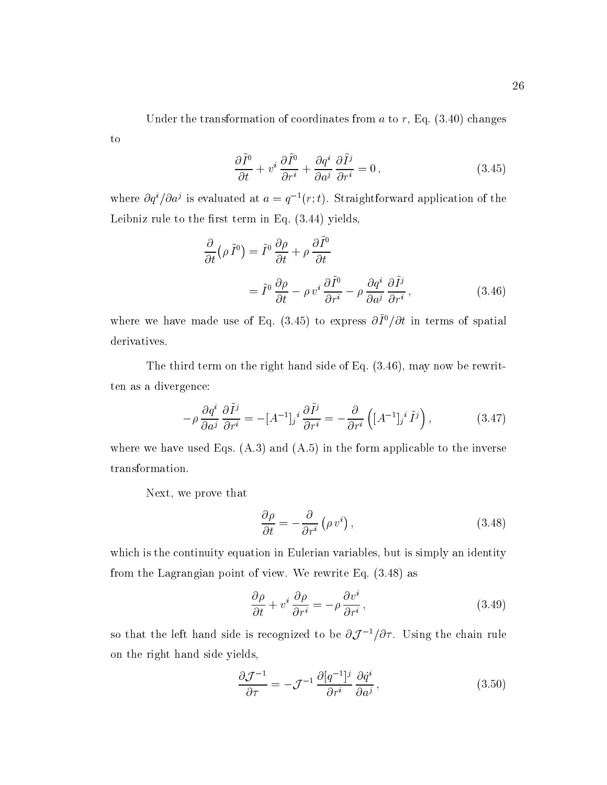$$
\frac{\partial \tilde{I}^0}{\partial t} + v^i \frac{\partial \tilde{I}^0}{\partial r^i} + \frac{\partial q^i}{\partial a^j} \frac{\partial \tilde{I}^j}{\partial r^i} = 0 ,
$$
\n(3.45)

where  $\partial q^2/\partial a^j$  is evaluated at  $a = q^{-1}(r; t)$ . Straightforward application of the Leibniz rule to the first term in Eq.  $(3.44)$  yields,

$$
\frac{\partial}{\partial t} (\rho \tilde{I}^0) = \tilde{I}^0 \frac{\partial \rho}{\partial t} + \rho \frac{\partial \tilde{I}^0}{\partial t}
$$

$$
= \tilde{I}^0 \frac{\partial \rho}{\partial t} - \rho v^i \frac{\partial \tilde{I}^0}{\partial r^i} - \rho \frac{\partial q^i}{\partial a^j} \frac{\partial \tilde{I}^j}{\partial r^i}, \qquad (3.46)
$$

where we have made use of Eq. (5.45) to express  $\partial T/\partial t$  in terms of spatial derivatives.

The third term on the right hand side of Eq. (3.46), may now be rewritten as a divergence:

$$
-\rho \frac{\partial q^i}{\partial a^j} \frac{\partial \tilde{I}^j}{\partial r^i} = -[A^{-1}]_j{}^i \frac{\partial \tilde{I}^j}{\partial r^i} = -\frac{\partial}{\partial r^i} \left( [A^{-1}]_j{}^i \tilde{I}^j \right),\tag{3.47}
$$

where we have used Eqs.  $(A.3)$  and  $(A.5)$  in the form applicable to the inverse transformation.

Next, we prove that

to

$$
\frac{\partial \rho}{\partial t} = -\frac{\partial}{\partial r^i} \left( \rho v^i \right),\tag{3.48}
$$

which is the continuity equation in Eulerian variables, but is simply an identity from the Lagrangian point of view. We rewrite Eq. (3.48) as

$$
\frac{\partial \rho}{\partial t} + v^i \frac{\partial \rho}{\partial r^i} = -\rho \frac{\partial v^i}{\partial r^i},\tag{3.49}
$$

so that the left hand side is recognized to be  $\partial \mathcal{J}^{-1}/\partial \tau$ . Using the chain rule on the right hand side yields,

$$
\frac{\partial \mathcal{J}^{-1}}{\partial \tau} = -\mathcal{J}^{-1} \frac{\partial [q^{-1}]^j}{\partial r^i} \frac{\partial \dot{q}^i}{\partial a^j},\tag{3.50}
$$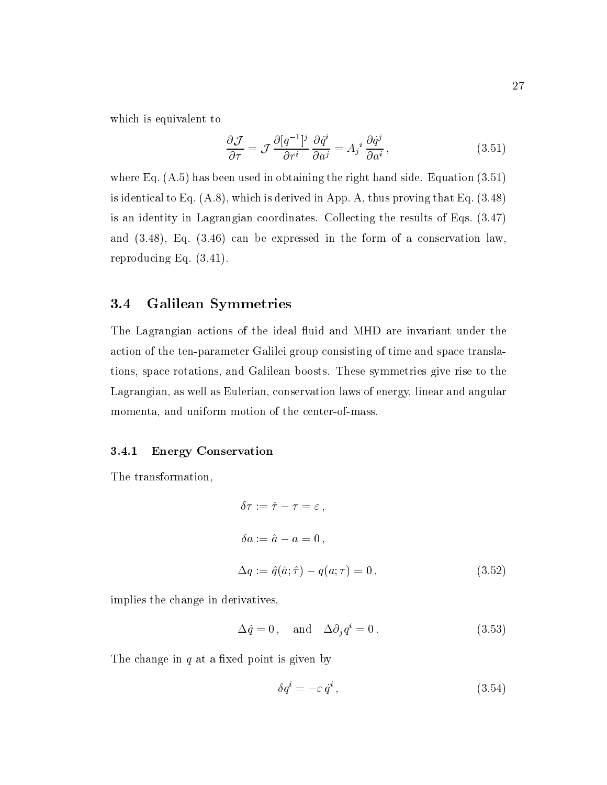which is equivalent to

$$
\frac{\partial \mathcal{J}}{\partial \tau} = \mathcal{J} \frac{\partial [q^{-1}]^j}{\partial r^i} \frac{\partial \dot{q}^i}{\partial a^j} = A_j^i \frac{\partial \dot{q}^j}{\partial a^i},\tag{3.51}
$$

where Eq. (A.5) has been used in obtaining the right hand side. Equation (3.51) is identical to Eq. (A.8), which is derived in App. A, thus proving that Eq. (3.48) is an identity in Lagrangian coordinates. Collecting the results of Eqs. (3.47) and (3.48), Eq. (3.46) can be expressed in the form of a conservation law, reproducing Eq. (3.41).

# 3.4 Galilean Symmetries

The Lagrangian actions of the ideal fluid and MHD are invariant under the action of the ten-parameter Galilei group consisting of time and space translations, space rotations, and Galilean boosts. These symmetries give rise to the Lagrangian, as well as Eulerian, conservation laws of energy, linear and angular momenta, and uniform motion of the center-of-mass.

#### 3.4.1 Energy Conservation

The transformation,

$$
\delta \tau := \hat{\tau} - \tau = \varepsilon,
$$
  
\n
$$
\delta a := \hat{a} - a = 0,
$$
  
\n
$$
\Delta q := \hat{q}(\hat{a}; \hat{\tau}) - q(a; \tau) = 0,
$$
\n(3.52)

implies the change in derivatives,

$$
\Delta \dot{q} = 0, \quad \text{and} \quad \Delta \partial_i q^i = 0. \tag{3.53}
$$

The change in  $q$  at a fixed point is given by

$$
\delta q^i = -\varepsilon \dot{q}^i \,,\tag{3.54}
$$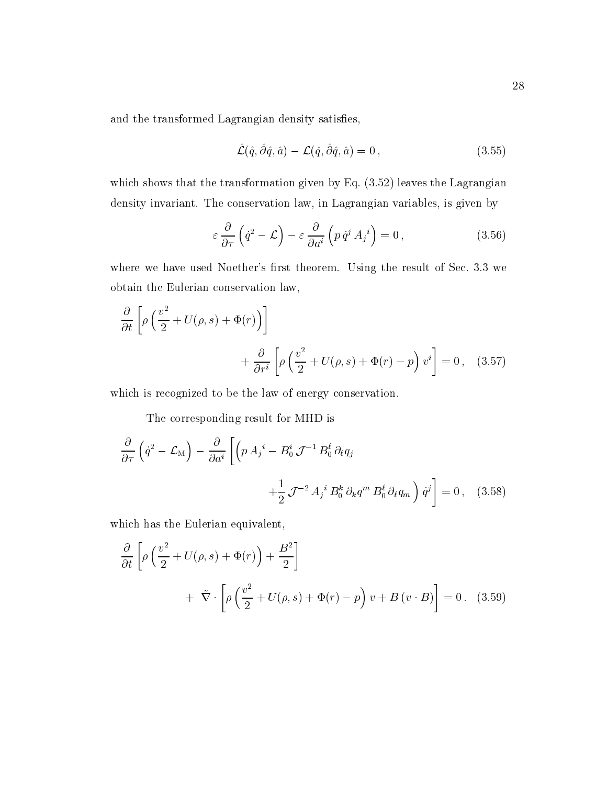and the transformed Lagrangian density satisfies,

$$
\hat{\mathcal{L}}(\hat{q}, \hat{\partial}\hat{q}, \hat{a}) - \mathcal{L}(\hat{q}, \hat{\partial}\hat{q}, \hat{a}) = 0, \qquad (3.55)
$$

which shows that the transformation given by Eq. (3.52) leaves the Lagrangian density invariant. The conservation law, in Lagrangian variables, is given by

$$
\varepsilon \frac{\partial}{\partial \tau} \left( \dot{q}^2 - \mathcal{L} \right) - \varepsilon \frac{\partial}{\partial a^i} \left( p \, \dot{q}^j \, A_j{}^i \right) = 0 \,, \tag{3.56}
$$

where we have used Noether's first theorem. Using the result of Sec. 3.3 we obtain the Eulerian conservation law,

$$
\frac{\partial}{\partial t} \left[ \rho \left( \frac{v^2}{2} + U(\rho, s) + \Phi(r) \right) \right] + \frac{\partial}{\partial r^i} \left[ \rho \left( \frac{v^2}{2} + U(\rho, s) + \Phi(r) - p \right) v^i \right] = 0, \quad (3.57)
$$

which is recognized to be the law of energy conservation.

The corresponding result for MHD is

$$
\frac{\partial}{\partial \tau} \left( \dot{q}^2 - \mathcal{L}_M \right) - \frac{\partial}{\partial a^i} \left[ \left( p \, A_j^i - B_0^i \, \mathcal{J}^{-1} \, B_0^\ell \, \partial_\ell q_j \right) \right. \\
\left. + \frac{1}{2} \, \mathcal{J}^{-2} \, A_j^i \, B_0^k \, \partial_k q^m \, B_0^\ell \, \partial_\ell q_m \right) \dot{q}^j \right] = 0 \,, \quad (3.58)
$$

which has the Eulerian equivalent,

$$
\frac{\partial}{\partial t} \left[ \rho \left( \frac{v^2}{2} + U(\rho, s) + \Phi(r) \right) + \frac{B^2}{2} \right] \n+ \tilde{\nabla} \cdot \left[ \rho \left( \frac{v^2}{2} + U(\rho, s) + \Phi(r) - p \right) v + B(v \cdot B) \right] = 0. \quad (3.59)
$$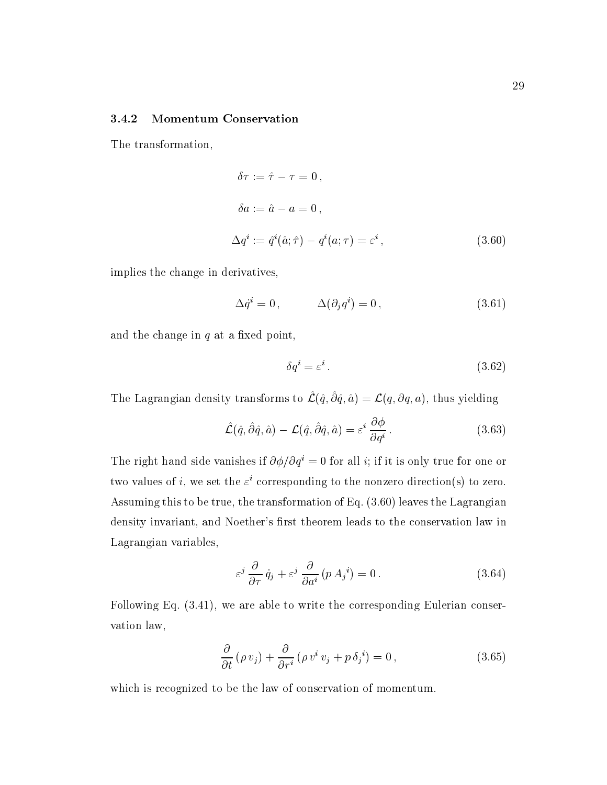#### 3.4.2 Momentum Conservation

The transformation,

$$
\delta \tau := \hat{\tau} - \tau = 0,
$$
  
\n
$$
\delta a := \hat{a} - a = 0,
$$
  
\n
$$
\Delta q^i := \hat{q}^i(\hat{a}; \hat{\tau}) - q^i(a; \tau) = \varepsilon^i,
$$
\n(3.60)

implies the change in derivatives,

$$
\Delta \dot{q}^i = 0 \,, \qquad \Delta (\partial_j q^i) = 0 \,, \tag{3.61}
$$

and the change in  $q$  at a fixed point,

$$
\delta q^i = \varepsilon^i \,. \tag{3.62}
$$

The Lagrangian density transforms to  $\mathcal{L}(\hat{q}, \partial \hat{q}, \hat{a}) = \mathcal{L}(q, \partial q, a)$ , thus yielding

$$
\hat{\mathcal{L}}(\hat{q}, \hat{\partial}\hat{q}, \hat{a}) - \mathcal{L}(\hat{q}, \hat{\partial}\hat{q}, \hat{a}) = \varepsilon^{i} \frac{\partial \phi}{\partial q^{i}}.
$$
\n(3.63)

The right hand side vanishes if  $\partial \phi / \partial q^i = 0$  for all *i*; if it is only true for one or two values of  $i$ , we set the  $\varepsilon^*$  corresponding to the nonzero direction(s) to zero. Assuming this to be true, the transformation of Eq. (3.60) leaves the Lagrangian density invariant, and Noether's first theorem leads to the conservation law in Lagrangian variables,

$$
\varepsilon^{j} \frac{\partial}{\partial \tau} \dot{q}_{j} + \varepsilon^{j} \frac{\partial}{\partial a^{i}} (p A_{j}^{i}) = 0.
$$
 (3.64)

Following Eq. (3.41), we are able to write the corresponding Eulerian conservation law,

$$
\frac{\partial}{\partial t} \left( \rho v_j \right) + \frac{\partial}{\partial r^i} \left( \rho v^i v_j + p \delta_j{}^i \right) = 0, \qquad (3.65)
$$

which is recognized to be the law of conservation of momentum.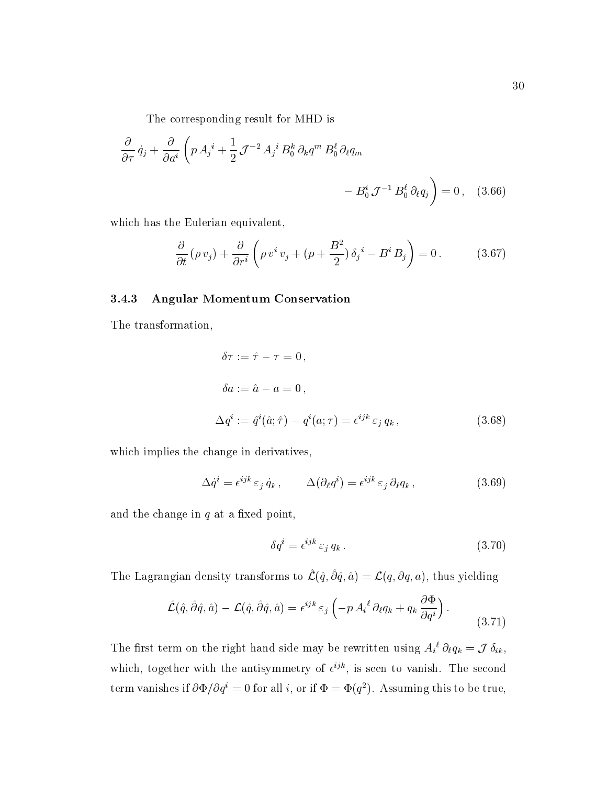The corresponding result for MHD is

$$
\frac{\partial}{\partial \tau} \dot{q}_j + \frac{\partial}{\partial a^i} \left( p A_j{}^i + \frac{1}{2} \mathcal{J}^{-2} A_j{}^i B_0^k \partial_k q^m B_0^\ell \partial_\ell q_m - B_0^i \mathcal{J}^{-1} B_0^\ell \partial_\ell q_j \right) = 0 \,, \quad (3.66)
$$

which has the Eulerian equivalent,

$$
\frac{\partial}{\partial t} \left( \rho v_j \right) + \frac{\partial}{\partial r^i} \left( \rho v^i v_j + \left( p + \frac{B^2}{2} \right) \delta_j{}^i - B^i B_j \right) = 0 \,. \tag{3.67}
$$

#### 3.4.3 Angular Momentum Conservation

The transformation,

$$
\delta \tau := \hat{\tau} - \tau = 0,
$$
  
\n
$$
\delta a := \hat{a} - a = 0,
$$
  
\n
$$
\Delta q^i := \hat{q}^i(\hat{a}; \hat{\tau}) - q^i(a; \tau) = \epsilon^{ijk} \varepsilon_j q_k,
$$
\n(3.68)

which implies the change in derivatives,

$$
\Delta \dot{q}^i = \epsilon^{ijk} \varepsilon_j \dot{q}_k , \qquad \Delta (\partial_\ell q^i) = \epsilon^{ijk} \varepsilon_j \partial_\ell q_k , \qquad (3.69)
$$

and the change in  $q$  at a fixed point,

$$
\delta q^i = \epsilon^{ijk} \varepsilon_j q_k . \tag{3.70}
$$

The Lagrangian density transforms to  $\mathcal{L}(\hat{q}, \partial \hat{q}, \hat{a}) = \mathcal{L}(q, \partial q, a)$ , thus yielding

$$
\hat{\mathcal{L}}(\hat{q}, \hat{\partial}\hat{q}, \hat{a}) - \mathcal{L}(\hat{q}, \hat{\partial}\hat{q}, \hat{a}) = \epsilon^{ijk} \varepsilon_j \left( -p A_i^{\ell} \partial_{\ell} q_k + q_k \frac{\partial \Phi}{\partial q^i} \right).
$$
\n(3.71)

The first term on the right hand side may be rewritten using  $A_i^{\ \iota} \partial_\ell q_k = \mathcal{J} \delta_{ik}$ , which, together with the antisymmetry of  $e^{\gamma \cdot \cdot}$ , is seen to vanish. The second term vanishes if  $\partial \Psi / \partial q^* = 0$  for all i, or if  $\Psi = \Psi(q^*)$ . Assuming this to be true,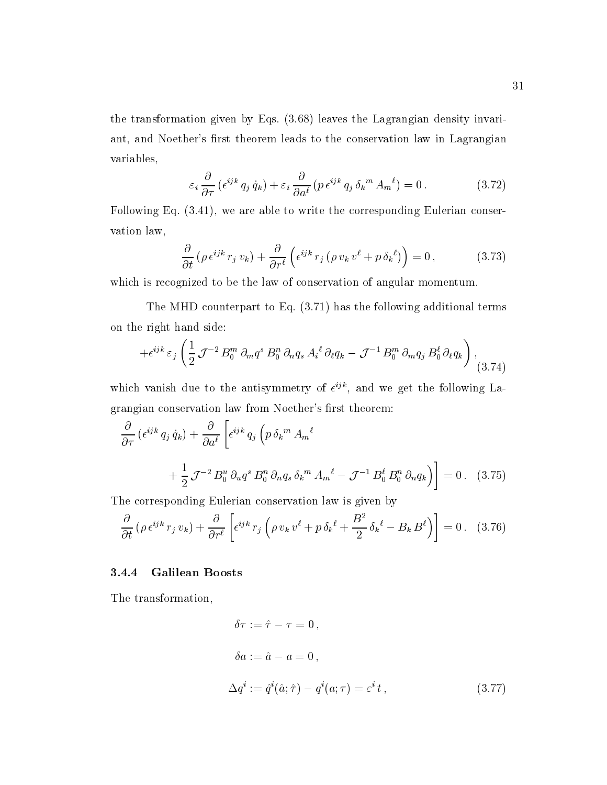the transformation given by Eqs. (3.68) leaves the Lagrangian density invariant, and Noether's first theorem leads to the conservation law in Lagrangian variables,

$$
\varepsilon_i \frac{\partial}{\partial \tau} \left( \epsilon^{ijk} \, q_j \, \dot{q}_k \right) + \varepsilon_i \frac{\partial}{\partial a^\ell} \left( p \, \epsilon^{ijk} \, q_j \, \delta_k{}^m \, A_m{}^\ell \right) = 0 \,. \tag{3.72}
$$

Following Eq. (3.41), we are able to write the corresponding Eulerian conservation law,

$$
\frac{\partial}{\partial t} \left( \rho \, \epsilon^{ijk} \, r_j \, v_k \right) + \frac{\partial}{\partial r^{\ell}} \left( \epsilon^{ijk} \, r_j \left( \rho \, v_k \, v^{\ell} + p \, \delta_k^{\ell} \right) \right) = 0 \,, \tag{3.73}
$$

which is recognized to be the law of conservation of angular momentum.

The MHD counterpart to Eq. (3.71) has the following additional terms on the right hand side:

$$
+\epsilon^{ijk}\,\varepsilon_j\left(\frac{1}{2}\,\mathcal{J}^{-2}\,B_0^m\,\partial_m q^s\,B_0^n\,\partial_n q_s\,A_i{}^\ell\,\partial_\ell q_k-\mathcal{J}^{-1}\,B_0^m\,\partial_m q_j\,B_0^\ell\,\partial_\ell q_k\right), \tag{3.74}
$$

which vanish due to the antisymmetry of  $\epsilon$ <sup>32</sup>, and we get the following Lagrangian conservation law from Noether's first theorem:

$$
\frac{\partial}{\partial \tau} \left( \epsilon^{ijk} q_j \dot{q}_k \right) + \frac{\partial}{\partial a^{\ell}} \left[ \epsilon^{ijk} q_j \left( p \delta_k{}^m A_m{}^{\ell} \right) \right.
$$
  
+ 
$$
\frac{1}{2} \mathcal{J}^{-2} B_0^u \partial_u q^s B_0^n \partial_n q_s \delta_k{}^m A_m{}^{\ell} - \mathcal{J}^{-1} B_0^{\ell} B_0^n \partial_n q_k \right) \bigg] = 0. \quad (3.75)
$$

The corresponding Eulerian conservation law is given by

$$
\frac{\partial}{\partial t} \left( \rho \,\epsilon^{ijk} \, r_j \, v_k \right) + \frac{\partial}{\partial r^\ell} \left[ \epsilon^{ijk} \, r_j \left( \rho \, v_k \, v^\ell + p \, \delta_k^{\ \ell} + \frac{B^2}{2} \, \delta_k^{\ \ell} - B_k \, B^\ell \right) \right] = 0 \,. \tag{3.76}
$$

### 3.4.4 Galilean Boosts

The transformation,

$$
\delta \tau := \hat{\tau} - \tau = 0,
$$
  
\n
$$
\delta a := \hat{a} - a = 0,
$$
  
\n
$$
\Delta q^i := \hat{q}^i(\hat{a}; \hat{\tau}) - q^i(a; \tau) = \varepsilon^i t,
$$
\n(3.77)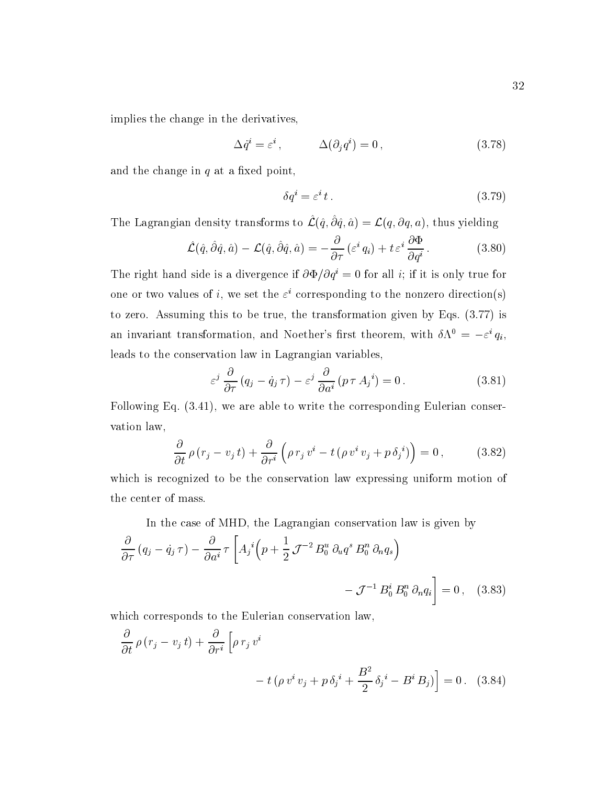implies the change in the derivatives,

$$
\Delta \dot{q}^i = \varepsilon^i \,, \qquad \Delta(\partial_j q^i) = 0 \,, \tag{3.78}
$$

and the change in  $q$  at a fixed point,

$$
\delta q^i = \varepsilon^i t \,. \tag{3.79}
$$

The Lagrangian density transforms to  $\mathcal{L}(\hat{q}, \partial \hat{q}, \hat{a}) = \mathcal{L}(q, \partial q, a)$ , thus yielding

$$
\hat{\mathcal{L}}(\hat{q}, \hat{\partial}\hat{q}, \hat{a}) - \mathcal{L}(\hat{q}, \hat{\partial}\hat{q}, \hat{a}) = -\frac{\partial}{\partial \tau} \left(\varepsilon^i q_i\right) + t \varepsilon^i \frac{\partial \Phi}{\partial q^i}.
$$
 (3.80)

The right hand side is a divergence if  $\partial \Phi / \partial q^i = 0$  for all *i*; if it is only true for one or two values of  $i$ , we set the  $\varepsilon^*$  corresponding to the nonzero direction(s) to zero. Assuming this to be true, the transformation given by Eqs. (3.77) is an invariant transformation, and Noether's first theorem, with  $\delta \Lambda^0 = -\varepsilon^i a_i$ . leads to the conservation law in Lagrangian variables,

$$
\varepsilon^{j} \frac{\partial}{\partial \tau} (q_{j} - \dot{q}_{j} \tau) - \varepsilon^{j} \frac{\partial}{\partial a^{i}} (p \tau A_{j}^{i}) = 0.
$$
 (3.81)

Following Eq. (3.41), we are able to write the corresponding Eulerian conservation law,

$$
\frac{\partial}{\partial t} \rho (r_j - v_j t) + \frac{\partial}{\partial r^i} \left( \rho r_j v^i - t (\rho v^i v_j + p \delta_j^i) \right) = 0 , \qquad (3.82)
$$

which is recognized to be the conservation law expressing uniform motion of the center of mass.

In the case of MHD, the Lagrangian conservation law is given by  
\n
$$
\frac{\partial}{\partial \tau} (q_j - \dot{q}_j \tau) - \frac{\partial}{\partial a^i} \tau \left[ A_j{}^i \left( p + \frac{1}{2} \mathcal{J}^{-2} B_0^u \partial_u q^s B_0^n \partial_n q_s \right) - \mathcal{J}^{-1} B_0^i B_0^n \partial_n q_i \right] = 0, \quad (3.83)
$$

which corresponds to the Eulerian conservation law,

$$
\frac{\partial}{\partial t} \rho (r_j - v_j t) + \frac{\partial}{\partial r^i} \left[ \rho r_j v^i - t (\rho v^i v_j + p \delta_j^i + \frac{B^2}{2} \delta_j^i - B^i B_j) \right] = 0. \quad (3.84)
$$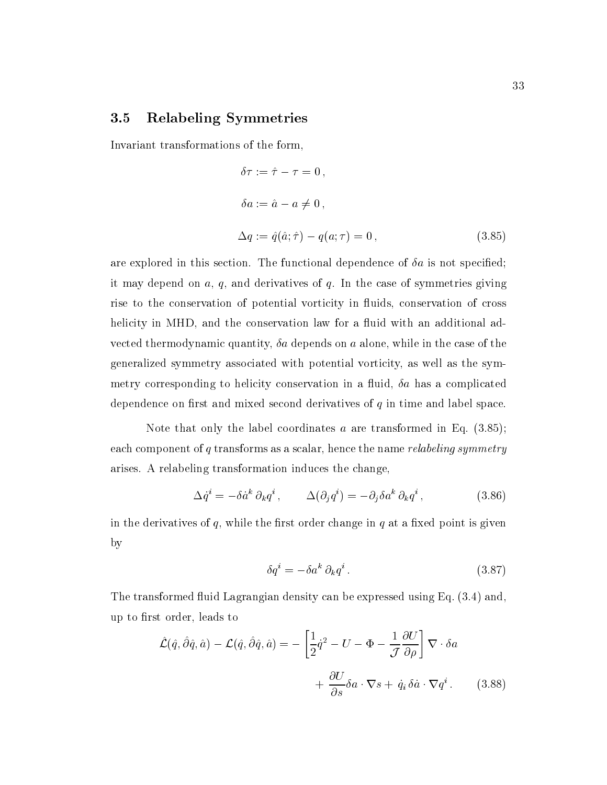# 3.5 Relabeling Symmetries

Invariant transformations of the form,

$$
\delta \tau := \hat{\tau} - \tau = 0,
$$
  
\n
$$
\delta a := \hat{a} - a \neq 0,
$$
  
\n
$$
\Delta q := \hat{q}(\hat{a}; \hat{\tau}) - q(a; \tau) = 0,
$$
\n(3.85)

are explored in this section. The functional dependence of  $\delta a$  is not specified; it may depend on  $a, q$ , and derivatives of  $q$ . In the case of symmetries giving rise to the conservation of potential vorticity in uids, conservation of cross helicity in MHD, and the conservation law for a fluid with an additional advected thermodynamic quantity,  $\delta a$  depends on a alone, while in the case of the generalized symmetry associated with potential vorticity, as well as the symmetry corresponding to helicity conservation in a fluid,  $\delta a$  has a complicated dependence on first and mixed second derivatives of  $q$  in time and label space.

Note that only the label coordinates  $a$  are transformed in Eq.  $(3.85)$ ; each component of q transforms as a scalar, hence the name relabeling symmetry arises. A relabeling transformation induces the change,

$$
\Delta \dot{q}^i = -\delta \dot{a}^k \partial_k q^i , \qquad \Delta (\partial_j q^i) = -\partial_j \delta a^k \partial_k q^i , \qquad (3.86)
$$

in the derivatives of  $q$ , while the first order change in  $q$  at a fixed point is given by

$$
\delta q^i = -\delta a^k \partial_k q^i \,. \tag{3.87}
$$

The transformed fluid Lagrangian density can be expressed using Eq. (3.4) and. up to first order, leads to

$$
\hat{\mathcal{L}}(\hat{q}, \hat{\partial}\hat{q}, \hat{a}) - \mathcal{L}(\hat{q}, \hat{\partial}\hat{q}, \hat{a}) = -\left[\frac{1}{2}\dot{q}^2 - U - \Phi - \frac{1}{\mathcal{J}}\frac{\partial U}{\partial \rho}\right] \nabla \cdot \delta a
$$

$$
+ \frac{\partial U}{\partial s} \delta a \cdot \nabla s + \dot{q}_i \delta \dot{a} \cdot \nabla q^i. \tag{3.88}
$$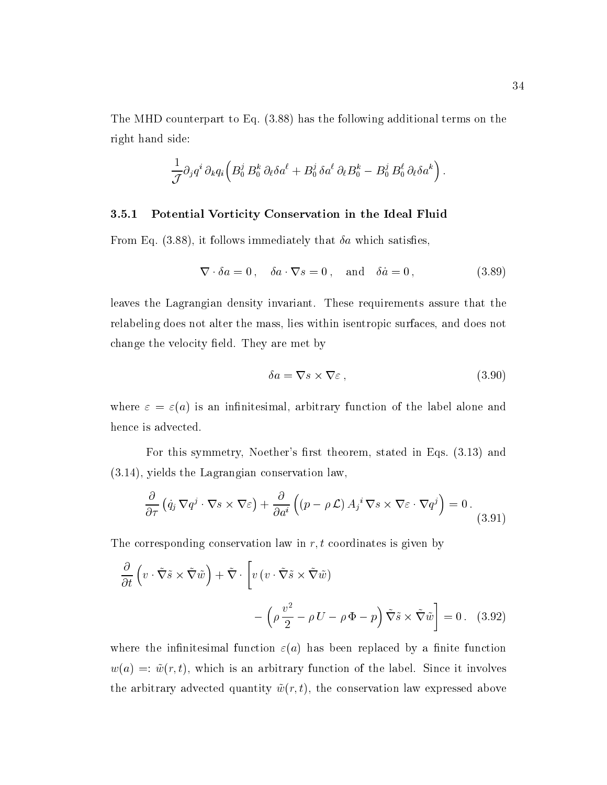The MHD counterpart to Eq. (3.88) has the following additional terms on the right hand side:

$$
\frac{1}{\mathcal{J}} \partial_j q^i \, \partial_k q_i \Big( B^j_0 \, B^k_0 \, \partial_\ell \delta a^\ell + B^j_0 \, \delta a^\ell \, \partial_\ell B^k_0 - B^j_0 \, B^{\ell}_0 \, \partial_\ell \delta a^k \Big) \, .
$$

#### 3.5.1 Potential Vorticity Conservation in the Ideal Fluid

From Eq. (3.88), it follows immediately that  $\delta a$  which satisfies,

$$
\nabla \cdot \delta a = 0, \quad \delta a \cdot \nabla s = 0, \quad \text{and} \quad \delta \dot{a} = 0,
$$
\n(3.89)

leaves the Lagrangian density invariant. These requirements assure that the relabeling does not alter the mass, lies within isentropic surfaces, and does not change the velocity field. They are met by

$$
\delta a = \nabla s \times \nabla \varepsilon \,,\tag{3.90}
$$

where  $\varepsilon = \varepsilon(a)$  is an infinitesimal, arbitrary function of the label alone and hence is advected.

For this symmetry, Noether's first theorem, stated in Eqs.  $(3.13)$  and (3.14), yields the Lagrangian conservation law,

$$
\frac{\partial}{\partial \tau} \left( \dot{q}_j \, \nabla q^j \cdot \nabla s \times \nabla \varepsilon \right) + \frac{\partial}{\partial a^i} \left( (p - \rho \mathcal{L}) A_j^i \, \nabla s \times \nabla \varepsilon \cdot \nabla q^j \right) = 0 \,. \tag{3.91}
$$

The corresponding conservation law in  $r, t$  coordinates is given by

$$
\frac{\partial}{\partial t} \left( v \cdot \tilde{\nabla} \tilde{s} \times \tilde{\nabla} \tilde{w} \right) + \tilde{\nabla} \cdot \left[ v \left( v \cdot \tilde{\nabla} \tilde{s} \times \tilde{\nabla} \tilde{w} \right) \right] \n- \left( \rho \frac{v^2}{2} - \rho U - \rho \Phi - p \right) \tilde{\nabla} \tilde{s} \times \tilde{\nabla} \tilde{w} \right] = 0 \ . \tag{3.92}
$$

where the infinitesimal function  $\varepsilon(a)$  has been replaced by a finite function  $w(a) =: \tilde{w}(r, t)$ , which is an arbitrary function of the label. Since it involves the arbitrary advected quantity  $\tilde{w}(r, t)$ , the conservation law expressed above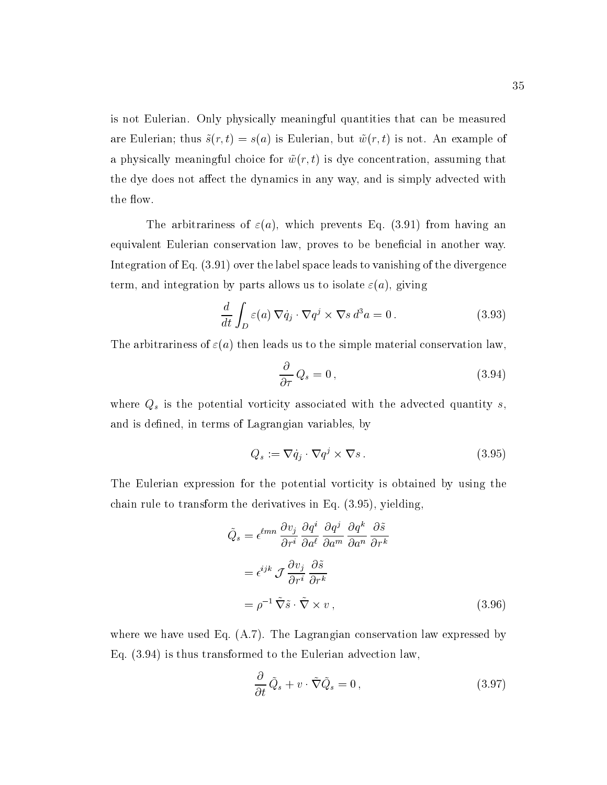is not Eulerian. Only physically meaningful quantities that can be measured are Eulerian; thus  $\tilde{s}(r, t) = s(a)$  is Eulerian, but  $\tilde{w}(r, t)$  is not. An example of a physically meaningful choice for  $\tilde{w}(r, t)$  is dye concentration, assuming that the dye does not affect the dynamics in any way, and is simply advected with the flow.

The arbitrariness of  $\varepsilon(a)$ , which prevents Eq. (3.91) from having an equivalent Eulerian conservation law, proves to be beneficial in another way. Integration of Eq. (3.91) over the label space leads to vanishing of the divergence term, and integration by parts allows us to isolate  $\varepsilon(a)$ , giving

$$
\frac{d}{dt} \int_{D} \varepsilon(a) \, \nabla \dot{q}_j \cdot \nabla q^j \times \nabla s \, d^3 a = 0 \,. \tag{3.93}
$$

The arbitrariness of  $\varepsilon(a)$  then leads us to the simple material conservation law,

$$
\frac{\partial}{\partial \tau} Q_s = 0 \,, \tag{3.94}
$$

where  $Q_s$  is the potential vorticity associated with the advected quantity s, and is defined, in terms of Lagrangian variables, by

$$
Q_s := \nabla \dot{q}_j \cdot \nabla q^j \times \nabla s \,. \tag{3.95}
$$

The Eulerian expression for the potential vorticity is obtained by using the chain rule to transform the derivatives in Eq. (3.95), yielding,

$$
\tilde{Q}_s = \epsilon^{\ell mn} \frac{\partial v_j}{\partial r^i} \frac{\partial q^i}{\partial a^\ell} \frac{\partial q^j}{\partial a^m} \frac{\partial q^k}{\partial a^n} \frac{\partial \tilde{s}}{\partial r^k}
$$
\n
$$
= \epsilon^{ijk} \mathcal{J} \frac{\partial v_j}{\partial r^i} \frac{\partial \tilde{s}}{\partial r^k}
$$
\n
$$
= \rho^{-1} \tilde{\nabla} \tilde{s} \cdot \tilde{\nabla} \times v \,, \tag{3.96}
$$

where we have used Eq.  $(A.7)$ . The Lagrangian conservation law expressed by Eq. (3.94) is thus transformed to the Eulerian advection law,

$$
\frac{\partial}{\partial t}\tilde{Q}_s + v \cdot \tilde{\nabla}\tilde{Q}_s = 0, \qquad (3.97)
$$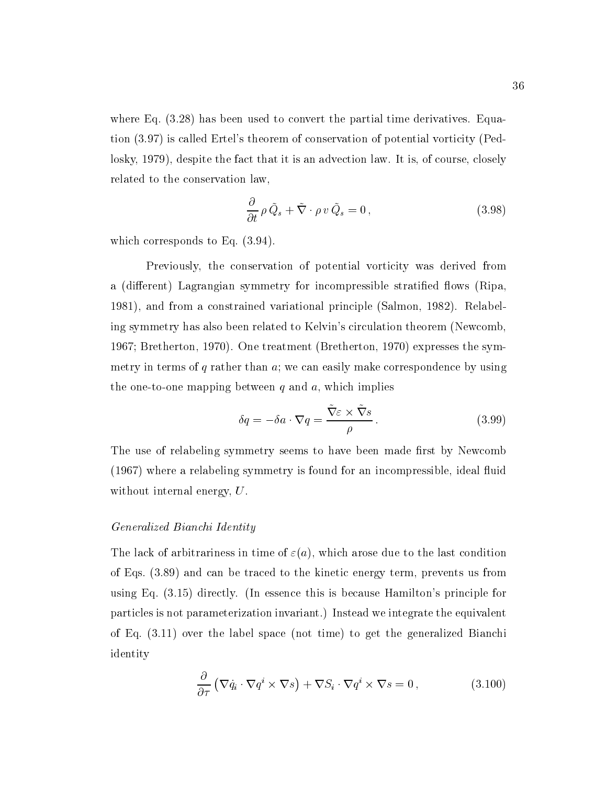where Eq. (3.28) has been used to convert the partial time derivatives. Equation (3.97) is called Ertel's theorem of conservation of potential vorticity (Pedlosky, 1979), despite the fact that it is an advection law. It is, of course, closely related to the conservation law,

$$
\frac{\partial}{\partial t} \rho \tilde{Q}_s + \tilde{\nabla} \cdot \rho \, v \, \tilde{Q}_s = 0 \,, \tag{3.98}
$$

which corresponds to Eq. (3.94).

Previously, the conservation of potential vorticity was derived from a (different) Lagrangian symmetry for incompressible stratified flows (Ripa, 1981), and from a constrained variational principle (Salmon, 1982). Relabeling symmetry has also been related to Kelvin's circulation theorem (Newcomb, 1967; Bretherton, 1970). One treatment (Bretherton, 1970) expresses the symmetry in terms of  $q$  rather than  $q$ ; we can easily make correspondence by using the one-to-one mapping between  $q$  and  $a$ , which implies

$$
\delta q = -\delta a \cdot \nabla q = \frac{\nabla \varepsilon \times \nabla s}{\rho}.
$$
\n(3.99)

The use of relabeling symmetry seems to have been made first by Newcomb (1967) where a relabeling symmetry is found for an incompressible, ideal 
uid without internal energy, U.

#### Generalized Bianchi Identity

The lack of arbitrariness in time of  $\varepsilon(a)$ , which arose due to the last condition of Eqs. (3.89) and can be traced to the kinetic energy term, prevents us from using Eq. (3.15) directly. (In essence this is because Hamilton's principle for particles is not parameterization invariant.) Instead we integrate the equivalent of Eq. (3.11) over the label space (not time) to get the generalized Bianchi identity

$$
\frac{\partial}{\partial \tau} \left( \nabla \dot{q}_i \cdot \nabla q^i \times \nabla s \right) + \nabla S_i \cdot \nabla q^i \times \nabla s = 0 , \qquad (3.100)
$$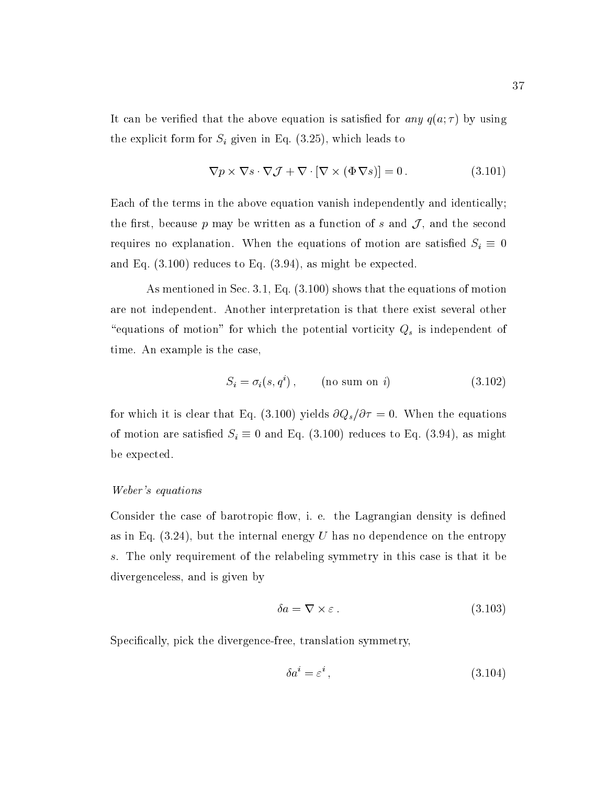It can be verified that the above equation is satisfied for any  $q(a; \tau)$  by using the explicit form for  $S_i$  given in Eq. (3.25), which leads to

$$
\nabla p \times \nabla s \cdot \nabla \mathcal{J} + \nabla \cdot [\nabla \times (\Phi \nabla s)] = 0.
$$
 (3.101)

Each of the terms in the above equation vanish independently and identically; the first, because p may be written as a function of s and  $\mathcal{J}$ , and the second requires no explanation. When the equations of motion are satisfied  $S_i \equiv 0$ and Eq. (3.100) reduces to Eq. (3.94), as might be expected.

As mentioned in Sec. 3.1, Eq. (3.100) shows that the equations of motion are not independent. Another interpretation is that there exist several other "equations of motion" for which the potential vorticity  $Q_s$  is independent of time. An example is the case,

$$
S_i = \sigma_i(s, q^i), \qquad \text{(no sum on } i\text{)} \tag{3.102}
$$

for which it is clear that Eq. (3.100) yields  $\partial Q_s/\partial \tau = 0$ . When the equations of motion are satisfied  $S_i \equiv 0$  and Eq. (3.100) reduces to Eq. (3.94), as might be expected.

#### Weber's equations

Consider the case of barotropic flow, i. e. the Lagrangian density is defined as in Eq.  $(3.24)$ , but the internal energy U has no dependence on the entropy s. The only requirement of the relabeling symmetry in this case is that it be divergenceless, and is given by

$$
\delta a = \nabla \times \varepsilon \,. \tag{3.103}
$$

Specifically, pick the divergence-free, translation symmetry,

$$
\delta a^i = \varepsilon^i \,,\tag{3.104}
$$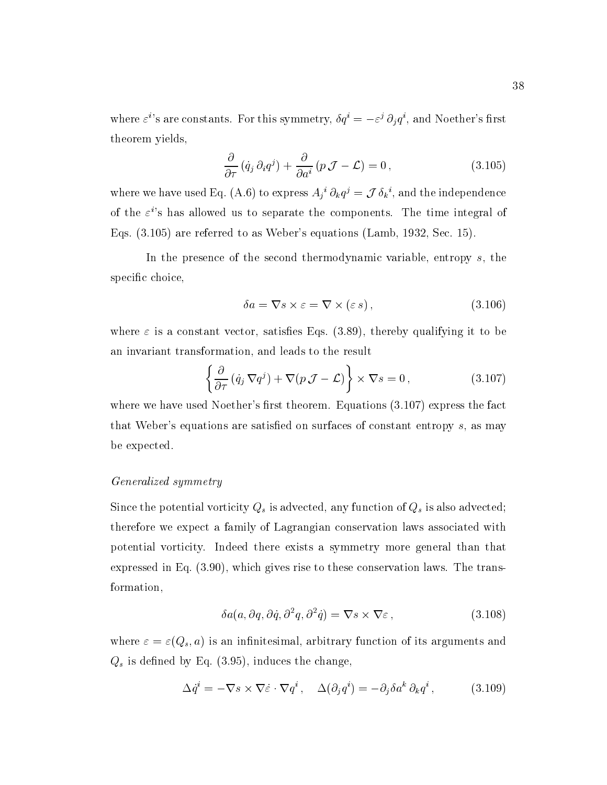where  $\varepsilon$ ''s are constants. For this symmetry,  $\delta q^i = -\varepsilon^j \partial_i q^i$ , and Noether's first theorem yields,

$$
\frac{\partial}{\partial \tau} \left( \dot{q}_j \, \partial_i q^j \right) + \frac{\partial}{\partial a^i} \left( p \, \mathcal{J} - \mathcal{L} \right) = 0 \,, \tag{3.105}
$$

where we have used Eq. (A.6) to express  $A_i{}^i \partial_k q^j = \mathcal{J} \delta_k{}^i$ , and the independence of the  $\varepsilon$ 's has allowed us to separate the components. The time integral of Eqs. (3.105) are referred to as Weber's equations (Lamb, 1932, Sec. 15).

In the presence of the second thermodynamic variable, entropy s, the specific choice,

$$
\delta a = \nabla s \times \varepsilon = \nabla \times (\varepsilon s), \qquad (3.106)
$$

where  $\varepsilon$  is a constant vector, satisfies Eqs. (3.89), thereby qualifying it to be an invariant transformation, and leads to the result

$$
\left\{\frac{\partial}{\partial \tau}\left(\dot{q}_j \nabla q^j\right) + \nabla\left(p \mathcal{J} - \mathcal{L}\right)\right\} \times \nabla s = 0, \qquad (3.107)
$$

where we have used Noether's first theorem. Equations  $(3.107)$  express the fact that Weber's equations are satisfied on surfaces of constant entropy  $s$ , as may be expected.

#### Generalized symmetry

Since the potential vorticity  $Q_s$  is advected, any function of  $Q_s$  is also advected; therefore we expect a family of Lagrangian conservation laws associated with potential vorticity. Indeed there exists a symmetry more general than that expressed in Eq. (3.90), which gives rise to these conservation laws. The transformation,

$$
\delta a(a, \partial q, \partial \dot{q}, \partial^2 q, \partial^2 \dot{q}) = \nabla s \times \nabla \varepsilon ,\qquad (3.108)
$$

where  $\varepsilon = \varepsilon(Q_s, a)$  is an infinitesimal, arbitrary function of its arguments and  $Q_s$  is defined by Eq. (3.95), induces the change,

$$
\Delta \dot{q}^i = -\nabla s \times \nabla \dot{\varepsilon} \cdot \nabla q^i, \quad \Delta (\partial_j q^i) = -\partial_j \delta a^k \partial_k q^i, \tag{3.109}
$$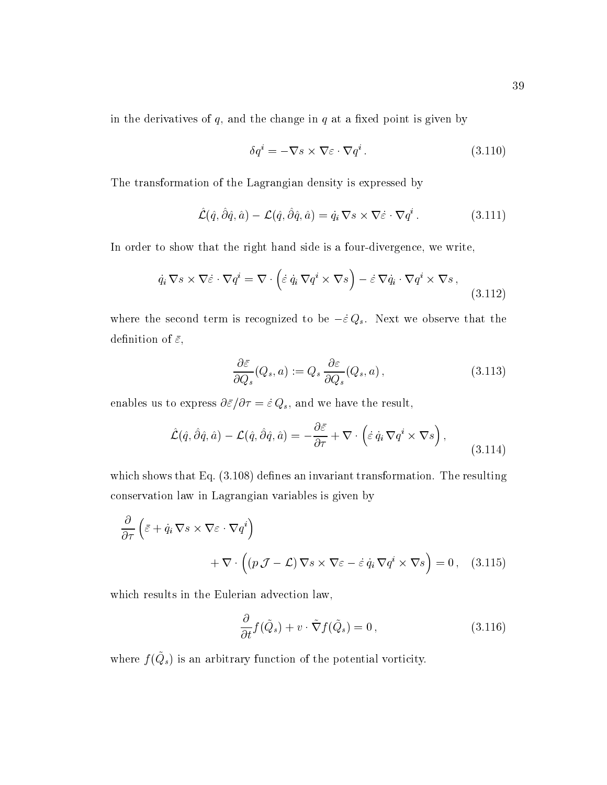in the derivatives of  $q$ , and the change in  $q$  at a fixed point is given by

$$
\delta q^i = -\nabla s \times \nabla \varepsilon \cdot \nabla q^i. \tag{3.110}
$$

The transformation of the Lagrangian density is expressed by

$$
\hat{\mathcal{L}}(\hat{q}, \hat{\partial}\hat{q}, \hat{a}) - \mathcal{L}(\hat{q}, \hat{\partial}\hat{q}, \hat{a}) = \dot{q}_i \, \nabla s \times \nabla \hat{\varepsilon} \cdot \nabla q^i \,. \tag{3.111}
$$

In order to show that the right hand side is a four-divergence, we write,

$$
\dot{q}_i \nabla s \times \nabla \dot{\varepsilon} \cdot \nabla q^i = \nabla \cdot \left( \dot{\varepsilon} \, \dot{q}_i \, \nabla q^i \times \nabla s \right) - \dot{\varepsilon} \, \nabla \dot{q}_i \cdot \nabla q^i \times \nabla s \,,\tag{3.112}
$$

where the second term is recognized to be  $-\varepsilon \vee s$ . Next we observe that the definition of  $\bar{\varepsilon}$ ,

$$
\frac{\partial \bar{\varepsilon}}{\partial Q_s}(Q_s, a) := Q_s \frac{\partial \varepsilon}{\partial Q_s}(Q_s, a), \qquad (3.113)
$$

enables us to express  $\mathcal{C} = \{ \mathbf{v} \mid \mathbf{v} \in \mathcal{C} \mid \mathbf{v} \in \mathcal{C} \}$  . The result, and we have the result, we have the result, we have the result, we have the result,  $\mathcal{C} = \{ \mathbf{v} \mid \mathbf{v} \in \mathcal{C} \}$ 

$$
\hat{\mathcal{L}}(\hat{q}, \hat{\partial}\hat{q}, \hat{a}) - \mathcal{L}(\hat{q}, \hat{\partial}\hat{q}, \hat{a}) = -\frac{\partial \bar{\varepsilon}}{\partial \tau} + \nabla \cdot (\dot{\varepsilon} \dot{q}_i \nabla q^i \times \nabla s) , \qquad (3.114)
$$

which shows that Eq.  $(3.108)$  defines an invariant transformation. The resulting conservation law in Lagrangian variables is given by

$$
\frac{\partial}{\partial \tau} \left( \bar{\varepsilon} + \dot{q}_i \, \nabla s \times \nabla \varepsilon \cdot \nabla q^i \right) \n+ \nabla \cdot \left( (p \, \mathcal{J} - \mathcal{L}) \, \nabla s \times \nabla \varepsilon - \dot{\varepsilon} \, \dot{q}_i \, \nabla q^i \times \nabla s \right) = 0 \,, \quad (3.115)
$$

which results in the Eulerian advection law,

$$
\frac{\partial}{\partial t} f(\tilde{Q}_s) + v \cdot \tilde{\nabla} f(\tilde{Q}_s) = 0 , \qquad (3.116)
$$

where  $f(\mathcal{Q}_s)$  is an arbitrary function of the potential vorticity.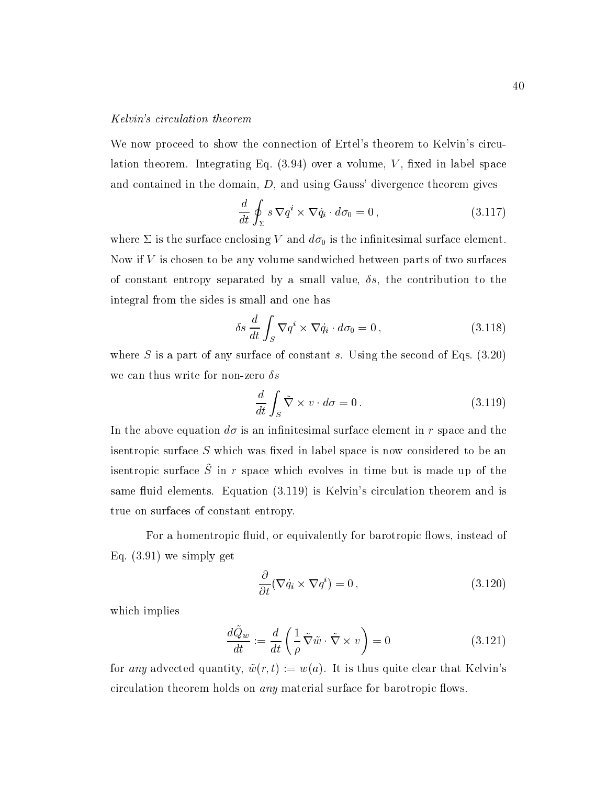#### Kelvin's circulation theorem

We now proceed to show the connection of Ertel's theorem to Kelvin's circulation theorem. Integrating Eq.  $(3.94)$  over a volume, V, fixed in label space and contained in the domain,  $D$ , and using Gauss' divergence theorem gives

$$
\frac{d}{dt} \oint_{\Sigma} s \nabla q^i \times \nabla \dot{q}_i \cdot d\sigma_0 = 0 , \qquad (3.117)
$$

where  $\Sigma$  is the surface enclosing V and  $d\sigma_0$  is the infinitesimal surface element. Now if V is chosen to be any volume sandwiched between parts of two surfaces of constant entropy separated by a small value,  $\delta s$ , the contribution to the integral from the sides is small and one has

$$
\delta s \frac{d}{dt} \int_{S} \nabla q^{i} \times \nabla \dot{q}_{i} \cdot d\sigma_{0} = 0 , \qquad (3.118)
$$

where S is a part of any surface of constant s. Using the second of Eqs.  $(3.20)$ we can thus write for non-zero  $\delta s$ 

$$
\frac{d}{dt} \int_{\tilde{S}} \tilde{\nabla} \times v \cdot d\sigma = 0.
$$
\n(3.119)

In the above equation  $d\sigma$  is an infinitesimal surface element in r space and the isentropic surface  $S$  which was fixed in label space is now considered to be an is fitulo pic surface  $\beta$  in r space which evolves in time but is made up of the same fluid elements. Equation (3.119) is Kelvin's circulation theorem and is true on surfaces of constant entropy.

For a homentropic fluid, or equivalently for barotropic flows, instead of Eq. (3.91) we simply get

$$
\frac{\partial}{\partial t}(\nabla \dot{q}_i \times \nabla q^i) = 0 , \qquad (3.120)
$$

which implies

$$
\frac{d\tilde{Q}_w}{dt} := \frac{d}{dt} \left( \frac{1}{\rho} \tilde{\nabla} \tilde{w} \cdot \tilde{\nabla} \times v \right) = 0 \tag{3.121}
$$

for any advected quantity,  $\tilde{w}(r, t) := w(a)$ . It is thus quite clear that Kelvin's circulation theorem holds on *any* material surface for barotropic flows.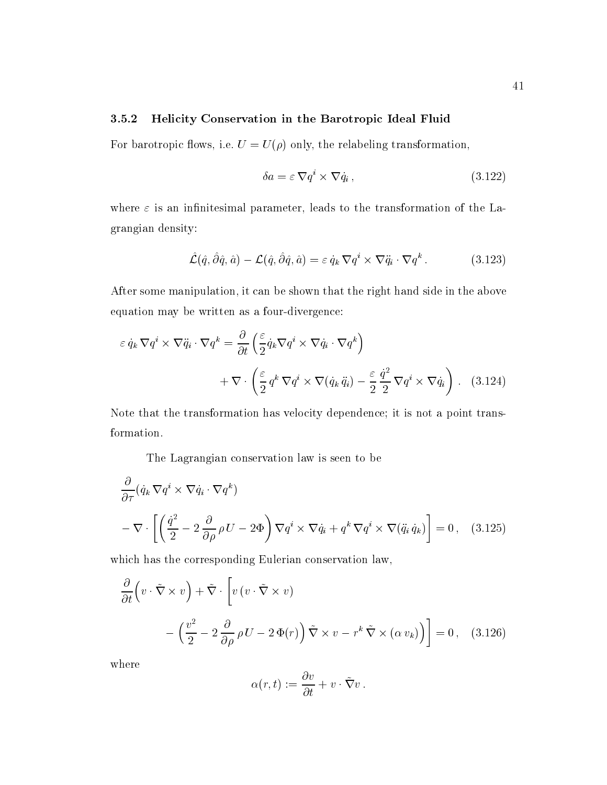#### 3.5.2 Helicity Conservation in the Barotropic Ideal Fluid

For barotropic flows, i.e.  $U = U(\rho)$  only, the relabeling transformation,

$$
\delta a = \varepsilon \, \nabla q^i \times \nabla \dot{q}_i \,,\tag{3.122}
$$

where  $\varepsilon$  is an infinitesimal parameter, leads to the transformation of the Lagrangian density:

$$
\hat{\mathcal{L}}(\hat{q}, \hat{\partial}\hat{q}, \hat{a}) - \mathcal{L}(\hat{q}, \hat{\partial}\hat{q}, \hat{a}) = \varepsilon \dot{q}_k \nabla q^i \times \nabla \ddot{q}_i \cdot \nabla q^k.
$$
 (3.123)

After some manipulation, it can be shown that the right hand side in the above equation may be written as a four-divergence:

$$
\varepsilon \dot{q}_k \nabla q^i \times \nabla \ddot{q}_i \cdot \nabla q^k = \frac{\partial}{\partial t} \left( \frac{\varepsilon}{2} \dot{q}_k \nabla q^i \times \nabla \dot{q}_i \cdot \nabla q^k \right) + \nabla \cdot \left( \frac{\varepsilon}{2} q^k \nabla q^i \times \nabla (\dot{q}_k \ddot{q}_i) - \frac{\varepsilon}{2} \frac{\dot{q}^2}{2} \nabla q^i \times \nabla \dot{q}_i \right) .
$$
 (3.124)

Note that the transformation has velocity dependence; it is not a point transformation.

The Lagrangian conservation law is seen to be

$$
\frac{\partial}{\partial \tau} (\dot{q}_k \nabla q^i \times \nabla \dot{q}_i \cdot \nabla q^k)
$$
\n
$$
-\nabla \cdot \left[ \left( \frac{\dot{q}^2}{2} - 2 \frac{\partial}{\partial \rho} \rho U - 2\Phi \right) \nabla q^i \times \nabla \dot{q}_i + q^k \nabla q^i \times \nabla (\ddot{q}_i \dot{q}_k) \right] = 0 \,, \quad (3.125)
$$

which has the corresponding Eulerian conservation law,

$$
\frac{\partial}{\partial t} \left( v \cdot \tilde{\nabla} \times v \right) + \tilde{\nabla} \cdot \left[ v \left( v \cdot \tilde{\nabla} \times v \right) - \left( \frac{v^2}{2} - 2 \frac{\partial}{\partial \rho} \rho U - 2 \Phi(r) \right) \tilde{\nabla} \times v - r^k \tilde{\nabla} \times (\alpha v_k) \right] = 0 , \quad (3.126)
$$

where

$$
\alpha(r,t):=\frac{\partial v}{\partial t}+v\cdot\tilde{\nabla}v\,.
$$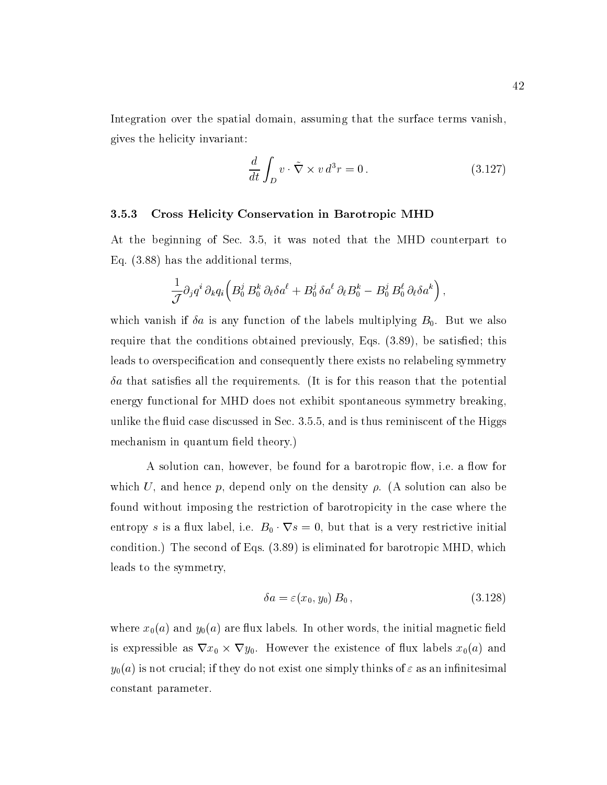Integration over the spatial domain, assuming that the surface terms vanish, gives the helicity invariant:

$$
\frac{d}{dt} \int_{D} v \cdot \tilde{\nabla} \times v \, d^3 r = 0 \,. \tag{3.127}
$$

#### 3.5.3 Cross Helicity Conservation in Barotropic MHD

At the beginning of Sec. 3.5, it was noted that the MHD counterpart to Eq. (3.88) has the additional terms,

$$
\frac{1}{\mathcal{J}} \partial_j q^i \, \partial_k q_i \Big( B_0^j \, B_0^k \, \partial_\ell \delta a^\ell + B_0^j \, \delta a^\ell \, \partial_\ell B_0^k - B_0^j \, B_0^\ell \, \partial_\ell \delta a^k \Big) \,,
$$

which vanish if  $\delta a$  is any function of the labels multiplying  $B_0$ . But we also require that the conditions obtained previously, Eqs.  $(3.89)$ , be satisfied; this leads to overspecification and consequently there exists no relabeling symmetry  $\delta a$  that satisfies all the requirements. (It is for this reason that the potential energy functional for MHD does not exhibit spontaneous symmetry breaking, unlike the fluid case discussed in Sec. 3.5.5, and is thus reminiscent of the Higgs mechanism in quantum field theory.)

A solution can, however, be found for a barotropic flow, i.e. a flow for which U, and hence p, depend only on the density  $\rho$ . (A solution can also be found without imposing the restriction of barotropicity in the case where the entropy s is a flux label, i.e.  $B_0 \cdot \nabla s = 0$ , but that is a very restrictive initial condition.) The second of Eqs. (3.89) is eliminated for barotropic MHD, which leads to the symmetry,

$$
\delta a = \varepsilon(x_0, y_0) B_0 , \qquad (3.128)
$$

where  $x_0(a)$  and  $y_0(a)$  are flux labels. In other words, the initial magnetic field is expressible as  $\nabla x_0 \times \nabla y_0$ . However the existence of flux labels  $x_0(a)$  and  $y_0(a)$  is not crucial; if they do not exist one simply thinks of  $\varepsilon$  as an infinitesimal constant parameter.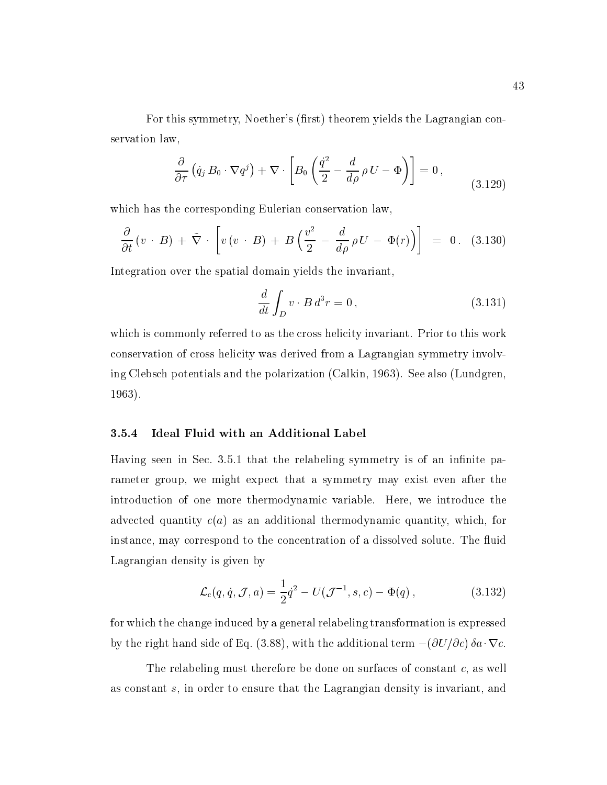For this symmetry, Noether's (first) theorem yields the Lagrangian conservation law,

$$
\frac{\partial}{\partial \tau} \left( \dot{q}_j B_0 \cdot \nabla q^j \right) + \nabla \cdot \left[ B_0 \left( \frac{\dot{q}^2}{2} - \frac{d}{d\rho} \rho U - \Phi \right) \right] = 0 , \qquad (3.129)
$$

which has the corresponding Eulerian conservation law,

$$
\frac{\partial}{\partial t}(v \cdot B) + \tilde{\nabla} \cdot \left[ v(v \cdot B) + B \left( \frac{v^2}{2} - \frac{d}{d\rho} \rho U - \Phi(r) \right) \right] = 0. \quad (3.130)
$$

Integration over the spatial domain yields the invariant,

$$
\frac{d}{dt} \int_{D} v \cdot B d^3 r = 0, \qquad (3.131)
$$

which is commonly referred to as the cross helicity invariant. Prior to this work conservation of cross helicity was derived from a Lagrangian symmetry involving Clebsch potentials and the polarization (Calkin, 1963). See also (Lundgren, 1963).

#### 3.5.4 Ideal Fluid with an Additional Label

Having seen in Sec. 3.5.1 that the relabeling symmetry is of an infinite parameter group, we might expect that a symmetry may exist even after the introduction of one more thermodynamic variable. Here, we introduce the advected quantity  $c(a)$  as an additional thermodynamic quantity, which, for instance, may correspond to the concentration of a dissolved solute. The fluid Lagrangian density is given by

$$
\mathcal{L}_{c}(q, \dot{q}, \mathcal{J}, a) = \frac{1}{2}\dot{q}^{2} - U(\mathcal{J}^{-1}, s, c) - \Phi(q), \qquad (3.132)
$$

for which the change induced by a general relabeling transformation is expressed by the right hand side of Eq. (3.88), with the additional term  $-(\partial U/\partial c) \delta a \cdot \nabla c$ .

The relabeling must therefore be done on surfaces of constant c, as well as constant s, in order to ensure that the Lagrangian density is invariant, and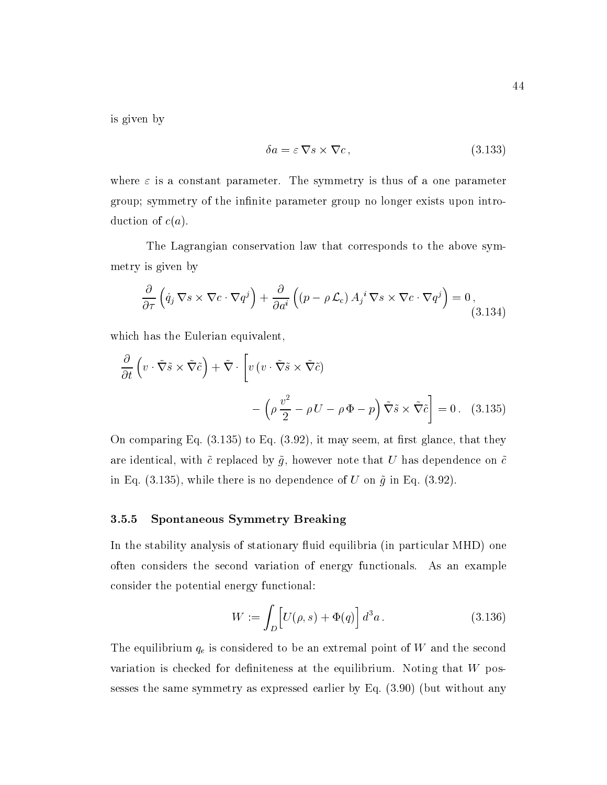is given by

$$
\delta a = \varepsilon \, \nabla s \times \nabla c \,,\tag{3.133}
$$

where  $\varepsilon$  is a constant parameter. The symmetry is thus of a one parameter group; symmetry of the infinite parameter group no longer exists upon introduction of  $c(a)$ .

The Lagrangian conservation law that corresponds to the above symmetry is given by

$$
\frac{\partial}{\partial \tau} \left( \dot{q}_j \, \nabla s \times \nabla c \cdot \nabla q^j \right) + \frac{\partial}{\partial a^i} \left( (p - \rho \mathcal{L}_c) A_j^i \, \nabla s \times \nabla c \cdot \nabla q^j \right) = 0, \tag{3.134}
$$

which has the Eulerian equivalent,

$$
\frac{\partial}{\partial t} \left( v \cdot \tilde{\nabla} \tilde{s} \times \tilde{\nabla} \tilde{c} \right) + \tilde{\nabla} \cdot \left[ v \left( v \cdot \tilde{\nabla} \tilde{s} \times \tilde{\nabla} \tilde{c} \right) \right] \n- \left( \rho \frac{v^2}{2} - \rho U - \rho \Phi - p \right) \tilde{\nabla} \tilde{s} \times \tilde{\nabla} \tilde{c} \right] = 0. \quad (3.135)
$$

On comparing Eq.  $(3.135)$  to Eq.  $(3.92)$ , it may seem, at first glance, that they are identical, with  $\tilde{c}$  replaced by  $\tilde{g}$ , however note that U has dependence on  $\tilde{c}$ in Eq. (3.135), while there is no dependence of U on  $\tilde{g}$  in Eq. (3.92).

#### 3.5.5 Spontaneous Symmetry Breaking

In the stability analysis of stationary fluid equilibria (in particular MHD) one often considers the second variation of energy functionals. As an example consider the potential energy functional:

$$
W := \int_{D} \left[ U(\rho, s) + \Phi(q) \right] d^3 a . \qquad (3.136)
$$

The equilibrium  $q_e$  is considered to be an extremal point of W and the second variation is checked for definiteness at the equilibrium. Noting that  $W$  possesses the same symmetry as expressed earlier by Eq.(3.90) (but without any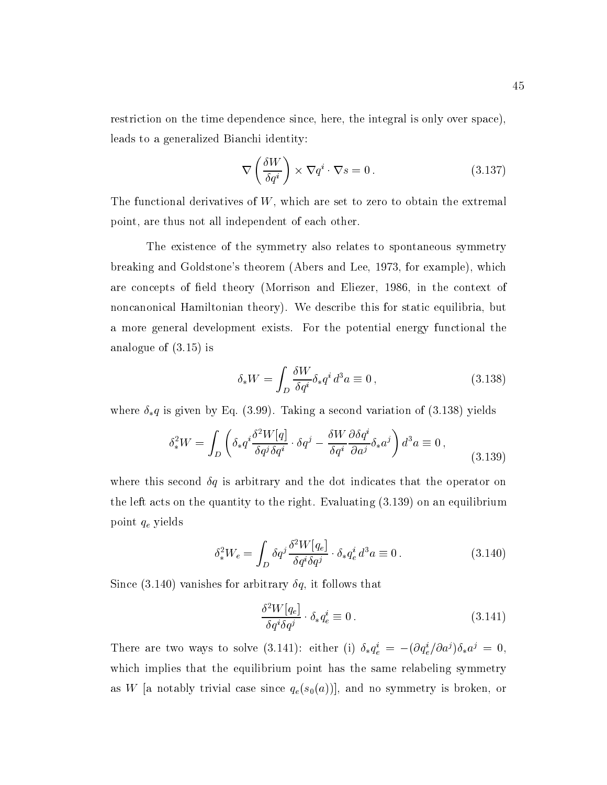restriction on the time dependence since, here, the integral is only over space), leads to a generalized Bianchi identity:

$$
\nabla \left( \frac{\delta W}{\delta q^i} \right) \times \nabla q^i \cdot \nabla s = 0.
$$
 (3.137)

The functional derivatives of  $W$ , which are set to zero to obtain the extremal point, are thus not all independent of each other.

The existence of the symmetry also relates to spontaneous symmetry breaking and Goldstone's theorem (Abersand Lee, 1973, for example), which are concepts of field theory (Morrison and Eliezer, 1986, in the context of noncanonical Hamiltonian theory). We describe this for static equilibria, but a more general development exists. For the potential energy functional the analogue of (3.15) is

$$
\delta_* W = \int_D \frac{\delta W}{\delta q^i} \delta_* q^i d^3 a \equiv 0 , \qquad (3.138)
$$

where  $\delta_* q$  is given by Eq. (3.99). Taking a second variation of (3.138) yields

$$
\delta_*^2 W = \int_D \left( \delta_* q^i \frac{\delta^2 W[q]}{\delta q^j \delta q^i} \cdot \delta q^j - \frac{\delta W}{\delta q^i} \frac{\partial \delta q^i}{\partial a^j} \delta_* a^j \right) d^3 a \equiv 0 , \qquad (3.139)
$$

where this second  $\delta q$  is arbitrary and the dot indicates that the operator on the left acts on the quantity to the right. Evaluating (3.139) on an equilibrium point qe yields

$$
\delta_*^2 W_e = \int_D \delta q^j \frac{\delta^2 W[q_e]}{\delta q^i \delta q^j} \cdot \delta_* q_e^i d^3 a \equiv 0. \qquad (3.140)
$$

Since (3.140) vanishes for arbitrary  $\delta q$ , it follows that

$$
\frac{\delta^2 W[q_e]}{\delta q^i \delta q^j} \cdot \delta_* q_e^i \equiv 0. \tag{3.141}
$$

There are two ways to solve (3.141): either (1)  $\partial_* q_e = -(\partial q_e / \partial d^2) \partial_* d^2 = 0$ , which implies that the equilibrium point has the same relabeling symmetry as W [a notably trivial case since  $q_e(s_0(a))$ ], and no symmetry is broken, or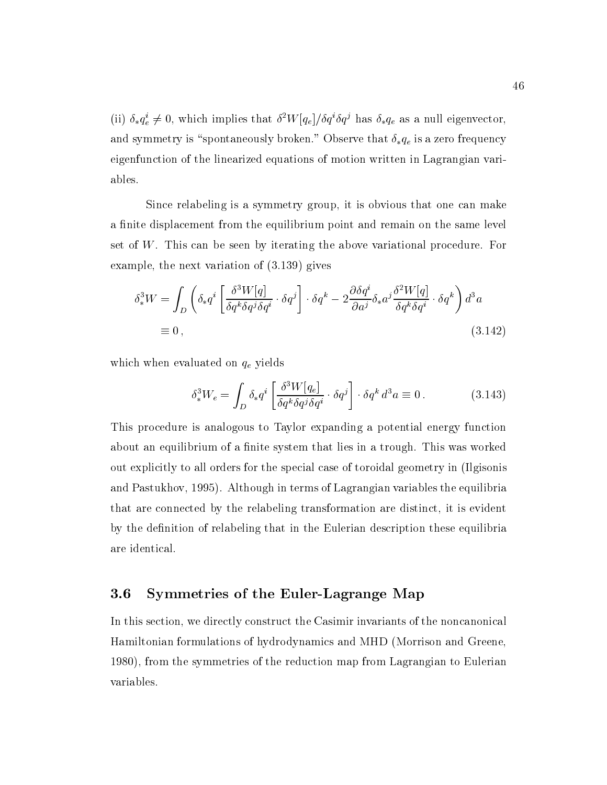(ii)  $\delta_* q_e^i \neq 0$ , which implies that  $\delta^2 W[q_e]/\delta q^i \delta q^j$  has  $\delta_* q_e$  as a null eigenvector, and symmetry is "spontaneously broken." Observe that  $\delta_* q_e$  is a zero frequency eigenfunction of the linearized equations of motion written in Lagrangian variables.

Since relabeling is a symmetry group, it is obvious that one can make a finite displacement from the equilibrium point and remain on the same level set of W. This can be seen by iterating the above variational procedure. For example, the next variation of (3.139) gives

$$
\delta_*^3 W = \int_D \left( \delta_* q^i \left[ \frac{\delta^3 W[q]}{\delta q^k \delta q^j \delta q^i} \cdot \delta q^j \right] \cdot \delta q^k - 2 \frac{\partial \delta q^i}{\partial a^j} \delta_* a^j \frac{\delta^2 W[q]}{\delta q^k \delta q^i} \cdot \delta q^k \right) d^3 a
$$
  
\n
$$
\equiv 0 \,, \tag{3.142}
$$

which when evaluated on  $q_e$  yields

$$
\delta_*^3 W_e = \int_D \delta_* q^i \left[ \frac{\delta^3 W[q_e]}{\delta q^k \delta q^j \delta q^i} \cdot \delta q^j \right] \cdot \delta q^k d^3 a \equiv 0. \tag{3.143}
$$

This procedure is analogous to Taylor expanding a potential energy function about an equilibrium of a finite system that lies in a trough. This was worked out explicitly to all orders for the special case of toroidal geometry in (Ilgisonis and Pastukhov, 1995). Although in terms of Lagrangian variables the equilibria that are connected by the relabeling transformation are distinct, it is evident by the definition of relabeling that in the Eulerian description these equilibria are identical.

# 3.6 Symmetries of the Euler-Lagrange Map

In this section, we directly construct the Casimir invariants of the noncanonical Hamiltonian formulations of hydrodynamics and MHD (Morrison and Greene, 1980), from the symmetries of the reduction map from Lagrangian to Eulerian variables.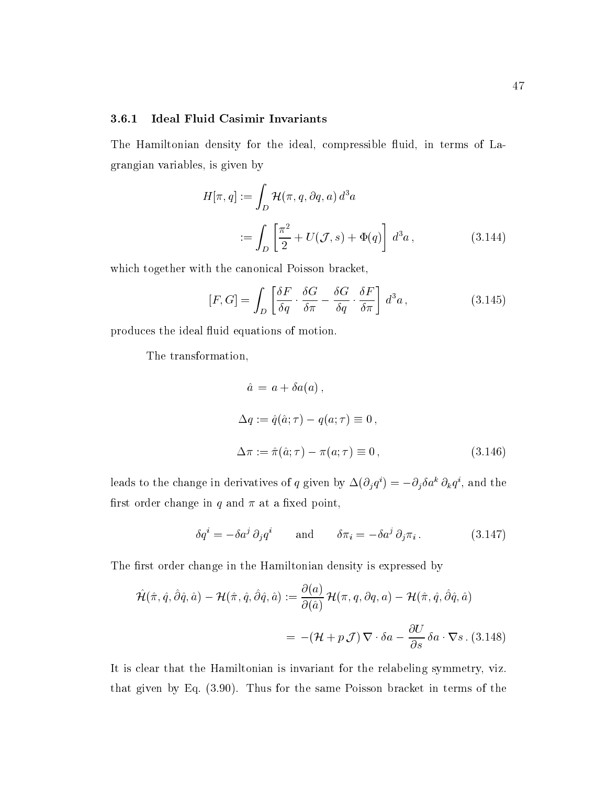#### 3.6.1 Ideal Fluid Casimir Invariants

The Hamiltonian density for the ideal, compressible fluid, in terms of Lagrangian variables, is given by

$$
H[\pi, q] := \int_D \mathcal{H}(\pi, q, \partial q, a) d^3 a
$$
  
 := 
$$
\int_D \left[ \frac{\pi^2}{2} + U(\mathcal{J}, s) + \Phi(q) \right] d^3 a,
$$
 (3.144)

which together with the canonical Poisson bracket,

$$
[F, G] = \int_{D} \left[ \frac{\delta F}{\delta q} \cdot \frac{\delta G}{\delta \pi} - \frac{\delta G}{\delta q} \cdot \frac{\delta F}{\delta \pi} \right] d^{3} a, \qquad (3.145)
$$

produces the ideal fluid equations of motion.

The transformation,

$$
\hat{a} = a + \delta a(a),
$$
  
\n
$$
\Delta q := \hat{q}(\hat{a}; \tau) - q(a; \tau) \equiv 0,
$$
  
\n
$$
\Delta \pi := \hat{\pi}(\hat{a}; \tau) - \pi(a; \tau) \equiv 0,
$$
\n(3.146)

ieads to the change in derivatives of q given by  $\Delta(O_i q^i) = -O_i o a^i O_k q^i$ , and the first order change in  $q$  and  $\pi$  at a fixed point,

$$
\delta q^{i} = -\delta a^{j} \partial_{j} q^{i} \quad \text{and} \quad \delta \pi_{i} = -\delta a^{j} \partial_{j} \pi_{i}. \quad (3.147)
$$

The first order change in the Hamiltonian density is expressed by

$$
\hat{\mathcal{H}}(\hat{\pi}, \hat{q}, \hat{\partial}\hat{q}, \hat{a}) - \mathcal{H}(\hat{\pi}, \hat{q}, \hat{\partial}\hat{q}, \hat{a}) := \frac{\partial(a)}{\partial(\hat{a})} \mathcal{H}(\pi, q, \partial q, a) - \mathcal{H}(\hat{\pi}, \hat{q}, \hat{\partial}\hat{q}, \hat{a})
$$

$$
= -(\mathcal{H} + p \mathcal{J}) \nabla \cdot \delta a - \frac{\partial U}{\partial s} \delta a \cdot \nabla s. (3.148)
$$

It is clear that the Hamiltonian is invariant for the relabeling symmetry, viz. that given by Eq. (3.90). Thus for the same Poisson bracket in terms of the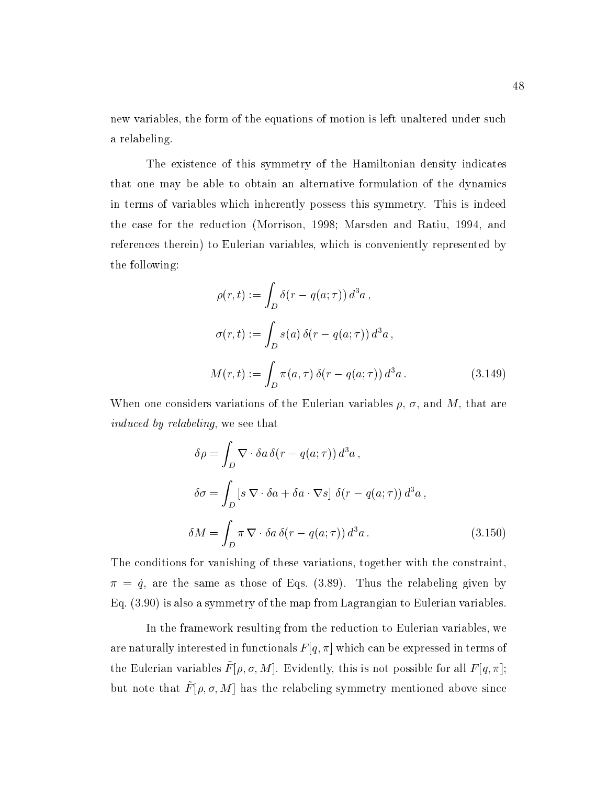new variables, the form of the equations of motion is left unaltered under such a relabeling.

The existence of this symmetry of the Hamiltonian density indicates that one may be able to obtain an alternative formulation of the dynamics in terms of variables which inherently possess this symmetry. This is indeed the case for the reduction (Morrison, 1998; Marsden and Ratiu, 1994, and references therein) to Eulerian variables, which is conveniently represented by the following:

$$
\rho(r,t) := \int_D \delta(r - q(a;\tau)) d^3a,
$$
  
\n
$$
\sigma(r,t) := \int_D s(a) \delta(r - q(a;\tau)) d^3a,
$$
  
\n
$$
M(r,t) := \int_D \pi(a,\tau) \delta(r - q(a;\tau)) d^3a.
$$
\n(3.149)

When one considers variations of the Eulerian variables  $\rho$ ,  $\sigma$ , and M, that are induced by relabeling, we see that

$$
\delta \rho = \int_{D} \nabla \cdot \delta a \, \delta(r - q(a; \tau)) d^{3} a ,
$$
  
\n
$$
\delta \sigma = \int_{D} \left[ s \, \nabla \cdot \delta a + \delta a \cdot \nabla s \right] \delta(r - q(a; \tau)) d^{3} a ,
$$
  
\n
$$
\delta M = \int_{D} \pi \, \nabla \cdot \delta a \, \delta(r - q(a; \tau)) d^{3} a .
$$
\n(3.150)

The conditions for vanishing of these variations, together with the constraint,  $\pi = \dot{q}$ , are the same as those of Eqs. (3.89). Thus the relabeling given by Eq. (3.90) is also a symmetry of the map from Lagrangian to Eulerian variables.

In the framework resulting from the reduction to Eulerian variables, we are naturally interested in functionals  $F[q, \pi]$  which can be expressed in terms of the Eulerian variables  $F[\nu, \nu, m]$ . Evidently, this is not possible for all  $F[q, n]$ , but note that  $F(\rho, \sigma, m)$  has the relabeling symmetry mentioned above since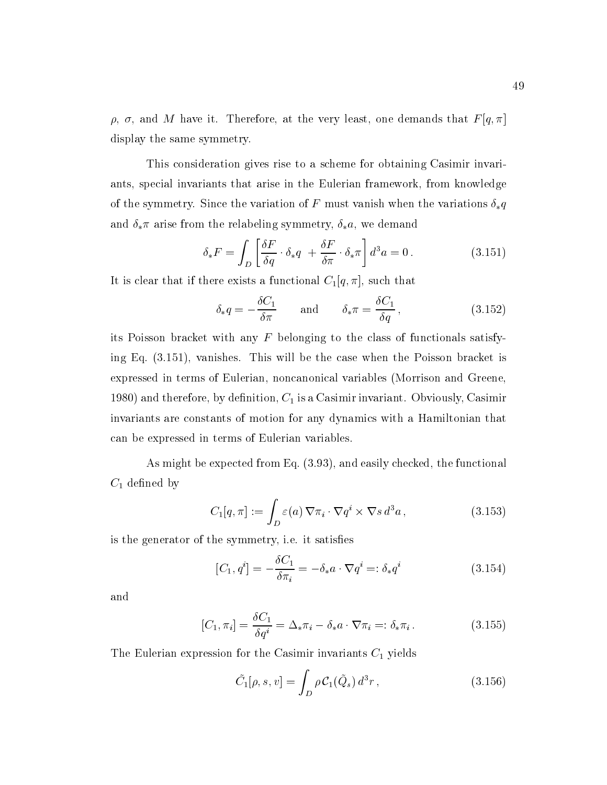$\rho$ ,  $\sigma$ , and M have it. Therefore, at the very least, one demands that  $F[q, \pi]$ display the same symmetry.

This consideration gives rise to a scheme for obtaining Casimir invariants, special invariants that arise in the Eulerian framework, from knowledge of the symmetry. Since the variation of F must vanish when the variations  $\delta_* q$ and  $\delta_*\pi$  arise from the relabeling symmetry,  $\delta_*a$ , we demand

$$
\delta_* F = \int_D \left[ \frac{\delta F}{\delta q} \cdot \delta_* q \right] + \frac{\delta F}{\delta \pi} \cdot \delta_* \pi \right] d^3 a = 0 \,. \tag{3.151}
$$

It is clear that if there exists a functional  $C_1[q, \pi]$ , such that

$$
\delta_* q = -\frac{\delta C_1}{\delta \pi} \quad \text{and} \quad \delta_* \pi = \frac{\delta C_1}{\delta q}, \qquad (3.152)
$$

its Poisson bracket with any  $F$  belonging to the class of functionals satisfying Eq. (3.151), vanishes. This will be the case when the Poisson bracket is expressed in terms of Eulerian, noncanonical variables (Morrison and Greene, 1980) and therefore, by definition,  $C_1$  is a Casimir invariant. Obviously, Casimir invariants are constants of motion for any dynamics with a Hamiltonian that can be expressed in terms of Eulerian variables.

As might be expected from Eq. (3.93), and easily checked, the functional  $C_1$  defined by

$$
C_1[q, \pi] := \int_D \varepsilon(a) \, \nabla \pi_i \cdot \nabla q^i \times \nabla s \, d^3 a \,, \tag{3.153}
$$

is the generator of the symmetry, i.e. it satises

$$
[C_1, q^i] = -\frac{\delta C_1}{\delta \pi_i} = -\delta_* a \cdot \nabla q^i =: \delta_* q^i \tag{3.154}
$$

and

$$
[C_1, \pi_i] = \frac{\delta C_1}{\delta q^i} = \Delta_* \pi_i - \delta_* a \cdot \nabla \pi_i =: \delta_* \pi_i. \tag{3.155}
$$

The Eulerian expression for the Casimir invariants  $C_1$  yields

$$
\tilde{C}_1[\rho, s, v] = \int_D \rho C_1(\tilde{Q}_s) d^3 r , \qquad (3.156)
$$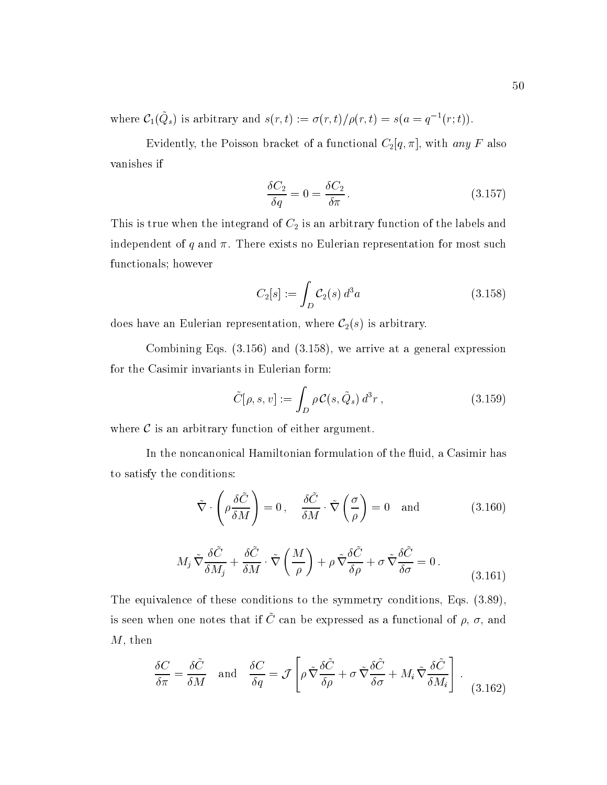where  $C_1(Q_s)$  is arbitrary and  $s(r, t) := \sigma(r, t)/\rho(r, t) = s(a = q^{-1}(r; t)).$ 

Evidently, the Poisson bracket of a functional  $C_2[q, \pi]$ , with any F also vanishes if

$$
\frac{\delta C_2}{\delta q} = 0 = \frac{\delta C_2}{\delta \pi}.
$$
\n(3.157)

This is true when the integrand of  $C_2$  is an arbitrary function of the labels and independent of  $q$  and  $\pi$ . There exists no Eulerian representation for most such functionals; however

$$
C_2[s] := \int_D \mathcal{C}_2(s) d^3 a \tag{3.158}
$$

does have an Eulerian representation, where  $C_2(s)$  is arbitrary.

Combining Eqs. (3.156) and (3.158), we arrive at a general expression for the Casimir invariants in Eulerian form:

$$
\tilde{C}[\rho, s, v] := \int_D \rho C(s, \tilde{Q}_s) d^3r , \qquad (3.159)
$$

where  $\mathcal C$  is an arbitrary function of either argument.

In the noncanonical Hamiltonian formulation of the fluid, a Casimir has to satisfy the conditions:

$$
\tilde{\nabla} \cdot \left( \rho \frac{\delta \tilde{C}}{\delta M} \right) = 0 \,, \quad \frac{\delta \tilde{C}}{\delta M} \cdot \tilde{\nabla} \left( \frac{\sigma}{\rho} \right) = 0 \quad \text{and} \tag{3.160}
$$

$$
M_j \tilde{\nabla} \frac{\delta \tilde{C}}{\delta M_j} + \frac{\delta \tilde{C}}{\delta M} \cdot \tilde{\nabla} \left( \frac{M}{\rho} \right) + \rho \tilde{\nabla} \frac{\delta \tilde{C}}{\delta \rho} + \sigma \tilde{\nabla} \frac{\delta \tilde{C}}{\delta \sigma} = 0.
$$
 (3.161)

The equivalence of these conditions to the symmetry conditions, Eqs. (3.89), is seen when one notes that if  $\cup$  can be expressed as a functional of  $\rho, \, \sigma,$  and  $M$ , then

$$
\frac{\delta C}{\delta \pi} = \frac{\delta \tilde{C}}{\delta M} \quad \text{and} \quad \frac{\delta C}{\delta q} = \mathcal{J} \left[ \rho \, \tilde{\nabla} \frac{\delta \tilde{C}}{\delta \rho} + \sigma \, \tilde{\nabla} \frac{\delta \tilde{C}}{\delta \sigma} + M_i \, \tilde{\nabla} \frac{\delta \tilde{C}}{\delta M_i} \right] \,. \tag{3.162}
$$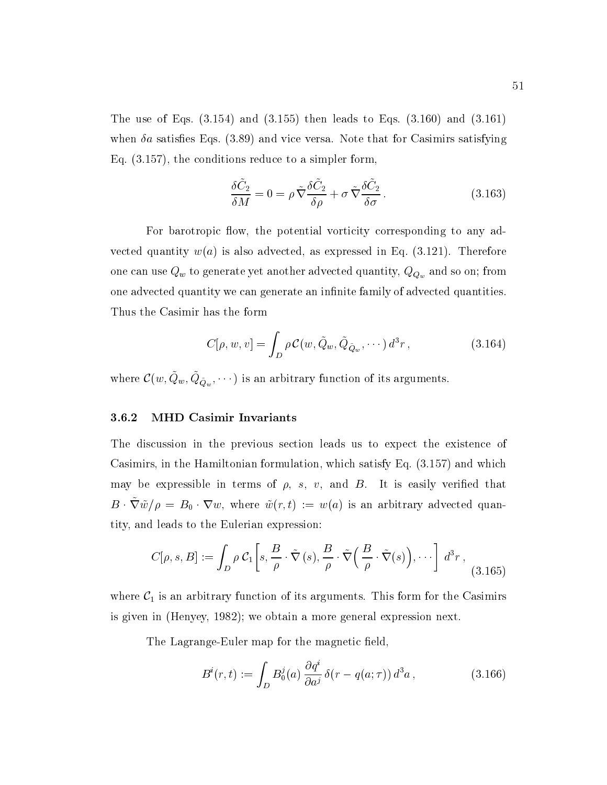The use of Eqs.  $(3.154)$  and  $(3.155)$  then leads to Eqs.  $(3.160)$  and  $(3.161)$ when  $\delta a$  satisfies Eqs. (3.89) and vice versa. Note that for Casimirs satisfying Eq. (3.157), the conditions reduce to a simpler form,

$$
\frac{\delta \tilde{C}_2}{\delta M} = 0 = \rho \tilde{\nabla} \frac{\delta \tilde{C}_2}{\delta \rho} + \sigma \tilde{\nabla} \frac{\delta \tilde{C}_2}{\delta \sigma}.
$$
\n(3.163)

For barotropic flow, the potential vorticity corresponding to any advected quantity  $w(a)$  is also advected, as expressed in Eq. (3.121). Therefore one can use  $Q_w$  to generate yet another advected quantity,  $Q_{Q_w}$  and so on; from one advected quantity we can generate an infinite family of advected quantities. Thus the Casimir has the form

$$
C[\rho, w, v] = \int_D \rho C(w, \tilde{Q}_w, \tilde{Q}_{\tilde{Q}_w}, \cdots) d^3 r,
$$
\n(3.164)

where  $\mathcal{C}(w, Q_w, Q_{\tilde{Q}_w}, \cdots)$  is an arbitrary function of its arguments.

#### 3.6.2 MHD Casimir Invariants

The discussion in the previous section leads us to expect the existence of Casimirs, in the Hamiltonian formulation, which satisfy Eq. (3.157) and which may be expressible in terms of  $\rho$ , s, v, and  $B$ . It is easily verified that  $B \cdot \tilde{\nabla} \tilde{w}/\rho = B_0 \cdot \nabla w$ , where  $\tilde{w}(r, t) := w(a)$  is an arbitrary advected quantity, and leads to the Eulerian expression:

$$
C[\rho, s, B] := \int_D \rho C_1 \left[ s, \frac{B}{\rho} \cdot \tilde{\nabla}(s), \frac{B}{\rho} \cdot \tilde{\nabla}\left(\frac{B}{\rho} \cdot \tilde{\nabla}(s)\right), \cdots \right] d^3r , \tag{3.165}
$$

where  $C_1$  is an arbitrary function of its arguments. This form for the Casimirs is given in (Henyey, 1982); we obtain a more general expression next.

The Lagrange-Euler map for the magnetic field,

$$
B^{i}(r,t) := \int_{D} B_{0}^{j}(a) \frac{\partial q^{i}}{\partial a^{j}} \delta(r - q(a;\tau)) d^{3}a , \qquad (3.166)
$$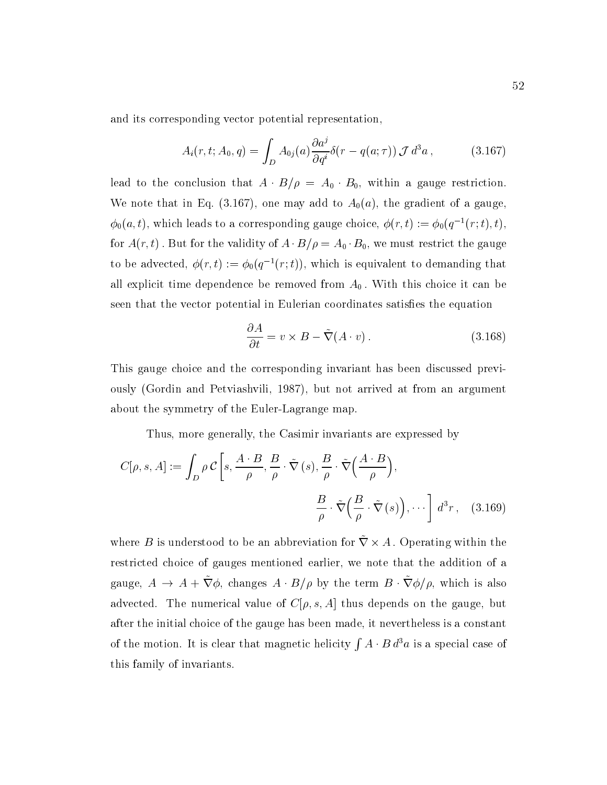and its corresponding vector potential representation,

$$
A_i(r, t; A_0, q) = \int_D A_{0j}(a) \frac{\partial a^j}{\partial q^i} \delta(r - q(a; \tau)) \mathcal{J} d^3 a , \qquad (3.167)
$$

lead to the conclusion that  $A \cdot B/\rho = A_0 \cdot B_0$ , within a gauge restriction. We note that in Eq. (3.167), one may add to  $A_0(a)$ , the gradient of a gauge,  $\phi_0(a, t)$ , which leads to a corresponding gauge choice,  $\phi(r, t) := \phi_0(q^{-1}(r; t), t)$ , for  $A(r, t)$ . But for the validity of  $A \cdot B/\rho = A_0 \cdot B_0$ , we must restrict the gauge to be advected,  $\phi(r, t) := \phi_0(q^{-1}(r; t))$ , which is equivalent to demanding that all explicit time dependence be removed from  $A_0$ . With this choice it can be seen that the vector potential in Eulerian coordinates satisfies the equation

$$
\frac{\partial A}{\partial t} = v \times B - \tilde{\nabla}(A \cdot v). \tag{3.168}
$$

This gauge choice and the corresponding invariant has been discussed previously (Gordin and Petviashvili, 1987), but not arrived at from an argument about the symmetry of the Euler-Lagrange map.

Thus, more generally, the Casimir invariants are expressed by

$$
C[\rho, s, A] := \int_{D} \rho \, C\left[s, \frac{A \cdot B}{\rho}, \frac{B}{\rho} \cdot \tilde{\nabla}(s), \frac{B}{\rho} \cdot \tilde{\nabla}\left(\frac{A \cdot B}{\rho}\right),\right]
$$

$$
\frac{B}{\rho} \cdot \tilde{\nabla}\left(\frac{B}{\rho} \cdot \tilde{\nabla}(s)\right), \cdots\right] d^{3}r, \quad (3.169)
$$

where B is understood to be an abbreviation for  $\nabla \times A$ . Operating within the restricted choice of gauges mentioned earlier, we note that the addition of a gauge,  $A \to A + \tilde{\nabla} \phi$ , changes  $A \cdot B/\rho$  by the term  $B \cdot \tilde{\nabla} \phi/\rho$ , which is also advected. The numerical value of  $C[\rho, s, A]$  thus depends on the gauge, but after the initial choice of the gauge has been made, it nevertheless is a constant of the motion. It is constructed in the motion. It is clear that magnetic helicity  $\mathbf{r}$  $\int A \cdot B d^3a$  is a special case of this family of invariants.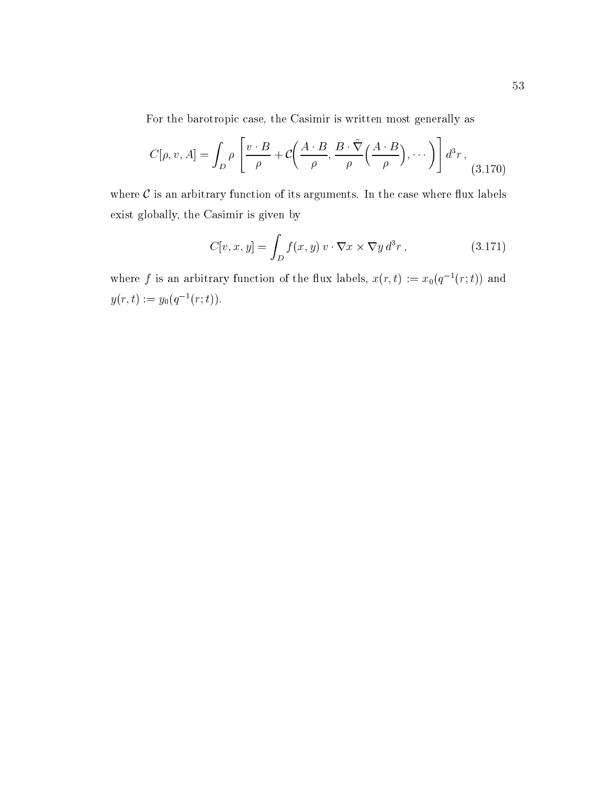For the barotropic case, the Casimir is written most generally as

$$
C[\rho, v, A] = \int_D \rho \left[ \frac{v \cdot B}{\rho} + C\left(\frac{A \cdot B}{\rho}, \frac{B \cdot \tilde{\nabla}}{\rho} \left(\frac{A \cdot B}{\rho}\right), \cdots\right) \right] d^3r , \tag{3.170}
$$

where  $C$  is an arbitrary function of its arguments. In the case where flux labels exist globally, the Casimir is given by

$$
C[v, x, y] = \int_{D} f(x, y) v \cdot \nabla x \times \nabla y d^{3} r,
$$
 (3.171)

where f is an arbitrary function of the flux labels,  $x(r, t) := x_0(q^{-1}(r; t))$  and  $y(r, t) := y_0(q^{-1}(r; t)).$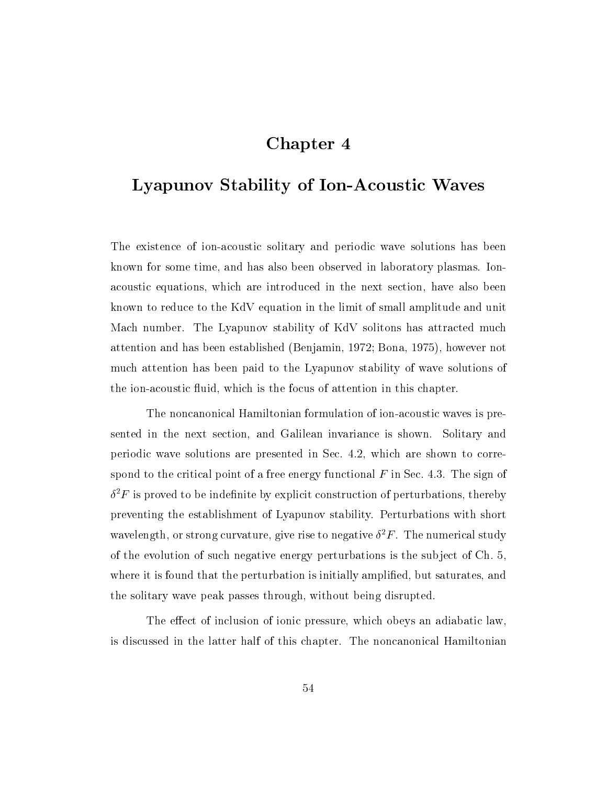# Chapter 4

# Lyapunov Stability of Ion-Acoustic Waves

The existence of ion-acoustic solitary and periodic wave solutions has been known for some time, and has also been observed in laboratory plasmas. Ionacoustic equations, which are introduced in the next section, have also been known to reduce to the KdV equation in the limit of small amplitude and unit Mach number. The Lyapunov stability of KdV solitons has attracted much attention and has been established (Benjamin, 1972; Bona, 1975), however not much attention has been paid to the Lyapunov stability of wave solutions of the ion-acoustic fluid, which is the focus of attention in this chapter.

The noncanonical Hamiltonian formulation of ion-acoustic waves is presented in the next section, and Galilean invariance is shown. Solitary and periodic wave solutions are presented in Sec. 4.2, which are shown to correspond to the critical point of a free energy functional  $F$  in Sec. 4.3. The sign of  $\sigma$   $r$  is proved to be indefinite by explicit construction of perturbations, thereby preventing the establishment of Lyapunov stability. Perturbations with short wavelength, or strong curvature, give rise to negative  $\sigma^*r$  . The numerical study of the evolution of such negative energy perturbations is the sub ject of Ch. 5, where it is found that the perturbation is initially amplified, but saturates, and the solitary wave peak passes through, without being disrupted.

The effect of inclusion of ionic pressure, which obeys an adiabatic law, is discussed in the latter half of this chapter. The noncanonical Hamiltonian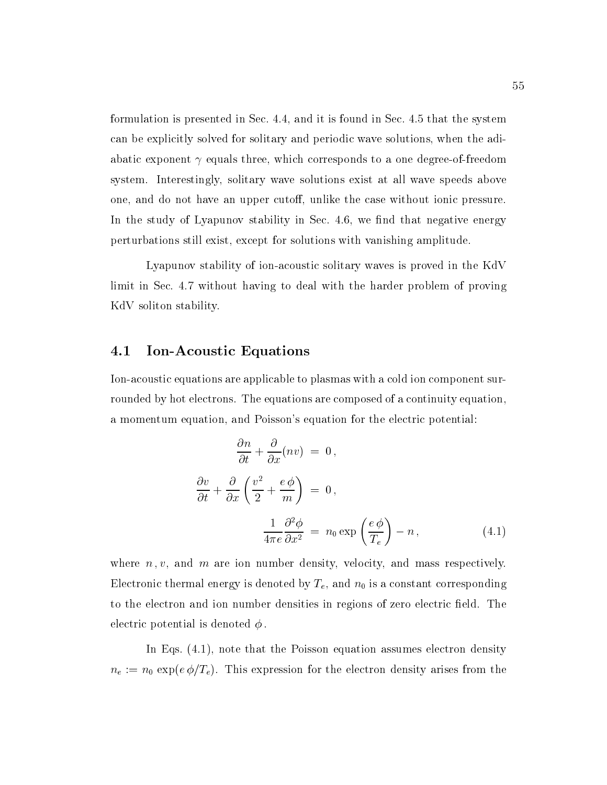formulation is presented in Sec. 4.4, and it is found in Sec. 4.5 that the system can be explicitly solved for solitary and periodic wave solutions, when the adiabatic exponent  $\gamma$  equals three, which corresponds to a one degree-of-freedom system. Interestingly, solitary wave solutions exist at all wave speeds above one, and do not have an upper cutoff, unlike the case without ionic pressure. In the study of Lyapunov stability in Sec.  $4.6$ , we find that negative energy perturbations still exist, except for solutions with vanishing amplitude.

Lyapunov stability of ion-acoustic solitary waves is proved in the KdV limit in Sec. 4.7 without having to deal with the harder problem of proving KdV soliton stability.

## 4.1 Ion-Acoustic Equations

Ion-acoustic equations are applicable to plasmas with a cold ion component surrounded by hot electrons. The equations are composed of a continuity equation, a momentum equation, and Poisson's equation for the electric potential:

$$
\frac{\partial n}{\partial t} + \frac{\partial}{\partial x}(nv) = 0,
$$
  

$$
\frac{\partial v}{\partial t} + \frac{\partial}{\partial x}\left(\frac{v^2}{2} + \frac{e\phi}{m}\right) = 0,
$$
  

$$
\frac{1}{4\pi e}\frac{\partial^2 \phi}{\partial x^2} = n_0 \exp\left(\frac{e\phi}{T_e}\right) - n,
$$
 (4.1)

where  $n, v$ , and m are ion number density, velocity, and mass respectively. Electronic thermal energy is denoted by  $T_e$ , and  $n_0$  is a constant corresponding to the electron and ion number densities in regions of zero electric field. The electric potential is denoted  $\phi$ .

In Eqs.  $(4.1)$ , note that the Poisson equation assumes electron density  $n_e := n_0 \exp(e \phi/T_e)$ . This expression for the electron density arises from the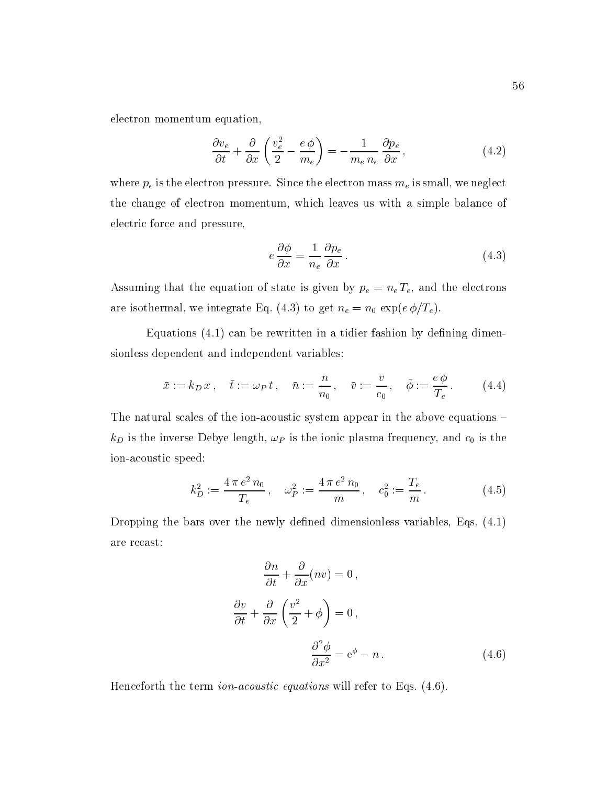electron momentum equation,

$$
\frac{\partial v_e}{\partial t} + \frac{\partial}{\partial x} \left( \frac{v_e^2}{2} - \frac{e \phi}{m_e} \right) = -\frac{1}{m_e n_e} \frac{\partial p_e}{\partial x},\tag{4.2}
$$

where  $p_e$  is the electron pressure. Since the electron mass  $m_e$  is small, we neglect the change of electron momentum, which leaves us with a simple balance of electric force and pressure,

$$
e\frac{\partial\phi}{\partial x} = \frac{1}{n_e}\frac{\partial p_e}{\partial x}.
$$
\n(4.3)

Assuming that the equation of state is given by  $p_e = n_e T_e$ , and the electrons are isothermal, we integrate Eq. (4.3) to get  $n_e = n_0 \exp(e \phi/T_e)$ .

Equations  $(4.1)$  can be rewritten in a tidier fashion by defining dimensionless dependent and independent variables:

$$
\bar{x} := k_D \, x \, , \quad \bar{t} := \omega_P \, t \, , \quad \bar{n} := \frac{n}{n_0} \, , \quad \bar{v} := \frac{v}{c_0} \, , \quad \bar{\phi} := \frac{e \, \phi}{T_e} \, . \tag{4.4}
$$

The natural scales of the ion-acoustic system appear in the above equations  $$  $k_D$  is the inverse Debye length,  $\omega_P$  is the ionic plasma frequency, and  $c_0$  is the ion-acoustic speed:

$$
k_D^2 := \frac{4 \pi e^2 n_0}{T_e} , \quad \omega_P^2 := \frac{4 \pi e^2 n_0}{m} , \quad c_0^2 := \frac{T_e}{m} . \tag{4.5}
$$

Dropping the bars over the newly defined dimensionless variables, Eqs.  $(4.1)$ are recast:

$$
\frac{\partial n}{\partial t} + \frac{\partial}{\partial x}(nv) = 0,
$$
  

$$
\frac{\partial v}{\partial t} + \frac{\partial}{\partial x}\left(\frac{v^2}{2} + \phi\right) = 0,
$$
  

$$
\frac{\partial^2 \phi}{\partial x^2} = e^{\phi} - n.
$$
 (4.6)

Henceforth the term *ion-acoustic equations* will refer to Eqs.  $(4.6)$ .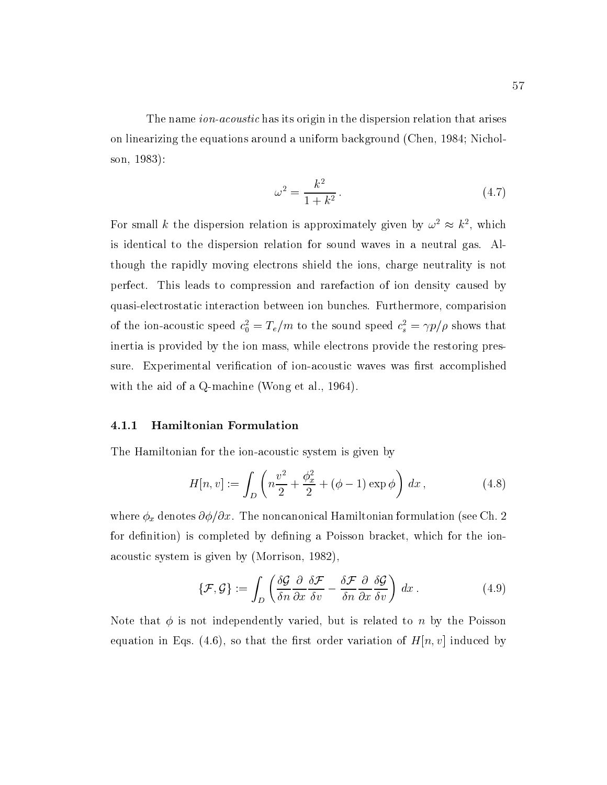The name *ion-acoustic* has its origin in the dispersion relation that arises on linearizing the equations around a uniform background (Chen, 1984; Nicholson, 1983):

$$
\omega^2 = \frac{k^2}{1 + k^2}.\tag{4.7}
$$

For small k the dispersion relation is approximately given by  $\omega^2 \approx k^2$ , which is identical to the dispersion relation for sound waves in a neutral gas. Although the rapidly moving electrons shield the ions, charge neutrality is not perfect. This leads to compression and rarefaction of ion density caused by quasi-electrostatic interaction between ion bunches. Furthermore, comparision of the ion-acoustic speed  $c_0 = I_e/m$  to the sound speed  $c_s = \gamma p/\rho$  shows that inertia is provided by the ion mass, while electrons provide the restoring pressure. Experimental verification of ion-acoustic waves was first accomplished with the aid of a Q-machine (Wong et al., 1964).

#### 4.1.1 Hamiltonian Formulation

The Hamiltonian for the ion-acoustic system is given by

$$
H[n, v] := \int_{D} \left( n \frac{v^2}{2} + \frac{\phi_x^2}{2} + (\phi - 1) \exp \phi \right) dx, \tag{4.8}
$$

where  $\phi_x$  denotes  $\partial \phi / \partial x$ . The noncanonical Hamiltonian formulation (see Ch. 2) for definition) is completed by defining a Poisson bracket, which for the ionacoustic system is given by (Morrison, 1982),

$$
\{\mathcal{F},\mathcal{G}\} := \int_D \left( \frac{\delta \mathcal{G}}{\delta n} \frac{\partial}{\partial x} \frac{\delta \mathcal{F}}{\delta v} - \frac{\delta \mathcal{F}}{\delta n} \frac{\partial}{\partial x} \frac{\delta \mathcal{G}}{\delta v} \right) dx. \tag{4.9}
$$

Note that  $\phi$  is not independently varied, but is related to n by the Poisson equation in Eqs. (4.6), so that the first order variation of  $H[n, v]$  induced by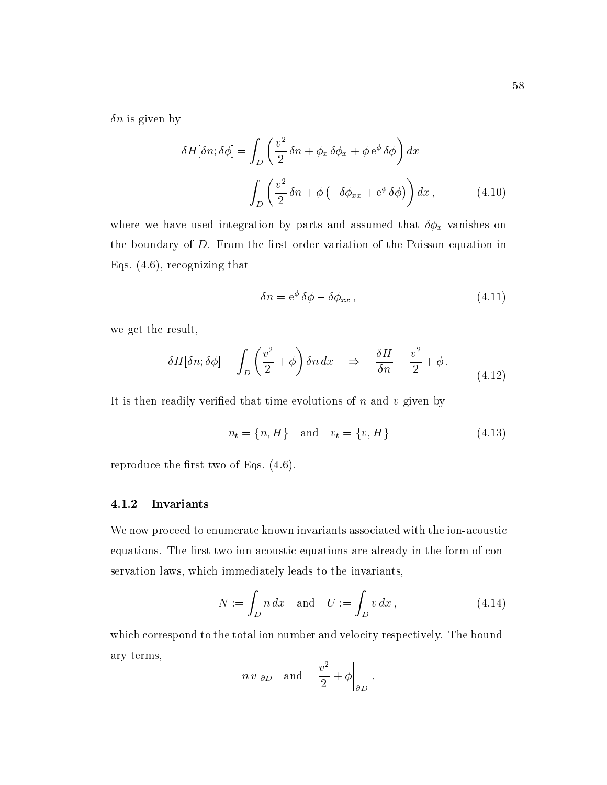$\delta n$  is given by

$$
\delta H[\delta n; \delta \phi] = \int_{D} \left( \frac{v^2}{2} \delta n + \phi_x \delta \phi_x + \phi e^{\phi} \delta \phi \right) dx
$$

$$
= \int_{D} \left( \frac{v^2}{2} \delta n + \phi \left( -\delta \phi_{xx} + e^{\phi} \delta \phi \right) \right) dx , \qquad (4.10)
$$

where we have used integration by parts and assumed that  $\delta \phi_x$  vanishes on the boundary of  $D$ . From the first order variation of the Poisson equation in Eqs. (4.6), recognizing that

$$
\delta n = e^{\phi} \delta \phi - \delta \phi_{xx}, \qquad (4.11)
$$

we get the result,

$$
\delta H[\delta n; \delta \phi] = \int_D \left(\frac{v^2}{2} + \phi\right) \delta n \, dx \quad \Rightarrow \quad \frac{\delta H}{\delta n} = \frac{v^2}{2} + \phi \,. \tag{4.12}
$$

It is then readily verified that time evolutions of  $n$  and  $v$  given by

$$
n_t = \{n, H\} \quad \text{and} \quad v_t = \{v, H\} \tag{4.13}
$$

reproduce the first two of Eqs.  $(4.6)$ .

## 4.1.2 Invariants

We now proceed to enumerate known invariants associated with the ion-acoustic equations. The first two ion-acoustic equations are already in the form of conservation laws, which immediately leads to the invariants,

$$
N := \int_D n \, dx \quad \text{and} \quad U := \int_D v \, dx \,, \tag{4.14}
$$

which correspond to the total ion number and velocity respectively. The boundary terms,  $\sim 1$  $\Omega$ 

$$
n v|_{\partial D}
$$
 and  $\frac{v^2}{2} + \phi\Big|_{\partial D}$ ,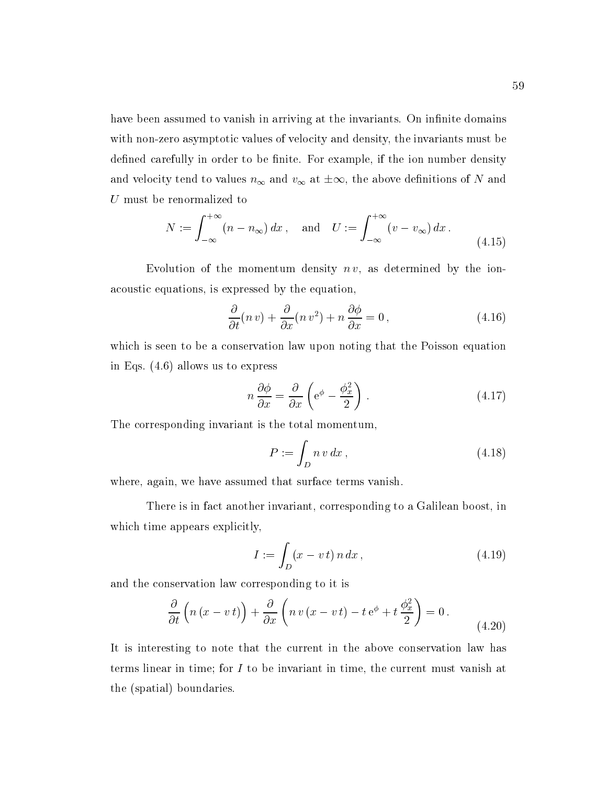have been assumed to vanish in arriving at the invariants. On infinite domains with non-zero asymptotic values of velocity and density, the invariants must be defined carefully in order to be finite. For example, if the ion number density and velocity tend to values  $n_{\infty}$  and  $v_{\infty}$  at  $\pm \infty$ , the above definitions of N and U must be renormalized to

$$
N := \int_{-\infty}^{+\infty} (n - n_{\infty}) dx, \text{ and } U := \int_{-\infty}^{+\infty} (v - v_{\infty}) dx.
$$
 (4.15)

Evolution of the momentum density  $n v$ , as determined by the ionacoustic equations, is expressed by the equation,

$$
\frac{\partial}{\partial t}(n\,v) + \frac{\partial}{\partial x}(n\,v^2) + n\,\frac{\partial\phi}{\partial x} = 0\,,\tag{4.16}
$$

which is seen to be a conservation law upon noting that the Poisson equation in Eqs. (4.6) allows us to express

$$
n\frac{\partial\phi}{\partial x} = \frac{\partial}{\partial x}\left(e^{\phi} - \frac{\phi_x^2}{2}\right) \tag{4.17}
$$

The corresponding invariant is the total momentum,

$$
P := \int_D n v \, dx \,,\tag{4.18}
$$

where, again, we have assumed that surface terms vanish.

There is in fact another invariant, corresponding to a Galilean boost, in which time appears explicitly,

$$
I := \int_{D} (x - v \, t) \, n \, dx \,, \tag{4.19}
$$

and the conservation law corresponding to it is

$$
\frac{\partial}{\partial t} \left( n \left( x - v \, t \right) \right) + \frac{\partial}{\partial x} \left( n \, v \left( x - v \, t \right) - t \, e^{\phi} + t \, \frac{\phi_x^2}{2} \right) = 0 \,. \tag{4.20}
$$

It is interesting to note that the current in the above conservation law has terms linear in time; for I to be invariant in time, the current must vanish at the (spatial) boundaries.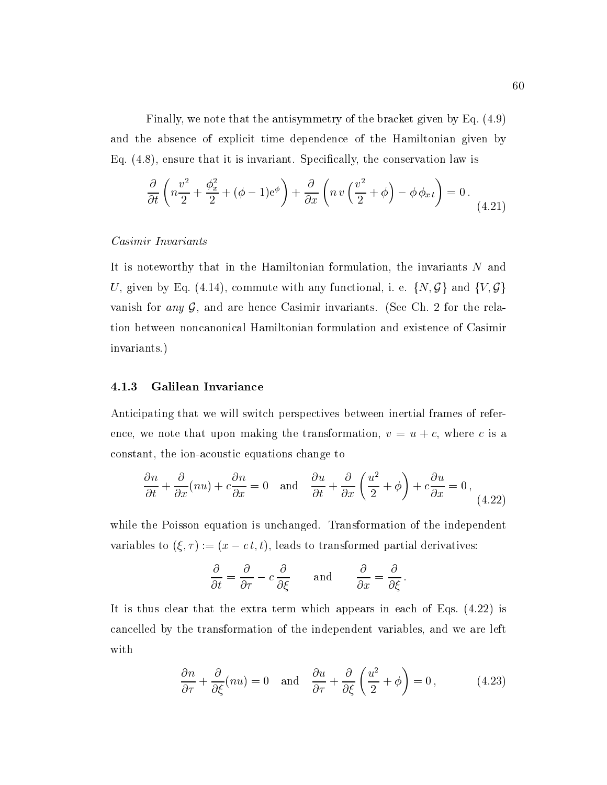Finally, we note that the antisymmetry of the bracket given by Eq. (4.9) and the absence of explicit time dependence of the Hamiltonian given by Eq. (4.8), ensure that it is invariant. Specically, the conservation law is

$$
\frac{\partial}{\partial t} \left( n \frac{v^2}{2} + \frac{\phi_x^2}{2} + (\phi - 1)e^{\phi} \right) + \frac{\partial}{\partial x} \left( n v \left( \frac{v^2}{2} + \phi \right) - \phi \phi_{x} \right) = 0 \tag{4.21}
$$

## Casimir Invariants

It is noteworthy that in the Hamiltonian formulation, the invariants N and U, given by Eq. (4.14), commute with any functional, i. e.  $\{N, \mathcal{G}\}\$  and  $\{V, \mathcal{G}\}\$ vanish for any  $G$ , and are hence Casimir invariants. (See Ch. 2 for the relation between noncanonical Hamiltonian formulation and existence of Casimir invariants.)

#### 4.1.3 Galilean Invariance

Anticipating that we will switch perspectives between inertial frames of reference, we note that upon making the transformation,  $v = u + c$ , where c is a constant, the ion-acoustic equations change to

$$
\frac{\partial n}{\partial t} + \frac{\partial}{\partial x}(nu) + c \frac{\partial n}{\partial x} = 0 \quad \text{and} \quad \frac{\partial u}{\partial t} + \frac{\partial}{\partial x}\left(\frac{u^2}{2} + \phi\right) + c \frac{\partial u}{\partial x} = 0,
$$
\n(4.22)

while the Poisson equation is unchanged. Transformation of the independent variables to  $(\xi, \tau) := (x - c t, t)$ , leads to transformed partial derivatives:

$$
\frac{\partial}{\partial t} = \frac{\partial}{\partial \tau} - c \frac{\partial}{\partial \xi} \quad \text{and} \quad \frac{\partial}{\partial x} = \frac{\partial}{\partial \xi}.
$$

It is thus clear that the extra term which appears in each of Eqs. (4.22) is cancelled by the transformation of the independent variables, and we are left with

$$
\frac{\partial n}{\partial \tau} + \frac{\partial}{\partial \xi}(nu) = 0 \quad \text{and} \quad \frac{\partial u}{\partial \tau} + \frac{\partial}{\partial \xi}\left(\frac{u^2}{2} + \phi\right) = 0, \quad (4.23)
$$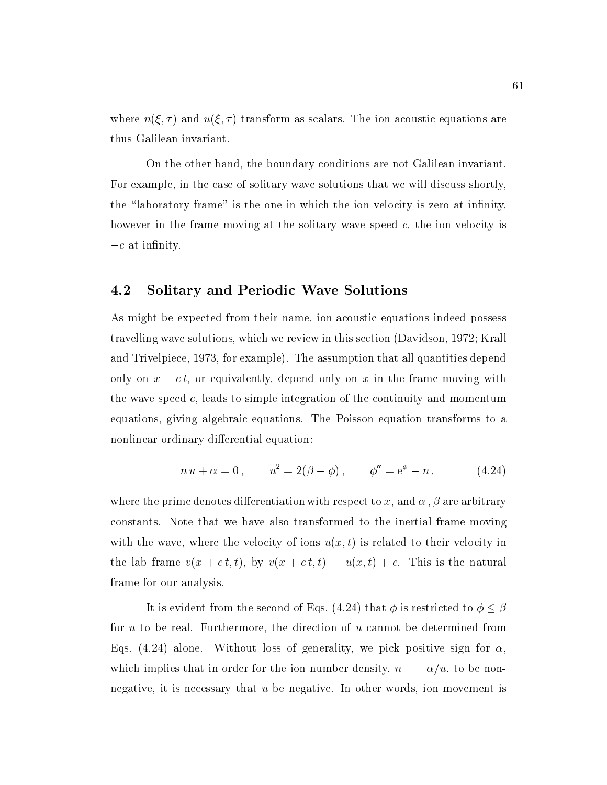where  $n(\xi, \tau)$  and  $u(\xi, \tau)$  transform as scalars. The ion-acoustic equations are thus Galilean invariant.

On the other hand, the boundary conditions are not Galilean invariant. For example, in the case of solitary wave solutions that we will discuss shortly, the "laboratory frame" is the one in which the ion velocity is zero at infinity, however in the frame moving at the solitary wave speed  $c$ , the ion velocity is  $-c$  at infinity.

# 4.2 Solitary and Periodic Wave Solutions

As might be expected from their name, ion-acoustic equations indeed possess travelling wave solutions, which we review in this section (Davidson, 1972; Krall and Trivelpiece, 1973, for example). The assumption that all quantities depend only on  $x - c t$ , or equivalently, depend only on x in the frame moving with the wave speed  $c$ , leads to simple integration of the continuity and momentum equations, giving algebraic equations. The Poisson equation transforms to a nonlinear ordinary differential equation:

$$
n u + \alpha = 0, \qquad u^2 = 2(\beta - \phi), \qquad \phi'' = e^{\phi} - n, \tag{4.24}
$$

where the prime denotes differentiation with respect to x, and  $\alpha$ ,  $\beta$  are arbitrary constants. Note that we have also transformed to the inertial frame moving with the wave, where the velocity of ions  $u(x, t)$  is related to their velocity in the lab frame  $v(x + c t, t)$ , by  $v(x + c t, t) = u(x, t) + c$ . This is the natural frame for our analysis.

It is evident from the second of Eqs. (4.24) that  $\phi$  is restricted to  $\phi \leq \beta$ for u to be real. Furthermore, the direction of u cannot be determined from Eqs. (4.24) alone. Without loss of generality, we pick positive sign for  $\alpha$ . which implies that in order for the ion number density,  $n = -\alpha/u$ , to be nonnegative, it is necessary that u be negative. In other words, ion movement is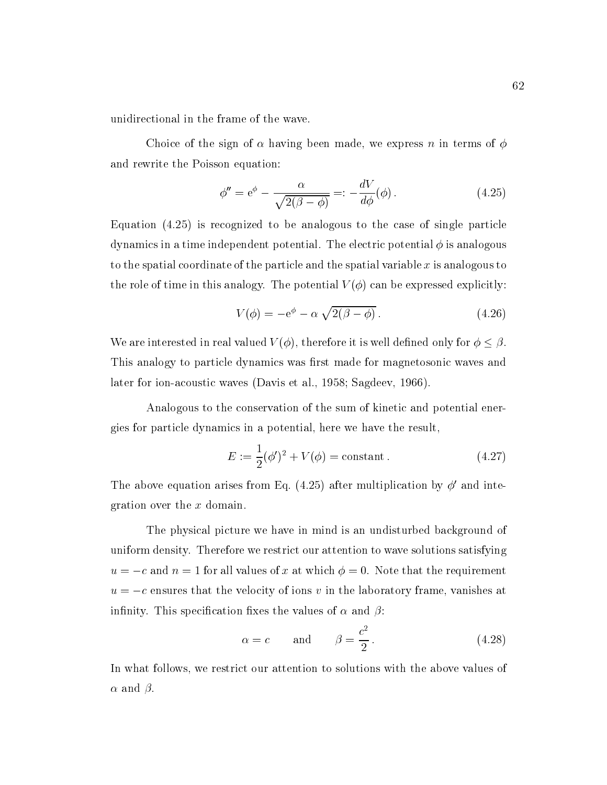unidirectional in the frame of the wave.

Choice of the sign of  $\alpha$  having been made, we express n in terms of  $\phi$ and rewrite the Poisson equation:

$$
\phi'' = e^{\phi} - \frac{\alpha}{\sqrt{2(\beta - \phi)}} =: -\frac{dV}{d\phi}(\phi). \tag{4.25}
$$

Equation (4.25) is recognized to be analogous to the case of single particle dynamics in a time independent potential. The electric potential  $\phi$  is analogous to the spatial coordinate of the particle and the spatial variable  $x$  is analogous to the role of time in this analogy. The potential  $V(\phi)$  can be expressed explicitly:

$$
V(\phi) = -e^{\phi} - \alpha \sqrt{2(\beta - \phi)}.
$$
 (4.26)

We are interested in real valued  $V(\phi)$ , therefore it is well defined only for  $\phi \leq \beta$ . This analogy to particle dynamics was first made for magnetosonic waves and later for ion-acoustic waves (Davis et al., 1958; Sagdeev, 1966).

Analogous to the conservation of the sum of kinetic and potential energies for particle dynamics in a potential, here we have the result,

$$
E := \frac{1}{2}(\phi')^2 + V(\phi) = \text{constant} \,. \tag{4.27}
$$

The above equation arises from Eq. (4.25) after multiplication by  $\phi'$  and integration over the x domain.

The physical picture we have in mind is an undisturbed background of uniform density. Therefore we restrict our attention to wave solutions satisfying  $u = -c$  and  $n = 1$  for all values of x at which  $\phi = 0$ . Note that the requirement  $u = -c$  ensures that the velocity of ions v in the laboratory frame, vanishes at infinity. This specification fixes the values of  $\alpha$  and  $\beta$ :

$$
\alpha = c \qquad \text{and} \qquad \beta = \frac{c^2}{2} \,. \tag{4.28}
$$

In what follows, we restrict our attention to solutions with the above values of  $\alpha$  and  $\beta$ .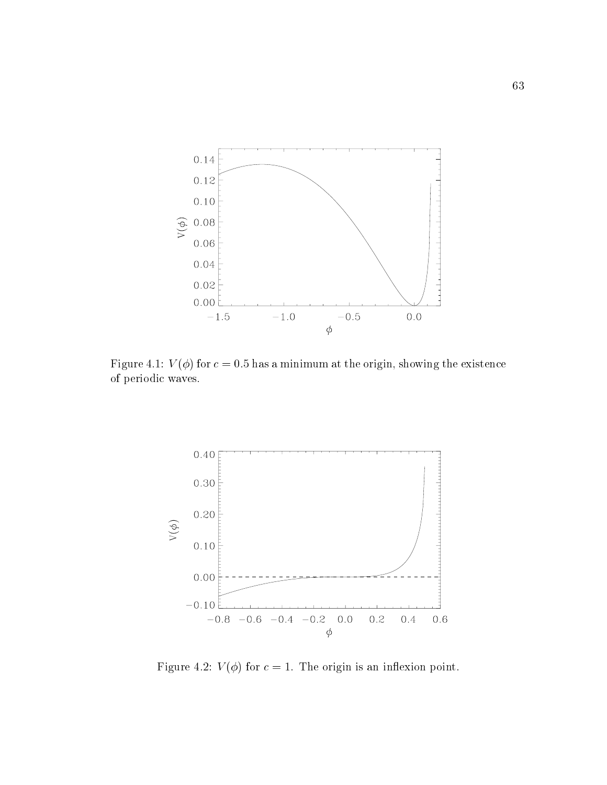

Figure 4.1:  $V(\phi)$  for  $c = 0.5$  has a minimum at the origin, showing the existence of periodic waves.



Figure 4.2:  $V(\phi)$  for  $c = 1$ . The origin is an inflexion point.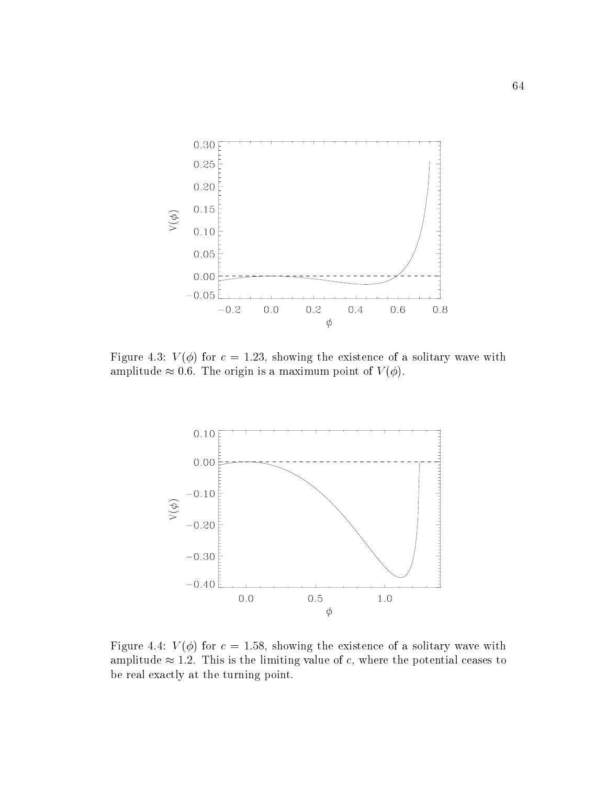

Figure 4.3:  $V(\phi)$  for  $c = 1.23$ , showing the existence of a solitary wave with amplitude  $\approx 0.6$ . The origin is a maximum point of  $V(\phi)$ .



Figure 4.4:  $V(\phi)$  for  $c = 1.58$ , showing the existence of a solitary wave with amplitude  $\approx 1.2$ . This is the limiting value of c, where the potential ceases to be real exactly at the turning point.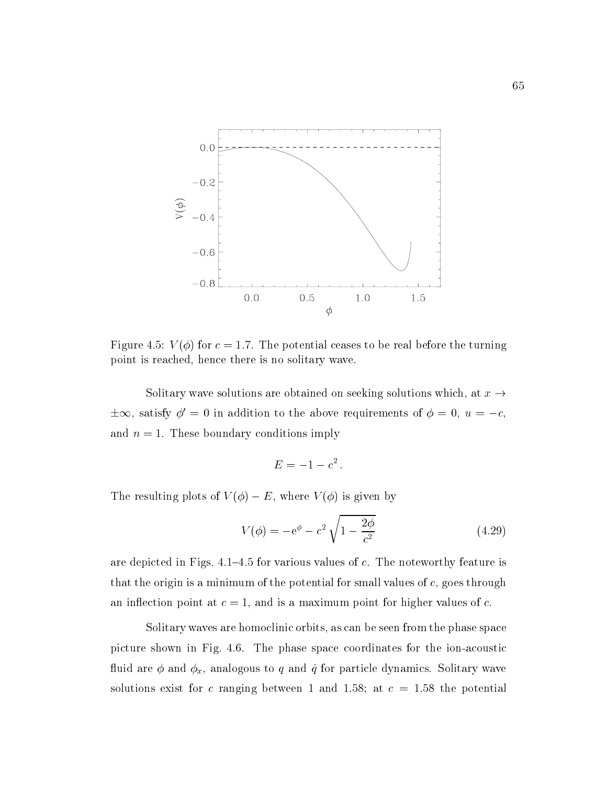

Figure 4.5:  $V(\phi)$  for  $c = 1.7$ . The potential ceases to be real before the turning point is reached, hence there is no solitary wave.

Solitary wave solutions are obtained on seeking solutions which, at  $x \rightarrow$  $\pm \infty$ , satisfy  $\phi' = 0$  in addition to the above requirements of  $\phi = 0$ ,  $u = -c$ , and  $n = 1$ . These boundary conditions imply

$$
E=-1-c^2.
$$

The resulting plots of  $V(\phi) - E$ , where  $V(\phi)$  is given by

$$
V(\phi) = -e^{\phi} - c^2 \sqrt{1 - \frac{2\phi}{c^2}}
$$
 (4.29)

are depicted in Figs.  $4.1{-}4.5$  for various values of c. The noteworthy feature is that the origin is a minimum of the potential for small values of  $c$ , goes through an inflection point at  $c = 1$ , and is a maximum point for higher values of c.

Solitary waves are homoclinic orbits, as can be seen from the phase space picture shown in Fig. 4.6. The phase space coordinates for the ion-acoustic fluid are  $\phi$  and  $\phi_x$ , analogous to q and q for particle dynamics. Solitary wave solutions exist for c ranging between 1 and 1.58; at  $c = 1.58$  the potential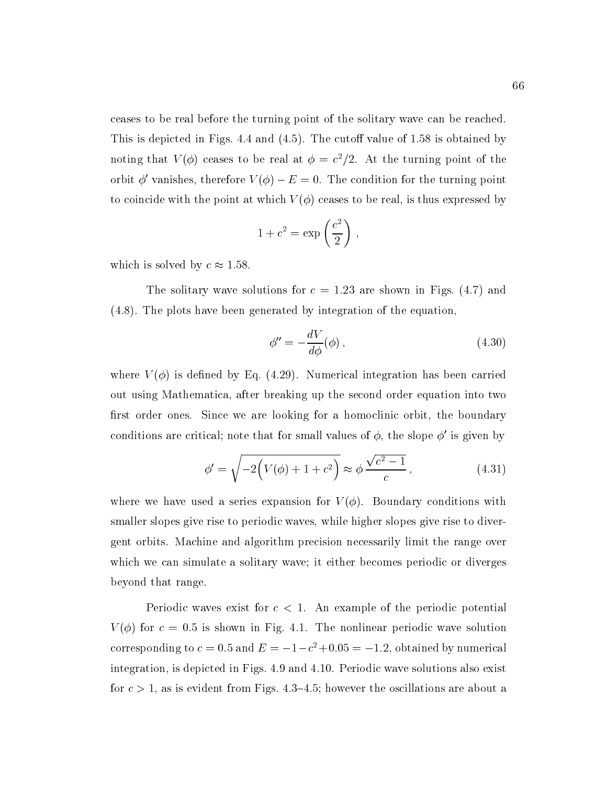ceases to be real before the turning point of the solitary wave can be reached. This is depicted in Figs. 4.4 and  $(4.5)$ . The cutoff value of 1.58 is obtained by noting that  $V(\varphi)$  ceases to be real at  $\varphi = c_1/z$ . At the turning point of the orbit  $\phi'$  vanishes, therefore  $V(\phi) - E = 0$ . The condition for the turning point to coincide with the point at which  $V(\phi)$  ceases to be real, is thus expressed by

$$
1 + c2 = \exp\left(\frac{c2}{2}\right) ,
$$

which is solved by  $c \approx 1.58$ .

The solitary wave solutions for  $c = 1.23$  are shown in Figs. (4.7) and (4.8). The plots have been generated by integration of the equation,

$$
\phi'' = -\frac{dV}{d\phi}(\phi) ,\qquad(4.30)
$$

where  $V(\phi)$  is defined by Eq. (4.29). Numerical integration has been carried out using Mathematica, after breaking up the second order equation into two first order ones. Since we are looking for a homoclinic orbit, the boundary conditions are critical; note that for small values of  $\phi$ , the slope  $\phi'$  is given by

$$
\phi' = \sqrt{-2\left(V(\phi) + 1 + c^2\right)} \approx \phi \frac{\sqrt{c^2 - 1}}{c},\tag{4.31}
$$

where we have used a series expansion for  $V(\phi)$ . Boundary conditions with smaller slopes give rise to periodic waves, while higher slopes give rise to divergent orbits. Machine and algorithm precision necessarily limit the range over which we can simulate a solitary wave; it either becomes periodic or diverges beyond that range.

Periodic waves exist for  $c < 1$ . An example of the periodic potential  $V(\phi)$  for  $c = 0.5$  is shown in Fig. 4.1. The nonlinear periodic wave solution corresponding to  $c = 0.5$  and  $E = -1-c$  +0.05 =  $-1.2$ , obtained by numerical integration, is depicted in Figs. 4.9 and 4.10. Periodic wave solutions also exist for  $c > 1$ , as is evident from Figs. 4.3–4.5; however the oscillations are about a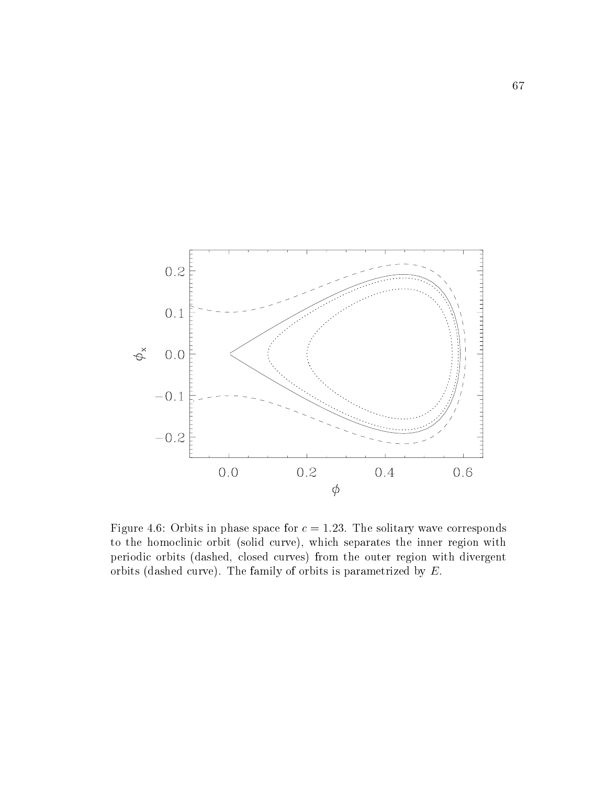

Figure 4.6: Orbits in phase space for  $c = 1.23$ . The solitary wave corresponds to the homoclinic orbit (solid curve), which separates the inner region with periodic orbits (dashed, closed curves) from the outer region with divergent orbits (dashed curve). The family of orbits is parametrized by E.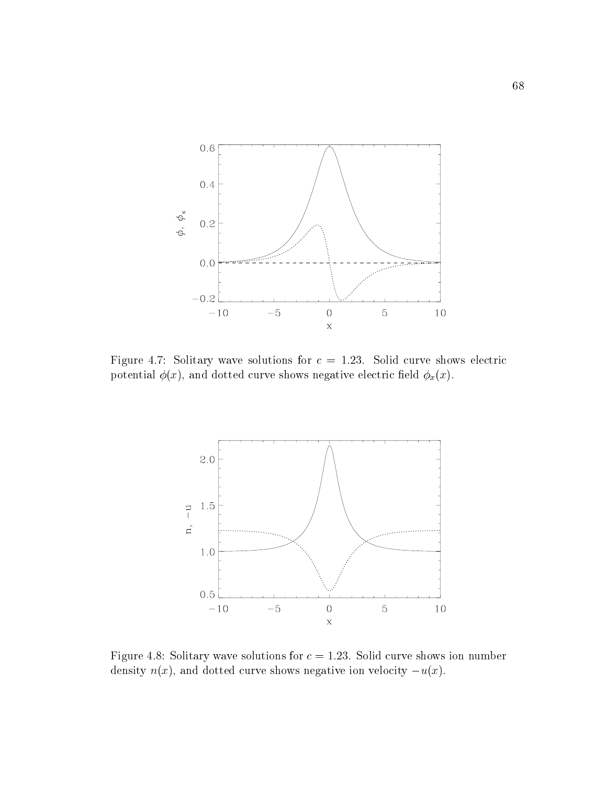

Figure 4.7: Solitary wave solutions for  $c = 1.23$ . Solid curve shows electric potential  $\phi(x)$ , and dotted curve shows negative electric field  $\phi_x(x)$ .



Figure 4.8: Solitary wave solutions for  $c = 1.23$ . Solid curve shows ion number density  $n(x)$ , and dotted curve shows negative ion velocity  $-u(x)$ .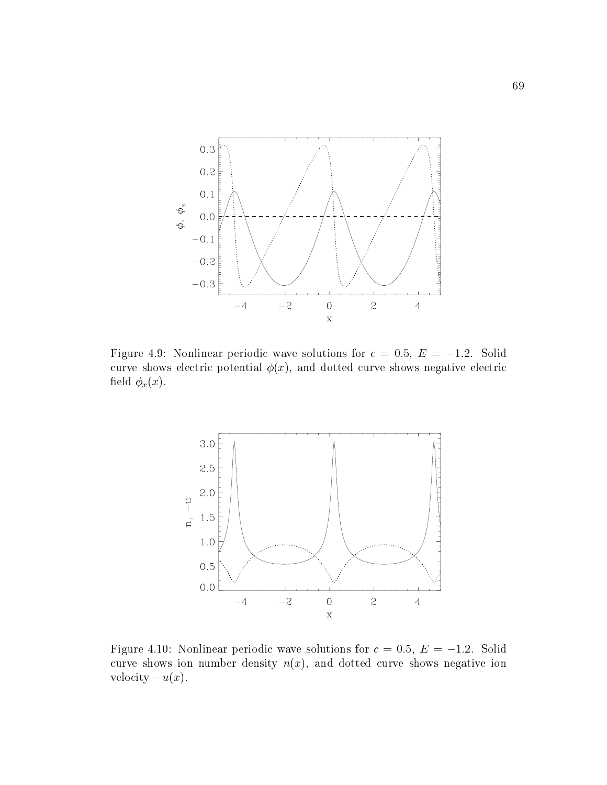

Figure 4.9: Nonlinear periodic wave solutions for  $c = 0.5, E = -1.2$ . Solid curve shows electric potential  $\phi(x)$ , and dotted curve shows negative electric field  $\phi_x(x)$ .



Figure 4.10: Nonlinear periodic wave solutions for  $c = 0.5$ ,  $E = -1.2$ . Solid curve shows ion number density  $n(x)$ , and dotted curve shows negative ion velocity  $-u(x)$ .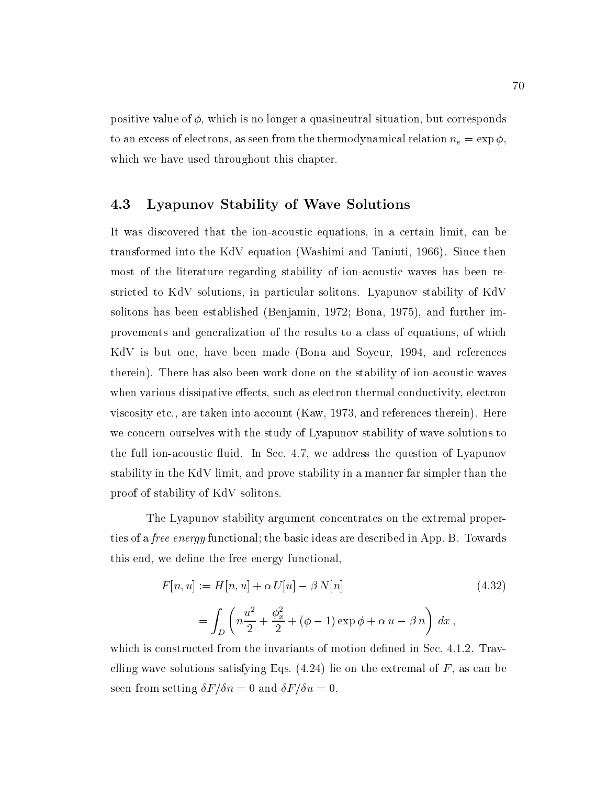positive value of  $\phi$ , which is no longer a quasineutral situation, but corresponds to an excess of electrons, as seen from the thermodynamical relation  $n_e = \exp \phi$ . which we have used throughout this chapter.

# 4.3 Lyapunov Stability of Wave Solutions

It was discovered that the ion-acoustic equations, in a certain limit, can be transformed into the KdV equation (Washimi and Taniuti, 1966). Since then most of the literature regarding stability of ion-acoustic waves has been restricted to KdV solutions, in particular solitons. Lyapunov stability of KdV solitons has been established (Benjamin, 1972; Bona, 1975), and further improvements and generalization of the results to a class of equations, of which KdV is but one, have been made (Bona and Soyeur, 1994, and references therein). There has also been work done on the stability of ion-acoustic waves when various dissipative effects, such as electron thermal conductivity, electron viscosity etc., are taken into account (Kaw, 1973, and references therein). Here we concern ourselves with the study of Lyapunov stability of wave solutions to the full ion-acoustic fluid. In Sec. 4.7, we address the question of Lyapunov stability in the KdV limit, and prove stability in a manner far simpler than the proof of stability of KdV solitons.

The Lyapunov stability argument concentrates on the extremal properties of a *free energy* functional; the basic ideas are described in App. B. Towards this end, we define the free energy functional,

$$
F[n, u] := H[n, u] + \alpha U[u] - \beta N[n]
$$
\n
$$
= \int_{D} \left( n \frac{u^2}{2} + \frac{\phi_x^2}{2} + (\phi - 1) \exp \phi + \alpha u - \beta n \right) dx,
$$
\n(4.32)

which is constructed from the invariants of motion defined in Sec. 4.1.2. Travelling wave solutions satisfying Eqs.  $(4.24)$  lie on the extremal of F, as can be seen from setting  $\delta F/\delta n = 0$  and  $\delta F/\delta u = 0$ .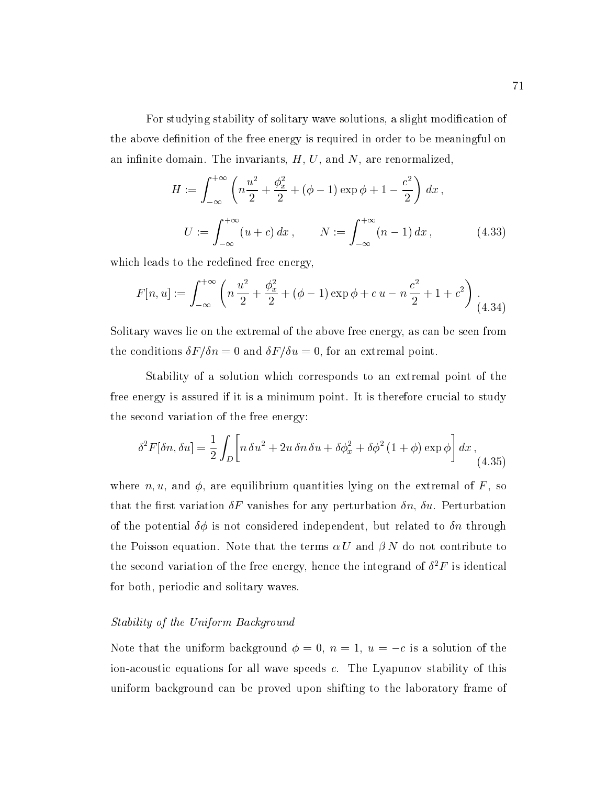For studying stability of solitary wave solutions, a slight modification of the above definition of the free energy is required in order to be meaningful on an infinite domain. The invariants,  $H, U$ , and  $N$ , are renormalized,

$$
H := \int_{-\infty}^{+\infty} \left( n \frac{u^2}{2} + \frac{\phi_x^2}{2} + (\phi - 1) \exp \phi + 1 - \frac{c^2}{2} \right) dx ,
$$
  

$$
U := \int_{-\infty}^{+\infty} (u + c) dx , \qquad N := \int_{-\infty}^{+\infty} (n - 1) dx , \qquad (4.33)
$$

which leads to the redefined free energy,

$$
F[n, u] := \int_{-\infty}^{+\infty} \left( n \frac{u^2}{2} + \frac{\phi_x^2}{2} + (\phi - 1) \exp \phi + c u - n \frac{c^2}{2} + 1 + c^2 \right) \tag{4.34}
$$

Solitary waves lie on the extremal of the above free energy, as can be seen from the conditions  $\delta F/\delta n = 0$  and  $\delta F/\delta u = 0$ , for an extremal point.

Stability of a solution which corresponds to an extremal point of the free energy is assured if it is a minimum point. It is therefore crucial to study the second variation of the free energy:

$$
\delta^2 F[\delta n, \delta u] = \frac{1}{2} \int_D \left[ n \,\delta u^2 + 2u \,\delta n \,\delta u + \delta \phi_x^2 + \delta \phi^2 (1 + \phi) \exp \phi \right] dx , \tag{4.35}
$$

where n, u, and  $\phi$ , are equilibrium quantities lying on the extremal of F, so that the first variation  $\delta F$  vanishes for any perturbation  $\delta n$ ,  $\delta u$ . Perturbation of the potential  $\delta\phi$  is not considered independent, but related to  $\delta n$  through the Poisson equation. Note that the terms  $\alpha U$  and  $\beta N$  do not contribute to the second variation of the free energy, hence the integrand of  $\sigma$   $\Gamma$  is identical for both, periodic and solitary waves.

## Stability of the Uniform Background

Note that the uniform background  $\phi = 0$ ,  $n = 1$ ,  $u = -c$  is a solution of the ion-acoustic equations for all wave speeds c. The Lyapunov stability of this uniform background can be proved upon shifting to the laboratory frame of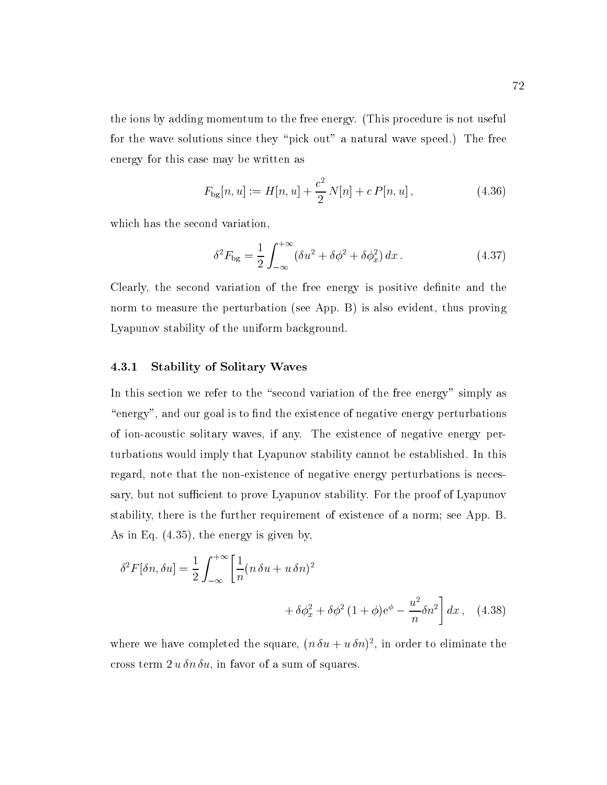the ions by adding momentum to the free energy. (This procedure is not useful for the wave solutions since they "pick out" a natural wave speed.) The free energy for this case may be written as

$$
F_{\text{bg}}[n, u] := H[n, u] + \frac{c^2}{2} N[n] + c P[n, u], \qquad (4.36)
$$

which has the second variation,

$$
\delta^2 F_{\text{bg}} = \frac{1}{2} \int_{-\infty}^{+\infty} (\delta u^2 + \delta \phi^2 + \delta \phi_x^2) dx. \tag{4.37}
$$

Clearly, the second variation of the free energy is positive definite and the norm to measure the perturbation (see App. B) is also evident, thus proving Lyapunov stability of the uniform background.

## 4.3.1 Stability of Solitary Waves

In this section we refer to the "second variation of the free energy" simply as "energy", and our goal is to find the existence of negative energy perturbations of ion-acoustic solitary waves, if any. The existence of negative energy perturbations would imply that Lyapunov stability cannot be established. In this regard, note that the non-existence of negative energy perturbations is necessary, but not sufficient to prove Lyapunov stability. For the proof of Lyapunov stability, there is the further requirement of existence of a norm; see App. B. As in Eq. (4.35), the energy is given by,

$$
\delta^2 F[\delta n, \delta u] = \frac{1}{2} \int_{-\infty}^{+\infty} \left[ \frac{1}{n} (n \delta u + u \delta n)^2 + \delta \phi_x^2 + \delta \phi^2 (1 + \phi) e^{\phi} - \frac{u^2}{n} \delta n^2 \right] dx, \quad (4.38)
$$

where we have completed the square,  $(n \circ u + u \circ n)$ , in order to eliminate the cross term  $2 u \, \delta n \, \delta u$ , in favor of a sum of squares.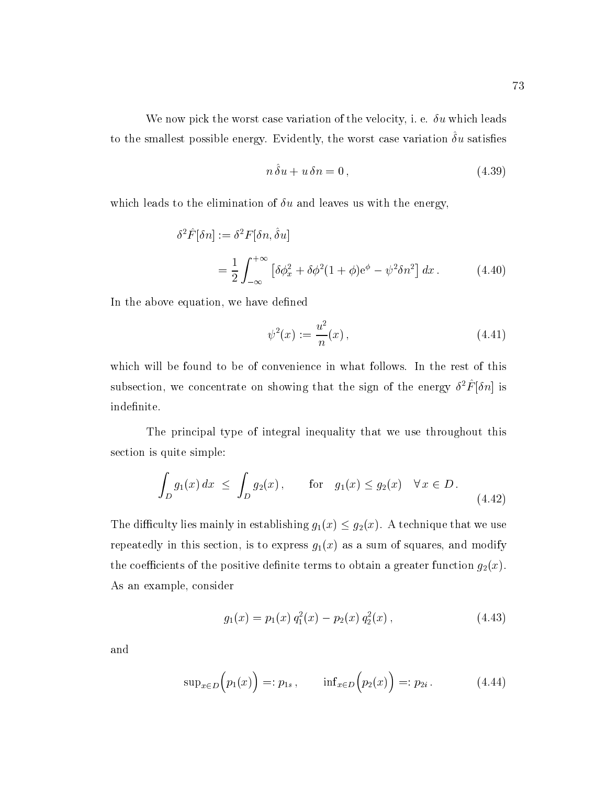We now pick the worst case variation of the velocity, i. e.  $\delta u$  which leads to the smallest possible energy. Evidently, the worst case variation  $\sigma u$  satisfies

$$
n\,\hat{\delta}u + u\,\delta n = 0\,,\tag{4.39}
$$

which leads to the elimination of  $\delta u$  and leaves us with the energy,

$$
\delta^2 \hat{F}[\delta n] := \delta^2 F[\delta n, \hat{\delta} u]
$$
  
= 
$$
\frac{1}{2} \int_{-\infty}^{+\infty} \left[ \delta \phi_x^2 + \delta \phi^2 (1 + \phi) e^{\phi} - \psi^2 \delta n^2 \right] dx .
$$
 (4.40)

In the above equation, we have defined

$$
\psi^2(x) := \frac{u^2}{n}(x) \,,\tag{4.41}
$$

which will be found to be of convenience in what follows. In the rest of this subsection, we concentrate on showing that the sign of the energy  $\sigma$ - $r$   $[\sigma n]$  is indefinite.

The principal type of integral inequality that we use throughout this section is quite simple:

$$
\int_D g_1(x) dx \le \int_D g_2(x), \quad \text{for} \quad g_1(x) \le g_2(x) \quad \forall x \in D. \tag{4.42}
$$

The difficulty lies mainly in establishing  $g_1(x) \le g_2(x)$ . A technique that we use repeatedly in this section, is to express  $g_1(x)$  as a sum of squares, and modify the coefficients of the positive definite terms to obtain a greater function  $g_2(x)$ . As an example, consider

$$
g_1(x) = p_1(x) q_1^2(x) - p_2(x) q_2^2(x), \qquad (4.43)
$$

and

$$
\sup_{x \in D} (p_1(x)) =: p_{1s}, \quad \inf_{x \in D} (p_2(x)) =: p_{2i}. \quad (4.44)
$$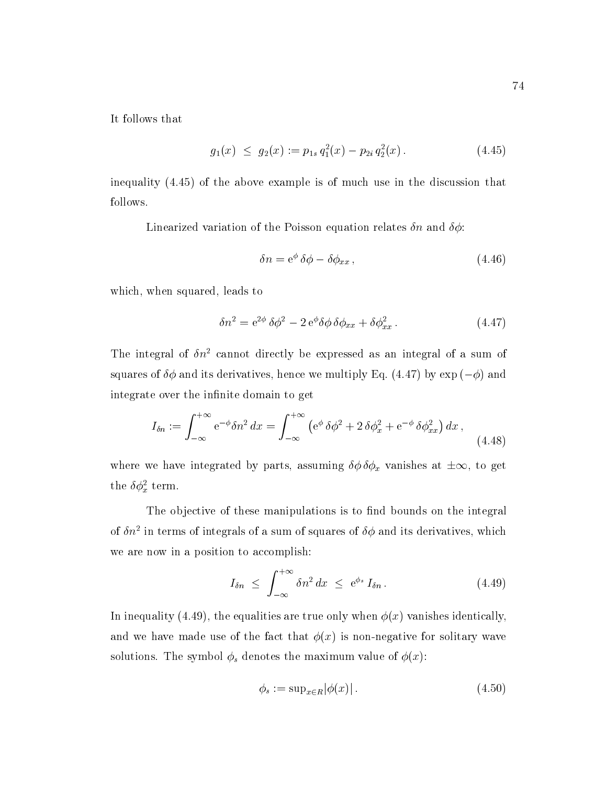It follows that

$$
g_1(x) \le g_2(x) := p_{1s} q_1^2(x) - p_{2i} q_2^2(x). \tag{4.45}
$$

inequality (4.45) of the above example is of much use in the discussion that follows.

Linearized variation of the Poisson equation relates  $\delta n$  and  $\delta \phi$ :

$$
\delta n = e^{\phi} \delta \phi - \delta \phi_{xx}, \qquad (4.46)
$$

which, when squared, leads to

$$
\delta n^2 = e^{2\phi} \delta \phi^2 - 2 e^{\phi} \delta \phi \delta \phi_{xx} + \delta \phi_{xx}^2.
$$
 (4.47)

The integral of  $\delta n^2$  cannot directly be expressed as an integral of a sum of squares of  $\delta\phi$  and its derivatives, hence we multiply Eq. (4.47) by exp ( $-\phi$ ) and integrate over the infinite domain to get

$$
I_{\delta n} := \int_{-\infty}^{+\infty} e^{-\phi} \delta n^2 dx = \int_{-\infty}^{+\infty} \left( e^{\phi} \delta \phi^2 + 2 \delta \phi_x^2 + e^{-\phi} \delta \phi_{xx}^2 \right) dx , \tag{4.48}
$$

where we have integrated by parts, assuming  $\delta\phi \delta\phi_x$  vanishes at  $\pm \infty$ , to get the  $\delta \phi_x^2$  term.

The objective of these manipulations is to find bounds on the integral of  $\sigma n^2$  in terms of integrals of a sum of squares of  $\sigma\varphi$  and its derivatives, which we are now in a position to accomplish:

$$
I_{\delta n} \leq \int_{-\infty}^{+\infty} \delta n^2 dx \leq e^{\phi_s} I_{\delta n} . \tag{4.49}
$$

In inequality (4.49), the equalities are true only when  $\phi(x)$  vanishes identically, and we have made use of the fact that  $\phi(x)$  is non-negative for solitary wave solutions. The symbol  $\phi_s$  denotes the maximum value of  $\phi(x)$ :

$$
\phi_s := \sup_{x \in R} |\phi(x)|. \tag{4.50}
$$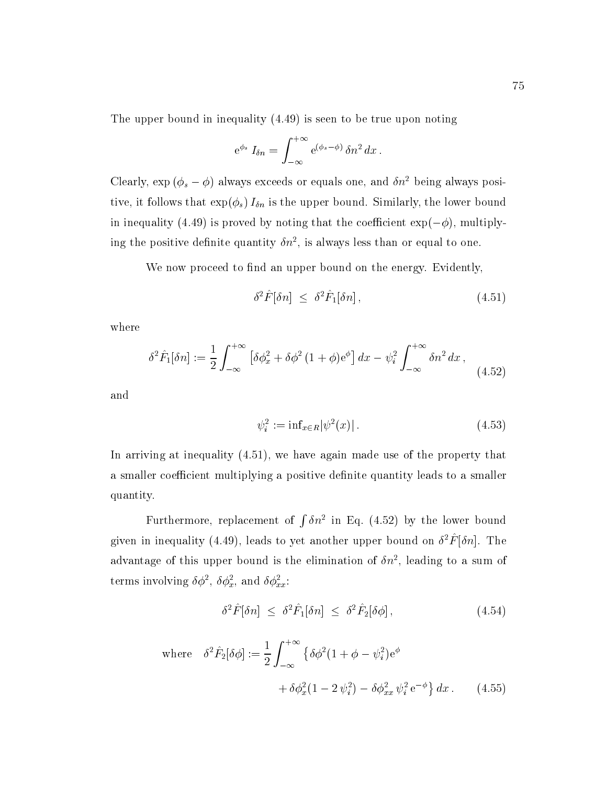The upper bound in inequality (4.49) is seen to be true upon noting

$$
e^{\phi_s} I_{\delta n} = \int_{-\infty}^{+\infty} e^{(\phi_s - \phi)} \, \delta n^2 \, dx \, .
$$

Clearly,  $\exp (\phi_s - \phi)$  always exceeds or equals one, and  $\delta n^2$  being always positive, it follows that  $\exp(\phi_s) I_{\delta n}$  is the upper bound. Similarly, the lower bound in inequality (4.49) is proved by noting that the coefficient  $\exp(-\phi)$ , multiplying the positive definite quantity  $\sigma n$  , is always less than or equal to one.

We now proceed to find an upper bound on the energy. Evidently,

$$
\delta^2 \hat{F}[\delta n] \leq \delta^2 \hat{F}_1[\delta n] \,, \tag{4.51}
$$

where

$$
\delta^2 \hat{F}_1[\delta n] := \frac{1}{2} \int_{-\infty}^{+\infty} \left[ \delta \phi_x^2 + \delta \phi^2 (1+\phi) e^{\phi} \right] dx - \psi_i^2 \int_{-\infty}^{+\infty} \delta n^2 dx , \tag{4.52}
$$

and

$$
\psi_i^2 := \inf_{x \in R} |\psi^2(x)| \,. \tag{4.53}
$$

In arriving at inequality (4.51), we have again made use of the property that a smaller coefficient multiplying a positive definite quantity leads to a smaller quantity.

Furthermore, replacement of  $\int \delta n^2$  in Eq. (4.52) by the lower bound given in inequality (4.49), leads to yet another upper bound on  $\sigma$   $r$   $|\sigma n|$ . The advantage of this upper bound is the elimination of  $\sigma n$  , leading to a sum of terms involving  $\sigma\varphi$  ,  $\sigma\varphi_x$ , and  $\sigma\varphi_{xx}$ :

$$
\delta^2 \hat{F}[\delta n] \leq \delta^2 \hat{F}_1[\delta n] \leq \delta^2 \hat{F}_2[\delta \phi], \tag{4.54}
$$

where 
$$
\delta^2 \hat{F}_2[\delta \phi] := \frac{1}{2} \int_{-\infty}^{+\infty} \{ \delta \phi^2 (1 + \phi - \psi_i^2) e^{\phi} + \delta \phi_x^2 (1 - 2 \psi_i^2) - \delta \phi_{xx}^2 \psi_i^2 e^{-\phi} \} dx.
$$
 (4.55)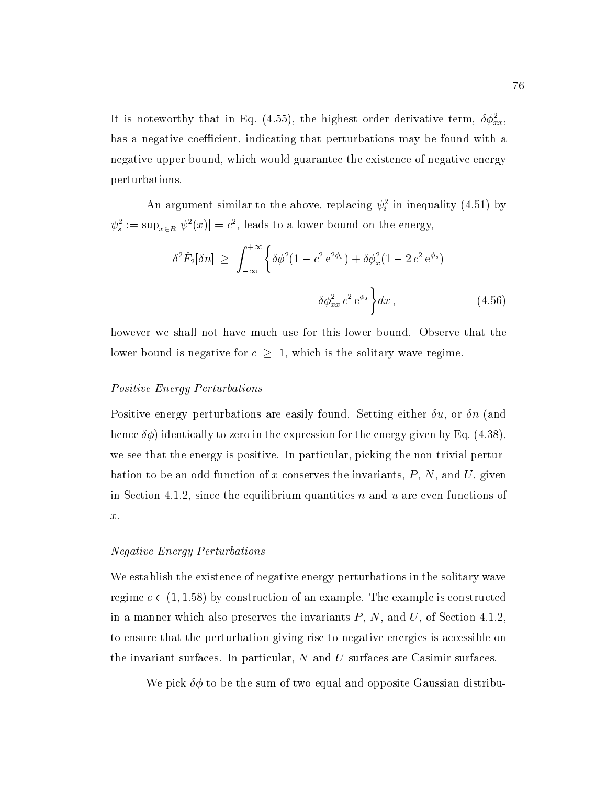It is noteworthy that in Eq. (4.55), the highest order derivative term,  $\delta \phi_{xx}^2$ , has a negative coefficient, indicating that perturbations may be found with a negative upper bound, which would guarantee the existence of negative energy perturbations.

An argument similar to the above, replacing  $\psi_i$  in inequality (4.51) by  $\psi_s^2 := \sup_{x \in R} |\psi^2(x)| = c^2$ , leads to a lower bound on the energy,

$$
\delta^2 \hat{F}_2[\delta n] \ge \int_{-\infty}^{+\infty} \left\{ \delta \phi^2 (1 - c^2 e^{2\phi_s}) + \delta \phi_x^2 (1 - 2 c^2 e^{\phi_s}) - \delta \phi_{xx}^2 c^2 e^{\phi_s} \right\} dx, \tag{4.56}
$$

however we shall not have much use for this lower bound. Observe that the lower bound is negative for  $c \geq 1$ , which is the solitary wave regime.

## Positive Energy Perturbations

Positive energy perturbations are easily found. Setting either  $\delta u$ , or  $\delta n$  (and hence  $\delta\phi$ ) identically to zero in the expression for the energy given by Eq. (4.38), we see that the energy is positive. In particular, picking the non-trivial perturbation to be an odd function of x conserves the invariants,  $P$ ,  $N$ , and  $U$ , given in Section 4.1.2, since the equilibrium quantities  $n$  and  $u$  are even functions of x.

## Negative Energy Perturbations

We establish the existence of negative energy perturbations in the solitary wave regime  $c \in (1, 1.58)$  by construction of an example. The example is constructed in a manner which also preserves the invariants  $P, N$ , and  $U$ , of Section 4.1.2 to ensure that the perturbation giving rise to negative energies is accessible on the invariant surfaces. In particular,  $N$  and  $U$  surfaces are Casimir surfaces.

We pick  $\delta\phi$  to be the sum of two equal and opposite Gaussian distribu-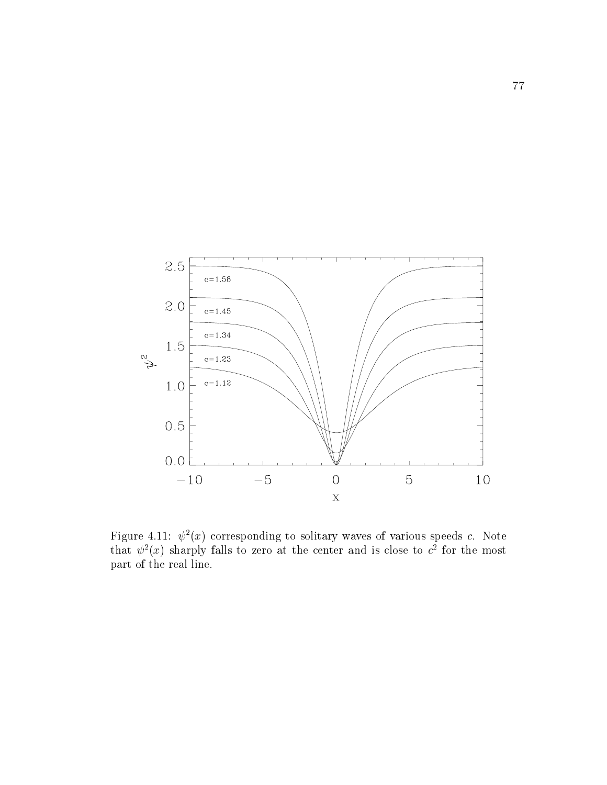

Figure 4.11:  $\psi$  ( $x$ ) corresponding to solitary waves of various speeds  $c$ . Note that  $\psi^-(x)$  sharply falls to zero at the center and is close to  $c^-$  for the most part of the real line.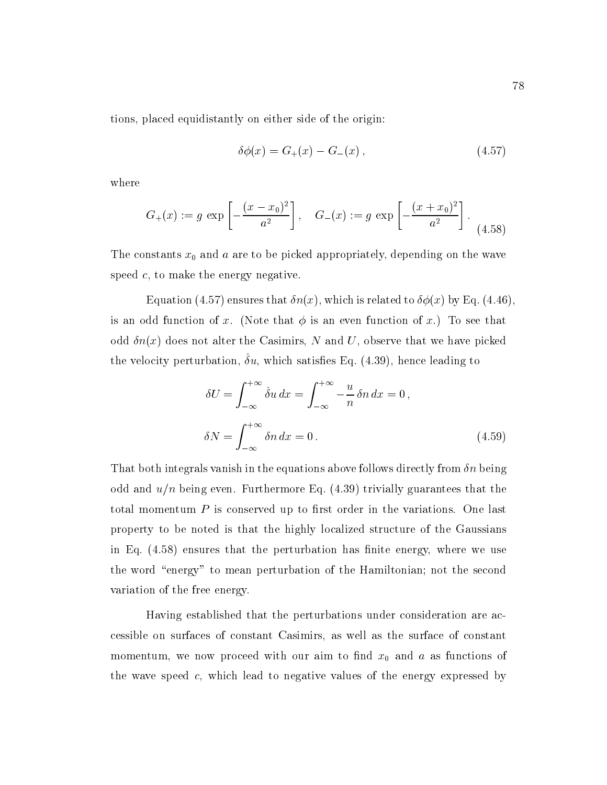tions, placed equidistantly on either side of the origin:

$$
\delta\phi(x) = G_{+}(x) - G_{-}(x), \qquad (4.57)
$$

where

$$
G_{+}(x) := g \exp\left[-\frac{(x-x_0)^2}{a^2}\right], \quad G_{-}(x) := g \exp\left[-\frac{(x+x_0)^2}{a^2}\right].
$$
\n(4.58)

The constants  $x_0$  and  $a$  are to be picked appropriately, depending on the wave speed  $c$ , to make the energy negative.

Equation (4.57) ensures that  $\delta n(x)$ , which is related to  $\delta \phi(x)$  by Eq. (4.46). is an odd function of x. (Note that  $\phi$  is an even function of x.) To see that odd  $\delta n(x)$  does not alter the Casimirs, N and U, observe that we have picked the velocity perturbation,  $\sigma u$ , which satisfies Eq. (4.39), hence leading to

$$
\delta U = \int_{-\infty}^{+\infty} \hat{\delta}u \, dx = \int_{-\infty}^{+\infty} -\frac{u}{n} \, \delta n \, dx = 0,
$$
  

$$
\delta N = \int_{-\infty}^{+\infty} \delta n \, dx = 0.
$$
 (4.59)

That both integrals vanish in the equations above follows directly from  $\delta n$  being odd and  $u/n$  being even. Furthermore Eq. (4.39) trivially guarantees that the total momentum  $P$  is conserved up to first order in the variations. One last property to be noted is that the highly localized structure of the Gaussians in Eq.  $(4.58)$  ensures that the perturbation has finite energy, where we use the word "energy" to mean perturbation of the Hamiltonian; not the second variation of the free energy.

Having established that the perturbations under consideration are accessible on surfaces of constant Casimirs, as well as the surface of constant momentum, we now proceed with our aim to find  $x_0$  and a as functions of the wave speed  $c$ , which lead to negative values of the energy expressed by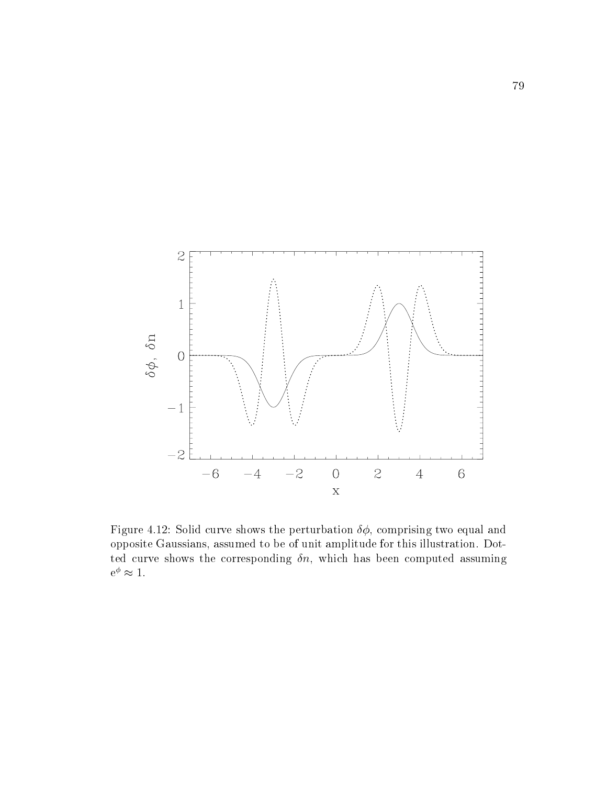

Figure 4.12: Solid curve shows the perturbation  $\delta\phi$ , comprising two equal and opposite Gaussians, assumed to be of unit amplitude for this illustration. Dotted curve shows the corresponding  $\delta n$ , which has been computed assuming  $e^{\varphi} \approx 1.$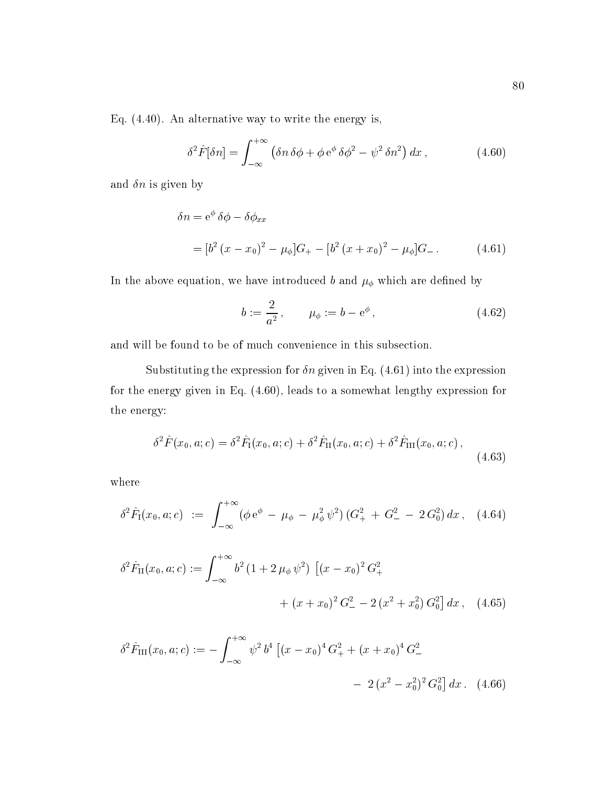Eq. (4.40). An alternative way to write the energy is,

$$
\delta^2 \hat{F}[\delta n] = \int_{-\infty}^{+\infty} \left( \delta n \, \delta \phi + \phi \, e^{\phi} \, \delta \phi^2 - \psi^2 \, \delta n^2 \right) dx \,, \tag{4.60}
$$

and  $\delta n$  is given by

$$
\delta n = e^{\phi} \delta \phi - \delta \phi_{xx}
$$
  
=  $[b^2 (x - x_0)^2 - \mu_{\phi}]G_+ - [b^2 (x + x_0)^2 - \mu_{\phi}]G_-.$  (4.61)

In the above equation, we have introduced b and  $\mu_{\phi}$  which are defined by

$$
b := \frac{2}{a^2}, \qquad \mu_{\phi} := b - e^{\phi}, \tag{4.62}
$$

and will be found to be of much convenience in this subsection.

Substituting the expression for  $\delta n$  given in Eq. (4.61) into the expression for the energy given in Eq. (4.60), leads to a somewhat lengthy expression for the energy:

$$
\delta^2 \hat{F}(x_0, a; c) = \delta^2 \hat{F}_I(x_0, a; c) + \delta^2 \hat{F}_{II}(x_0, a; c) + \delta^2 \hat{F}_{III}(x_0, a; c),
$$
\n(4.63)

where

$$
\delta^2 \hat{F}_I(x_0, a; c) := \int_{-\infty}^{+\infty} (\phi e^{\phi} - \mu_{\phi} - \mu_{\phi}^2 \psi^2) (G_+^2 + G_-^2 - 2 G_0^2) dx, \quad (4.64)
$$

$$
\delta^2 \hat{F}_{II}(x_0, a; c) := \int_{-\infty}^{+\infty} b^2 (1 + 2 \mu_{\phi} \psi^2) \left[ (x - x_0)^2 G_+^2 + (x + x_0)^2 G_-^2 - 2 (x^2 + x_0^2) G_0^2 \right] dx, \quad (4.65)
$$

$$
\delta^2 \hat{F}_{\text{III}}(x_0, a; c) := -\int_{-\infty}^{+\infty} \psi^2 b^4 \left[ (x - x_0)^4 G_+^2 + (x + x_0)^4 G_-^2 \right. \\
\left. - 2 \left( x^2 - x_0^2 \right)^2 G_0^2 \right] dx. \tag{4.66}
$$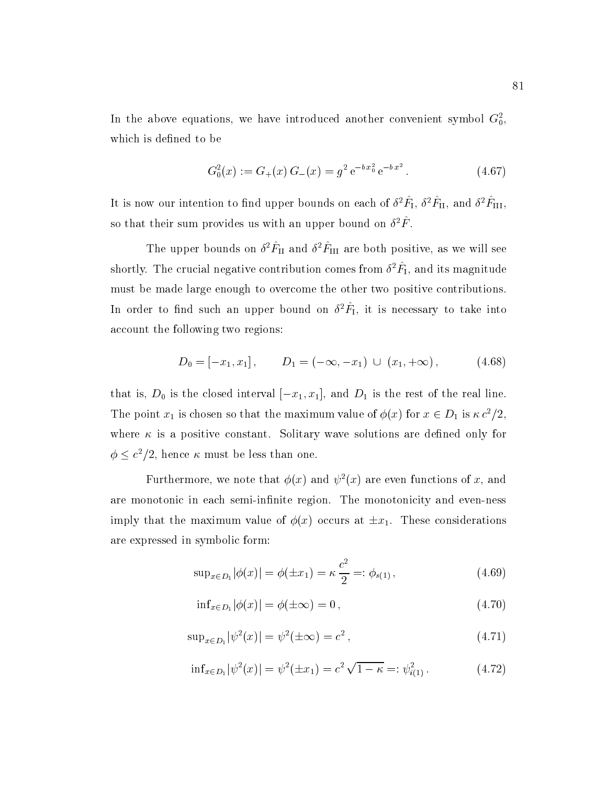In the above equations, we have introduced another convenient symbol  $\mathbf{G}_{0}^{\ast},$ which is defined to be

$$
G_0^2(x) := G_+(x)G_-(x) = g^2 e^{-bx_0^2} e^{-bx^2}.
$$
 (4.67)

It is now our intention to find upper bounds on each of  $\sigma$   $\mathcal{F}_{\rm I}, \, \sigma$   $\mathcal{F}_{\rm II},$  and  $\sigma$   $\mathcal{F}_{\rm III},$ so that their sum provides us with an upper bound on  $\sigma$   $r$  .

The upper bounds on  $\sigma$   $F_{\text{H}}$  and  $\sigma$   $F_{\text{H}}$  are both positive, as we will see shortly. The crucial negative contribution comes from  $\sigma^*r_{\rm I},$  and its magnitude must be made large enough to overcome the other two positive contributions. In order to find such an upper bound on  $\sigma^*r_{\rm I},$  it is necessary to take into account the following two regions:

$$
D_0 = [-x_1, x_1], \qquad D_1 = (-\infty, -x_1) \cup (x_1, +\infty), \qquad (4.68)
$$

that is,  $D_0$  is the closed interval  $[-x_1, x_1]$ , and  $D_1$  is the rest of the real line. The point  $x_1$  is chosen so that the maximum value of  $\phi(x)$  for  $x \in D_1$  is  $\kappa c^2/2$ , where  $\kappa$  is a positive constant. Solitary wave solutions are defined only for  $\phi \leq c^2/2$ , hence  $\kappa$  must be less than one.

Furthermore, we note that  $\phi(x)$  and  $\psi^2(x)$  are even functions of x, and are monotonic in each semi-infinite region. The monotonicity and even-ness imply that the maximum value of  $\phi(x)$  occurs at  $\pm x_1$ . These considerations are expressed in symbolic form:

$$
\sup_{x \in D_1} |\phi(x)| = \phi(\pm x_1) = \kappa \frac{c^2}{2} =: \phi_{s(1)},
$$
\n(4.69)

$$
\inf_{x \in D_1} |\phi(x)| = \phi(\pm \infty) = 0, \qquad (4.70)
$$

$$
\sup_{x \in D_1} |\psi^2(x)| = \psi^2(\pm \infty) = c^2 , \qquad (4.71)
$$

$$
\inf_{x \in D_1} |\psi^2(x)| = \psi^2(\pm x_1) = c^2 \sqrt{1 - \kappa} =: \psi_{i(1)}^2. \tag{4.72}
$$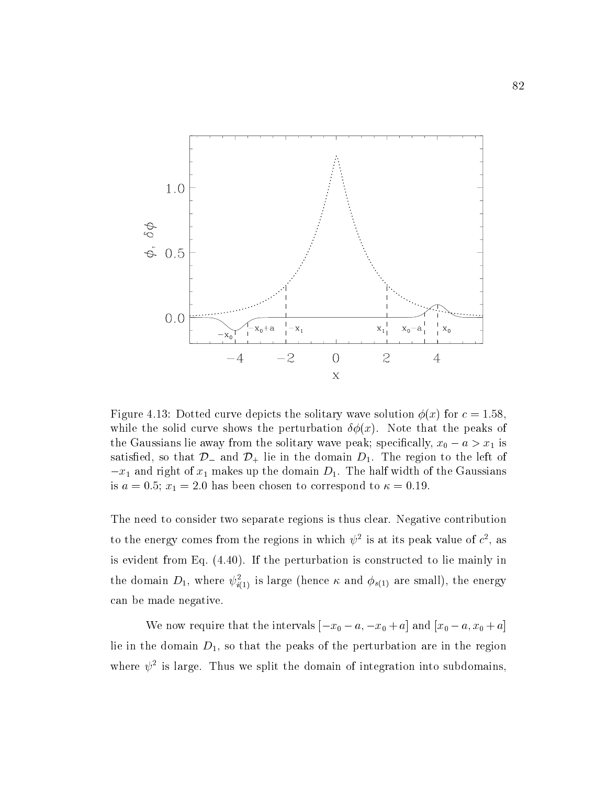

Figure 4.13: Dotted curve depicts the solitary wave solution  $\phi(x)$  for  $c = 1.58$ . while the solid curve shows the perturbation  $\delta\phi(x)$ . Note that the peaks of the Gaussians lie away from the solitary wave peak; specifically,  $x_0 - a > x_1$  is satisfied, so that  $\mathcal{D}_-$  and  $\mathcal{D}_+$  lie in the domain  $D_1$ . The region to the left of  $-x_1$  and right of  $x_1$  makes up the domain  $D_1$ . The half width of the Gaussians is  $a = 0.5$ ;  $x_1 = 2.0$  has been chosen to correspond to  $\kappa = 0.19$ .

The need to consider two separate regions is thus clear. Negative contribution to the energy comes from the regions in which  $\psi^-$  is at its peak value of  $c^-$ , as is evident from Eq. (4.40). If the perturbation is constructed to lie mainly in the domain  $D_1$ , where  $\psi_{i(1)}^-$  is large (hence  $\kappa$  and  $\psi_{s(1)}$  are small), the energy can be made negative.

We now require that the intervals  $[-x_0 - a, -x_0 + a]$  and  $[x_0 - a, x_0 + a]$ lie in the domain  $D_1$ , so that the peaks of the perturbation are in the region where  $\psi$  is large. Thus we split the domain of integration into subdomains,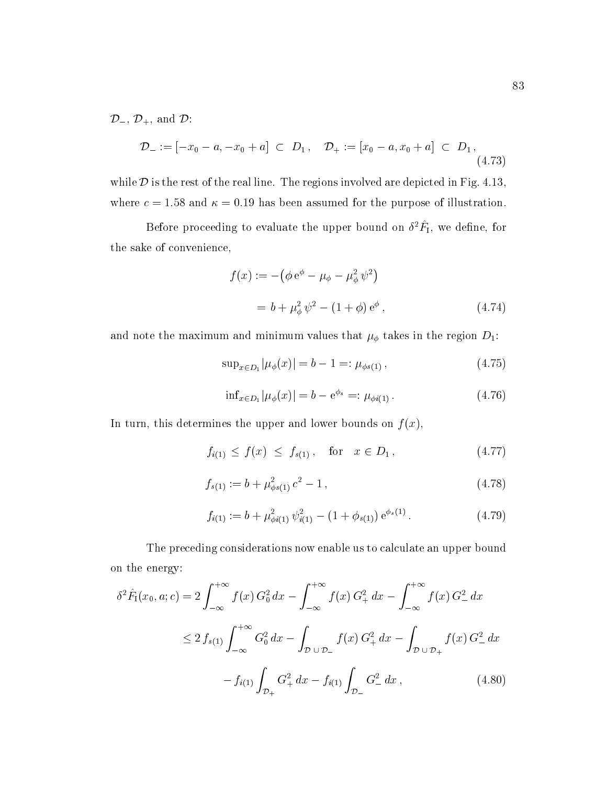$\mathcal{D}_{-}$ ,  $\mathcal{D}_{+}$ , and  $\mathcal{D}$ :

$$
\mathcal{D}_{-} := [-x_0 - a, -x_0 + a] \subset D_1, \quad \mathcal{D}_{+} := [x_0 - a, x_0 + a] \subset D_1,
$$
\n(4.73)

while  $D$  is the rest of the real line. The regions involved are depicted in Fig. 4.13, where  $c = 1.58$  and  $\kappa = 0.19$  has been assumed for the purpose of illustration.

before proceeding to evaluate the upper bound on  $\sigma$   $r_1$ , we define, for the sake of convenience,

$$
f(x) := -(\phi e^{\phi} - \mu_{\phi} - \mu_{\phi}^{2} \psi^{2})
$$
  
=  $b + \mu_{\phi}^{2} \psi^{2} - (1 + \phi) e^{\phi}$ , (4.74)

and note the maximum and minimum values that  $\mu_{\phi}$  takes in the region  $D_1$ :

$$
\sup_{x \in D_1} |\mu_{\phi}(x)| = b - 1 =: \mu_{\phi(s(1))}, \tag{4.75}
$$

$$
\inf_{x \in D_1} |\mu_{\phi}(x)| = b - e^{\phi_s} =: \mu_{\phi i(1)}.
$$
 (4.76)

In turn, this determines the upper and lower bounds on  $f(x)$ ,

$$
f_{i(1)} \le f(x) \le f_{s(1)}, \quad \text{for} \quad x \in D_1, \tag{4.77}
$$

$$
f_{s(1)} := b + \mu_{\phi s(1)}^2 c^2 - 1, \qquad (4.78)
$$

$$
f_{i(1)} := b + \mu_{\phi i(1)}^2 \psi_{i(1)}^2 - (1 + \phi_{s(1)}) e^{\phi_s(1)}.
$$
 (4.79)

The preceding considerations now enable us to calculate an upper bound on the energy:

$$
\delta^2 \hat{F}_1(x_0, a; c) = 2 \int_{-\infty}^{+\infty} f(x) G_0^2 dx - \int_{-\infty}^{+\infty} f(x) G_+^2 dx - \int_{-\infty}^{+\infty} f(x) G_-^2 dx
$$
  

$$
\leq 2 f_{s(1)} \int_{-\infty}^{+\infty} G_0^2 dx - \int_{\mathcal{D} \cup \mathcal{D}_-} f(x) G_+^2 dx - \int_{\mathcal{D} \cup \mathcal{D}_+} f(x) G_-^2 dx
$$
  

$$
- f_{i(1)} \int_{\mathcal{D}_+} G_+^2 dx - f_{i(1)} \int_{\mathcal{D}_-} G_-^2 dx , \qquad (4.80)
$$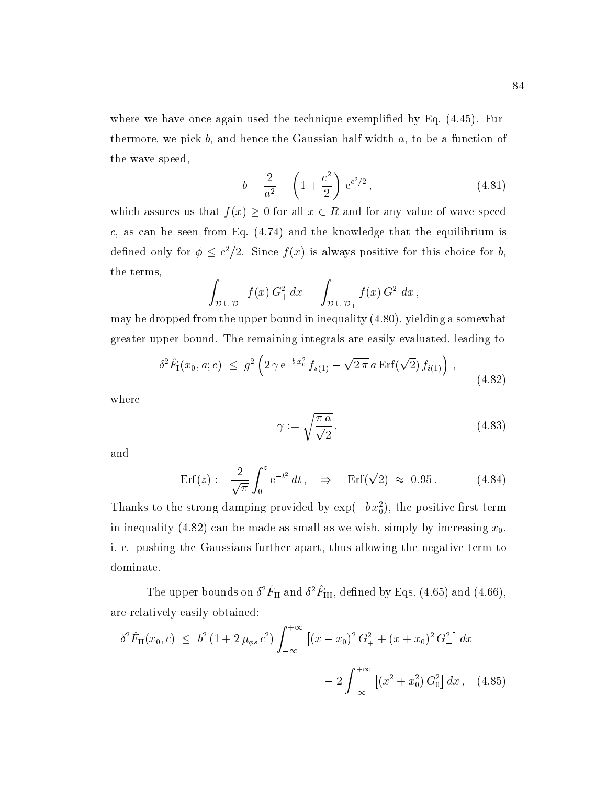where we have once again used the technique exemplified by Eq.  $(4.45)$ . Furthermore, we pick  $b$ , and hence the Gaussian half width  $a$ , to be a function of the wave speed,

$$
b = \frac{2}{a^2} = \left(1 + \frac{c^2}{2}\right) e^{c^2/2},\tag{4.81}
$$

which assures us that  $f(x) \geq 0$  for all  $x \in R$  and for any value of wave speed c, as can be seen from Eq.  $(4.74)$  and the knowledge that the equilibrium is defined only for  $\phi \leq c^2/2$ . Since  $f(x)$  is always positive for this choice for b, the terms,

$$
-\int_{\mathcal{D}\cup\mathcal{D}_-} f(x) G_+^2 dx - \int_{\mathcal{D}\cup\mathcal{D}_+} f(x) G_-^2 dx,
$$

may be dropped from the upper bound in inequality (4.80), yielding a somewhat greater upper bound. The remaining integrals are easily evaluated, leading to

$$
\delta^2 \hat{F}_1(x_0, a; c) \leq g^2 \left( 2 \gamma e^{-b x_0^2} f_{s(1)} - \sqrt{2 \pi} a \operatorname{Erf}(\sqrt{2}) f_{i(1)} \right) , \tag{4.82}
$$

where

$$
\gamma := \sqrt{\frac{\pi a}{\sqrt{2}}},\tag{4.83}
$$

and

$$
\text{Erf}(z) := \frac{2}{\sqrt{\pi}} \int_0^z e^{-t^2} dt, \quad \Rightarrow \quad \text{Erf}(\sqrt{2}) \approx 0.95. \tag{4.84}
$$

Thanks to the strong damping provided by  $\exp(-\theta x_0^2)$ , the positive first term in inequality (4.82) can be made as small as we wish, simply by increasing  $x_0$ , i. e. pushing the Gaussians further apart, thus allowing the negative term to dominate.

The upper bounds on  $\sigma$   $\Gamma$ <sub>II</sub> and  $\sigma$   $\Gamma$ <sub>III</sub>, defined by Eqs. (4.65) and (4.66), are relatively easily obtained:

$$
\delta^2 \hat{F}_{\text{II}}(x_0, c) \leq b^2 \left(1 + 2 \,\mu_{\phi s} \, c^2\right) \int_{-\infty}^{+\infty} \left[ (x - x_0)^2 \, G_+^2 + (x + x_0)^2 \, G_-^2 \right] dx
$$

$$
- 2 \int_{-\infty}^{+\infty} \left[ (x^2 + x_0^2) \, G_0^2 \right] dx \,, \tag{4.85}
$$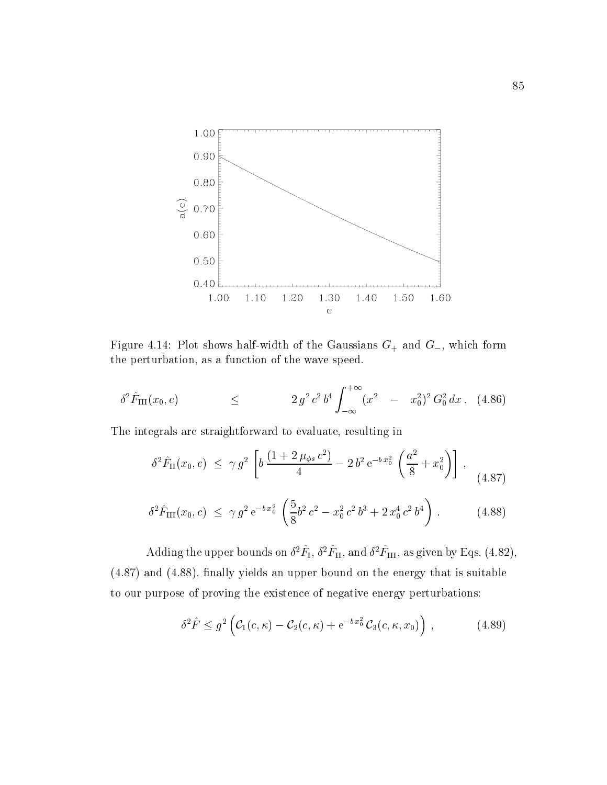

Figure 4.14: Plot shows half-width of the Gaussians  $G_+$  and  $G_-$ , which form the perturbation, as a function of the wave speed.

$$
\delta^2 \hat{F}_{\text{III}}(x_0, c) \leq 2 g^2 c^2 b^4 \int_{-\infty}^{+\infty} (x^2 - x_0^2)^2 G_0^2 dx. \tag{4.86}
$$

The integrals are straightforward to evaluate, resulting in

$$
\delta^2 \hat{F}_{II}(x_0, c) \leq \gamma g^2 \left[ b \frac{(1 + 2 \mu_{\phi s} c^2)}{4} - 2 b^2 e^{-b x_0^2} \left( \frac{a^2}{8} + x_0^2 \right) \right], \quad (4.87)
$$

$$
\delta^2 \hat{F}_{\text{III}}(x_0, c) \leq \gamma g^2 e^{-bx_0^2} \left( \frac{5}{8} b^2 c^2 - x_0^2 c^2 b^3 + 2 x_0^4 c^2 b^4 \right). \tag{4.88}
$$

Adding the upper bounds on  $\sigma^*r_{\rm I}, \sigma^*r_{\rm II},$  and  $\sigma^*r_{\rm III},$  as given by Eqs. (4.82),  $(4.87)$  and  $(4.88)$ , finally yields an upper bound on the energy that is suitable to our purpose of proving the existence of negative energy perturbations:

$$
\delta^2 \hat{F} \leq g^2 \left( \mathcal{C}_1(c,\kappa) - \mathcal{C}_2(c,\kappa) + e^{-b x_0^2} \mathcal{C}_3(c,\kappa,x_0) \right) , \qquad (4.89)
$$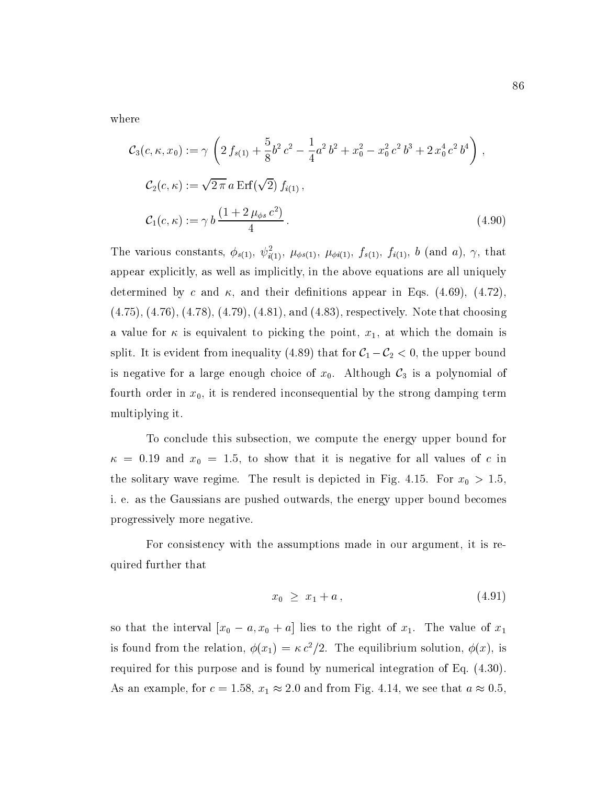where

$$
\mathcal{C}_{3}(c, \kappa, x_{0}) := \gamma \left( 2 f_{s(1)} + \frac{5}{8} b^{2} c^{2} - \frac{1}{4} a^{2} b^{2} + x_{0}^{2} - x_{0}^{2} c^{2} b^{3} + 2 x_{0}^{4} c^{2} b^{4} \right),
$$
  
\n
$$
\mathcal{C}_{2}(c, \kappa) := \sqrt{2 \pi} a \operatorname{Erf}(\sqrt{2}) f_{i(1)},
$$
  
\n
$$
\mathcal{C}_{1}(c, \kappa) := \gamma b \frac{(1 + 2 \mu_{\phi s} c^{2})}{4}.
$$
\n(4.90)

The various constants,  $\varphi_{s(1)}, \psi_{i(1)}$ ,  $\mu_{\phi s(1)}, \mu_{\phi i(1)}, J_{s(1)}, J_{i(1)}, \nu$  (and  $a)$ ,  $\gamma$ , that appear explicitly, as well as implicitly, in the above equations are all uniquely determined by c and  $\kappa$ , and their definitions appear in Eqs. (4.69), (4.72), (4.75), (4.76), (4.78), (4.79), (4.81), and (4.83), respectively. Note that choosing a value for  $\kappa$  is equivalent to picking the point,  $x_1$ , at which the domain is split. It is evident from inequality (4.89) that for  $C_1 - C_2 < 0$ , the upper bound is negative for a large enough choice of  $x_0$ . Although  $\mathcal{C}_3$  is a polynomial of fourth order in  $x_0$ , it is rendered inconsequential by the strong damping term multiplying it.

To conclude this subsection, we compute the energy upper bound for  $\kappa = 0.19$  and  $x_0 = 1.5$ , to show that it is negative for all values of c in the solitary wave regime. The result is depicted in Fig. 4.15. For  $x_0 > 1.5$ , i. e. as the Gaussians are pushed outwards, the energy upper bound becomes progressively more negative.

For consistency with the assumptions made in our argument, it is required further that

$$
x_0 \ge x_1 + a \tag{4.91}
$$

so that the interval  $[x_0 - a, x_0 + a]$  lies to the right of  $x_1$ . The value of  $x_1$ is found from the relation,  $\phi(x_1) = \kappa c^2/2$ . The equilibrium solution,  $\phi(x)$ , is required for this purpose and is found by numerical integration of Eq. (4.30). As an example, for  $c = 1.58$ ,  $x_1 \approx 2.0$  and from Fig. 4.14, we see that  $a \approx 0.5$ ,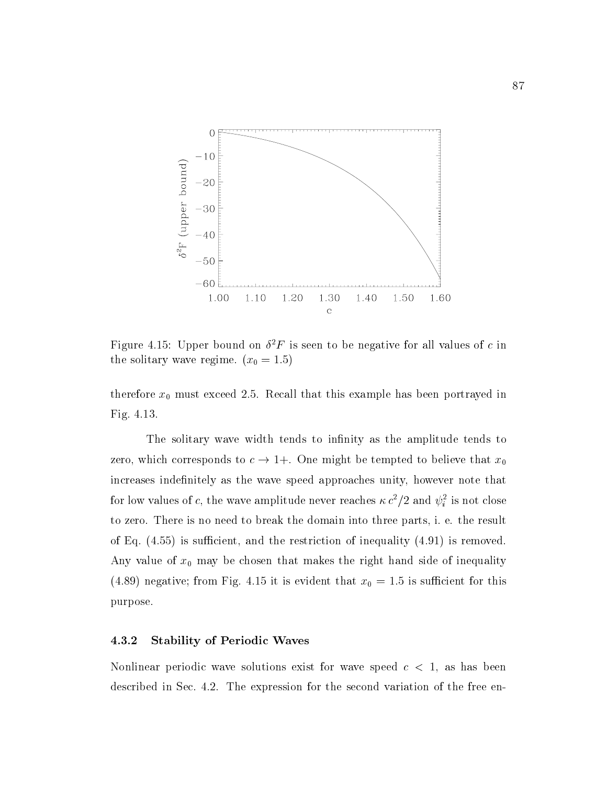

Figure 4.15: Upper bound on  $\sigma$   $\Gamma$  is seen to be negative for all values of  $c$  in the solitary wave regime.  $(x_0 = 1.5)$ 

therefore  $x_0$  must exceed 2.5. Recall that this example has been portrayed in Fig. 4.13.

The solitary wave width tends to infinity as the amplitude tends to zero, which corresponds to  $c \to 1+$ . One might be tempted to believe that  $x_0$ increases indefinitely as the wave speed approaches unity, however note that for low values of c, the wave amplitude hever reaches  $\kappa c$  /2 and  $\psi_i$  is not close to zero. There is no need to break the domain into three parts, i. e. the result of Eq.  $(4.55)$  is sufficient, and the restriction of inequality  $(4.91)$  is removed. Any value of  $x_0$  may be chosen that makes the right hand side of inequality (4.89) negative; from Fig. 4.15 it is evident that  $x_0 = 1.5$  is sufficient for this purpose.

### 4.3.2 Stability of Periodic Waves

Nonlinear periodic wave solutions exist for wave speed  $c < 1$ , as has been described in Sec. 4.2. The expression for the second variation of the free en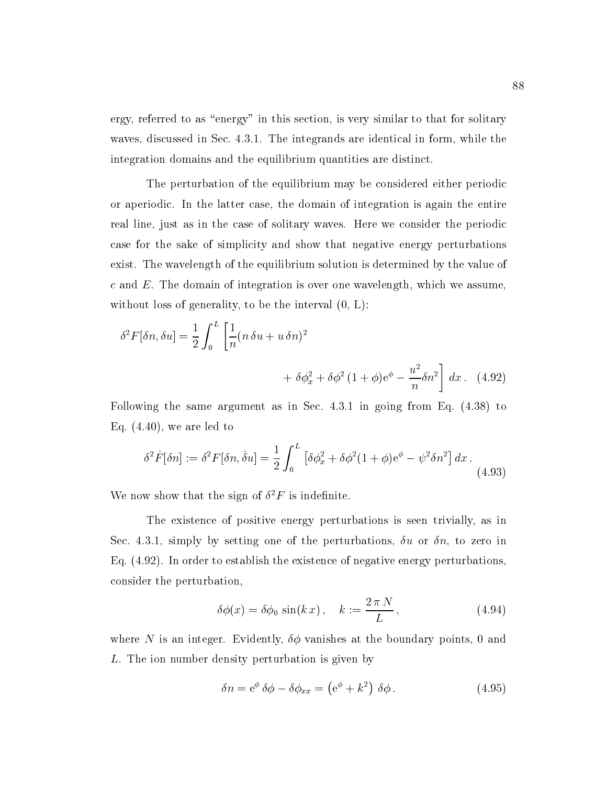ergy, referred to as "energy" in this section, is very similar to that for solitary waves, discussed in Sec.4.3.1. The integrands are identical in form, while the integration domains and the equilibrium quantities are distinct.

The perturbation of the equilibrium may be considered either periodic or aperiodic. In the latter case, the domain of integration is again the entire real line, just as in the case of solitary waves. Here we consider the periodic case for the sake of simplicity and show that negative energy perturbations exist. The wavelength of the equilibrium solution is determined by the value of c and E. The domain of integration is over one wavelength, which we assume, without loss of generality, to be the interval  $(0, L)$ :

$$
\delta^2 F[\delta n, \delta u] = \frac{1}{2} \int_0^L \left[ \frac{1}{n} (n \delta u + u \delta n)^2 + \delta \phi_x^2 + \delta \phi^2 (1 + \phi) e^{\phi} - \frac{u^2}{n} \delta n^2 \right] dx. \tag{4.92}
$$

Following the same argument as in Sec. 4.3.1 in going from Eq. (4.38) to Eq.  $(4.40)$ , we are led to

$$
\delta^2 \hat{F}[\delta n] := \delta^2 F[\delta n, \hat{\delta} u] = \frac{1}{2} \int_0^L \left[ \delta \phi_x^2 + \delta \phi^2 (1 + \phi) e^{\phi} - \psi^2 \delta n^2 \right] dx \,. \tag{4.93}
$$

We now show that the sign of  $\sigma$   $\Gamma$  is indefinite.

The existence of positive energy perturbations is seen trivially, as in Sec. 4.3.1, simply by setting one of the perturbations,  $\delta u$  or  $\delta n$ , to zero in Eq. (4.92). In order to establish the existence of negative energy perturbations, consider the perturbation,

$$
\delta\phi(x) = \delta\phi_0 \sin(kx), \quad k := \frac{2\pi N}{L}, \qquad (4.94)
$$

where N is an integer. Evidently,  $\delta\phi$  vanishes at the boundary points, 0 and L. The ion number density perturbation is given by

$$
\delta n = e^{\phi} \delta \phi - \delta \phi_{xx} = (e^{\phi} + k^2) \delta \phi.
$$
 (4.95)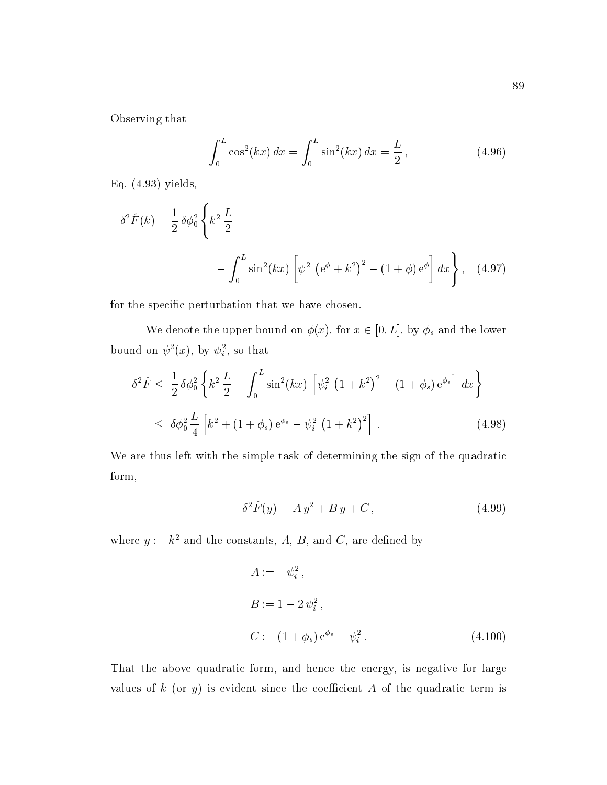Observing that

$$
\int_0^L \cos^2(kx) \, dx = \int_0^L \sin^2(kx) \, dx = \frac{L}{2},\tag{4.96}
$$

Eq. (4.93) yields,

$$
\delta^2 \hat{F}(k) = \frac{1}{2} \delta \phi_0^2 \left\{ k^2 \frac{L}{2} - \int_0^L \sin^2(kx) \left[ \psi^2 \left( e^{\phi} + k^2 \right)^2 - (1 + \phi) e^{\phi} \right] dx \right\}, \quad (4.97)
$$

for the specic perturbation that we have chosen.

We denote the upper bound on  $\phi(x)$ , for  $x \in [0, L]$ , by  $\phi_s$  and the lower bound on  $\psi^-(x)$ , by  $\psi_i^-$ , so that

$$
\delta^2 \hat{F} \le \frac{1}{2} \delta \phi_0^2 \left\{ k^2 \frac{L}{2} - \int_0^L \sin^2(kx) \left[ \psi_i^2 \left( 1 + k^2 \right)^2 - (1 + \phi_s) e^{\phi_s} \right] dx \right\}
$$
  

$$
\le \delta \phi_0^2 \frac{L}{4} \left[ k^2 + (1 + \phi_s) e^{\phi_s} - \psi_i^2 \left( 1 + k^2 \right)^2 \right]. \tag{4.98}
$$

We are thus left with the simple task of determining the sign of the quadratic form,

$$
\delta^2 \hat{F}(y) = A y^2 + B y + C , \qquad (4.99)
$$

where  $y := k^2$  and the constants, A, B, and C, are defined by

$$
A := -\psi_i^2,
$$
  
\n
$$
B := 1 - 2\psi_i^2,
$$
  
\n
$$
C := (1 + \phi_s) e^{\phi_s} - \psi_i^2.
$$
\n(4.100)

That the above quadratic form, and hence the energy, is negative for large values of  $k$  (or  $y$ ) is evident since the coefficient  $A$  of the quadratic term is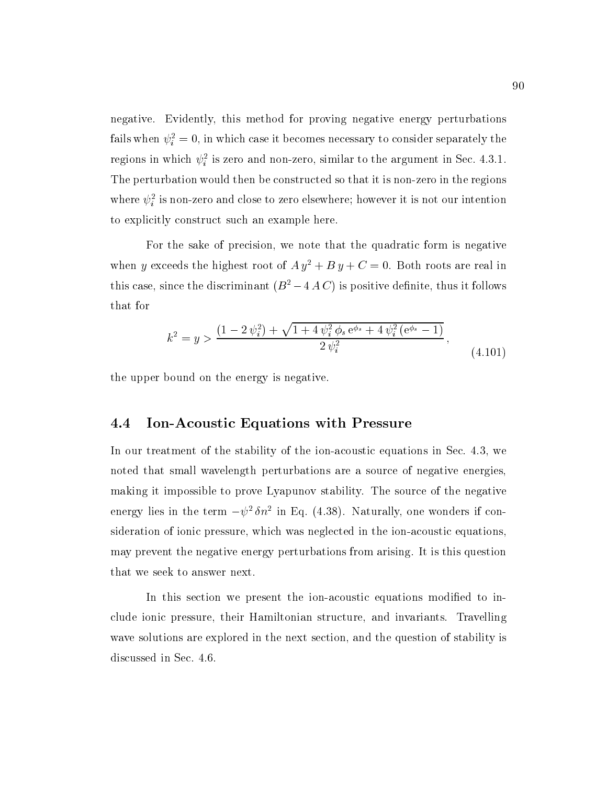negative. Evidently, this method for proving negative energy perturbations ialls when  $\psi_i^+ = 0$ , in which case it becomes necessary to consider separately the regions in which  $\psi_i$  is zero and non-zero, similar to the argument in Sec. 4.3.1. The perturbation would then be constructed so that it is non-zero in the regions where  $\psi_i^*$  is non-zero and close to zero elsewhere; however it is not our intention to explicitly construct such an example here.

For the sake of precision, we note that the quadratic form is negative when y exceeds the highest root of  $A y^2 + B y + C = 0$ . Both roots are real in this case, since the discriminant  $(B^2 - 4AC)$  is positive definite, thus it follows that for

$$
k^{2} = y > \frac{(1 - 2\psi_{i}^{2}) + \sqrt{1 + 4\psi_{i}^{2}\phi_{s}e^{\phi_{s}} + 4\psi_{i}^{2}(e^{\phi_{s}} - 1)}}{2\psi_{i}^{2}},
$$
\n(4.101)

the upper bound on the energy is negative.

#### 4.4 Ion-Acoustic Equations with Pressure

In our treatment of the stability of the ion-acoustic equations in Sec.4.3, we noted that small wavelength perturbations are a source of negative energies, making it impossible to prove Lyapunov stability. The source of the negative energy hes in the term  $-\psi$  on in Eq. (4.58). Naturally, one wonders if consideration of ionic pressure, which was neglected in the ion-acoustic equations, may prevent the negative energy perturbations from arising. It is this question that we seek to answer next.

In this section we present the ion-acoustic equations modified to include ionic pressure, their Hamiltonian structure, and invariants. Travelling wave solutions are explored in the next section, and the question of stability is discussed in Sec. 4.6.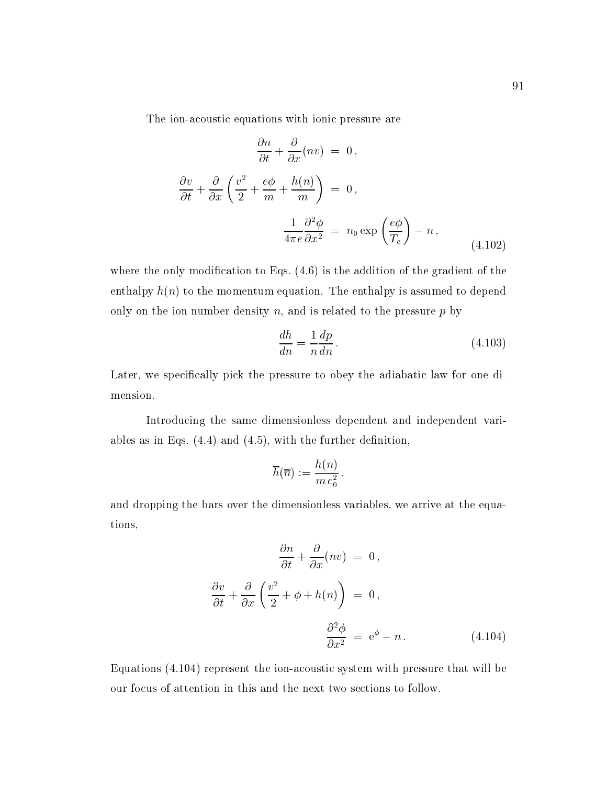The ion-acoustic equations with ionic pressure are

$$
\frac{\partial n}{\partial t} + \frac{\partial}{\partial x}(nv) = 0,
$$
  

$$
\frac{\partial v}{\partial t} + \frac{\partial}{\partial x}\left(\frac{v^2}{2} + \frac{e\phi}{m} + \frac{h(n)}{m}\right) = 0,
$$
  

$$
\frac{1}{4\pi e}\frac{\partial^2 \phi}{\partial x^2} = n_0 \exp\left(\frac{e\phi}{T_e}\right) - n,
$$
 (4.102)

where the only modification to Eqs.  $(4.6)$  is the addition of the gradient of the enthalpy  $h(n)$  to the momentum equation. The enthalpy is assumed to depend only on the ion number density  $n$ , and is related to the pressure  $p$  by

$$
\frac{dh}{dn} = \frac{1}{n}\frac{dp}{dn}.
$$
\n(4.103)

Later, we specically pick the pressure to obey the adiabatic law for one dimension.

Introducing the same dimensionless dependent and independent variables as in Eqs.  $(4.4)$  and  $(4.5)$ , with the further definition,

$$
\overline{h}(\overline{n}):=\frac{h(n)}{m\,c_0^2}\,,
$$

and dropping the bars over the dimensionless variables, we arrive at the equations,

$$
\frac{\partial n}{\partial t} + \frac{\partial}{\partial x}(nv) = 0,
$$
  

$$
\frac{\partial v}{\partial t} + \frac{\partial}{\partial x}\left(\frac{v^2}{2} + \phi + h(n)\right) = 0,
$$
  

$$
\frac{\partial^2 \phi}{\partial x^2} = e^{\phi} - n.
$$
 (4.104)

Equations (4.104) represent the ion-acoustic system with pressure that will be our focus of attention in this and the next two sections to follow.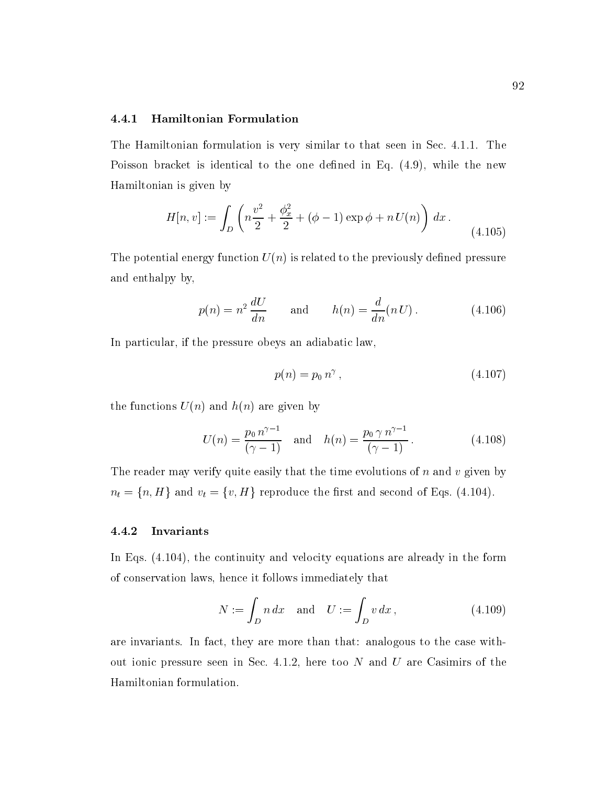## 4.4.1 Hamiltonian Formulation

The Hamiltonian formulation is very similar to that seen in Sec. 4.1.1. The Poisson bracket is identical to the one defined in Eq.  $(4.9)$ , while the new Hamiltonian is given by

$$
H[n, v] := \int_{D} \left( n \frac{v^2}{2} + \frac{\phi_x^2}{2} + (\phi - 1) \exp \phi + n U(n) \right) dx.
$$
 (4.105)

The potential energy function  $U(n)$  is related to the previously defined pressure and enthalpy by,

$$
p(n) = n^2 \frac{dU}{dn} \quad \text{and} \quad h(n) = \frac{d}{dn}(nU). \quad (4.106)
$$

In particular, if the pressure obeys an adiabatic law,

$$
p(n) = p_0 n^{\gamma} , \t\t(4.107)
$$

the functions  $U(n)$  and  $h(n)$  are given by

$$
U(n) = \frac{p_0 n^{\gamma - 1}}{(\gamma - 1)} \quad \text{and} \quad h(n) = \frac{p_0 \gamma n^{\gamma - 1}}{(\gamma - 1)}.
$$
 (4.108)

The reader may verify quite easily that the time evolutions of  $n$  and  $v$  given by  $n_t = \{n, H\}$  and  $v_t = \{v, H\}$  reproduce the first and second of Eqs. (4.104).

#### 4.4.2 Invariants

In Eqs. (4.104), the continuity and velocity equations are already in the form of conservation laws, hence it follows immediately that

$$
N := \int_D n \, dx \quad \text{and} \quad U := \int_D v \, dx \,, \tag{4.109}
$$

are invariants. In fact, they are more than that: analogous to the case without ionic pressure seen in Sec. 4.1.2, here too  $N$  and  $U$  are Casimirs of the Hamiltonian formulation.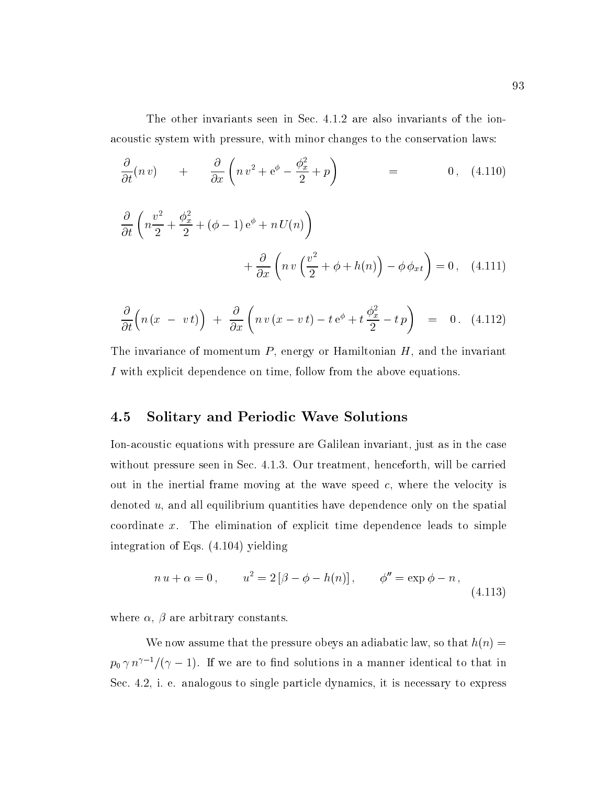The other invariants seen in Sec. 4.1.2 are also invariants of the ionacoustic system with pressure, with minor changes to the conservation laws:

$$
\frac{\partial}{\partial t}(n\,v) \quad + \quad \frac{\partial}{\partial x}\left(n\,v^2 + e^{\phi} - \frac{\phi_x^2}{2} + p\right) \quad = \quad 0 \,, \tag{4.110}
$$

$$
\frac{\partial}{\partial t} \left( n \frac{v^2}{2} + \frac{\phi_x^2}{2} + (\phi - 1) e^{\phi} + n U(n) \right) \n+ \frac{\partial}{\partial x} \left( n v \left( \frac{v^2}{2} + \phi + h(n) \right) - \phi \phi_{x} \right) = 0 , \quad (4.111)
$$

$$
\frac{\partial}{\partial t}\Big(n\left(x\ -\ v\ t\right)\Big)\ +\ \frac{\partial}{\partial x}\left(n\ v\left(x-v\ t\right)-t\,\mathrm{e}^{\phi}+t\,\frac{\phi_x^2}{2}-t\,p\right)\ =\ 0\ .\quad \ \ (4.112)
$$

The invariance of momentum  $P$ , energy or Hamiltonian  $H$ , and the invariant I with explicit dependence on time, follow from the above equations.

# 4.5 Solitary and Periodic Wave Solutions

Ion-acoustic equations with pressure are Galilean invariant, just as in the case without pressure seen in Sec. 4.1.3. Our treatment, henceforth, will be carried out in the inertial frame moving at the wave speed  $c$ , where the velocity is denoted u, and all equilibrium quantities have dependence only on the spatial coordinate x. The elimination of explicit time dependence leads to simple integration of Eqs. (4.104) yielding

$$
n u + \alpha = 0, \qquad u^2 = 2 [\beta - \phi - h(n)], \qquad \phi'' = \exp \phi - n,
$$
\n(4.113)

where  $\alpha$ ,  $\beta$  are arbitrary constants.

We now assume that the pressure obeys an adiabatic law, so that  $h(n) =$  $p_0 \gamma n^{\gamma-1}/(\gamma-1)$ . If we are to find solutions in a manner identical to that in Sec. 4.2, i. e. analogous to single particle dynamics, it is necessary to express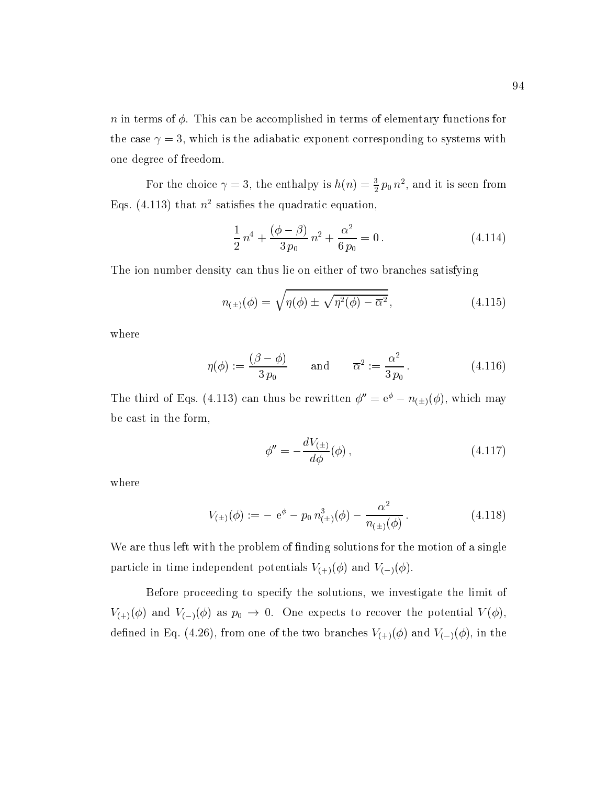$n$  in terms of  $\phi$ . This can be accomplished in terms of elementary functions for the case  $\gamma = 3$ , which is the adiabatic exponent corresponding to systems with one degree of freedom.

For the choice  $\gamma = 3$ , the enthalpy is  $n(n) = \frac{1}{2}p_0 n^2$ , and it is seen from Eqs. (4.113) that  $n^2$  satisfies the quadratic equation,

$$
\frac{1}{2}n^4 + \frac{(\phi - \beta)}{3p_0}n^2 + \frac{\alpha^2}{6p_0} = 0.
$$
 (4.114)

The ion number density can thus lie on either of two branches satisfying

$$
n_{(\pm)}(\phi) = \sqrt{\eta(\phi) \pm \sqrt{\eta^2(\phi) - \overline{\alpha}^2}}, \qquad (4.115)
$$

where

$$
\eta(\phi) := \frac{(\beta - \phi)}{3 p_0} \quad \text{and} \quad \overline{\alpha}^2 := \frac{\alpha^2}{3 p_0} \,. \tag{4.116}
$$

The third of Eqs. (4.113) can thus be rewritten  $\phi'' = e^{\phi} - n_{(\pm)}(\phi)$ , which may be cast in the form,

$$
\phi'' = -\frac{dV_{(\pm)}}{d\phi}(\phi) \,, \tag{4.117}
$$

where

$$
V_{(\pm)}(\phi) := -\mathbf{e}^{\phi} - p_0 \, n_{(\pm)}^3(\phi) - \frac{\alpha^2}{n_{(\pm)}(\phi)}.
$$
 (4.118)

We are thus left with the problem of finding solutions for the motion of a single particle in time independent potentials  $V_{(+)}(\phi)$  and  $V_{(-)}(\phi)$ .

Before proceeding to specify the solutions, we investigate the limit of  $V_{(+)}(\phi)$  and  $V_{(-)}(\phi)$  as  $p_0 \to 0$ . One expects to recover the potential  $V(\phi)$ , defined in Eq. (4.26), from one of the two branches  $V_{(+)}(\phi)$  and  $V_{(-)}(\phi)$ , in the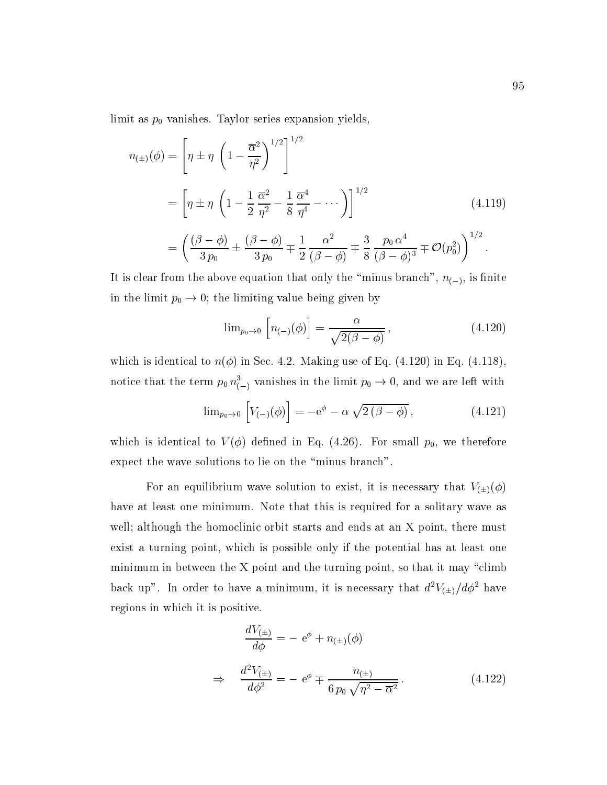limit as  $p_0$  vanishes. Taylor series expansion yields,

$$
n_{(\pm)}(\phi) = \left[\eta \pm \eta \left(1 - \frac{\overline{\alpha}^2}{\eta^2}\right)^{1/2}\right]^{1/2}
$$
  
=  $\left[\eta \pm \eta \left(1 - \frac{1}{2}\frac{\overline{\alpha}^2}{\eta^2} - \frac{1}{8}\frac{\overline{\alpha}^4}{\eta^4} - \cdots\right)\right]^{1/2}$  (4.119)  
=  $\left(\frac{(\beta - \phi)}{3p_0} \pm \frac{(\beta - \phi)}{3p_0} \mp \frac{1}{2}\frac{\alpha^2}{(\beta - \phi)} \mp \frac{3}{8}\frac{p_0 \alpha^4}{(\beta - \phi)^3} \mp \mathcal{O}(p_0^2)\right)^{1/2}.$ 

It is clear from the above equation that only the "minus branch",  $n_{(-)}$ , is finite in the limit  $p_0 \rightarrow 0$ ; the limiting value being given by

$$
\lim_{p_0 \to 0} \left[ n_{(-)}(\phi) \right] = \frac{\alpha}{\sqrt{2(\beta - \phi)}},\tag{4.120}
$$

which is identical to  $n(\phi)$  in Sec. 4.2. Making use of Eq. (4.120) in Eq. (4.118), notice that the term  $p_0 \, n_{(-)}^{\nu}$  vanishes in the limit  $p_0 \rightarrow 0,$  and we are left with

$$
\lim_{p_0 \to 0} \left[ V_{(-)}(\phi) \right] = -e^{\phi} - \alpha \sqrt{2(\beta - \phi)}, \qquad (4.121)
$$

which is identical to  $V(\phi)$  defined in Eq. (4.26). For small  $p_0$ , we therefore expect the wave solutions to lie on the "minus branch".

For an equilibrium wave solution to exist, it is necessary that  $V_{(\pm)}(\phi)$ have at least one minimum. Note that this is required for a solitary wave as well; although the homoclinic orbit starts and ends at an X point, there must exist a turning point, which is possible only if the potential has at least one minimum in between the X point and the turning point, so that it may "climb" back up". In order to have a minimum, it is necessary that  $d^2V_{(\pm)}/d\phi^2$  have regions in which it is positive.

$$
\frac{dV_{(\pm)}}{d\phi} = -e^{\phi} + n_{(\pm)}(\phi)
$$
  
\n
$$
\Rightarrow \frac{d^2V_{(\pm)}}{d\phi^2} = -e^{\phi} \mp \frac{n_{(\pm)}}{6 p_0 \sqrt{\eta^2 - \overline{\alpha}^2}}.
$$
\n(4.122)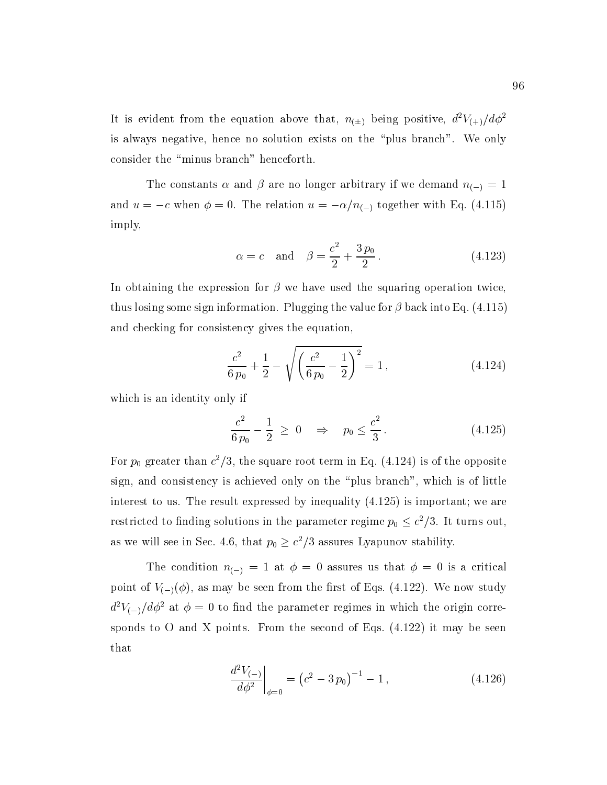It is evident from the equation above that,  $n_{(\pm)}$  being positive,  $d^2V_{(+)}/d\phi^2$ is always negative, hence no solution exists on the \plus branch". We only consider the "minus branch" henceforth.

The constants  $\alpha$  and  $\beta$  are no longer arbitrary if we demand  $n_{(-)} = 1$ and  $u = -c$  when  $\phi = 0$ . The relation  $u = -\alpha/n_{(-)}$  together with Eq. (4.115) imply,

$$
\alpha = c
$$
 and  $\beta = \frac{c^2}{2} + \frac{3p_0}{2}$ . (4.123)

In obtaining the expression for  $\beta$  we have used the squaring operation twice, thus losing some sign information. Plugging the value for  $\beta$  back into Eq. (4.115) and checking for consistency gives the equation,

$$
\frac{c^2}{6\,p_0} + \frac{1}{2} - \sqrt{\left(\frac{c^2}{6\,p_0} - \frac{1}{2}\right)^2} = 1\,,\tag{4.124}
$$

which is an identity only if

$$
\frac{c^2}{6\,p_0} - \frac{1}{2} \ge 0 \quad \Rightarrow \quad p_0 \le \frac{c^2}{3} \,. \tag{4.125}
$$

For  $p_0$  greater than  $c^2/5$ , the square root term in Eq. (4.124) is of the opposite sign, and consistency is achieved only on the \plus branch", which is of little interest to us. The result expressed by inequality (4.125) is important; we are restricted to finding solutions in the parameter regime  $p_0 \leq c^2/3$ . It turns out, as we will see in Sec. 4.6, that  $p_0 \geq c^2/3$  assures Lyapunov stability.

The condition  $n_{(-)} = 1$  at  $\phi = 0$  assures us that  $\phi = 0$  is a critical point of  $V_{(-)}(\phi)$ , as may be seen from the first of Eqs. (4.122). We now study  $d^2V_{(-)}/d\phi^2$  at  $\phi=0$  to find the parameter regimes in which the origin corresponds to O and X points. From the second of Eqs.  $(4.122)$  it may be seen that

$$
\left. \frac{d^2 V_{(-)}}{d\phi^2} \right|_{\phi=0} = \left( c^2 - 3 \, p_0 \right)^{-1} - 1 \,, \tag{4.126}
$$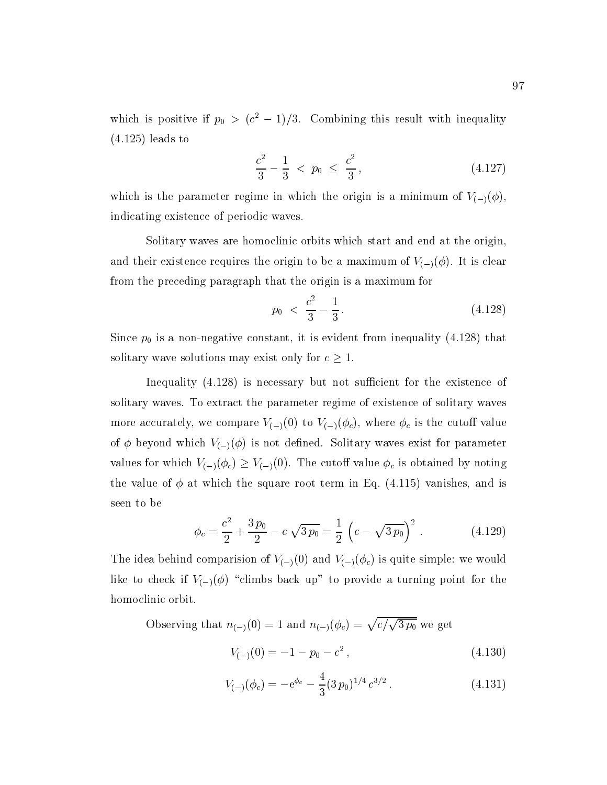which is positive if  $p_0 > (c^2 - 1)/3$ . Combining this result with inequality (4.125) leads to

$$
\frac{c^2}{3} - \frac{1}{3} < p_0 \le \frac{c^2}{3},\tag{4.127}
$$

which is the parameter regime in which the origin is a minimum of  $V_{(-)}(\phi)$ , indicating existence of periodic waves.

Solitary waves are homoclinic orbits which start and end at the origin, and their existence requires the origin to be a maximum of  $V_{(-)}(\phi)$ . It is clear from the preceding paragraph that the origin is a maximum for

$$
p_0 \ \ < \ \frac{c^2}{3} - \frac{1}{3} \,. \tag{4.128}
$$

Since  $p_0$  is a non-negative constant, it is evident from inequality (4.128) that solitary wave solutions may exist only for  $c \geq 1$ .

Inequality  $(4.128)$  is necessary but not sufficient for the existence of solitary waves. To extract the parameter regime of existence of solitary waves more accurately, we compare  $V_{(-)}(0)$  to  $V_{(-)}(\phi_c)$ , where  $\phi_c$  is the cutoff value of  $\phi$  beyond which  $V_{(-)}(\phi)$  is not defined. Solitary waves exist for parameter values for which  $V_{(-)}(\phi_c) \geq V_{(-)}(0)$ . The cutoff value  $\phi_c$  is obtained by noting the value of  $\phi$  at which the square root term in Eq. (4.115) vanishes, and is seen to be

$$
\phi_c = \frac{c^2}{2} + \frac{3 p_0}{2} - c \sqrt{3 p_0} = \frac{1}{2} \left( c - \sqrt{3 p_0} \right)^2.
$$
 (4.129)

The idea behind comparision of  $V_{(-)}(0)$  and  $V_{(-)}(\phi_c)$  is quite simple: we would like to check if  $V_{(-)}(\phi)$  "climbs back up" to provide a turning point for the homoclinic orbit.

Observing that  $n_{(-)}(0) = 1$  and  $n_{(-)}(\phi_c) = \sqrt{c/\sqrt{3 p_0}}$  we get

$$
V_{(-)}(0) = -1 - p_0 - c^2, \qquad (4.130)
$$

$$
V_{(-)}(\phi_c) = -e^{\phi_c} - \frac{4}{3} (3 p_0)^{1/4} c^{3/2} . \qquad (4.131)
$$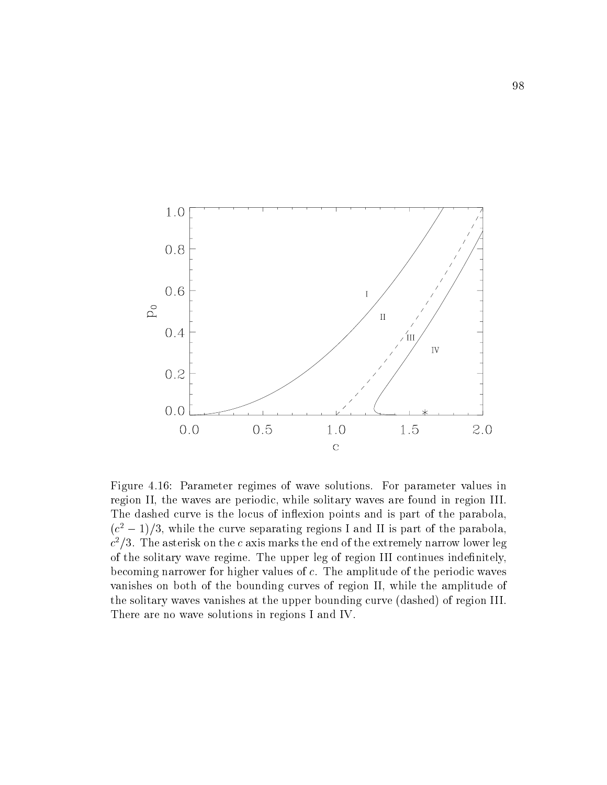

Figure 4.16: Parameter regimes of wave solutions. For parameter values in region II, the waves are periodic, while solitary waves are found in region III. The dashed curve is the locus of inflexion points and is part of the parabola,  $(c^{\perp}-1)/5$ , while the curve separating regions I and II is part of the parabola,  $c$   $\rightarrow$  3. The asterisk on the  $c$  axis marks the end of the extremely narrow lower leg of the solitary wave regime. The upper leg of region III continues indenitely, becoming narrower for higher values of c. The amplitude of the periodic waves vanishes on both of the bounding curves of region II, while the amplitude of the solitary waves vanishes at the upper bounding curve (dashed) of region III. There are no wave solutions in regions I and IV.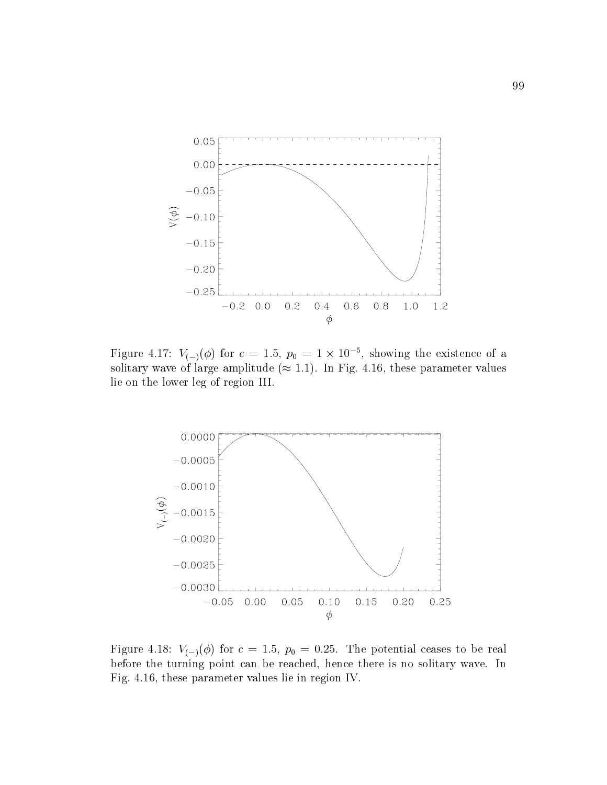

Figure 4.17:  $V_{(-)}(\phi)$  for  $c = 1.5$ ,  $p_0 = 1 \times 10^{-3}$ , showing the existence of a solitary wave of large amplitude ( $\approx$  1.1). In Fig. 4.16, these parameter values lie on the lower leg of region III.



Figure 4.18:  $V_{(-)}(\phi)$  for  $c = 1.5$ ,  $p_0 = 0.25$ . The potential ceases to be real before the turning point can be reached, hence there is no solitary wave. In Fig. 4.16, these parameter values lie in region IV.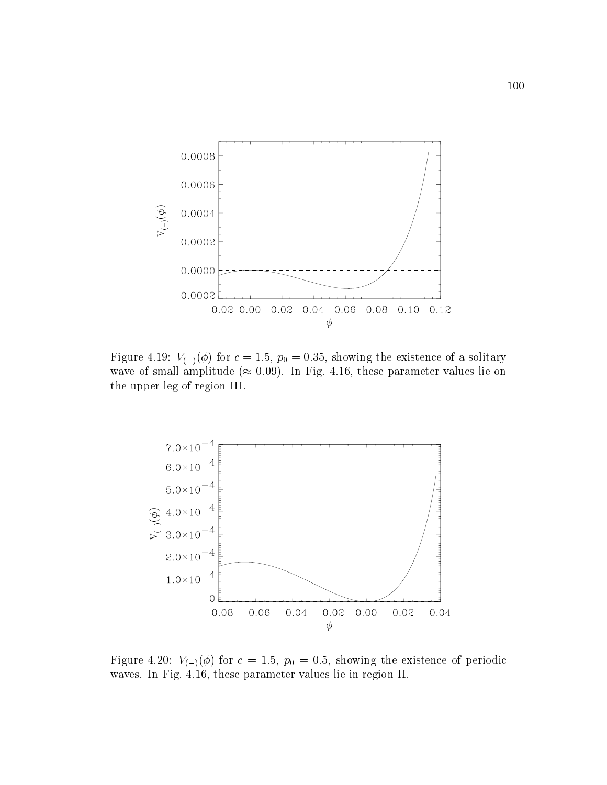

Figure 4.19:  $V_{(-)}(\phi)$  for  $c = 1.5$ ,  $p_0 = 0.35$ , showing the existence of a solitary wave of small amplitude ( $\approx 0.09$ ). In Fig. 4.16, these parameter values lie on the upper leg of region III.



Figure 4.20:  $V_{(-)}(\phi)$  for  $c = 1.5$ ,  $p_0 = 0.5$ , showing the existence of periodic waves. In Fig. 4.16, these parameter values lie in region II.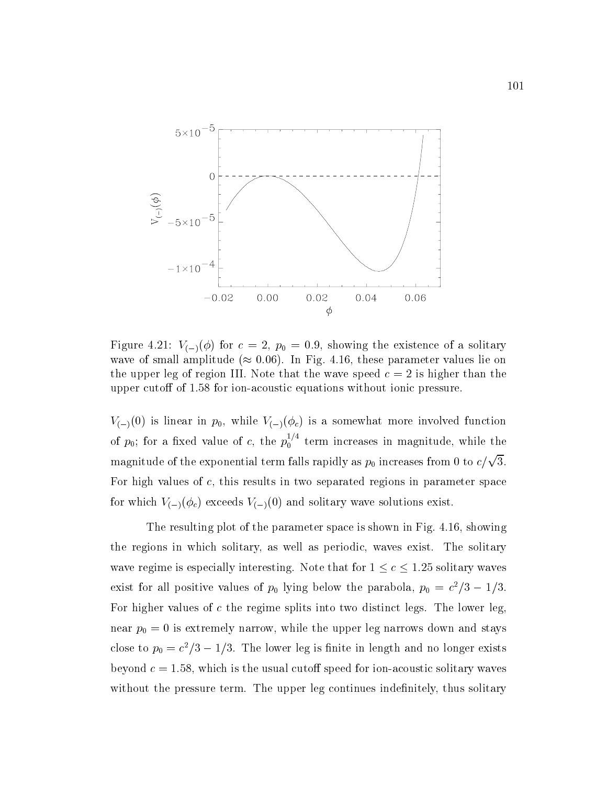

Figure 4.21:  $V_{(-)}(\phi)$  for  $c = 2$ ,  $p_0 = 0.9$ , showing the existence of a solitary wave of small amplitude ( $\approx 0.06$ ). In Fig. 4.16, these parameter values lie on the upper leg of region III. Note that the wave speed  $c = 2$  is higher than the upper cutoff of 1.58 for ion-acoustic equations without ionic pressure.

 $V_{(-)}(0)$  is linear in  $p_0$ , while  $V_{(-)}(\phi_c)$  is a somewhat more involved function of  $p_0$ ; for a fixed value of c, the  $p_0^{\prime-}$  term increases in magnitude, while the magnitude of the exponential term falls rapidly as  $p_0$  increases from 0 to  $c/\sqrt{3}$ . For high values of c, this results in two separated regions in parameter space for which  $V_{(-)}(\phi_c)$  exceeds  $V_{(-)}(0)$  and solitary wave solutions exist.

The resulting plot of the parameter space is shown in Fig. 4.16, showing the regions in which solitary, as well as periodic, waves exist. The solitary wave regime is especially interesting. Note that for  $1 \le c \le 1.25$  solitary waves exist for all positive values of  $p_0$  lying below the parabola,  $p_0 = c$  /3  $-$  1/3. For higher values of  $c$  the regime splits into two distinct legs. The lower leg near  $p_0 = 0$  is extremely narrow, while the upper leg narrows down and stays close to  $p_0 = c_1$   $\bar{\sigma} - 1/3$ . The lower leg is limite in length and no longer exists beyond  $c = 1.58$ , which is the usual cutoff speed for ion-acoustic solitary waves without the pressure term. The upper leg continues indefinitely, thus solitary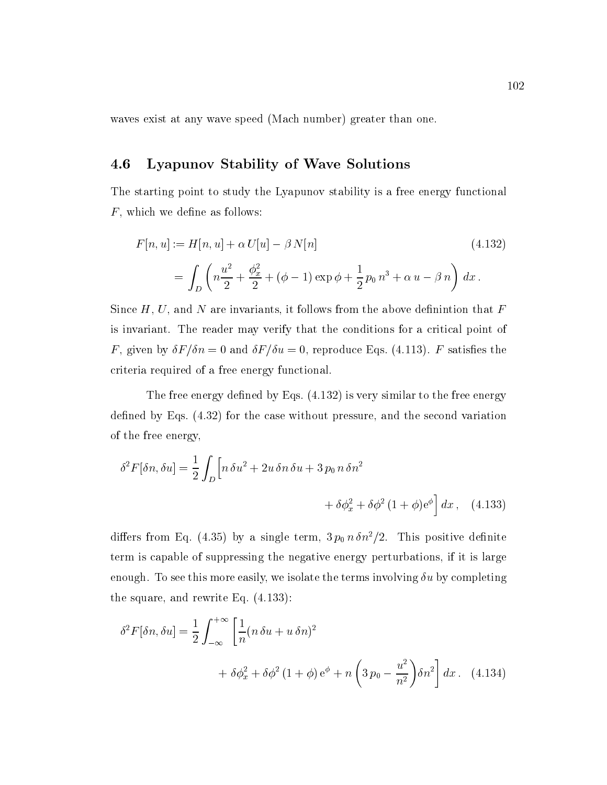waves exist at any wave speed (Mach number) greater than one.

### 4.6 Lyapunov Stability of Wave Solutions

The starting point to study the Lyapunov stability is a free energy functional  $F$ , which we define as follows:

$$
F[n, u] := H[n, u] + \alpha U[u] - \beta N[n]
$$
\n
$$
= \int_{D} \left( n \frac{u^2}{2} + \frac{\phi_x^2}{2} + (\phi - 1) \exp \phi + \frac{1}{2} p_0 n^3 + \alpha u - \beta n \right) dx.
$$
\n(4.132)

Since  $H, U$ , and N are invariants, it follows from the above definintion that  $F$ is invariant. The reader may verify that the conditions for a critical point of F, given by  $\delta F/\delta n = 0$  and  $\delta F/\delta u = 0$ , reproduce Eqs. (4.113). F satisfies the criteria required of a free energy functional.

The free energy defined by Eqs.  $(4.132)$  is very similar to the free energy defined by Eqs.  $(4.32)$  for the case without pressure, and the second variation of the free energy,

$$
\delta^2 F[\delta n, \delta u] = \frac{1}{2} \int_D \left[ n \,\delta u^2 + 2u \,\delta n \,\delta u + 3 \,p_0 \,n \,\delta n^2 \right. \\
\left. + \delta \phi_x^2 + \delta \phi^2 \,(1 + \phi) e^{\phi} \right] dx \,, \quad (4.133)
$$

differs from Eq. (4.35) by a single term,  $3 p_0 n \delta n^2/2$ . This positive definite term is capable of suppressing the negative energy perturbations, if it is large enough. To see this more easily, we isolate the terms involving  $\delta u$  by completing the square, and rewrite Eq. (4.133):

$$
\delta^2 F[\delta n, \delta u] = \frac{1}{2} \int_{-\infty}^{+\infty} \left[ \frac{1}{n} (n \delta u + u \delta n)^2 + \delta \phi_x^2 + \delta \phi^2 (1 + \phi) e^{\phi} + n \left( 3 p_0 - \frac{u^2}{n^2} \right) \delta n^2 \right] dx. \quad (4.134)
$$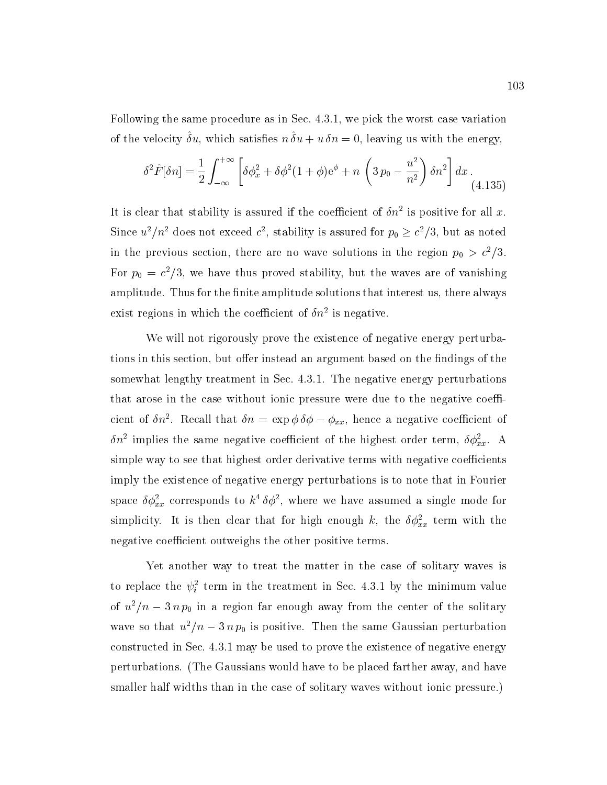Following the same procedure as in Sec. 4.3.1, we pick the worst case variation of the velocity  $\sigma u$ , which satisfies  $\mu \sigma u + u \sigma u = 0$ , leaving us with the energy,

$$
\delta^2 \hat{F}[\delta n] = \frac{1}{2} \int_{-\infty}^{+\infty} \left[ \delta \phi_x^2 + \delta \phi^2 (1+\phi) e^{\phi} + n \left( 3 p_0 - \frac{u^2}{n^2} \right) \delta n^2 \right] dx \,. \tag{4.135}
$$

It is clear that stability is assured if the coefficient of  $\partial n^*$  is positive for all  $x.$ Since  $u^2/n^2$  does not exceed c<sup>2</sup>, stability is assured for  $p_0 \geq c^2/3$ , but as noted in the previous section, there are no wave solutions in the region  $p_0 > c^2/5$ . For  $p_0 = c$  /5, we have thus proved stability, but the waves are of vanishing amplitude. Thus for the finite amplitude solutions that interest us, there always exist regions in which the coefficient of  $\sigma n$  is negative.

We will not rigorously prove the existence of negative energy perturbations in this section, but offer instead an argument based on the findings of the somewhat lengthy treatment in Sec.4.3.1. The negative energy perturbations that arose in the case without ionic pressure were due to the negative coefficient of  $\sigma n^2$ . Recall that  $\sigma n = \exp \varphi \, \sigma \varphi - \varphi_{xx}$ , hence a negative coefficient of  $\sigma n$  -implies the same negative coefficient of the highest order term,  $\sigma \phi_{xx}.$  A simple way to see that highest order derivative terms with negative coefficients imply the existence of negative energy perturbations is to note that in Fourier space  $\omega \varphi_{xx}$  corresponds to k  $\omega \varphi$  , where we have assumed a single mode for simplicity. It is then clear that for high enough k, the  $\delta \phi_{xx}^2$  term with the negative coefficient outweighs the other positive terms.

Yet another way to treat the matter in the case of solitary waves is to replace the  $\psi_i^*$  term in the treatment in Sec. 4.3.1 by the minimum value of  $u^2/n - 3 n p_0$  in a region far enough away from the center of the solitary wave so that  $u^2/n - 3 n p_0$  is positive. Then the same Gaussian perturbation constructed in Sec. 4.3.1 may be used to prove the existence of negative energy perturbations. (The Gaussians would have to be placed farther away, and have smaller half widths than in the case of solitary waves without ionic pressure.)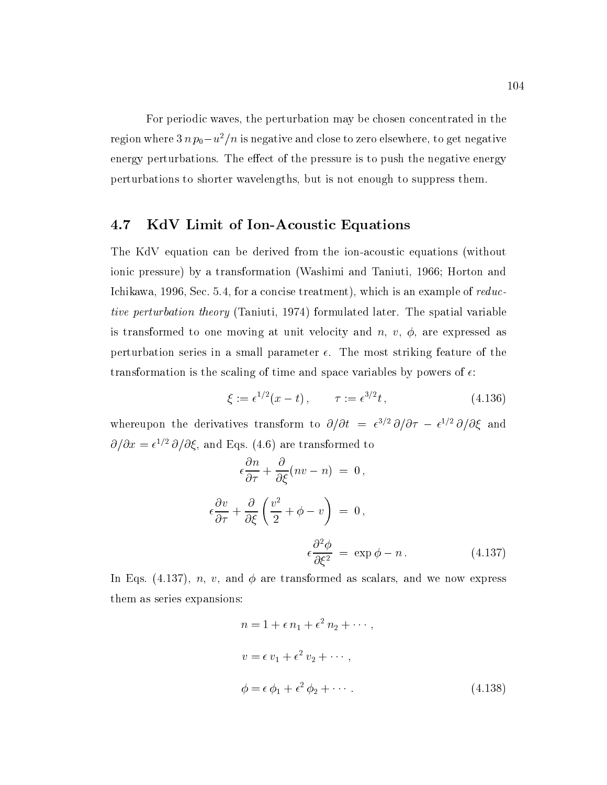For periodic waves, the perturbation may be chosen concentrated in the region where  $3 n p_0 - u^2/n$  is negative and close to zero elsewhere, to get negative energy perturbations. The effect of the pressure is to push the negative energy perturbations to shorter wavelengths, but is not enough to suppress them.

### 4.7 KdV Limit of Ion-Acoustic Equations

The KdV equation can be derived from the ion-acoustic equations (without ionic pressure) by a transformation (Washimi and Taniuti, 1966; Horton and Ichikawa, 1996, Sec. 5.4, for a concise treatment), which is an example of reductive perturbation theory (Taniuti, 1974) formulated later. The spatial variable is transformed to one moving at unit velocity and  $n, v, \phi$ , are expressed as perturbation series in a small parameter  $\epsilon$ . The most striking feature of the transformation is the scaling of time and space variables by powers of  $\epsilon$ :

$$
\xi := \epsilon^{1/2}(x - t), \qquad \tau := \epsilon^{3/2}t, \qquad (4.136)
$$

whereupon the derivatives transform to  $\partial/\partial t = e^{t}$   $\partial/\partial \tau - e^{t}$   $\partial/\partial \zeta$  and  $Q/Qx = e^{-\gamma z} Q/Q \zeta$ , and Eqs. (4.0) are transformed to

$$
\epsilon \frac{\partial n}{\partial \tau} + \frac{\partial}{\partial \xi} (nv - n) = 0,
$$
  

$$
\epsilon \frac{\partial v}{\partial \tau} + \frac{\partial}{\partial \xi} \left( \frac{v^2}{2} + \phi - v \right) = 0,
$$
  

$$
\epsilon \frac{\partial^2 \phi}{\partial \xi^2} = \exp \phi - n.
$$
 (4.137)

In Eqs. (4.137), n, v, and  $\phi$  are transformed as scalars, and we now express them as series expansions:

$$
n = 1 + \epsilon n_1 + \epsilon^2 n_2 + \cdots,
$$
  
\n
$$
v = \epsilon v_1 + \epsilon^2 v_2 + \cdots,
$$
  
\n
$$
\phi = \epsilon \phi_1 + \epsilon^2 \phi_2 + \cdots.
$$
\n(4.138)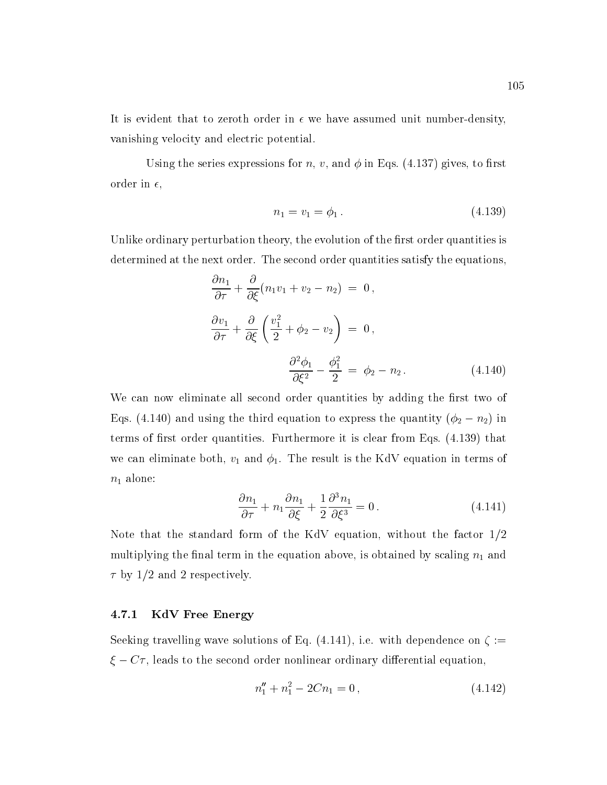It is evident that to zeroth order in  $\epsilon$  we have assumed unit number-density, vanishing velocity and electric potential.

Using the series expressions for n, v, and  $\phi$  in Eqs. (4.137) gives, to first order in  $\epsilon$ ,

$$
n_1 = v_1 = \phi_1. \tag{4.139}
$$

Unlike ordinary perturbation theory, the evolution of the first order quantities is determined at the next order. The second order quantities satisfy the equations,

$$
\frac{\partial n_1}{\partial \tau} + \frac{\partial}{\partial \xi} (n_1 v_1 + v_2 - n_2) = 0,
$$
  

$$
\frac{\partial v_1}{\partial \tau} + \frac{\partial}{\partial \xi} \left( \frac{v_1^2}{2} + \phi_2 - v_2 \right) = 0,
$$
  

$$
\frac{\partial^2 \phi_1}{\partial \xi^2} - \frac{\phi_1^2}{2} = \phi_2 - n_2.
$$
 (4.140)

We can now eliminate all second order quantities by adding the first two of Eqs. (4.140) and using the third equation to express the quantity ( $\phi_2 - n_2$ ) in terms of first order quantities. Furthermore it is clear from Eqs.  $(4.139)$  that we can eliminate both,  $v_1$  and  $\phi_1$ . The result is the KdV equation in terms of  $n_1$  alone:

$$
\frac{\partial n_1}{\partial \tau} + n_1 \frac{\partial n_1}{\partial \xi} + \frac{1}{2} \frac{\partial^3 n_1}{\partial \xi^3} = 0.
$$
 (4.141)

Note that the standard form of the KdV equation, without the factor 1/2 multiplying the final term in the equation above, is obtained by scaling  $n_1$  and  $\tau$  by 1/2 and 2 respectively.

#### 4.7.1 KdV Free Energy

Seeking travelling wave solutions of Eq. (4.141), i.e. with dependence on  $\zeta :=$  $\xi - C\tau$ , leads to the second order nonlinear ordinary differential equation,

$$
n_1'' + n_1^2 - 2Cn_1 = 0, \t\t(4.142)
$$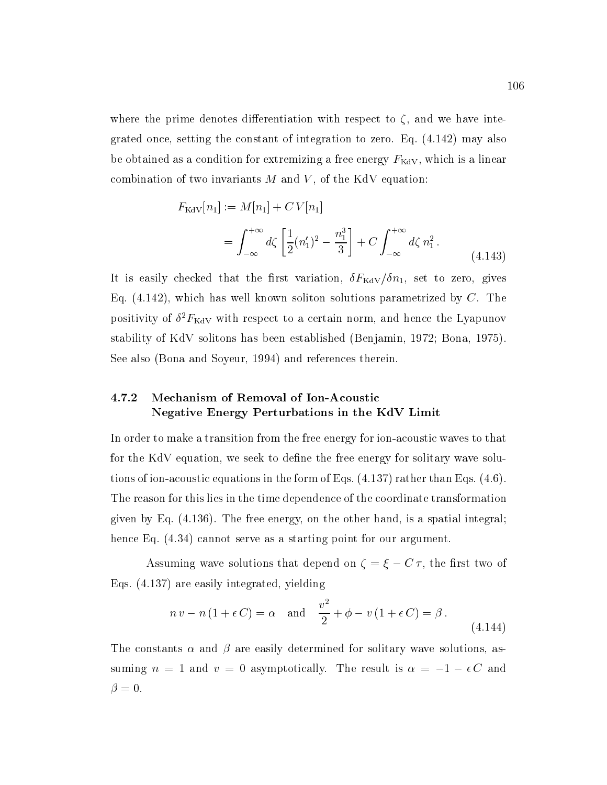where the prime denotes differentiation with respect to  $\zeta$ , and we have integrated once, setting the constant of integration to zero. Eq. (4.142) may also be obtained as a condition for extremizing a free energy  $F_{\text{KdV}}$ , which is a linear combination of two invariants  $M$  and  $V$ , of the KdV equation:

$$
F_{\text{KdV}}[n_1] := M[n_1] + CV[n_1]
$$
  
=  $\int_{-\infty}^{+\infty} d\zeta \left[ \frac{1}{2} (n_1')^2 - \frac{n_1^3}{3} \right] + C \int_{-\infty}^{+\infty} d\zeta n_1^2$ . (4.143)

It is easily checked that the first variation,  $\delta F_{\text{KdV}}/\delta n_1$ , set to zero, gives Eq.  $(4.142)$ , which has well known soliton solutions parametrized by C. The positivity of  $\sigma$   $_{\rm{F}$ <sub>KdV</sub> with respect to a certain norm, and hence the Lyapunov stability of KdV solitons has been established (Benjamin, 1972; Bona, 1975). See also (Bona and Soyeur, 1994) and references therein.

### 4.7.2 Mechanism of Removal of Ion-Acoustic Negative Energy Perturbations in the KdV Limit

In order to make a transition from the free energy for ion-acoustic waves to that for the KdV equation, we seek to define the free energy for solitary wave solutions of ion-acoustic equations in the form of Eqs. (4.137) rather than Eqs. (4.6). The reason for this lies in the time dependence of the coordinate transformation given by Eq. (4.136). The free energy, on the other hand, is a spatial integral; hence Eq.  $(4.34)$  cannot serve as a starting point for our argument.

Assuming wave solutions that depend on  $\zeta = \xi - C \tau$ , the first two of Eqs. (4.137) are easily integrated, yielding

$$
n v - n (1 + \epsilon C) = \alpha \quad \text{and} \quad \frac{v^2}{2} + \phi - v (1 + \epsilon C) = \beta.
$$
\n(4.144)

The constants  $\alpha$  and  $\beta$  are easily determined for solitary wave solutions, assuming  $n = 1$  and  $v = 0$  asymptotically. The result is  $\alpha = -1 - \epsilon C$  and  $\beta = 0.$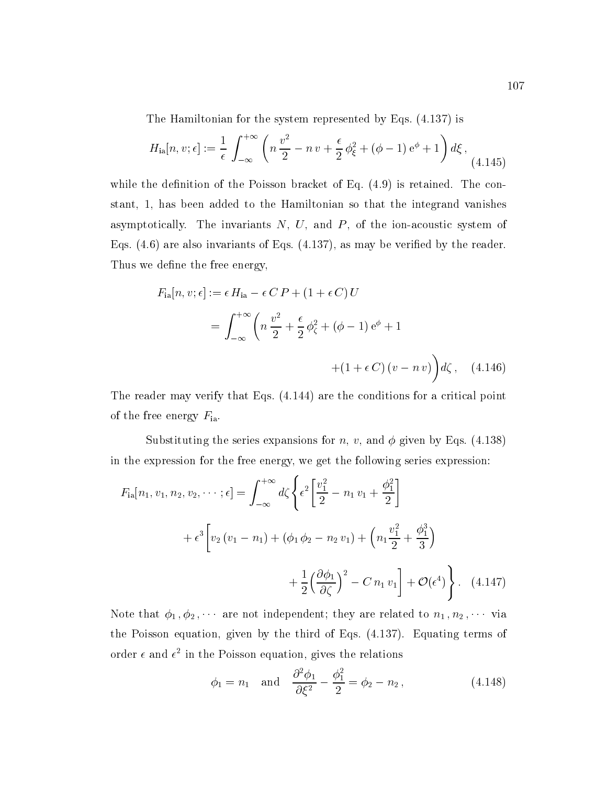The Hamiltonian for the system represented by Eqs. (4.137) is

$$
H_{\rm ia}[n, v; \epsilon] := \frac{1}{\epsilon} \int_{-\infty}^{+\infty} \left( n \frac{v^2}{2} - n v + \frac{\epsilon}{2} \phi_{\xi}^2 + (\phi - 1) e^{\phi} + 1 \right) d\xi , \tag{4.145}
$$

while the definition of the Poisson bracket of Eq.  $(4.9)$  is retained. The constant, 1, has been added to the Hamiltonian so that the integrand vanishes asymptotically. The invariants  $N, U$ , and  $P$ , of the ion-acoustic system of Eqs.  $(4.6)$  are also invariants of Eqs.  $(4.137)$ , as may be verified by the reader. Thus we define the free energy,

$$
F_{\rm ia}[n, v; \epsilon] := \epsilon H_{\rm ia} - \epsilon C P + (1 + \epsilon C) U
$$
  
= 
$$
\int_{-\infty}^{+\infty} \left( n \frac{v^2}{2} + \frac{\epsilon}{2} \phi_{\zeta}^2 + (\phi - 1) e^{\phi} + 1 + (1 + \epsilon C) (v - n v) \right) d\zeta , \quad (4.146)
$$

The reader may verify that Eqs. (4.144) are the conditions for a critical point of the free energy  $F_{\text{ia}}$ .

Substituting the series expansions for n, v, and  $\phi$  given by Eqs. (4.138) in the expression for the free energy, we get the following series expression:

$$
F_{\rm ia}[n_1, v_1, n_2, v_2, \cdots; \epsilon] = \int_{-\infty}^{+\infty} d\zeta \left\{ \epsilon^2 \left[ \frac{v_1^2}{2} - n_1 v_1 + \frac{\phi_1^2}{2} \right] \right.
$$
  
+  $\epsilon^3 \left[ v_2 (v_1 - n_1) + (\phi_1 \phi_2 - n_2 v_1) + \left( n_1 \frac{v_1^2}{2} + \frac{\phi_1^3}{3} \right) \right.$   
+  $\frac{1}{2} \left( \frac{\partial \phi_1}{\partial \zeta} \right)^2 - C n_1 v_1 \right] + \mathcal{O}(\epsilon^4)$  (4.147)

Note that  $\phi_1$ ,  $\phi_2$ ,  $\cdots$  are not independent; they are related to  $n_1$ ,  $n_2$ ,  $\cdots$  via the Poisson equation, given by the third of Eqs. (4.137). Equating terms of order  $\epsilon$  and  $\epsilon$  in the Poisson equation, gives the relations

$$
\phi_1 = n_1
$$
 and  $\frac{\partial^2 \phi_1}{\partial \xi^2} - \frac{\phi_1^2}{2} = \phi_2 - n_2$ , (4.148)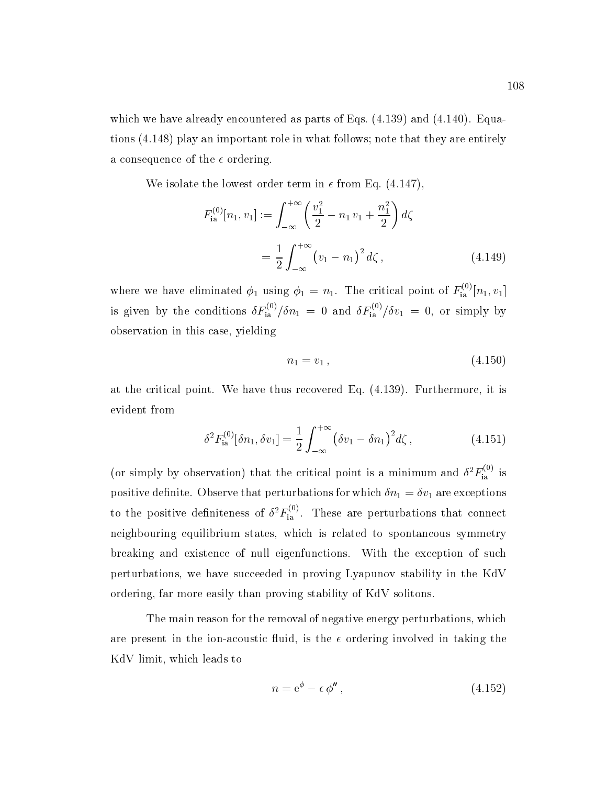which we have already encountered as parts of Eqs.  $(4.139)$  and  $(4.140)$ . Equations (4.148) play an important role in what follows; note that they are entirely a consequence of the  $\epsilon$  ordering.

We isolate the lowest order term in  $\epsilon$  from Eq. (4.147),

$$
F_{\text{ia}}^{(0)}[n_1, v_1] := \int_{-\infty}^{+\infty} \left(\frac{v_1^2}{2} - n_1 v_1 + \frac{n_1^2}{2}\right) d\zeta
$$
  
= 
$$
\frac{1}{2} \int_{-\infty}^{+\infty} (v_1 - n_1)^2 d\zeta , \qquad (4.149)
$$

where we have eliminated  $\phi_1$  using  $\phi_1 = n_1$ . The critical point of  $F_{1a}^{(1)}[n_1, v_1]$ is given by the conditions  $\delta F_{\rm in}^{\rm (eq)}/\delta n_1 = 0$  and  $\delta F_{\rm in}^{\rm (eq)}/\delta v_1 = 0$ , or simply by observation in this case, yielding

$$
n_1 = v_1 \,, \tag{4.150}
$$

at the critical point. We have thus recovered Eq. (4.139). Furthermore, it is evident from

$$
\delta^2 F_{\text{ia}}^{(0)}[\delta n_1, \delta v_1] = \frac{1}{2} \int_{-\infty}^{+\infty} (\delta v_1 - \delta n_1)^2 d\zeta , \qquad (4.151)
$$

(or simply by observation) that the critical point is a minimum and  $\delta^2 F_{\text{ia}}^{\gamma}$  is positive definite. Observe that perturbations for which  $\delta n_1 = \delta v_1$  are exceptions to the positive definiteness of  $\delta^2 F_{\text{ia}}^{\text{S}}$ . These are perturbations that connect neighbouring equilibrium states, which is related to spontaneous symmetry breaking and existence of null eigenfunctions. With the exception of such perturbations, we have succeeded in proving Lyapunov stability in the KdV ordering, far more easily than proving stability of KdV solitons.

The main reason for the removal of negative energy perturbations, which are present in the ion-acoustic fluid, is the  $\epsilon$  ordering involved in taking the KdV limit, which leads to

$$
n = e^{\phi} - \epsilon \phi'', \qquad (4.152)
$$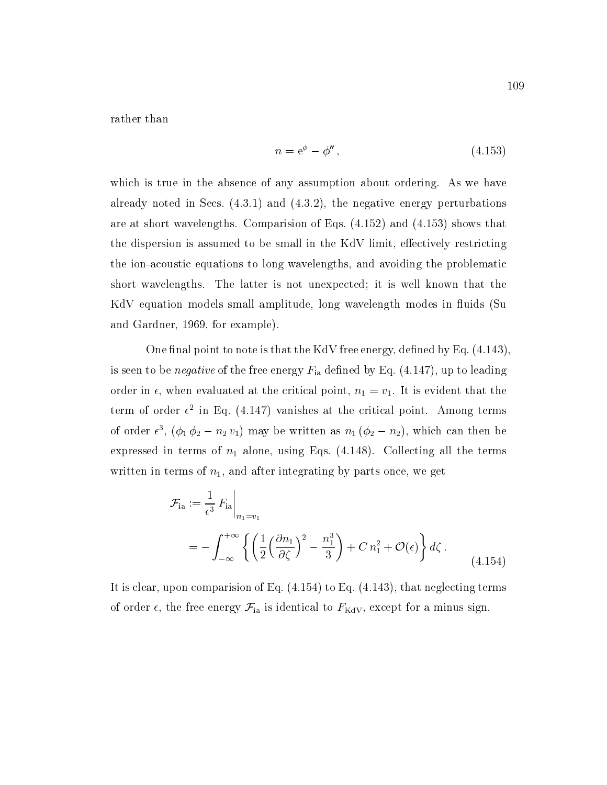rather than

$$
n = e^{\phi} - \phi'', \qquad (4.153)
$$

which is true in the absence of any assumption about ordering. As we have already noted in Secs.  $(4.3.1)$  and  $(4.3.2)$ , the negative energy perturbations are at short wavelengths. Comparision of Eqs. (4.152) and (4.153) shows that the dispersion is assumed to be small in the KdV limit, effectively restricting the ion-acoustic equations to long wavelengths, and avoiding the problematic short wavelengths. The latter is not unexpected; it is well known that the KdV equation models small amplitude, long wavelength modes in fluids (Su and Gardner, 1969, for example).

One final point to note is that the KdV free energy, defined by Eq.  $(4.143)$ , is seen to be *negative* of the free energy  $F_{\text{ia}}$  defined by Eq. (4.147), up to leading order in  $\epsilon$ , when evaluated at the critical point,  $n_1 = v_1$ . It is evident that the term of order  $\epsilon$  in Eq. (4.147) vanishes at the critical point. Among terms of order  $\epsilon^{\ast}$ ,  $(\varphi_1 \varphi_2 - n_2 v_1)$  may be written as  $n_1$  ( $\varphi_2 - n_2$ ), which can then be expressed in terms of  $n_1$  alone, using Eqs. (4.148). Collecting all the terms written in terms of  $n_1$ , and after integrating by parts once, we get

$$
\mathcal{F}_{\text{ia}} := \frac{1}{\epsilon^3} F_{\text{ia}} \bigg|_{n_1 = v_1}
$$
\n
$$
= - \int_{-\infty}^{+\infty} \left\{ \left( \frac{1}{2} \left( \frac{\partial n_1}{\partial \zeta} \right)^2 - \frac{n_1^3}{3} \right) + C n_1^2 + \mathcal{O}(\epsilon) \right\} d\zeta \,. \tag{4.154}
$$

It is clear, upon comparision of Eq. (4.154) to Eq. (4.143), that neglecting terms of order  $\epsilon$ , the free energy  $\mathcal{F}_{ia}$  is identical to  $F_{\text{KdV}}$ , except for a minus sign.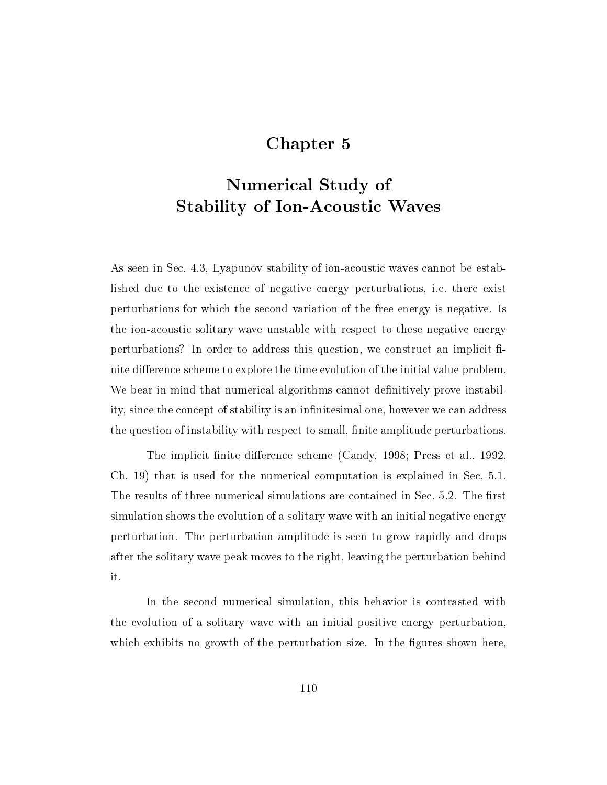## Chapter 5

# Numerical Study of Stability of Ion-Acoustic Waves

As seen in Sec.4.3, Lyapunov stability of ion-acoustic waves cannot be established due to the existence of negative energy perturbations, i.e. there exist perturbations for which the second variation of the free energy is negative. Is the ion-acoustic solitary wave unstable with respect to these negative energy perturbations? In order to address this question, we construct an implicit finite difference scheme to explore the time evolution of the initial value problem. We bear in mind that numerical algorithms cannot definitively prove instability, since the concept of stability is an infinitesimal one, however we can address the question of instability with respect to small, finite amplitude perturbations.

The implicit finite difference scheme (Candy, 1998; Press et al., 1992, Ch. 19) that is used for the numerical computation is explained in Sec. 5.1. The results of three numerical simulations are contained in Sec. 5.2. The first simulation shows the evolution of a solitary wave with an initial negative energy perturbation. The perturbation amplitude is seen to grow rapidly and drops after the solitary wave peak moves to the right, leaving the perturbation behind it.

In the second numerical simulation, this behavior is contrasted with the evolution of a solitary wave with an initial positive energy perturbation, which exhibits no growth of the perturbation size. In the figures shown here,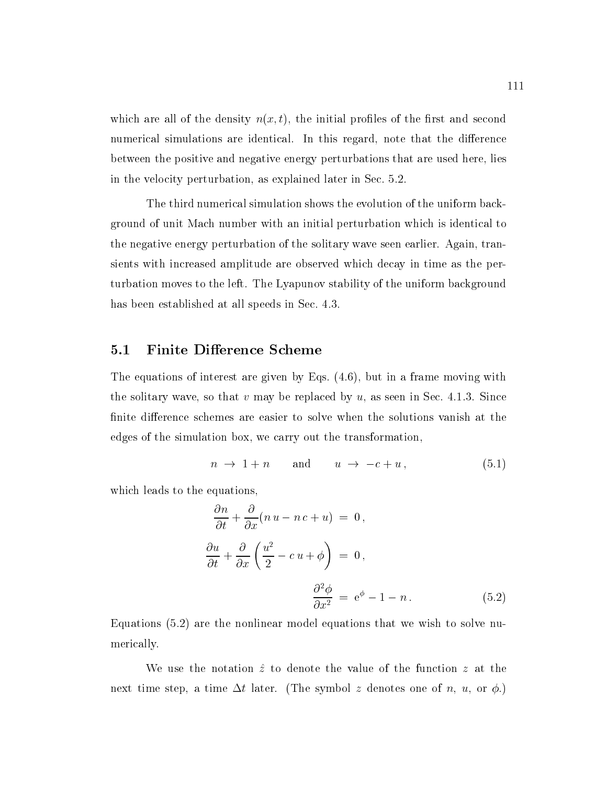which are all of the density  $n(x, t)$ , the initial profiles of the first and second numerical simulations are identical. In this regard, note that the difference between the positive and negative energy perturbations that are used here, lies in the velocity perturbation, as explained later in Sec. 5.2.

The third numerical simulation shows the evolution of the uniform background of unit Mach number with an initial perturbation which is identical to the negative energy perturbation of the solitary wave seen earlier. Again, transients with increased amplitude are observed which decay in time as the perturbation moves to the left. The Lyapunov stability of the uniform background has been established at all speeds in Sec. 4.3.

#### 5.1 Finite Difference Scheme

The equations of interest are given by Eqs. (4.6), but in a frame moving with the solitary wave, so that v may be replaced by  $u$ , as seen in Sec. 4.1.3. Since finite difference schemes are easier to solve when the solutions vanish at the edges of the simulation box, we carry out the transformation,

$$
n \to 1 + n \qquad \text{and} \qquad u \to -c + u \,, \tag{5.1}
$$

which leads to the equations,

$$
\frac{\partial n}{\partial t} + \frac{\partial}{\partial x}(n u - n c + u) = 0,
$$
  

$$
\frac{\partial u}{\partial t} + \frac{\partial}{\partial x}\left(\frac{u^2}{2} - c u + \phi\right) = 0,
$$
  

$$
\frac{\partial^2 \phi}{\partial x^2} = e^{\phi} - 1 - n.
$$
 (5.2)

Equations (5.2) are the nonlinear model equations that we wish to solve numerically.

We use the notation  $\hat{z}$  to denote the value of the function z at the next time step, a time  $\Delta t$  later. (The symbol z denotes one of n, u, or  $\phi$ .)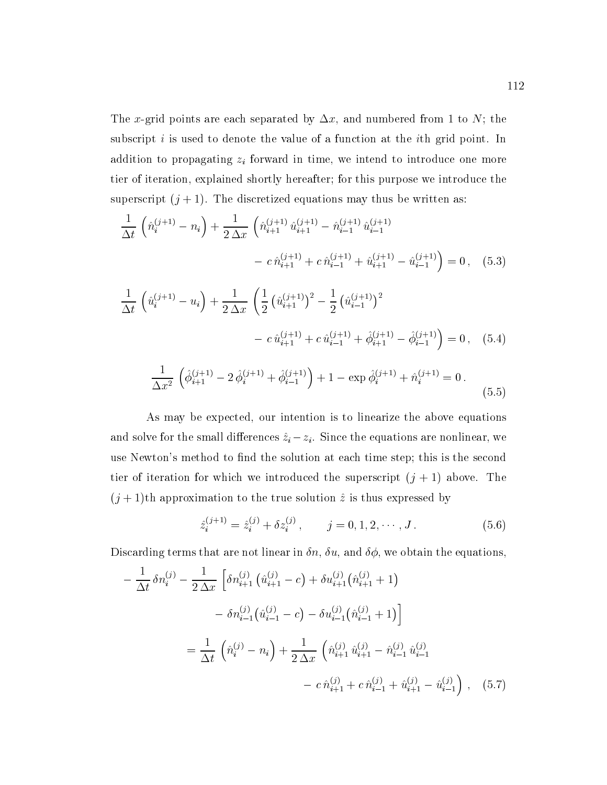The x-grid points are each separated by  $\Delta x$ , and numbered from 1 to N; the subscript  $i$  is used to denote the value of a function at the *i*th grid point. In addition to propagating  $z_i$  forward in time, we intend to introduce one more tier of iteration, explained shortly hereafter; for this purpose we introduce the superscript  $(j + 1)$ . The discretized equations may thus be written as:

$$
\frac{1}{\Delta t} \left( \hat{n}_{i}^{(j+1)} - n_{i} \right) + \frac{1}{2 \Delta x} \left( \hat{n}_{i+1}^{(j+1)} \hat{u}_{i+1}^{(j+1)} - \hat{n}_{i-1}^{(j+1)} \hat{u}_{i-1}^{(j+1)} - c \, \hat{n}_{i+1}^{(j+1)} + c \, \hat{n}_{i-1}^{(j+1)} + \hat{u}_{i+1}^{(j+1)} - \hat{u}_{i-1}^{(j+1)} \right) = 0 \,, \quad (5.3)
$$

$$
\frac{1}{\Delta t} \left( \hat{u}_i^{(j+1)} - u_i \right) + \frac{1}{2 \Delta x} \left( \frac{1}{2} \left( \hat{u}_{i+1}^{(j+1)} \right)^2 - \frac{1}{2} \left( \hat{u}_{i-1}^{(j+1)} \right)^2 - c \, \hat{u}_{i+1}^{(j+1)} + c \, \hat{u}_{i-1}^{(j+1)} + \hat{\phi}_{i+1}^{(j+1)} - \hat{\phi}_{i-1}^{(j+1)} \right) = 0 \,, \quad (5.4)
$$

$$
\frac{1}{\Delta x^2} \left( \hat{\phi}_{i+1}^{(j+1)} - 2 \hat{\phi}_i^{(j+1)} + \hat{\phi}_{i-1}^{(j+1)} \right) + 1 - \exp \hat{\phi}_i^{(j+1)} + \hat{n}_i^{(j+1)} = 0.
$$
\n(5.5)

As may be expected, our intention is to linearize the above equations and solve for the small differences  $\hat{z}_i - z_i$ . Since the equations are nonlinear, we use Newton's method to find the solution at each time step; this is the second tier of iteration for which we introduced the superscript  $(j + 1)$  above. The  $(j + 1)$ th approximation to the true solution  $\hat{z}$  is thus expressed by

$$
\hat{z}_i^{(j+1)} = \hat{z}_i^{(j)} + \delta z_i^{(j)}, \qquad j = 0, 1, 2, \cdots, J. \tag{5.6}
$$

Discarding terms that are not linear in  $\delta n$ ,  $\delta u$ , and  $\delta \phi$ , we obtain the equations,

$$
-\frac{1}{\Delta t} \delta n_i^{(j)} - \frac{1}{2\Delta x} \left[ \delta n_{i+1}^{(j)} \left( \hat{u}_{i+1}^{(j)} - c \right) + \delta u_{i+1}^{(j)} \left( \hat{n}_{i+1}^{(j)} + 1 \right) \right]
$$

$$
- \delta n_{i-1}^{(j)} \left( \hat{u}_{i-1}^{(j)} - c \right) - \delta u_{i-1}^{(j)} \left( \hat{n}_{i-1}^{(j)} + 1 \right) \right]
$$

$$
= \frac{1}{\Delta t} \left( \hat{n}_i^{(j)} - n_i \right) + \frac{1}{2\Delta x} \left( \hat{n}_{i+1}^{(j)} \hat{u}_{i+1}^{(j)} - \hat{n}_{i-1}^{(j)} \hat{u}_{i-1}^{(j)} \right)
$$

$$
- c \hat{n}_{i+1}^{(j)} + c \hat{n}_{i-1}^{(j)} + \hat{u}_{i+1}^{(j)} - \hat{u}_{i-1}^{(j)} \right), \quad (5.7)
$$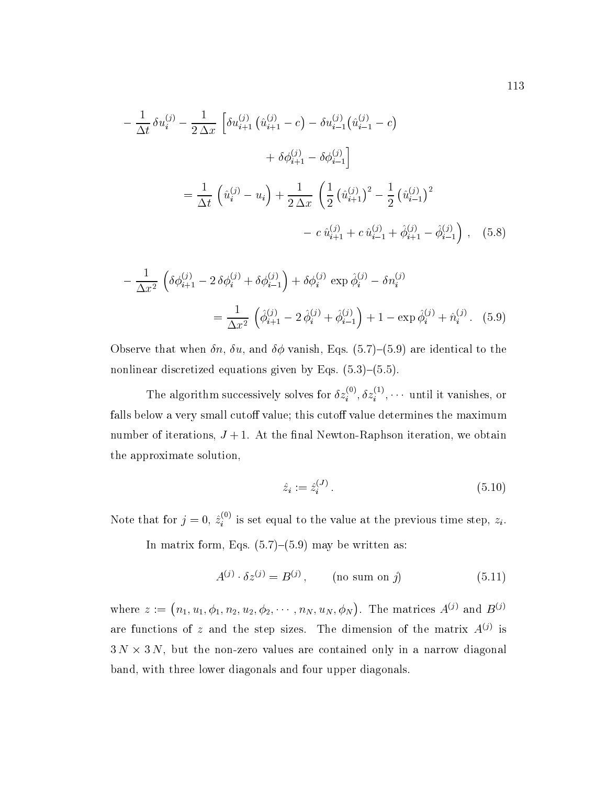$$
-\frac{1}{\Delta t} \delta u_i^{(j)} - \frac{1}{2 \Delta x} \left[ \delta u_{i+1}^{(j)} \left( \hat{u}_{i+1}^{(j)} - c \right) - \delta u_{i-1}^{(j)} \left( \hat{u}_{i-1}^{(j)} - c \right) \right.
$$
  

$$
+ \delta \phi_{i+1}^{(j)} - \delta \phi_{i-1}^{(j)} \right]
$$
  

$$
= \frac{1}{\Delta t} \left( \hat{u}_i^{(j)} - u_i \right) + \frac{1}{2 \Delta x} \left( \frac{1}{2} \left( \hat{u}_{i+1}^{(j)} \right)^2 - \frac{1}{2} \left( \hat{u}_{i-1}^{(j)} \right)^2 \right.
$$
  

$$
- c \hat{u}_{i+1}^{(j)} + c \hat{u}_{i-1}^{(j)} + \hat{\phi}_{i+1}^{(j)} - \hat{\phi}_{i-1}^{(j)} \right), \quad (5.8)
$$

$$
-\frac{1}{\Delta x^2} \left( \delta \phi_{i+1}^{(j)} - 2 \delta \phi_i^{(j)} + \delta \phi_{i-1}^{(j)} \right) + \delta \phi_i^{(j)} \exp \hat{\phi}_i^{(j)} - \delta n_i^{(j)}
$$

$$
= \frac{1}{\Delta x^2} \left( \hat{\phi}_{i+1}^{(j)} - 2 \hat{\phi}_i^{(j)} + \hat{\phi}_{i-1}^{(j)} \right) + 1 - \exp \hat{\phi}_i^{(j)} + \hat{n}_i^{(j)}.
$$
(5.9)

Observe that when  $\delta n$ ,  $\delta u$ , and  $\delta \phi$  vanish, Eqs. (5.7)-(5.9) are identical to the nonlinear discretized equations given by Eqs.  $(5.3)-(5.5)$ .

The algorithm successively solves for  $\partial z_i^{(1)}, \partial z_i^{(2)}, \cdots$  until it vanishes, or falls below a very small cutoff value; this cutoff value determines the maximum number of iterations,  $J + 1$ . At the final Newton-Raphson iteration, we obtain the approximate solution,

$$
\hat{z}_i := \hat{z}_i^{(J)}.\tag{5.10}
$$

Note that for  $j = 0, z^*_i$  is set equal to the value at the previous time step,  $z_i$ .

In matrix form, Eqs.  $(5.7)-(5.9)$  may be written as:

$$
A^{(j)} \cdot \delta z^{(j)} = B^{(j)}, \qquad \text{(no sum on } j\text{)}\tag{5.11}
$$

where  $z := (n_1, u_1, \phi_1, n_2, u_2, \phi_2, \cdots, n_N, u_N, \phi_N)$ . The matrices  $A^{(j)}$  and  $B^{(j)}$ are functions of z and the step sizes. The dimension of the matrix  $A^{(j)}$  is  $3 N \times 3 N$ , but the non-zero values are contained only in a narrow diagonal band, with three lower diagonals and four upper diagonals.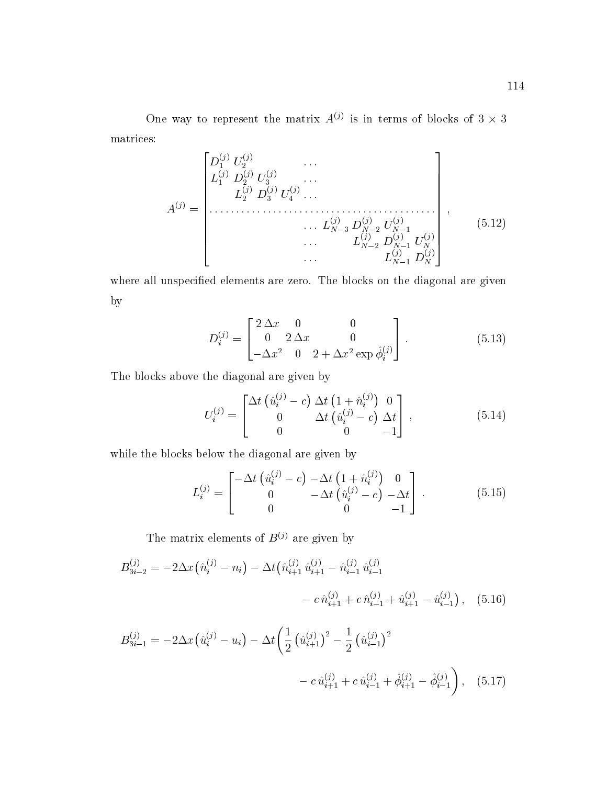One way to represent the matrix  $A^{\vee}$  is in terms of blocks of 3  $\times$  3 matrices:

$$
A^{(j)} = \begin{bmatrix} D_1^{(j)} & U_2^{(j)} & \cdots & & & \\ L_1^{(j)} & D_2^{(j)} & U_3^{(j)} & \cdots & & \\ & & L_2^{(j)} & D_3^{(j)} & U_4^{(j)} & \cdots & & \\ & & & \cdots & L_{N-3}^{(j)} & D_{N-2}^{(j)} & U_{N-1}^{(j)} \\ & & & & \cdots & L_{N-2}^{(j)} & D_{N-1}^{(j)} & U_N^{(j)} \\ & & & & \cdots & & L_{N-1}^{(j)} & D_N^{(j)} \\ & & & & & \cdots & & L_{N-1}^{(j)} & D_N^{(j)} \end{bmatrix}, \qquad (5.12)
$$

where all unspecied elements are zero. The blocks on the diagonal are given by

$$
D_i^{(j)} = \begin{bmatrix} 2\Delta x & 0 & 0 \\ 0 & 2\Delta x & 0 \\ -\Delta x^2 & 0 & 2 + \Delta x^2 \exp \hat{\phi}_i^{(j)} \end{bmatrix} .
$$
 (5.13)

The blocks above the diagonal are given by

$$
U_i^{(j)} = \begin{bmatrix} \Delta t \left( \hat{u}_i^{(j)} - c \right) \Delta t \left( 1 + \hat{n}_i^{(j)} \right) & 0\\ 0 & \Delta t \left( \hat{u}_i^{(j)} - c \right) \Delta t\\ 0 & 0 & -1 \end{bmatrix}, \qquad (5.14)
$$

while the blocks below the diagonal are given by

$$
L_i^{(j)} = \begin{bmatrix} -\Delta t \left( \hat{u}_i^{(j)} - c \right) - \Delta t \left( 1 + \hat{n}_i^{(j)} \right) & 0\\ 0 & -\Delta t \left( \hat{u}_i^{(j)} - c \right) - \Delta t\\ 0 & 0 & -1 \end{bmatrix} . \tag{5.15}
$$

The matrix elements of  $B^{(j)}$  are given by

$$
B_{3i-2}^{(j)} = -2\Delta x \left(\hat{n}_i^{(j)} - n_i\right) - \Delta t \left(\hat{n}_{i+1}^{(j)} \hat{u}_{i+1}^{(j)} - \hat{n}_{i-1}^{(j)} \hat{u}_{i-1}^{(j)}\right) - c \,\hat{n}_{i+1}^{(j)} + c \,\hat{n}_{i-1}^{(j)} + \hat{u}_{i+1}^{(j)} - \hat{u}_{i-1}^{(j)}\right), \quad (5.16)
$$

$$
B_{3i-1}^{(j)} = -2\Delta x \left(\hat{u}_i^{(j)} - u_i\right) - \Delta t \left(\frac{1}{2} \left(\hat{u}_{i+1}^{(j)}\right)^2 - \frac{1}{2} \left(\hat{u}_{i-1}^{(j)}\right)^2 - c \,\hat{u}_{i+1}^{(j)} + c \,\hat{u}_{i-1}^{(j)} + \hat{\phi}_{i+1}^{(j)} - \hat{\phi}_{i-1}^{(j)}\right), \quad (5.17)
$$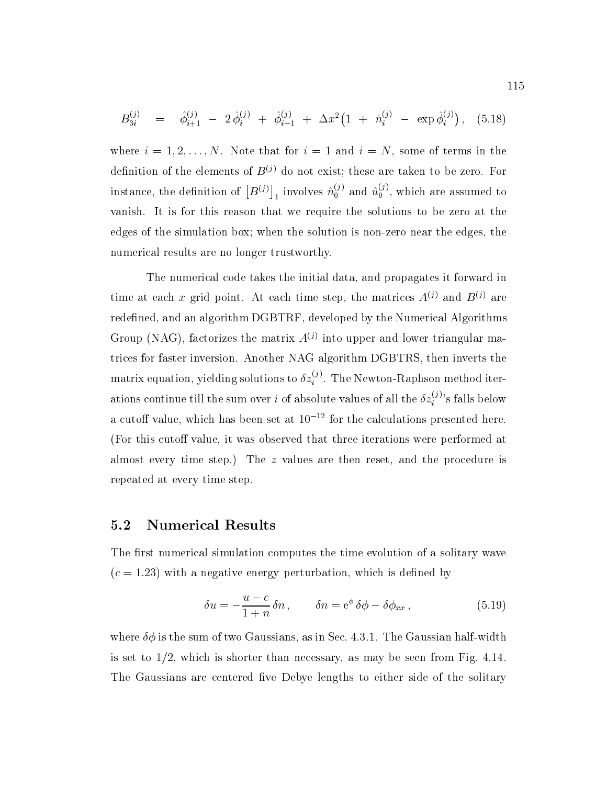$$
B_{3i}^{(j)} = \hat{\phi}_{i+1}^{(j)} - 2\,\hat{\phi}_i^{(j)} + \hat{\phi}_{i-1}^{(j)} + \Delta x^2 \left(1 + \hat{n}_i^{(j)} - \exp \hat{\phi}_i^{(j)}\right), \quad (5.18)
$$

where  $i = 1, 2, \ldots, N$ . Note that for  $i = 1$  and  $i = N$ , some of terms in the definition of the elements of  $B^{(j)}$  do not exist; these are taken to be zero. For instance, the definition of  $\left[B^{(j)}\right]_1$  involves  $\hat{n}^{(j)}_0$  and  $\hat{u}^{(j)}_0$ , which are assumed to vanish. It is for this reason that we require the solutions to be zero at the edges of the simulation box; when the solution is non-zero near the edges, the numerical results are no longer trustworthy.

The numerical code takes the initial data, and propagates it forward in time at each x grid point. At each time step, the matrices  $A^{(j)}$  and  $B^{(j)}$  are redefined, and an algorithm DGBTRF, developed by the Numerical Algorithms Group (NAG), factorizes the matrix  $A^{(j)}$  into upper and lower triangular matrices for faster inversion. Another NAG algorithm DGBTRS, then inverts the matrix equation, yielding solutions to  $\delta z_i^{j\sigma}$  . The Newton-Raphson method iterations continue till the sum over i of absolute values of all the  $\delta z^{(j)}_{i}$ 's falls below a cutoff value, which has been set at  $10^{-12}$  for the calculations presented here. (For this cutoff value, it was observed that three iterations were performed at almost every time step.) The z values are then reset, and the procedure is repeated at every time step.

#### 5.2 Numerical Results

The first numerical simulation computes the time evolution of a solitary wave  $(c = 1.23)$  with a negative energy perturbation, which is defined by

$$
\delta u = -\frac{u-c}{1+n} \delta n , \qquad \delta n = e^{\phi} \delta \phi - \delta \phi_{xx} , \qquad (5.19)
$$

where  $\delta\phi$  is the sum of two Gaussians, as in Sec. 4.3.1. The Gaussian half-width is set to  $1/2$ , which is shorter than necessary, as may be seen from Fig. 4.14. The Gaussians are centered five Debye lengths to either side of the solitary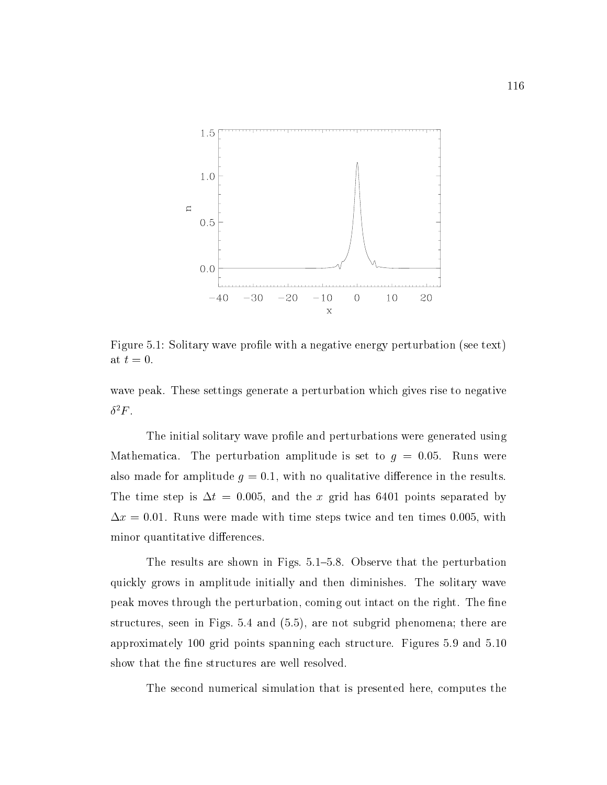

Figure 5.1: Solitary wave profile with a negative energy perturbation (see text) at  $t=0$ .

wave peak. These settings generate a perturbation which gives rise to negative  $\delta^2 F$ .

The initial solitary wave profile and perturbations were generated using Mathematica. The perturbation amplitude is set to  $g = 0.05$ . Runs were also made for amplitude  $g = 0.1$ , with no qualitative difference in the results. The time step is  $\Delta t = 0.005$ , and the x grid has 6401 points separated by  $\Delta x = 0.01$ . Runs were made with time steps twice and ten times 0.005, with minor quantitative differences.

The results are shown in Figs. 5.1–5.8. Observe that the perturbation quickly grows in amplitude initially and then diminishes. The solitary wave peak moves through the perturbation, coming out intact on the right. The fine structures, seen in Figs. 5.4 and (5.5), are not subgrid phenomena; there are approximately 100 grid points spanning each structure. Figures 5.9 and 5.10 show that the fine structures are well resolved.

The second numerical simulation that is presented here, computes the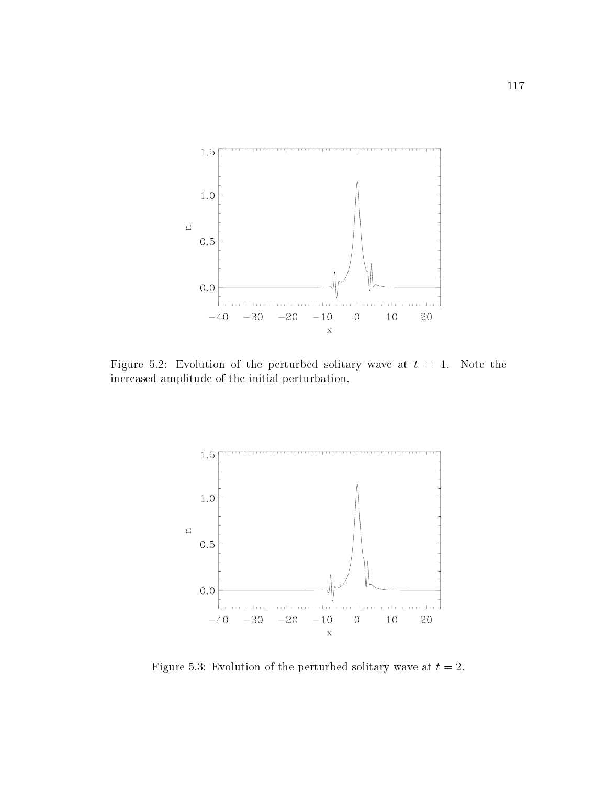

Figure 5.2: Evolution of the perturbed solitary wave at  $t = 1$ . Note the increased amplitude of the initial perturbation.



Figure 5.3: Evolution of the perturbed solitary wave at  $t = 2$ .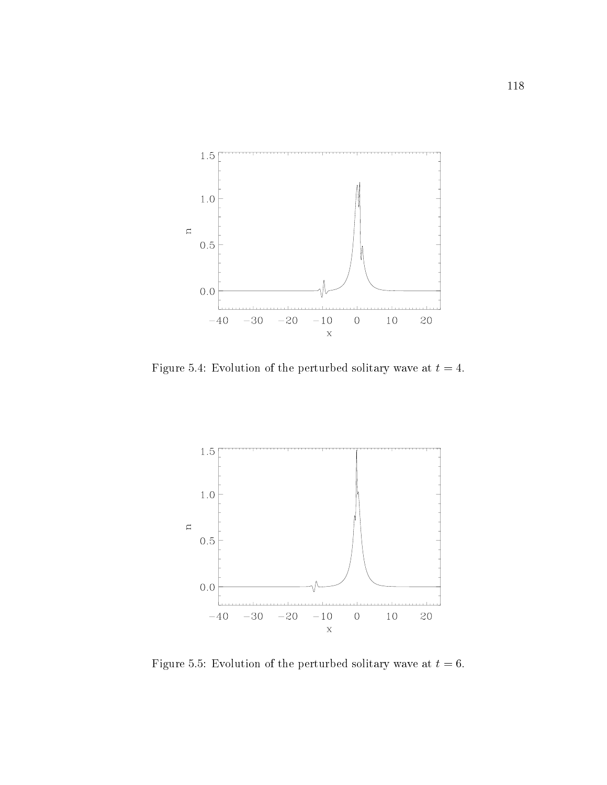

Figure 5.4: Evolution of the perturbed solitary wave at  $t = 4$ .



Figure 5.5: Evolution of the perturbed solitary wave at  $t = 6$ .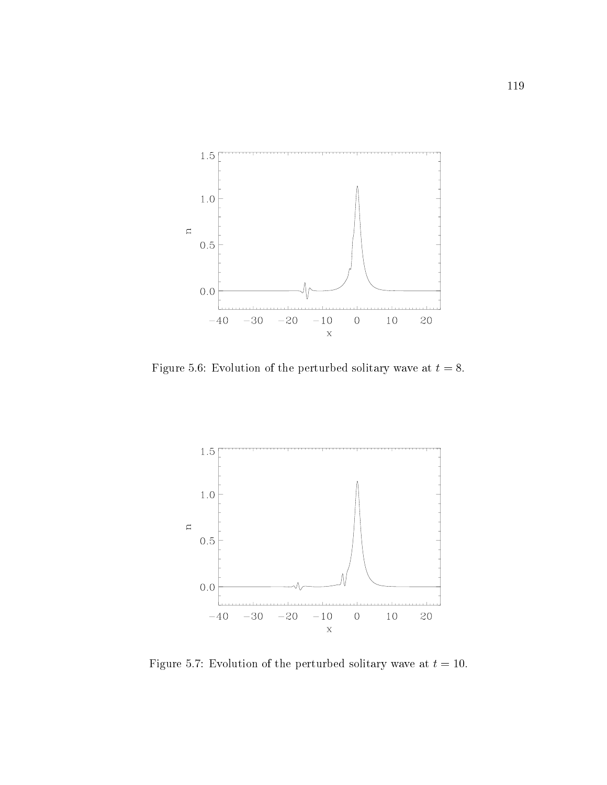

Figure 5.6: Evolution of the perturbed solitary wave at  $t = 8$ .



Figure 5.7: Evolution of the perturbed solitary wave at  $t = 10$ .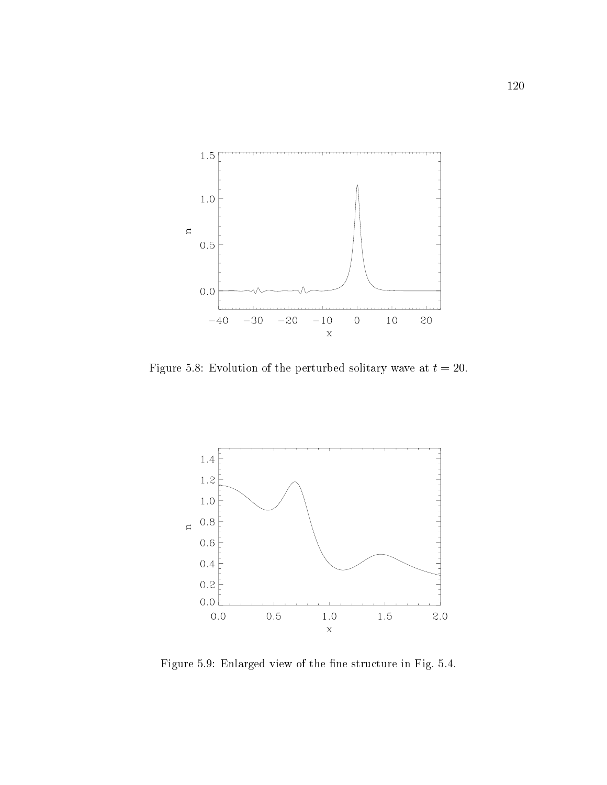

Figure 5.8: Evolution of the perturbed solitary wave at  $t = 20$ .



Figure 5.9: Enlarged view of the fine structure in Fig. 5.4.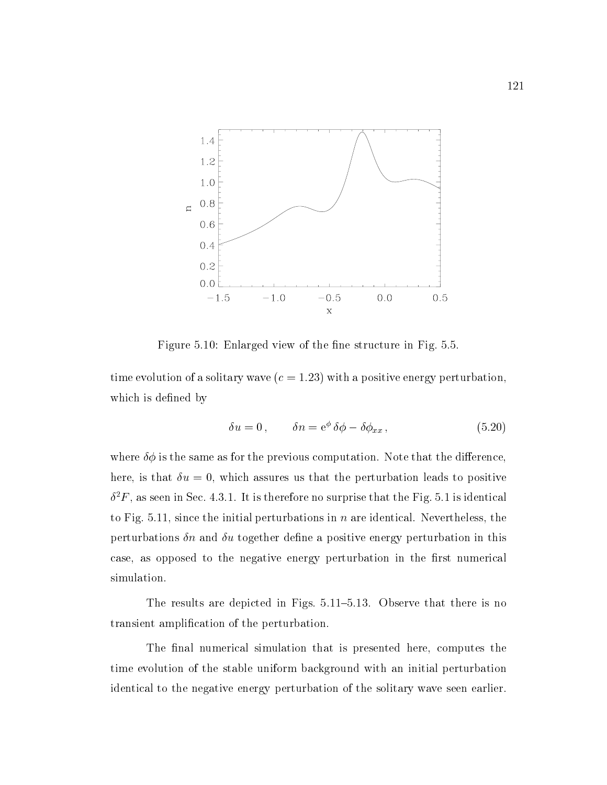

Figure 5.10: Enlarged view of the fine structure in Fig. 5.5.

time evolution of a solitary wave  $(c = 1.23)$  with a positive energy perturbation, which is defined by

$$
\delta u = 0, \qquad \delta n = e^{\phi} \delta \phi - \delta \phi_{xx}, \qquad (5.20)
$$

where  $\delta\phi$  is the same as for the previous computation. Note that the difference, here, is that  $\delta u = 0$ , which assures us that the perturbation leads to positive  $\sigma$   $r$  , as seen in Sec. 4.3.1. It is therefore no surprise that the Fig. 3.1 is identical to Fig. 5.11, since the initial perturbations in  $n$  are identical. Nevertheless, the perturbations  $\delta n$  and  $\delta u$  together define a positive energy perturbation in this case, as opposed to the negative energy perturbation in the first numerical simulation.

The results are depicted in Figs.  $5.11-5.13$ . Observe that there is no transient amplication of the perturbation.

The final numerical simulation that is presented here, computes the time evolution of the stable uniform background with an initial perturbation identical to the negative energy perturbation of the solitary wave seen earlier.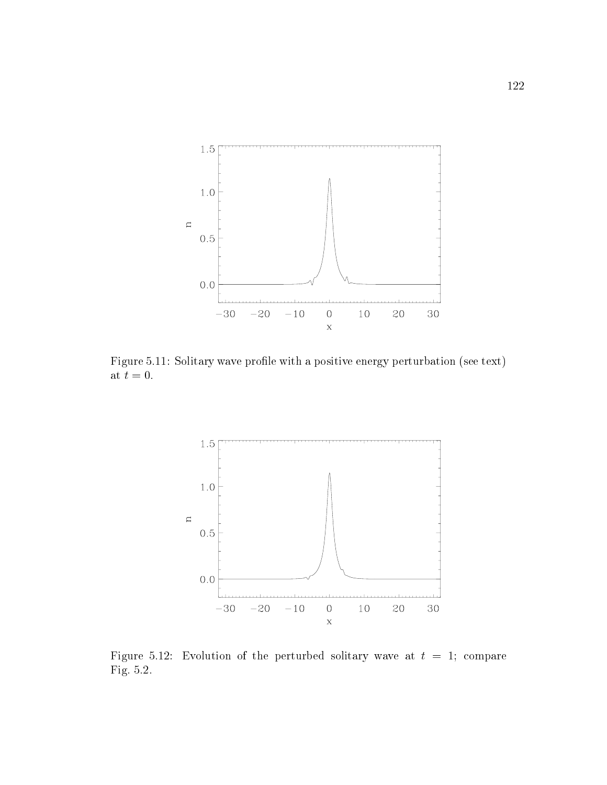

Figure 5.11: Solitary wave profile with a positive energy perturbation (see text) at  $t=0$ .



Figure 5.12: Evolution of the perturbed solitary wave at  $t = 1$ ; compare Fig. 5.2.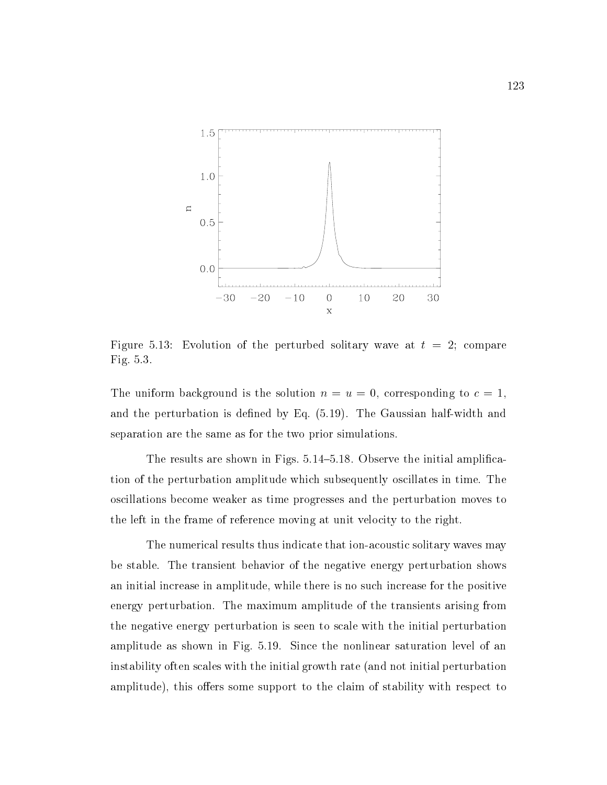

Figure 5.13: Evolution of the perturbed solitary wave at  $t = 2$ ; compare Fig. 5.3.

The uniform background is the solution  $n = u = 0$ , corresponding to  $c = 1$ . and the perturbation is defined by Eq. (5.19). The Gaussian half-width and separation are the same as for the two prior simulations.

The results are shown in Figs.  $5.14{\text -}5.18$ . Observe the initial amplification of the perturbation amplitude which subsequently oscillates in time. The oscillations become weaker as time progresses and the perturbation moves to the left in the frame of reference moving at unit velocity to the right.

The numerical results thus indicate that ion-acoustic solitary waves may be stable. The transient behavior of the negative energy perturbation shows an initial increase in amplitude, while there is no such increase for the positive energy perturbation. The maximum amplitude of the transients arising from the negative energy perturbation is seen to scale with the initial perturbation amplitude as shown in Fig. 5.19. Since the nonlinear saturation level of an instability often scales with the initial growth rate (and not initial perturbation amplitude), this offers some support to the claim of stability with respect to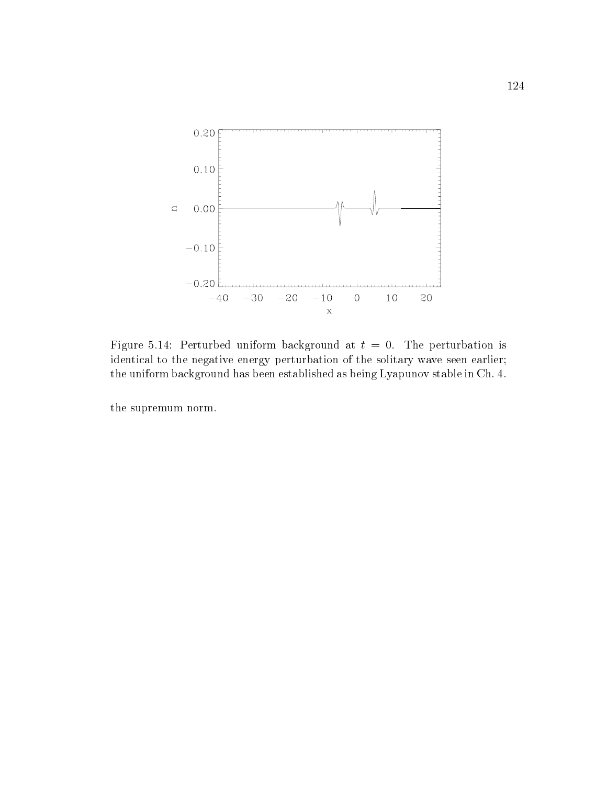

Figure 5.14: Perturbed uniform background at  $t = 0$ . The perturbation is identical to the negative energy perturbation of the solitary wave seen earlier; the uniform background has been established as being Lyapunov stable in Ch. 4.

the supremum norm.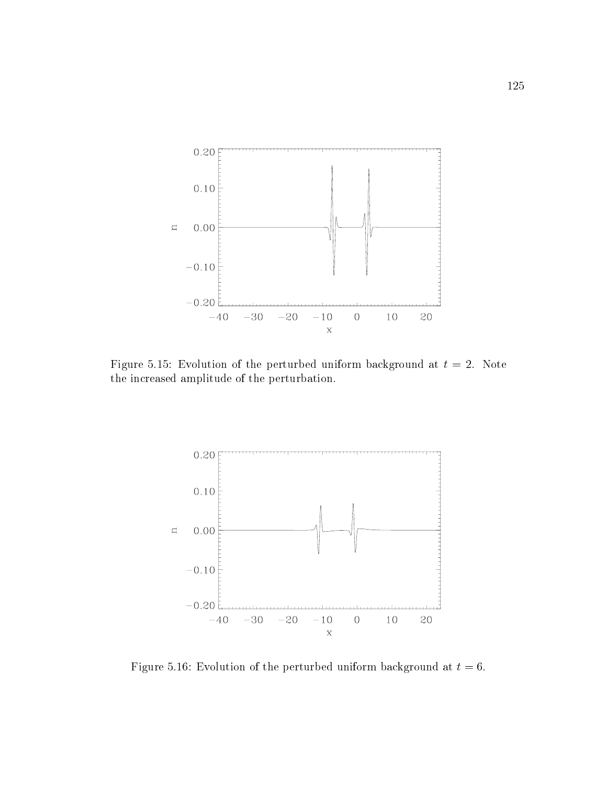

Figure 5.15: Evolution of the perturbed uniform background at  $t = 2$ . Note the increased amplitude of the perturbation.



Figure 5.16: Evolution of the perturbed uniform background at  $t = 6$ .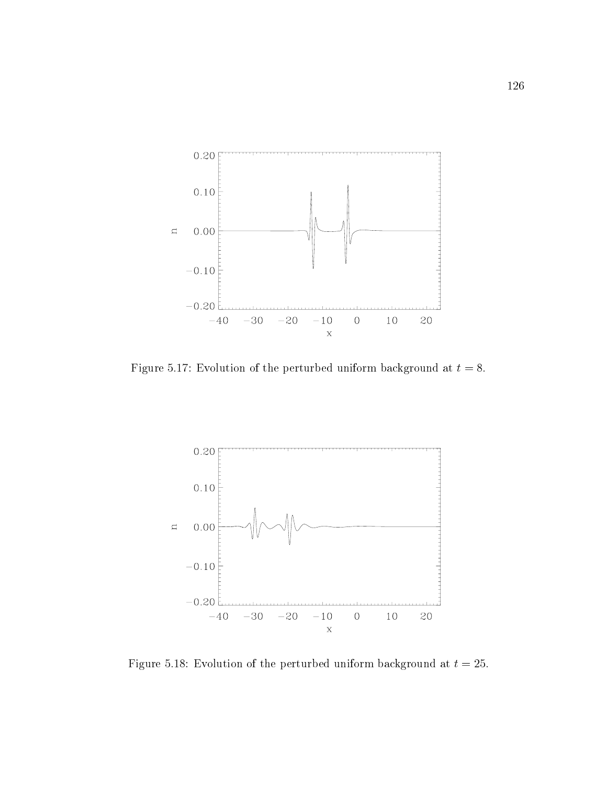

Figure 5.17: Evolution of the perturbed uniform background at  $t = 8$ .



Figure 5.18: Evolution of the perturbed uniform background at  $t = 25$ .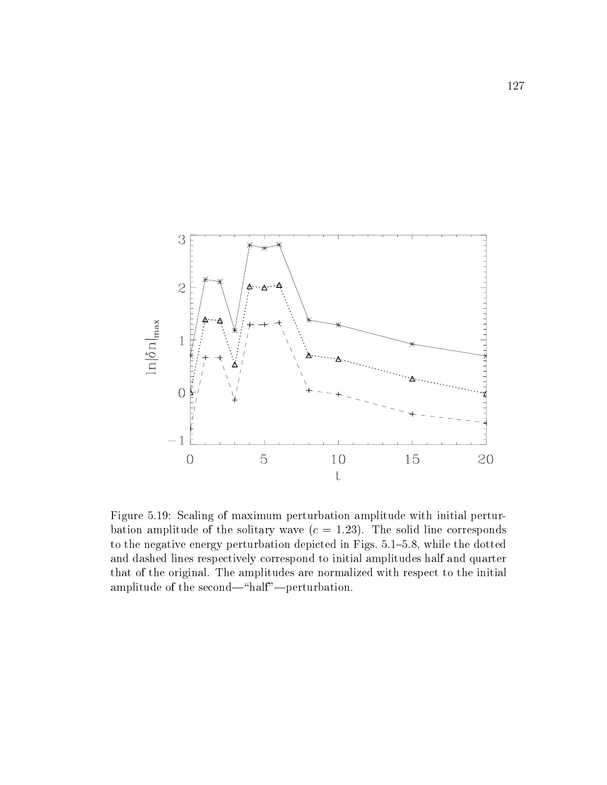

Figure 5.19: Scaling of maximum perturbation amplitude with initial perturbation amplitude of the solitary wave  $(c = 1.23)$ . The solid line corresponds to the negative energy perturbation depicted in Figs.  $5.1{-}5.8$ , while the dotted and dashed lines respectively correspond to initial amplitudes half and quarter that of the original. The amplitudes are normalized with respect to the initial amplitude of the second—"half"—perturbation.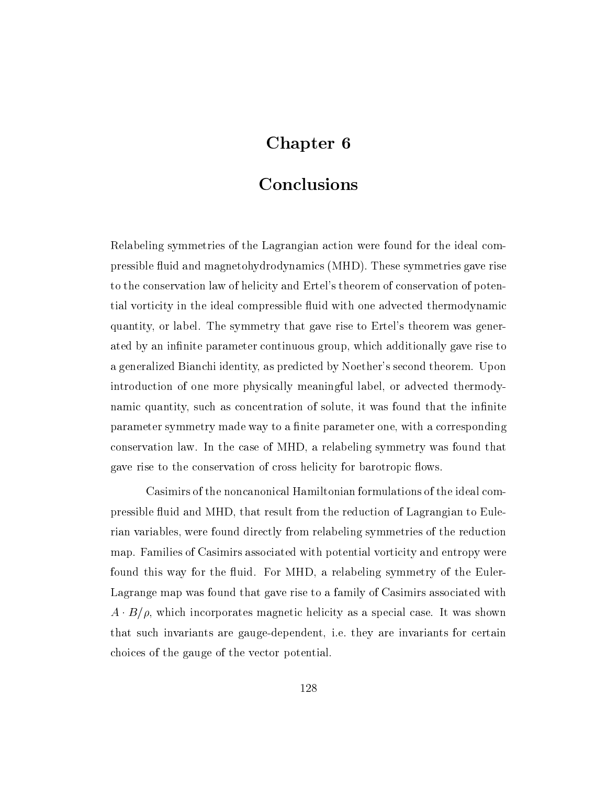# Chapter 6

## Conclusions

Relabeling symmetries of the Lagrangian action were found for the ideal compressible fluid and magnetohydrodynamics (MHD). These symmetries gave rise to the conservation law of helicity and Ertel's theorem of conservation of potential vorticity in the ideal compressible fluid with one advected thermodynamic quantity, or label. The symmetry that gave rise to Ertel's theorem was generated by an infinite parameter continuous group, which additionally gave rise to a generalized Bianchi identity, as predicted by Noether's second theorem. Upon introduction of one more physically meaningful label, or advected thermodynamic quantity, such as concentration of solute, it was found that the infinite parameter symmetry made way to a finite parameter one, with a corresponding conservation law.In the case of MHD, a relabeling symmetry was found that gave rise to the conservation of cross helicity for barotropic flows.

Casimirs of the noncanonical Hamiltonian formulations of the ideal compressible fluid and MHD, that result from the reduction of Lagrangian to Eulerian variables, were found directly from relabeling symmetries of the reduction map. Families of Casimirs associated with potential vorticity and entropy were found this way for the fluid. For MHD, a relabeling symmetry of the Euler-Lagrange map was found that gave rise to a family of Casimirs associated with  $A \cdot B/\rho$ , which incorporates magnetic helicity as a special case. It was shown that such invariants are gauge-dependent, i.e. they are invariants for certain choices of the gauge of the vector potential.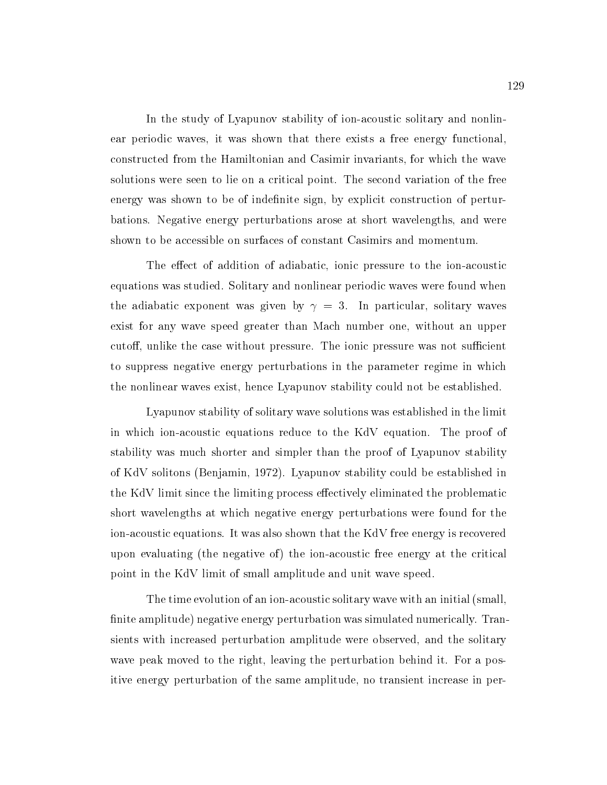In the study of Lyapunov stability of ion-acoustic solitary and nonlinear periodic waves, it was shown that there exists a free energy functional, constructed from the Hamiltonian and Casimir invariants, for which the wave solutions were seen to lie on a critical point. The second variation of the free energy was shown to be of indefinite sign, by explicit construction of perturbations. Negative energy perturbations arose at short wavelengths, and were shown to be accessible on surfaces of constant Casimirs and momentum.

The effect of addition of adiabatic, ionic pressure to the ion-acoustic equations was studied. Solitary and nonlinear periodic waves were found when the adiabatic exponent was given by  $\gamma = 3$ . In particular, solitary waves exist for any wave speed greater than Mach number one, without an upper cutoff, unlike the case without pressure. The ionic pressure was not sufficient to suppress negative energy perturbations in the parameter regime in which the nonlinear waves exist, hence Lyapunov stability could not be established.

Lyapunov stability of solitary wave solutions was established in the limit in which ion-acoustic equations reduce to the KdV equation. The proof of stability was much shorter and simpler than the proof of Lyapunov stability of KdV solitons (Benjamin, 1972). Lyapunov stability could be established in the KdV limit since the limiting process effectively eliminated the problematic short wavelengths at which negative energy perturbations were found for the ion-acoustic equations. It was also shown that the KdV free energy is recovered upon evaluating (the negative of ) the ion-acoustic free energy at the critical point in the KdV limit of small amplitude and unit wave speed.

The time evolution of an ion-acoustic solitary wave with an initial (small, finite amplitude) negative energy perturbation was simulated numerically. Transients with increased perturbation amplitude were observed, and the solitary wave peak moved to the right, leaving the perturbation behind it. For a positive energy perturbation of the same amplitude, no transient increase in per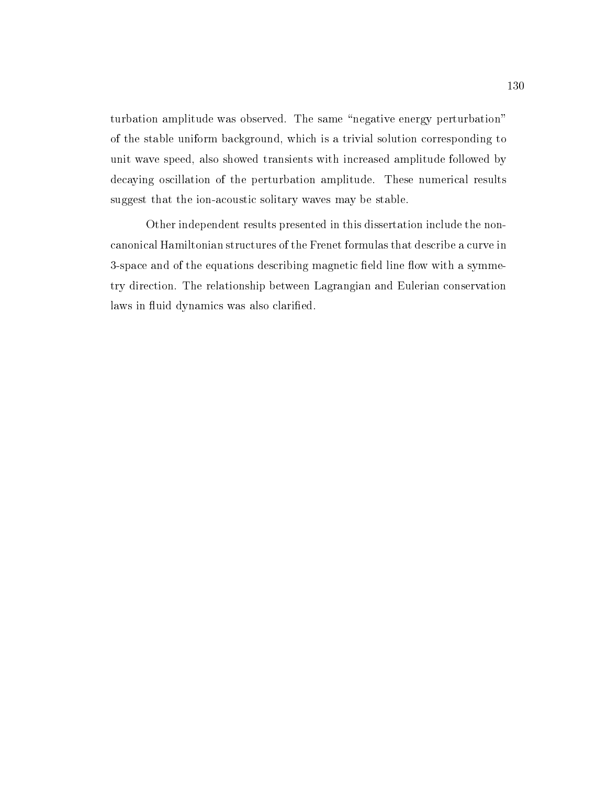turbation amplitude was observed. The same "negative energy perturbation" of the stable uniform background, which is a trivial solution corresponding to unit wave speed, also showed transients with increased amplitude followed by decaying oscillation of the perturbation amplitude. These numerical results suggest that the ion-acoustic solitary waves may be stable.

Other independent results presented in this dissertation include the noncanonical Hamiltonian structures of the Frenet formulas that describe a curve in 3-space and of the equations describing magnetic field line flow with a symmetry direction. The relationship between Lagrangian and Eulerian conservation laws in fluid dynamics was also clarified.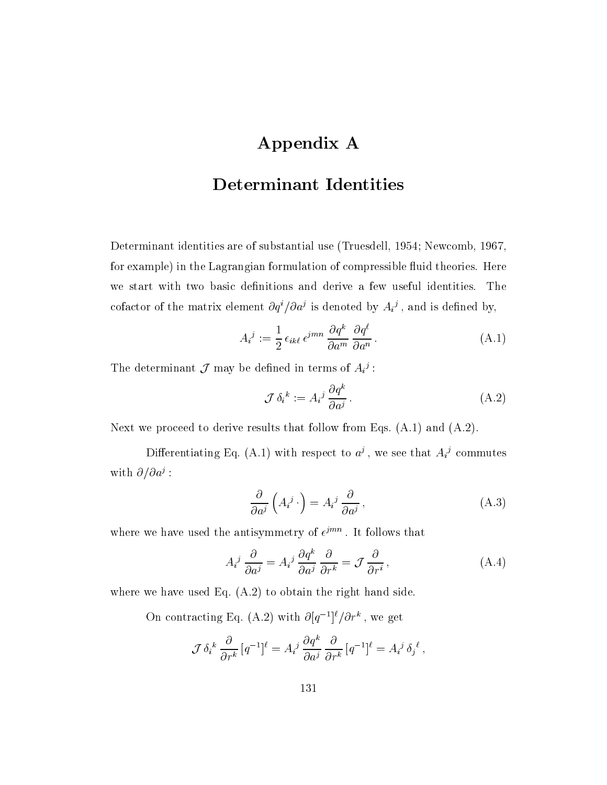# Appendix A

## Determinant Identities

Determinant identities are of substantial use (Truesdell, 1954; Newcomb, 1967, for example) in the Lagrangian formulation of compressible fluid theories. Here we start with two basic definitions and derive a few useful identities. The cofactor of the matrix element  $\partial q^+/\partial a^j$  is denoted by  $A_i{}^j$  , and is defined by,

$$
A_i{}^j := \frac{1}{2} \epsilon_{ik\ell} \,\epsilon^{jmn} \, \frac{\partial q^k}{\partial a^m} \, \frac{\partial q^{\ell}}{\partial a^n} \,. \tag{A.1}
$$

The determinant  $\mathcal J$  may be defined in terms of  $A_i{}^j$ :

$$
\mathcal{J}\,\delta_i^{\ k} := A_i^{\ j}\,\frac{\partial q^k}{\partial a^j} \,. \tag{A.2}
$$

Next we proceed to derive results that follow from Eqs.  $(A.1)$  and  $(A.2)$ .

Differentiating Eq. (A.1) with respect to  $a<sup>i</sup>$ , we see that  $A<sub>i</sub><sup>i</sup>$  commutes WIth  $Q/qa$ :

$$
\frac{\partial}{\partial a^j} \left( A_i^j \cdot \right) = A_i^j \frac{\partial}{\partial a^j}, \tag{A.3}
$$

where we have used the antisymmetry of  $e^{j\pi m}$ . It follows that

$$
A_i^j \frac{\partial}{\partial a^j} = A_i^j \frac{\partial q^k}{\partial a^j} \frac{\partial}{\partial r^k} = \mathcal{J} \frac{\partial}{\partial r^i}, \tag{A.4}
$$

where we have used Eq. (A.2) to obtain the right hand side.

On contracting Eq. (A.2) with  $\mathcal{O}(q^{-1})/\mathcal{O}r^{-}$ , we get

$$
\mathcal{J}\,\delta_i{}^k\,\frac{\partial}{\partial r^k}\,[q^{-1}]^\ell=A_i{}^j\,\frac{\partial q^k}{\partial a^j}\,\frac{\partial}{\partial r^k}\,[q^{-1}]^\ell=A_i{}^j\,\delta_j{}^\ell\,,
$$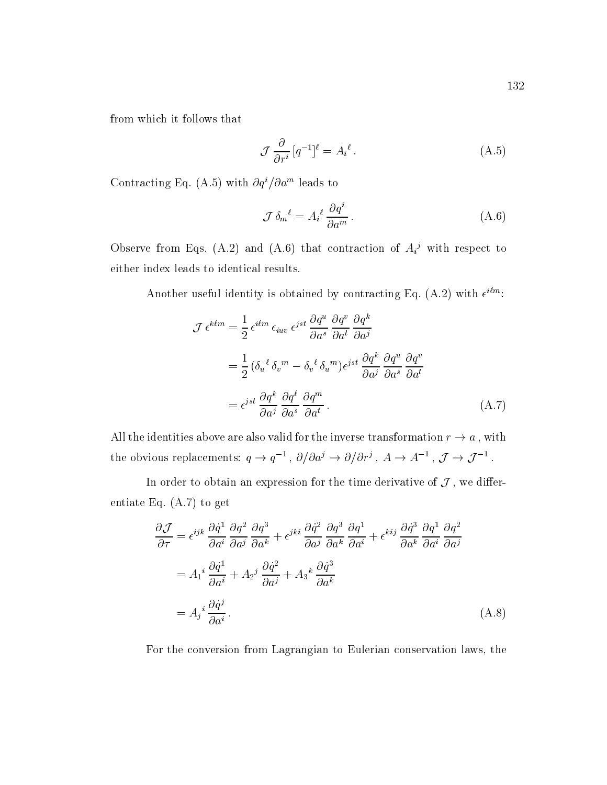from which it follows that

$$
\mathcal{J}\frac{\partial}{\partial r^i}\left[q^{-1}\right]^\ell = A_i^{\ell} \,. \tag{A.5}
$$

Contracting Eq. (A.5) with  $Oq^2/Oq^2$  reads to

$$
\mathcal{J}\,\delta_m{}^{\ell} = A_i{}^{\ell} \frac{\partial q^i}{\partial a^m} \,. \tag{A.6}
$$

Observe from Eqs. (A.2) and (A.6) that contraction of  $A_i^j$  with respect to either index leads to identical results.

Another useful identity is obtained by contracting Eq. (A.2) with  $\epsilon^{\dots}$ :

$$
\mathcal{J} \epsilon^{k\ell m} = \frac{1}{2} \epsilon^{i\ell m} \epsilon_{iuv} \epsilon^{jst} \frac{\partial q^u}{\partial a^s} \frac{\partial q^v}{\partial a^t} \frac{\partial q^k}{\partial a^j}
$$
  

$$
= \frac{1}{2} (\delta_u^{\ell} \delta_v^m - \delta_v^{\ell} \delta_u^m) \epsilon^{jst} \frac{\partial q^k}{\partial a^j} \frac{\partial q^u}{\partial a^s} \frac{\partial q^v}{\partial a^t}
$$
  

$$
= \epsilon^{jst} \frac{\partial q^k}{\partial a^j} \frac{\partial q^{\ell}}{\partial a^s} \frac{\partial q^m}{\partial a^t} . \tag{A.7}
$$

All the identities above are also valid for the inverse transformation  $r \to a$ , with the obvious replacements:  $q \to q^{-1}$ ,  $\partial/\partial a^j \to \partial/\partial r^j$ ,  $A \to A^{-1}$ ,  $\mathcal{J} \to \mathcal{J}^{-1}$ .

In order to obtain an expression for the time derivative of  $\mathcal J$  , we differentiate Eq. (A.7) to get

$$
\frac{\partial \mathcal{J}}{\partial \tau} = \epsilon^{ijk} \frac{\partial \dot{q}^1}{\partial a^i} \frac{\partial q^2}{\partial a^j} \frac{\partial q^3}{\partial a^k} + \epsilon^{jki} \frac{\partial \dot{q}^2}{\partial a^j} \frac{\partial q^3}{\partial a^k} \frac{\partial q^1}{\partial a^i} + \epsilon^{kij} \frac{\partial \dot{q}^3}{\partial a^k} \frac{\partial q^1}{\partial a^i} \frac{\partial q^2}{\partial a^j}
$$
  
=  $A_1^i \frac{\partial \dot{q}^1}{\partial a^i} + A_2^j \frac{\partial \dot{q}^2}{\partial a^j} + A_3^k \frac{\partial \dot{q}^3}{\partial a^k}$   
=  $A_j^i \frac{\partial \dot{q}^j}{\partial a^i}.$  (A.8)

For the conversion from Lagrangian to Eulerian conservation laws, the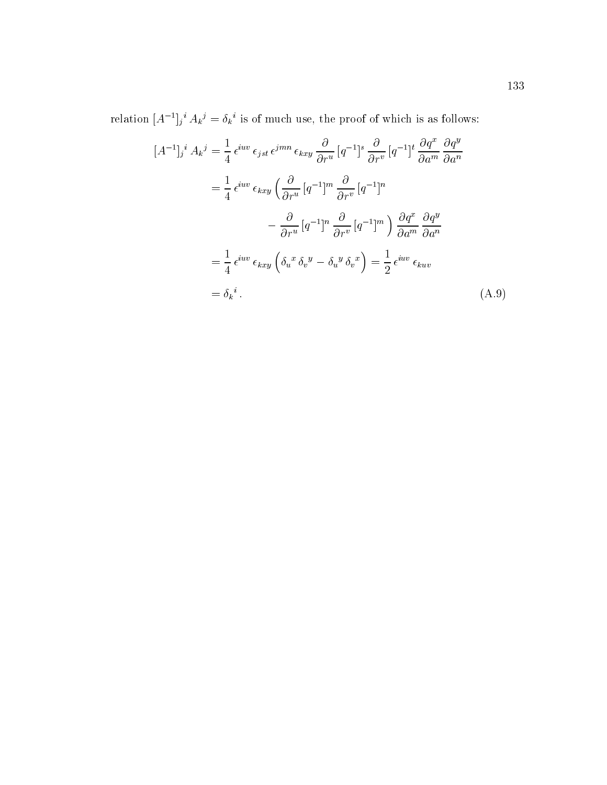relation  $|A^-|_i$   $A_k{}^j = o_k$  is of much use, the proof of which is as follows:

$$
[A^{-1}]_j{}^i A_k{}^j = \frac{1}{4} \epsilon^{iuv} \epsilon_{jst} \epsilon^{jmn} \epsilon_{kxy} \frac{\partial}{\partial r^u} [q^{-1}]^s \frac{\partial}{\partial r^v} [q^{-1}]^t \frac{\partial q^x}{\partial a^m} \frac{\partial q^y}{\partial a^n}
$$
  

$$
= \frac{1}{4} \epsilon^{iuv} \epsilon_{kxy} \left( \frac{\partial}{\partial r^u} [q^{-1}]^m \frac{\partial}{\partial r^v} [q^{-1}]^n \right)
$$
  

$$
- \frac{\partial}{\partial r^u} [q^{-1}]^n \frac{\partial}{\partial r^v} [q^{-1}]^m \right) \frac{\partial q^x}{\partial a^m} \frac{\partial q^y}{\partial a^n}
$$
  

$$
= \frac{1}{4} \epsilon^{iuv} \epsilon_{kxy} \left( \delta_u{}^x \delta_v{}^y - \delta_u{}^y \delta_v{}^x \right) = \frac{1}{2} \epsilon^{iuv} \epsilon_{kuv}
$$
  

$$
= \delta_k{}^i.
$$
 (A.9)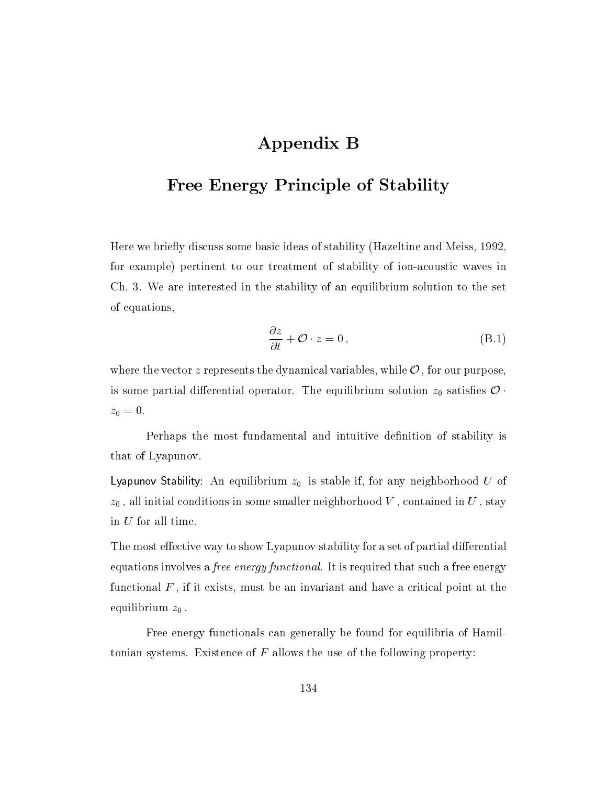## Appendix B

## Free Energy Principle of Stability

Here we briefly discuss some basic ideas of stability (Hazeltine and Meiss, 1992, for example) pertinent to our treatment of stability of ion-acoustic waves in Ch. 3. We are interested in the stability of an equilibrium solution to the set of equations,

$$
\frac{\partial z}{\partial t} + \mathcal{O} \cdot z = 0, \qquad (B.1)
$$

where the vector z represents the dynamical variables, while  $\mathcal{O}$ , for our purpose, is some partial differential operator. The equilibrium solution  $z_0$  satisfies  $\mathcal{O}$ .  $z_0 = 0.$ 

Perhaps the most fundamental and intuitive definition of stability is that of Lyapunov.

Lyapunov Stability: An equilibrium z0 is stable if, for any neighborhood <sup>U</sup> of  $z_0$ , all initial conditions in some smaller neighborhood V, contained in U, stay in U for all time.

The most effective way to show Lyapunov stability for a set of partial differential equations involves a free energy functional. It is required that such a free energy functional  $F$ , if it exists, must be an invariant and have a critical point at the equilibrium  $z_0$ .

Free energy functionals can generally be found for equilibria of Hamiltonian systems. Existence of  $F$  allows the use of the following property: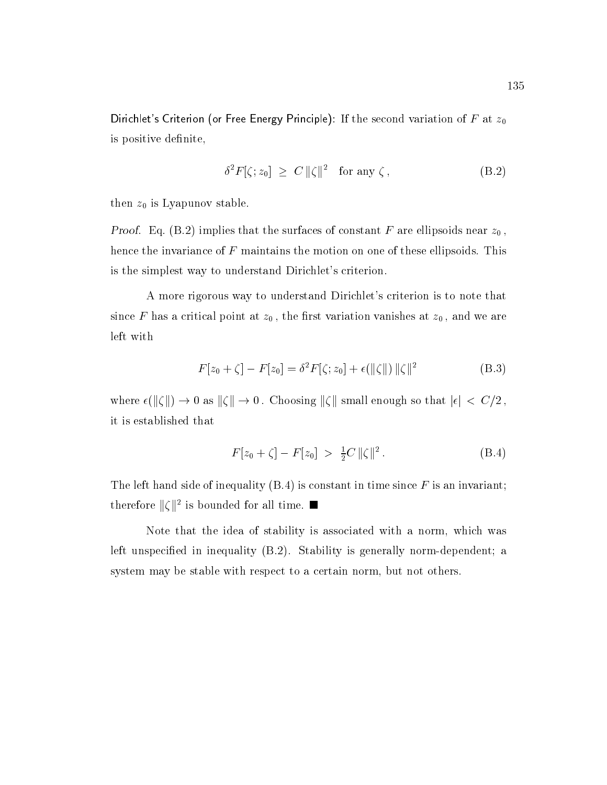Dirichlet's Criterion (or Free Energy Principle): If the second variation of F at  $z_0$ is positive definite,

$$
\delta^2 F[\zeta; z_0] \ge C \, \|\zeta\|^2 \quad \text{for any } \zeta \,, \tag{B.2}
$$

then  $z_0$  is Lyapunov stable.

*Proof.* Eq. (B.2) implies that the surfaces of constant F are ellipsoids near  $z_0$ , hence the invariance of  $F$  maintains the motion on one of these ellipsoids. This is the simplest way to understand Dirichlet's criterion.

A more rigorous way to understand Dirichlet's criterion is to note that since F has a critical point at  $z_0$ , the first variation vanishes at  $z_0$ , and we are left with

$$
F[z_0 + \zeta] - F[z_0] = \delta^2 F[\zeta; z_0] + \epsilon(||\zeta||) ||\zeta||^2
$$
 (B.3)

where  $\epsilon(\|\zeta\|) \to 0$  as  $\|\zeta\| \to 0$ . Choosing  $\|\zeta\|$  small enough so that  $|\epsilon| \, < \, C/2$ , it is established that

$$
F[z_0 + \zeta] - F[z_0] > \frac{1}{2}C ||\zeta||^2. \tag{B.4}
$$

The left hand side of inequality  $(B.4)$  is constant in time since  $F$  is an invariant; therefore  $\|\zeta\|^2$  is bounded for all time.

Note that the idea of stability is associated with a norm, which was left unspecified in inequality (B.2). Stability is generally norm-dependent; a system may be stable with respect to a certain norm, but not others.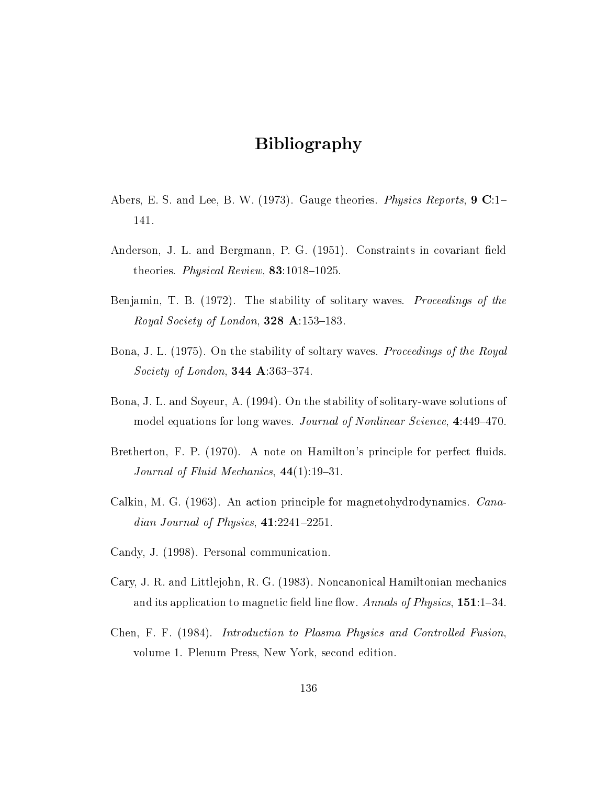## Bibliography

- Abers, E. S. and Lee, B. W. (1973). Gauge theories. *Physics Reports*, **9 C**:1– 141.
- Anderson, J. L. and Bergmann, P. G. (1951). Constraints in covariant field theories. Physical Review,  $83:1018-1025$ .
- Benjamin, T. B. (1972). The stability of solitary waves. *Proceedings of the* Royal Society of London, 328 A:153-183.
- Bona, J. L. (1975). On the stability of soltary waves. *Proceedings of the Royal Society of London*, **344 A**:363-374.
- Bona, J. L. and Soyeur, A. (1994). On the stability of solitary-wave solutions of model equations for long waves. Journal of Nonlinear Science, 4:449-470.
- Bretherton, F. P. (1970). A note on Hamilton's principle for perfect fluids. Journal of Fluid Mechanics,  $44(1):19{-}31$ .
- Calkin, M. G. (1963). An action principle for magnetohydrodynamics. Canadian Journal of Physics,  $41:2241-2251$ .
- Candy, J. (1998). Personal communication.
- Cary, J. R. and Littlejohn, R. G. (1983). Noncanonical Hamiltonian mechanics and its application to magnetic field line flow. Annals of Physics,  $151:1-34$ .
- Chen, F. F. (1984). Introduction to Plasma Physics and Controlled Fusion, volume 1. Plenum Press, New York, second edition.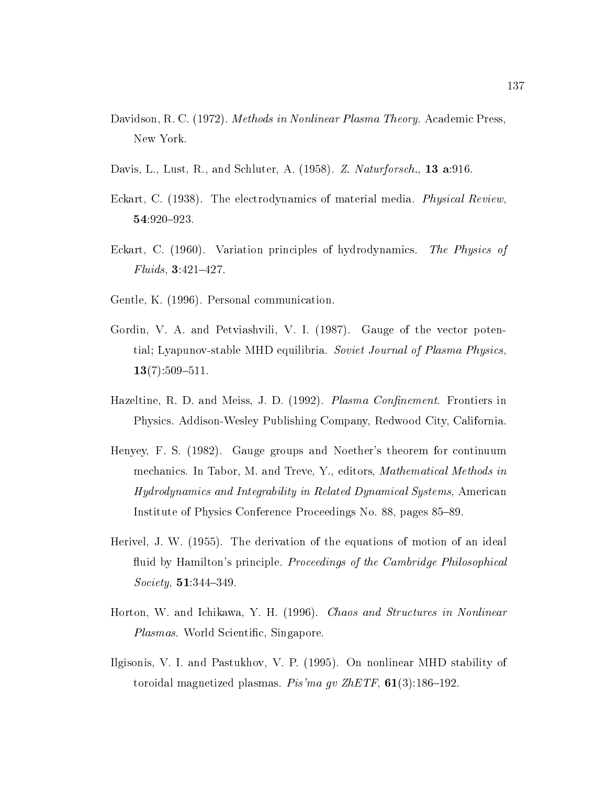- Davidson, R. C. (1972). *Methods in Nonlinear Plasma Theory*. Academic Press, New York.
- Davis, L., Lust, R., and Schluter, A. (1958). Z. Naturforsch., 13 a:916.
- Eckart, C. (1938). The electrodynamics of material media. *Physical Review*, 54:920-923.
- Eckart, C. (1960). Variation principles of hydrodynamics. The Physics of  $Fluids, 3:421–427.$
- Gentle, K. (1996). Personal communication.
- Gordin, V. A. and Petviashvili, V. I. (1987). Gauge of the vector potential; Lyapunov-stable MHD equilibria. Soviet Journal of Plasma Physics,  $13(7):509{-}511.$
- Hazeltine, R. D. and Meiss, J. D. (1992). Plasma Confinement. Frontiers in Physics. Addison-Wesley Publishing Company, Redwood City, California.
- Henyey, F. S. (1982). Gauge groups and Noether's theorem for continuum mechanics. In Tabor, M. and Treve, Y., editors, Mathematical Methods in Hydrodynamics and Integrability in Related Dynamical Systems, American Institute of Physics Conference Proceedings No. 88, pages 85–89.
- Herivel, J. W. (1955). The derivation of the equations of motion of an ideal fluid by Hamilton's principle. *Proceedings of the Cambridge Philosophical*  $Society, 51:344–349.$
- Horton, W. and Ichikawa, Y. H. (1996). *Chaos and Structures in Nonlinear* Plasmas. World Scientific, Singapore.
- Ilgisonis, V. I. and Pastukhov, V. P. (1995). On nonlinear MHD stability of toroidal magnetized plasmas. Pis'ma gv ZhETF,  $61(3):186-192$ .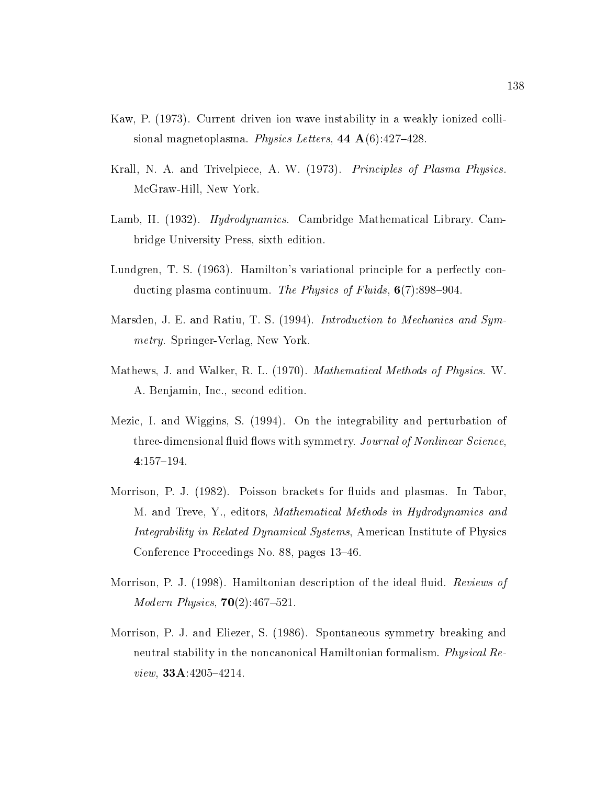- Kaw, P. (1973). Current driven ion wave instability in a weakly ionized collisional magnetoplasma. Physics Letters, 44  $\mathbf{A}(6)$ :427-428.
- Krall, N. A. and Trivelpiece, A. W. (1973). Principles of Plasma Physics. McGraw-Hill, New York.
- Lamb, H. (1932). *Hydrodynamics*. Cambridge Mathematical Library. Cambridge University Press, sixth edition.
- Lundgren, T. S. (1963). Hamilton's variational principle for a perfectly conducting plasma continuum. The Physics of Fluids,  $6(7)$ :898-904.
- Marsden, J. E. and Ratiu, T. S. (1994). *Introduction to Mechanics and Sym*metry. Springer-Verlag, New York.
- Mathews, J. and Walker, R. L. (1970). Mathematical Methods of Physics. W. A. Benjamin, Inc., second edition.
- Mezic, I. and Wiggins, S. (1994). On the integrability and perturbation of three-dimensional fluid flows with symmetry. Journal of Nonlinear Science.  $4:157{-}194.$
- Morrison, P. J. (1982). Poisson brackets for fluids and plasmas. In Tabor, M. and Treve, Y., editors, Mathematical Methods in Hydrodynamics and Integrability in Related Dynamical Systems, American Institute of Physics Conference Proceedings No. 88, pages 13-46.
- Morrison, P. J. (1998). Hamiltonian description of the ideal fluid. Reviews of *Modern Physics*,  $70(2):467{-}521$ .
- Morrison, P. J. and Eliezer, S. (1986). Spontaneous symmetry breaking and neutral stability in the noncanonical Hamiltonian formalism. Physical Review,  $33A:4205-4214$ .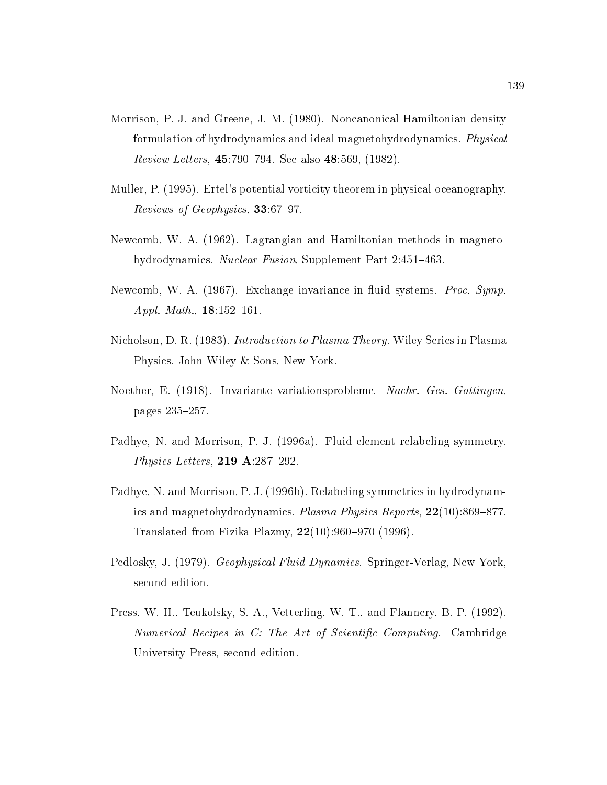- Morrison, P. J. and Greene, J. M. (1980). Noncanonical Hamiltonian density formulation of hydrodynamics and ideal magnetohydrodynamics. Physical *Review Letters*, 45:790–794. See also 48:569,  $(1982)$ .
- Muller, P. (1995). Ertel's potential vorticity theorem in physical oceanography. Reviews of Geophysics,  $33:67-97$ .
- Newcomb, W. A. (1962). Lagrangian and Hamiltonian methods in magnetohydrodynamics. Nuclear Fusion, Supplement Part 2:451-463.
- Newcomb, W. A. (1967). Exchange invariance in fluid systems. *Proc. Symp.* Appl. Math.,  $18:152-161$ .
- Nicholson, D. R. (1983). *Introduction to Plasma Theory*. Wiley Series in Plasma Physics. John Wiley & Sons, New York.
- Noether, E. (1918). Invariante variationsprobleme. Nachr. Ges. Gottingen. pages 235-257.
- Padhye, N. and Morrison, P. J. (1996a). Fluid element relabeling symmetry. Physics Letters, 219 A:287-292.
- Padhye, N. and Morrison, P. J. (1996b). Relabeling symmetries in hydrodynamics and magnetohydrodynamics. Plasma Physics Reports,  $22(10):869-877$ . Translated from Fizika Plazmy,  $22(10):960-970$  (1996).
- Pedlosky, J. (1979). *Geophysical Fluid Dynamics*. Springer-Verlag, New York. second edition.
- Press, W. H., Teukolsky, S. A., Vetterling, W. T., and Flannery, B. P. (1992). Numerical Recipes in C: The Art of Scientific Computing. Cambridge University Press, second edition.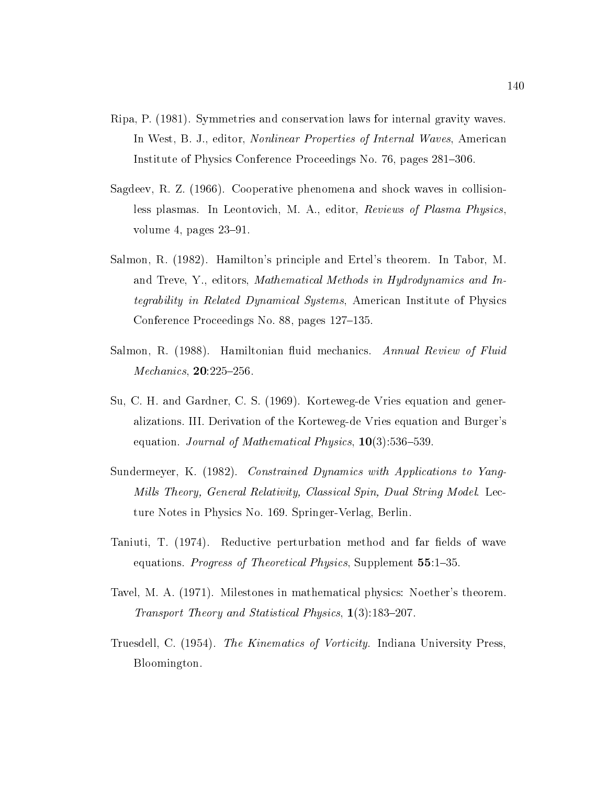- Ripa, P. (1981). Symmetries and conservation laws for internal gravity waves. In West, B. J., editor, Nonlinear Properties of Internal Waves, American Institute of Physics Conference Proceedings No. 76, pages 281-306.
- Sagdeev, R. Z. (1966). Cooperative phenomena and shock waves in collisionless plasmas. In Leontovich, M. A., editor, Reviews of Plasma Physics, volume 4, pages  $23-91$ .
- Salmon, R. (1982). Hamilton's principle and Ertel's theorem. In Tabor, M. and Treve, Y., editors, Mathematical Methods in Hydrodynamics and Integrability in Related Dynamical Systems, American Institute of Physics Conference Proceedings No. 88, pages 127-135.
- Salmon, R. (1988). Hamiltonian fluid mechanics. Annual Review of Fluid *Mechanics*,  $20:225-256$ .
- Su, C. H. and Gardner, C. S. (1969). Korteweg-de Vries equation and generalizations. III. Derivation of the Korteweg-de Vries equation and Burger's equation. Journal of Mathematical Physics,  $10(3):536-539$ .
- Sundermeyer, K. (1982). Constrained Dynamics with Applications to Yang-Mills Theory, General Relativity, Classical Spin, Dual String Model. Lecture Notes in Physics No. 169. Springer-Verlag, Berlin.
- Taniuti, T. (1974). Reductive perturbation method and far fields of wave equations. *Progress of Theoretical Physics*, Supplement 55:1-35.
- Tavel, M. A. (1971). Milestones in mathematical physics: Noether's theorem. Transport Theory and Statistical Physics,  $1(3):183-207$ .
- Truesdell, C. (1954). The Kinematics of Vorticity. Indiana University Press, Bloomington.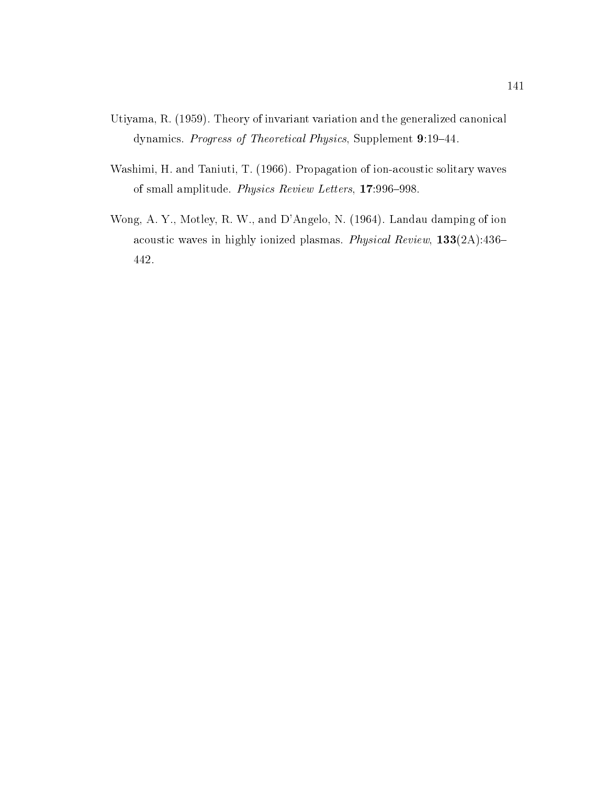- Utiyama, R. (1959). Theory of invariant variation and the generalized canonical dynamics. Progress of Theoretical Physics, Supplement 9:19-44.
- Washimi, H. and Taniuti, T. (1966). Propagation of ion-acoustic solitary waves of small amplitude. Physics Review Letters, 17:996-998.
- Wong, A. Y., Motley, R. W., and D'Angelo, N. (1964). Landau damping of ion acoustic waves in highly ionized plasmas. Physical Review,  $133(2A):436-$ 442.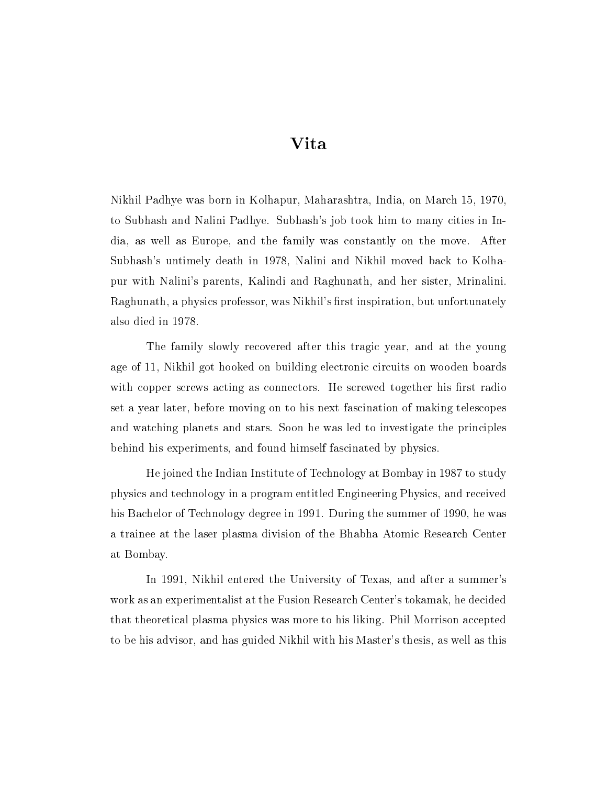## Vita

Nikhil Padhye was born in Kolhapur, Maharashtra, India, on March 15, 1970, to Subhash and Nalini Padhye. Subhash's job took him to many cities in India, as well as Europe, and the family was constantly on the move. After Subhash's untimely death in 1978, Nalini and Nikhil moved back to Kolhapur with Nalini's parents, Kalindi and Raghunath, and her sister, Mrinalini. Raghunath, a physics professor, was Nikhil's first inspiration, but unfortunately also died in 1978.

The family slowly recovered after this tragic year, and at the young age of 11, Nikhil got hooked on building electronic circuits on wooden boards with copper screws acting as connectors. He screwed together his first radio set a year later, before moving on to his next fascination of making telescopes and watching planets and stars. Soon he was led to investigate the principles behind his experiments, and found himself fascinated by physics.

He joined the Indian Institute of Technology at Bombay in 1987 to study physics and technology in a program entitled Engineering Physics, and received his Bachelor of Technology degree in 1991. During the summer of 1990, he was a trainee at the laser plasma division of the Bhabha Atomic Research Center at Bombay.

In 1991, Nikhil entered the University of Texas, and after a summer's work as an experimentalist at the Fusion Research Center's tokamak, he decided that theoretical plasma physics was more to his liking. Phil Morrison accepted to be his advisor, and has guided Nikhil with his Master's thesis, as well as this